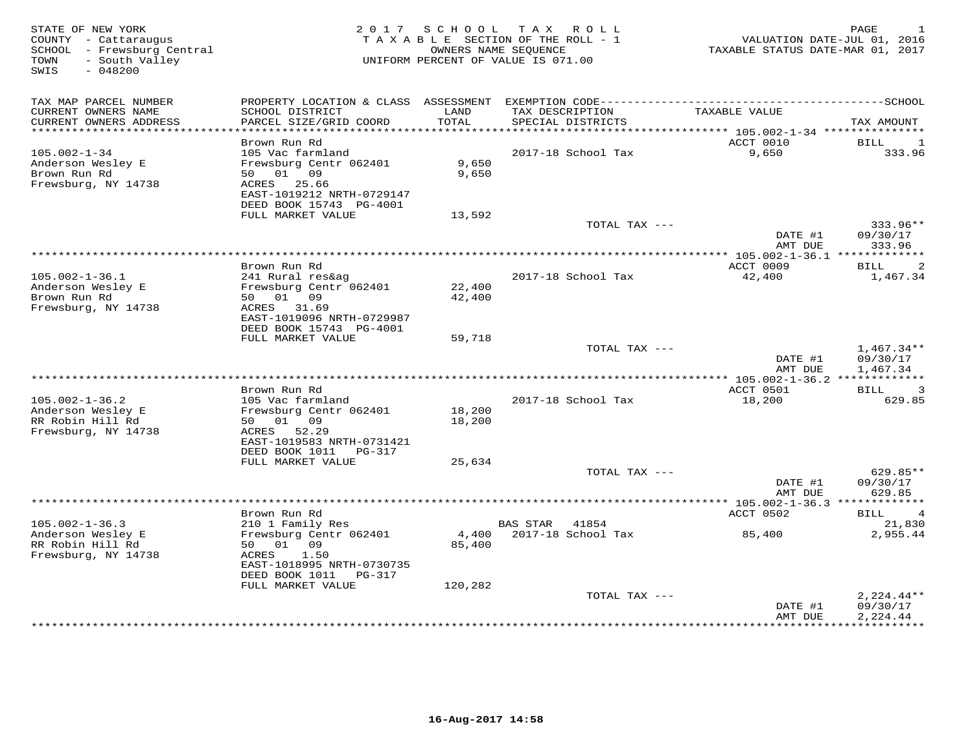| STATE OF NEW YORK<br>COUNTY - Cattaraugus<br>SCHOOL - Frewsburg Central<br>- South Valley<br>TOWN<br>$-048200$<br>SWIS |                                                                                                            | 2017 SCHOOL      | TAX ROLL<br>TAXABLE SECTION OF THE ROLL - 1<br>OWNERS NAME SEQUENCE<br>UNIFORM PERCENT OF VALUE IS 071.00 | VALUATION DATE-JUL 01, 2016<br>TAXABLE STATUS DATE-MAR 01, 2017 | PAGE<br>1                            |
|------------------------------------------------------------------------------------------------------------------------|------------------------------------------------------------------------------------------------------------|------------------|-----------------------------------------------------------------------------------------------------------|-----------------------------------------------------------------|--------------------------------------|
| TAX MAP PARCEL NUMBER<br>CURRENT OWNERS NAME                                                                           | PROPERTY LOCATION & CLASS ASSESSMENT<br>SCHOOL DISTRICT                                                    | LAND             | TAX DESCRIPTION                                                                                           | TAXABLE VALUE                                                   |                                      |
| CURRENT OWNERS ADDRESS<br>***********************                                                                      | PARCEL SIZE/GRID COORD                                                                                     | TOTAL            | SPECIAL DISTRICTS                                                                                         |                                                                 | TAX AMOUNT                           |
|                                                                                                                        | Brown Run Rd                                                                                               |                  |                                                                                                           | ACCT 0010                                                       | BILL<br>1                            |
| $105.002 - 1 - 34$<br>Anderson Wesley E<br>Brown Run Rd<br>Frewsburg, NY 14738                                         | 105 Vac farmland<br>Frewsburg Centr 062401<br>01 09<br>50<br>25.66<br>ACRES<br>EAST-1019212 NRTH-0729147   | 9,650<br>9,650   | 2017-18 School Tax                                                                                        | 9,650                                                           | 333.96                               |
|                                                                                                                        | DEED BOOK 15743 PG-4001                                                                                    |                  |                                                                                                           |                                                                 |                                      |
|                                                                                                                        | FULL MARKET VALUE                                                                                          | 13,592           |                                                                                                           |                                                                 |                                      |
|                                                                                                                        |                                                                                                            |                  | TOTAL TAX ---                                                                                             | DATE #1<br>AMT DUE                                              | 333.96**<br>09/30/17<br>333.96       |
|                                                                                                                        |                                                                                                            |                  | ***********                                                                                               | * $105.002 - 1 - 36.1$ *************                            |                                      |
| $105.002 - 1 - 36.1$<br>Anderson Wesley E<br>Brown Run Rd<br>Frewsburg, NY 14738                                       | Brown Run Rd<br>241 Rural res&ag<br>Frewsburg Centr 062401<br>50 01 09<br>ACRES 31.69                      | 22,400<br>42,400 | 2017-18 School Tax                                                                                        | ACCT 0009<br>42,400                                             | 2<br>BILL<br>1,467.34                |
|                                                                                                                        | EAST-1019096 NRTH-0729987<br>DEED BOOK 15743 PG-4001                                                       |                  |                                                                                                           |                                                                 |                                      |
|                                                                                                                        | FULL MARKET VALUE                                                                                          | 59,718           |                                                                                                           |                                                                 |                                      |
|                                                                                                                        |                                                                                                            |                  | TOTAL TAX ---                                                                                             | DATE #1<br>AMT DUE                                              | $1,467.34**$<br>09/30/17<br>1,467.34 |
|                                                                                                                        |                                                                                                            |                  |                                                                                                           | *** 105.002-1-36.2 *************                                |                                      |
|                                                                                                                        | Brown Run Rd                                                                                               |                  |                                                                                                           | ACCT 0501                                                       | 3<br>BILL                            |
| $105.002 - 1 - 36.2$<br>Anderson Wesley E                                                                              | 105 Vac farmland<br>Frewsburg Centr 062401                                                                 | 18,200           | 2017-18 School Tax                                                                                        | 18,200                                                          | 629.85                               |
| RR Robin Hill Rd<br>Frewsburg, NY 14738                                                                                | 50 01 09<br>52.29<br>ACRES<br>EAST-1019583 NRTH-0731421                                                    | 18,200           |                                                                                                           |                                                                 |                                      |
|                                                                                                                        | DEED BOOK 1011<br><b>PG-317</b><br>FULL MARKET VALUE                                                       | 25,634           |                                                                                                           |                                                                 |                                      |
|                                                                                                                        |                                                                                                            |                  | TOTAL TAX ---                                                                                             |                                                                 | 629.85**                             |
|                                                                                                                        |                                                                                                            |                  |                                                                                                           | DATE #1<br>AMT DUE                                              | 09/30/17<br>629.85                   |
|                                                                                                                        |                                                                                                            |                  |                                                                                                           | ********** 105.002-1-36.3 *************                         |                                      |
| $105.002 - 1 - 36.3$                                                                                                   | Brown Run Rd                                                                                               |                  |                                                                                                           | ACCT 0502                                                       | BILL<br>$\overline{4}$<br>21,830     |
| Anderson Wesley E<br>RR Robin Hill Rd<br>Frewsburg, NY 14738                                                           | 210 1 Family Res<br>Frewsburg Centr 062401<br>50<br>01<br>09<br>1.50<br>ACRES<br>EAST-1018995 NRTH-0730735 | 4,400<br>85,400  | <b>BAS STAR</b><br>41854<br>2017-18 School Tax                                                            | 85,400                                                          | 2,955.44                             |
|                                                                                                                        | DEED BOOK 1011 PG-317                                                                                      |                  |                                                                                                           |                                                                 |                                      |
|                                                                                                                        | FULL MARKET VALUE                                                                                          | 120,282          | TOTAL TAX ---                                                                                             | DATE #1                                                         | $2,224.44**$<br>09/30/17             |
|                                                                                                                        |                                                                                                            |                  |                                                                                                           | AMT DUE                                                         | 2,224.44                             |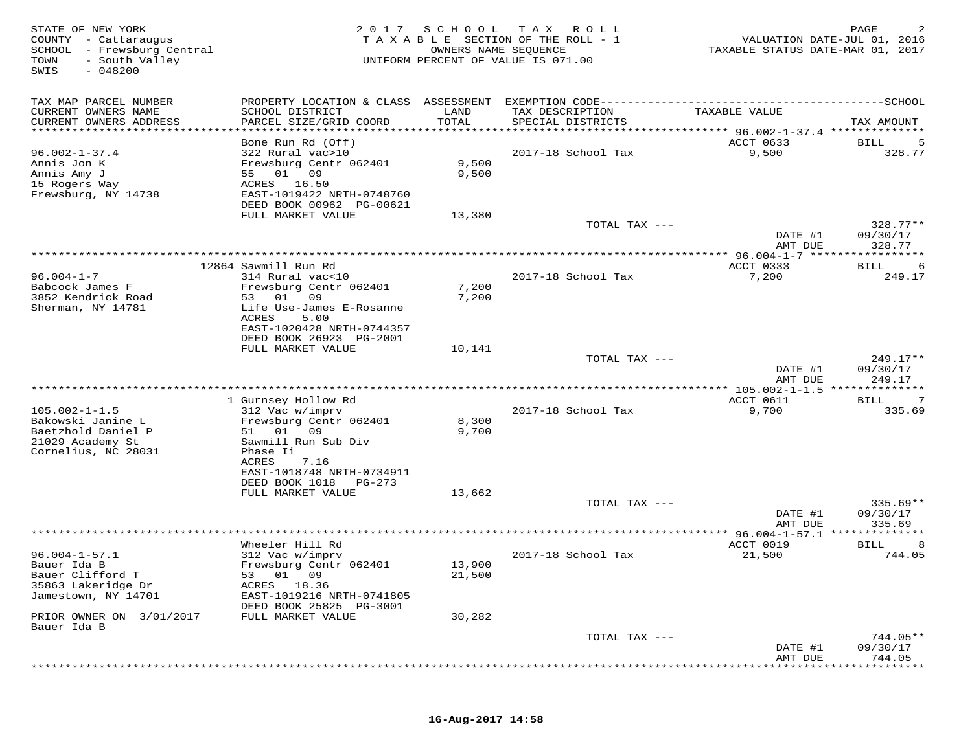| TAX MAP PARCEL NUMBER<br>------SCHOOL<br>PROPERTY LOCATION & CLASS ASSESSMENT<br>EXEMPTION CODE---------<br>CURRENT OWNERS NAME<br>SCHOOL DISTRICT<br>LAND<br>TAX DESCRIPTION<br>TAXABLE VALUE<br>CURRENT OWNERS ADDRESS<br>PARCEL SIZE/GRID COORD<br>TOTAL<br>SPECIAL DISTRICTS<br>TAX AMOUNT<br>********************<br>**********************<br>*********<br>**************************** 96.002-1-37.4 **************<br>Bone Run Rd (Off)<br>ACCT 0633<br><b>BILL</b><br>$96.002 - 1 - 37.4$<br>322 Rural vac>10<br>2017-18 School Tax<br>9,500<br>328.77<br>Annis Jon K<br>Frewsburg Centr 062401<br>9,500<br>Annis Amy J<br>01<br>09<br>9,500<br>55<br>15 Rogers Way<br>ACRES<br>16.50<br>Frewsburg, NY 14738<br>EAST-1019422 NRTH-0748760<br>DEED BOOK 00962 PG-00621<br>FULL MARKET VALUE<br>13,380<br>328.77**<br>TOTAL TAX ---<br>DATE #1<br>09/30/17<br>AMT DUE<br>328.77<br>**** 96.004-1-7 ******<br>********<br>12864 Sawmill Run Rd<br>ACCT 0333<br>BILL<br>6<br>$96.004 - 1 - 7$<br>314 Rural vac<10<br>2017-18 School Tax<br>7,200<br>249.17<br>Babcock James F<br>Frewsburg Centr 062401<br>7,200<br>3852 Kendrick Road<br>53<br>01<br>09<br>7,200<br>Sherman, NY 14781<br>Life Use-James E-Rosanne<br>ACRES<br>5.00<br>EAST-1020428 NRTH-0744357<br>DEED BOOK 26923 PG-2001<br>FULL MARKET VALUE<br>10,141<br>249.17**<br>TOTAL TAX ---<br>09/30/17<br>DATE #1<br>249.17<br>AMT DUE<br>************************<br>*** $105.002 - 1 - 1.5$<br>********<br>1 Gurnsey Hollow Rd<br>ACCT 0611<br>7<br>BILL<br>$105.002 - 1 - 1.5$<br>312 Vac w/imprv<br>2017-18 School Tax<br>9,700<br>335.69<br>Bakowski Janine L<br>Frewsburg Centr 062401<br>8,300<br>Baetzhold Daniel P<br>01<br>09<br>9,700<br>51<br>21029 Academy St<br>Sawmill Run Sub Div<br>Cornelius, NC 28031<br>Phase Ii<br>ACRES<br>7.16<br>EAST-1018748 NRTH-0734911<br>DEED BOOK 1018<br>PG-273<br>FULL MARKET VALUE<br>13,662<br>TOTAL TAX ---<br>$335.69**$<br>DATE #1<br>09/30/17<br>335.69<br>AMT DUE<br>96.004-1-57.1<br>Wheeler Hill Rd<br>ACCT 0019<br>8<br>BILL<br>744.05<br>$96.004 - 1 - 57.1$<br>2017-18 School Tax<br>21,500<br>312 Vac w/imprv<br>Bauer Ida B<br>Frewsburg Centr 062401<br>13,900<br>21,500<br>Bauer Clifford T<br>01<br>09<br>53<br>35863 Lakeridge Dr<br>ACRES<br>18.36<br>Jamestown, NY 14701<br>EAST-1019216 NRTH-0741805<br>DEED BOOK 25825 PG-3001<br>30,282<br>PRIOR OWNER ON 3/01/2017<br>FULL MARKET VALUE<br>Bauer Ida B<br>744.05**<br>TOTAL TAX ---<br>DATE #1<br>09/30/17<br>744.05<br>AMT DUE | STATE OF NEW YORK<br>COUNTY - Cattaraugus<br>SCHOOL - Frewsburg Central<br>- South Valley<br>TOWN<br>$-048200$<br>SWIS | 2017 | S C H O O L<br>OWNERS NAME SEQUENCE | T A X<br>R O L L<br>TAXABLE SECTION OF THE ROLL - 1<br>UNIFORM PERCENT OF VALUE IS 071.00 | VALUATION DATE-JUL 01, 2016<br>TAXABLE STATUS DATE-MAR 01, 2017 | PAGE |
|---------------------------------------------------------------------------------------------------------------------------------------------------------------------------------------------------------------------------------------------------------------------------------------------------------------------------------------------------------------------------------------------------------------------------------------------------------------------------------------------------------------------------------------------------------------------------------------------------------------------------------------------------------------------------------------------------------------------------------------------------------------------------------------------------------------------------------------------------------------------------------------------------------------------------------------------------------------------------------------------------------------------------------------------------------------------------------------------------------------------------------------------------------------------------------------------------------------------------------------------------------------------------------------------------------------------------------------------------------------------------------------------------------------------------------------------------------------------------------------------------------------------------------------------------------------------------------------------------------------------------------------------------------------------------------------------------------------------------------------------------------------------------------------------------------------------------------------------------------------------------------------------------------------------------------------------------------------------------------------------------------------------------------------------------------------------------------------------------------------------------------------------------------------------------------------------------------------------------------------------------------------------------------------------------------------------------------------------------------------------------------------------------------------------------------------------------------------------------------------------------------------------------|------------------------------------------------------------------------------------------------------------------------|------|-------------------------------------|-------------------------------------------------------------------------------------------|-----------------------------------------------------------------|------|
|                                                                                                                                                                                                                                                                                                                                                                                                                                                                                                                                                                                                                                                                                                                                                                                                                                                                                                                                                                                                                                                                                                                                                                                                                                                                                                                                                                                                                                                                                                                                                                                                                                                                                                                                                                                                                                                                                                                                                                                                                                                                                                                                                                                                                                                                                                                                                                                                                                                                                                                           |                                                                                                                        |      |                                     |                                                                                           |                                                                 |      |
|                                                                                                                                                                                                                                                                                                                                                                                                                                                                                                                                                                                                                                                                                                                                                                                                                                                                                                                                                                                                                                                                                                                                                                                                                                                                                                                                                                                                                                                                                                                                                                                                                                                                                                                                                                                                                                                                                                                                                                                                                                                                                                                                                                                                                                                                                                                                                                                                                                                                                                                           |                                                                                                                        |      |                                     |                                                                                           |                                                                 |      |
|                                                                                                                                                                                                                                                                                                                                                                                                                                                                                                                                                                                                                                                                                                                                                                                                                                                                                                                                                                                                                                                                                                                                                                                                                                                                                                                                                                                                                                                                                                                                                                                                                                                                                                                                                                                                                                                                                                                                                                                                                                                                                                                                                                                                                                                                                                                                                                                                                                                                                                                           |                                                                                                                        |      |                                     |                                                                                           |                                                                 |      |
|                                                                                                                                                                                                                                                                                                                                                                                                                                                                                                                                                                                                                                                                                                                                                                                                                                                                                                                                                                                                                                                                                                                                                                                                                                                                                                                                                                                                                                                                                                                                                                                                                                                                                                                                                                                                                                                                                                                                                                                                                                                                                                                                                                                                                                                                                                                                                                                                                                                                                                                           |                                                                                                                        |      |                                     |                                                                                           |                                                                 |      |
|                                                                                                                                                                                                                                                                                                                                                                                                                                                                                                                                                                                                                                                                                                                                                                                                                                                                                                                                                                                                                                                                                                                                                                                                                                                                                                                                                                                                                                                                                                                                                                                                                                                                                                                                                                                                                                                                                                                                                                                                                                                                                                                                                                                                                                                                                                                                                                                                                                                                                                                           |                                                                                                                        |      |                                     |                                                                                           |                                                                 |      |
|                                                                                                                                                                                                                                                                                                                                                                                                                                                                                                                                                                                                                                                                                                                                                                                                                                                                                                                                                                                                                                                                                                                                                                                                                                                                                                                                                                                                                                                                                                                                                                                                                                                                                                                                                                                                                                                                                                                                                                                                                                                                                                                                                                                                                                                                                                                                                                                                                                                                                                                           |                                                                                                                        |      |                                     |                                                                                           |                                                                 |      |
|                                                                                                                                                                                                                                                                                                                                                                                                                                                                                                                                                                                                                                                                                                                                                                                                                                                                                                                                                                                                                                                                                                                                                                                                                                                                                                                                                                                                                                                                                                                                                                                                                                                                                                                                                                                                                                                                                                                                                                                                                                                                                                                                                                                                                                                                                                                                                                                                                                                                                                                           |                                                                                                                        |      |                                     |                                                                                           |                                                                 |      |
|                                                                                                                                                                                                                                                                                                                                                                                                                                                                                                                                                                                                                                                                                                                                                                                                                                                                                                                                                                                                                                                                                                                                                                                                                                                                                                                                                                                                                                                                                                                                                                                                                                                                                                                                                                                                                                                                                                                                                                                                                                                                                                                                                                                                                                                                                                                                                                                                                                                                                                                           |                                                                                                                        |      |                                     |                                                                                           |                                                                 |      |
|                                                                                                                                                                                                                                                                                                                                                                                                                                                                                                                                                                                                                                                                                                                                                                                                                                                                                                                                                                                                                                                                                                                                                                                                                                                                                                                                                                                                                                                                                                                                                                                                                                                                                                                                                                                                                                                                                                                                                                                                                                                                                                                                                                                                                                                                                                                                                                                                                                                                                                                           |                                                                                                                        |      |                                     |                                                                                           |                                                                 |      |
|                                                                                                                                                                                                                                                                                                                                                                                                                                                                                                                                                                                                                                                                                                                                                                                                                                                                                                                                                                                                                                                                                                                                                                                                                                                                                                                                                                                                                                                                                                                                                                                                                                                                                                                                                                                                                                                                                                                                                                                                                                                                                                                                                                                                                                                                                                                                                                                                                                                                                                                           |                                                                                                                        |      |                                     |                                                                                           |                                                                 |      |
|                                                                                                                                                                                                                                                                                                                                                                                                                                                                                                                                                                                                                                                                                                                                                                                                                                                                                                                                                                                                                                                                                                                                                                                                                                                                                                                                                                                                                                                                                                                                                                                                                                                                                                                                                                                                                                                                                                                                                                                                                                                                                                                                                                                                                                                                                                                                                                                                                                                                                                                           |                                                                                                                        |      |                                     |                                                                                           |                                                                 |      |
|                                                                                                                                                                                                                                                                                                                                                                                                                                                                                                                                                                                                                                                                                                                                                                                                                                                                                                                                                                                                                                                                                                                                                                                                                                                                                                                                                                                                                                                                                                                                                                                                                                                                                                                                                                                                                                                                                                                                                                                                                                                                                                                                                                                                                                                                                                                                                                                                                                                                                                                           |                                                                                                                        |      |                                     |                                                                                           |                                                                 |      |
|                                                                                                                                                                                                                                                                                                                                                                                                                                                                                                                                                                                                                                                                                                                                                                                                                                                                                                                                                                                                                                                                                                                                                                                                                                                                                                                                                                                                                                                                                                                                                                                                                                                                                                                                                                                                                                                                                                                                                                                                                                                                                                                                                                                                                                                                                                                                                                                                                                                                                                                           |                                                                                                                        |      |                                     |                                                                                           |                                                                 |      |
|                                                                                                                                                                                                                                                                                                                                                                                                                                                                                                                                                                                                                                                                                                                                                                                                                                                                                                                                                                                                                                                                                                                                                                                                                                                                                                                                                                                                                                                                                                                                                                                                                                                                                                                                                                                                                                                                                                                                                                                                                                                                                                                                                                                                                                                                                                                                                                                                                                                                                                                           |                                                                                                                        |      |                                     |                                                                                           |                                                                 |      |
|                                                                                                                                                                                                                                                                                                                                                                                                                                                                                                                                                                                                                                                                                                                                                                                                                                                                                                                                                                                                                                                                                                                                                                                                                                                                                                                                                                                                                                                                                                                                                                                                                                                                                                                                                                                                                                                                                                                                                                                                                                                                                                                                                                                                                                                                                                                                                                                                                                                                                                                           |                                                                                                                        |      |                                     |                                                                                           |                                                                 |      |
|                                                                                                                                                                                                                                                                                                                                                                                                                                                                                                                                                                                                                                                                                                                                                                                                                                                                                                                                                                                                                                                                                                                                                                                                                                                                                                                                                                                                                                                                                                                                                                                                                                                                                                                                                                                                                                                                                                                                                                                                                                                                                                                                                                                                                                                                                                                                                                                                                                                                                                                           |                                                                                                                        |      |                                     |                                                                                           |                                                                 |      |
|                                                                                                                                                                                                                                                                                                                                                                                                                                                                                                                                                                                                                                                                                                                                                                                                                                                                                                                                                                                                                                                                                                                                                                                                                                                                                                                                                                                                                                                                                                                                                                                                                                                                                                                                                                                                                                                                                                                                                                                                                                                                                                                                                                                                                                                                                                                                                                                                                                                                                                                           |                                                                                                                        |      |                                     |                                                                                           |                                                                 |      |
|                                                                                                                                                                                                                                                                                                                                                                                                                                                                                                                                                                                                                                                                                                                                                                                                                                                                                                                                                                                                                                                                                                                                                                                                                                                                                                                                                                                                                                                                                                                                                                                                                                                                                                                                                                                                                                                                                                                                                                                                                                                                                                                                                                                                                                                                                                                                                                                                                                                                                                                           |                                                                                                                        |      |                                     |                                                                                           |                                                                 |      |
|                                                                                                                                                                                                                                                                                                                                                                                                                                                                                                                                                                                                                                                                                                                                                                                                                                                                                                                                                                                                                                                                                                                                                                                                                                                                                                                                                                                                                                                                                                                                                                                                                                                                                                                                                                                                                                                                                                                                                                                                                                                                                                                                                                                                                                                                                                                                                                                                                                                                                                                           |                                                                                                                        |      |                                     |                                                                                           |                                                                 |      |
|                                                                                                                                                                                                                                                                                                                                                                                                                                                                                                                                                                                                                                                                                                                                                                                                                                                                                                                                                                                                                                                                                                                                                                                                                                                                                                                                                                                                                                                                                                                                                                                                                                                                                                                                                                                                                                                                                                                                                                                                                                                                                                                                                                                                                                                                                                                                                                                                                                                                                                                           |                                                                                                                        |      |                                     |                                                                                           |                                                                 |      |
|                                                                                                                                                                                                                                                                                                                                                                                                                                                                                                                                                                                                                                                                                                                                                                                                                                                                                                                                                                                                                                                                                                                                                                                                                                                                                                                                                                                                                                                                                                                                                                                                                                                                                                                                                                                                                                                                                                                                                                                                                                                                                                                                                                                                                                                                                                                                                                                                                                                                                                                           |                                                                                                                        |      |                                     |                                                                                           |                                                                 |      |
|                                                                                                                                                                                                                                                                                                                                                                                                                                                                                                                                                                                                                                                                                                                                                                                                                                                                                                                                                                                                                                                                                                                                                                                                                                                                                                                                                                                                                                                                                                                                                                                                                                                                                                                                                                                                                                                                                                                                                                                                                                                                                                                                                                                                                                                                                                                                                                                                                                                                                                                           |                                                                                                                        |      |                                     |                                                                                           |                                                                 |      |
|                                                                                                                                                                                                                                                                                                                                                                                                                                                                                                                                                                                                                                                                                                                                                                                                                                                                                                                                                                                                                                                                                                                                                                                                                                                                                                                                                                                                                                                                                                                                                                                                                                                                                                                                                                                                                                                                                                                                                                                                                                                                                                                                                                                                                                                                                                                                                                                                                                                                                                                           |                                                                                                                        |      |                                     |                                                                                           |                                                                 |      |
|                                                                                                                                                                                                                                                                                                                                                                                                                                                                                                                                                                                                                                                                                                                                                                                                                                                                                                                                                                                                                                                                                                                                                                                                                                                                                                                                                                                                                                                                                                                                                                                                                                                                                                                                                                                                                                                                                                                                                                                                                                                                                                                                                                                                                                                                                                                                                                                                                                                                                                                           |                                                                                                                        |      |                                     |                                                                                           |                                                                 |      |
|                                                                                                                                                                                                                                                                                                                                                                                                                                                                                                                                                                                                                                                                                                                                                                                                                                                                                                                                                                                                                                                                                                                                                                                                                                                                                                                                                                                                                                                                                                                                                                                                                                                                                                                                                                                                                                                                                                                                                                                                                                                                                                                                                                                                                                                                                                                                                                                                                                                                                                                           |                                                                                                                        |      |                                     |                                                                                           |                                                                 |      |
|                                                                                                                                                                                                                                                                                                                                                                                                                                                                                                                                                                                                                                                                                                                                                                                                                                                                                                                                                                                                                                                                                                                                                                                                                                                                                                                                                                                                                                                                                                                                                                                                                                                                                                                                                                                                                                                                                                                                                                                                                                                                                                                                                                                                                                                                                                                                                                                                                                                                                                                           |                                                                                                                        |      |                                     |                                                                                           |                                                                 |      |
|                                                                                                                                                                                                                                                                                                                                                                                                                                                                                                                                                                                                                                                                                                                                                                                                                                                                                                                                                                                                                                                                                                                                                                                                                                                                                                                                                                                                                                                                                                                                                                                                                                                                                                                                                                                                                                                                                                                                                                                                                                                                                                                                                                                                                                                                                                                                                                                                                                                                                                                           |                                                                                                                        |      |                                     |                                                                                           |                                                                 |      |
|                                                                                                                                                                                                                                                                                                                                                                                                                                                                                                                                                                                                                                                                                                                                                                                                                                                                                                                                                                                                                                                                                                                                                                                                                                                                                                                                                                                                                                                                                                                                                                                                                                                                                                                                                                                                                                                                                                                                                                                                                                                                                                                                                                                                                                                                                                                                                                                                                                                                                                                           |                                                                                                                        |      |                                     |                                                                                           |                                                                 |      |
|                                                                                                                                                                                                                                                                                                                                                                                                                                                                                                                                                                                                                                                                                                                                                                                                                                                                                                                                                                                                                                                                                                                                                                                                                                                                                                                                                                                                                                                                                                                                                                                                                                                                                                                                                                                                                                                                                                                                                                                                                                                                                                                                                                                                                                                                                                                                                                                                                                                                                                                           |                                                                                                                        |      |                                     |                                                                                           |                                                                 |      |
|                                                                                                                                                                                                                                                                                                                                                                                                                                                                                                                                                                                                                                                                                                                                                                                                                                                                                                                                                                                                                                                                                                                                                                                                                                                                                                                                                                                                                                                                                                                                                                                                                                                                                                                                                                                                                                                                                                                                                                                                                                                                                                                                                                                                                                                                                                                                                                                                                                                                                                                           |                                                                                                                        |      |                                     |                                                                                           |                                                                 |      |
|                                                                                                                                                                                                                                                                                                                                                                                                                                                                                                                                                                                                                                                                                                                                                                                                                                                                                                                                                                                                                                                                                                                                                                                                                                                                                                                                                                                                                                                                                                                                                                                                                                                                                                                                                                                                                                                                                                                                                                                                                                                                                                                                                                                                                                                                                                                                                                                                                                                                                                                           |                                                                                                                        |      |                                     |                                                                                           |                                                                 |      |
|                                                                                                                                                                                                                                                                                                                                                                                                                                                                                                                                                                                                                                                                                                                                                                                                                                                                                                                                                                                                                                                                                                                                                                                                                                                                                                                                                                                                                                                                                                                                                                                                                                                                                                                                                                                                                                                                                                                                                                                                                                                                                                                                                                                                                                                                                                                                                                                                                                                                                                                           |                                                                                                                        |      |                                     |                                                                                           |                                                                 |      |
|                                                                                                                                                                                                                                                                                                                                                                                                                                                                                                                                                                                                                                                                                                                                                                                                                                                                                                                                                                                                                                                                                                                                                                                                                                                                                                                                                                                                                                                                                                                                                                                                                                                                                                                                                                                                                                                                                                                                                                                                                                                                                                                                                                                                                                                                                                                                                                                                                                                                                                                           |                                                                                                                        |      |                                     |                                                                                           |                                                                 |      |
|                                                                                                                                                                                                                                                                                                                                                                                                                                                                                                                                                                                                                                                                                                                                                                                                                                                                                                                                                                                                                                                                                                                                                                                                                                                                                                                                                                                                                                                                                                                                                                                                                                                                                                                                                                                                                                                                                                                                                                                                                                                                                                                                                                                                                                                                                                                                                                                                                                                                                                                           |                                                                                                                        |      |                                     |                                                                                           |                                                                 |      |
|                                                                                                                                                                                                                                                                                                                                                                                                                                                                                                                                                                                                                                                                                                                                                                                                                                                                                                                                                                                                                                                                                                                                                                                                                                                                                                                                                                                                                                                                                                                                                                                                                                                                                                                                                                                                                                                                                                                                                                                                                                                                                                                                                                                                                                                                                                                                                                                                                                                                                                                           |                                                                                                                        |      |                                     |                                                                                           |                                                                 |      |
|                                                                                                                                                                                                                                                                                                                                                                                                                                                                                                                                                                                                                                                                                                                                                                                                                                                                                                                                                                                                                                                                                                                                                                                                                                                                                                                                                                                                                                                                                                                                                                                                                                                                                                                                                                                                                                                                                                                                                                                                                                                                                                                                                                                                                                                                                                                                                                                                                                                                                                                           |                                                                                                                        |      |                                     |                                                                                           |                                                                 |      |
|                                                                                                                                                                                                                                                                                                                                                                                                                                                                                                                                                                                                                                                                                                                                                                                                                                                                                                                                                                                                                                                                                                                                                                                                                                                                                                                                                                                                                                                                                                                                                                                                                                                                                                                                                                                                                                                                                                                                                                                                                                                                                                                                                                                                                                                                                                                                                                                                                                                                                                                           |                                                                                                                        |      |                                     |                                                                                           |                                                                 |      |
|                                                                                                                                                                                                                                                                                                                                                                                                                                                                                                                                                                                                                                                                                                                                                                                                                                                                                                                                                                                                                                                                                                                                                                                                                                                                                                                                                                                                                                                                                                                                                                                                                                                                                                                                                                                                                                                                                                                                                                                                                                                                                                                                                                                                                                                                                                                                                                                                                                                                                                                           |                                                                                                                        |      |                                     |                                                                                           |                                                                 |      |
|                                                                                                                                                                                                                                                                                                                                                                                                                                                                                                                                                                                                                                                                                                                                                                                                                                                                                                                                                                                                                                                                                                                                                                                                                                                                                                                                                                                                                                                                                                                                                                                                                                                                                                                                                                                                                                                                                                                                                                                                                                                                                                                                                                                                                                                                                                                                                                                                                                                                                                                           |                                                                                                                        |      |                                     |                                                                                           |                                                                 |      |
|                                                                                                                                                                                                                                                                                                                                                                                                                                                                                                                                                                                                                                                                                                                                                                                                                                                                                                                                                                                                                                                                                                                                                                                                                                                                                                                                                                                                                                                                                                                                                                                                                                                                                                                                                                                                                                                                                                                                                                                                                                                                                                                                                                                                                                                                                                                                                                                                                                                                                                                           |                                                                                                                        |      |                                     |                                                                                           |                                                                 |      |
|                                                                                                                                                                                                                                                                                                                                                                                                                                                                                                                                                                                                                                                                                                                                                                                                                                                                                                                                                                                                                                                                                                                                                                                                                                                                                                                                                                                                                                                                                                                                                                                                                                                                                                                                                                                                                                                                                                                                                                                                                                                                                                                                                                                                                                                                                                                                                                                                                                                                                                                           |                                                                                                                        |      |                                     |                                                                                           |                                                                 |      |
|                                                                                                                                                                                                                                                                                                                                                                                                                                                                                                                                                                                                                                                                                                                                                                                                                                                                                                                                                                                                                                                                                                                                                                                                                                                                                                                                                                                                                                                                                                                                                                                                                                                                                                                                                                                                                                                                                                                                                                                                                                                                                                                                                                                                                                                                                                                                                                                                                                                                                                                           |                                                                                                                        |      |                                     |                                                                                           |                                                                 |      |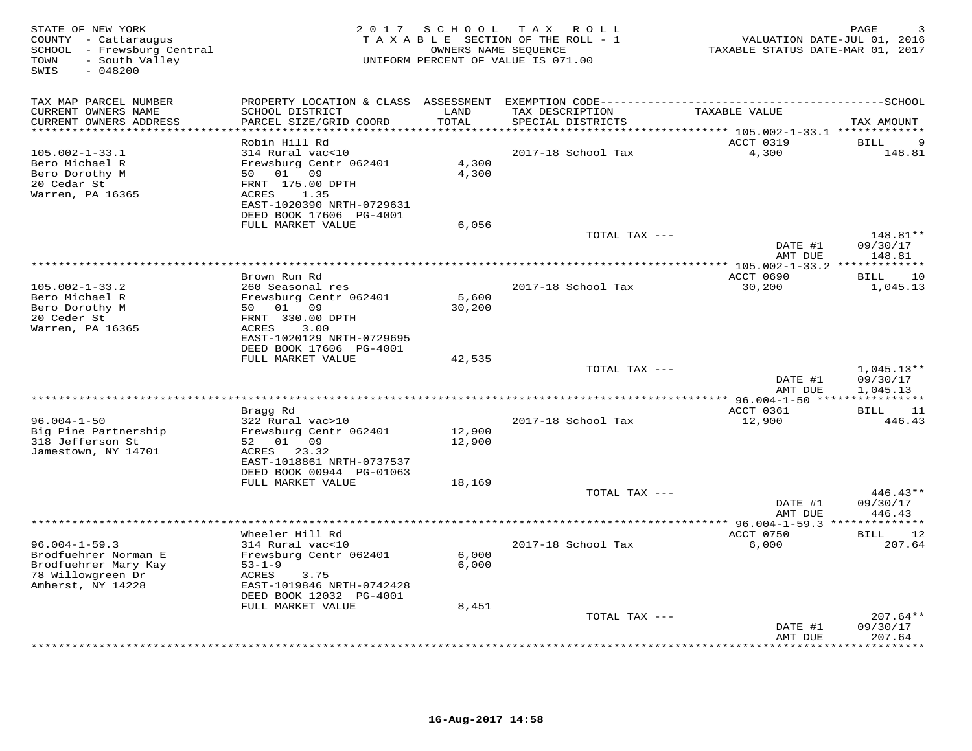| STATE OF NEW YORK<br>COUNTY - Cattaraugus<br>SCHOOL - Frewsburg Central<br>- South Valley<br>TOWN<br>SWIS<br>$-048200$ |                                                                                                                                                     | 2017 SCHOOL                      | T A X<br>ROLL<br>TAXABLE SECTION OF THE ROLL - 1<br>OWNERS NAME SEQUENCE<br>UNIFORM PERCENT OF VALUE IS 071.00 | VALUATION DATE-JUL 01, 2016<br>TAXABLE STATUS DATE-MAR 01, 2017         | PAGE                                 |
|------------------------------------------------------------------------------------------------------------------------|-----------------------------------------------------------------------------------------------------------------------------------------------------|----------------------------------|----------------------------------------------------------------------------------------------------------------|-------------------------------------------------------------------------|--------------------------------------|
| TAX MAP PARCEL NUMBER<br>CURRENT OWNERS NAME<br>CURRENT OWNERS ADDRESS<br>*********************                        | PROPERTY LOCATION & CLASS ASSESSMENT<br>SCHOOL DISTRICT<br>PARCEL SIZE/GRID COORD                                                                   | LAND<br>TOTAL<br>* * * * * * * * | TAX DESCRIPTION<br>SPECIAL DISTRICTS                                                                           | TAXABLE VALUE                                                           | TAX AMOUNT                           |
|                                                                                                                        | Robin Hill Rd                                                                                                                                       |                                  |                                                                                                                | ***************************** 105.002-1-33.1 *************<br>ACCT 0319 | 9<br><b>BILL</b>                     |
| $105.002 - 1 - 33.1$<br>Bero Michael R<br>Bero Dorothy M<br>20 Cedar St<br>Warren, PA 16365                            | 314 Rural vac<10<br>Frewsburg Centr 062401<br>50 01 09<br>FRNT 175.00 DPTH<br>1.35<br>ACRES<br>EAST-1020390 NRTH-0729631<br>DEED BOOK 17606 PG-4001 | 4,300<br>4,300                   | 2017-18 School Tax                                                                                             | 4,300                                                                   | 148.81                               |
|                                                                                                                        | FULL MARKET VALUE                                                                                                                                   | 6,056                            |                                                                                                                |                                                                         |                                      |
|                                                                                                                        |                                                                                                                                                     |                                  | TOTAL TAX ---                                                                                                  | DATE #1<br>AMT DUE                                                      | 148.81**<br>09/30/17<br>148.81       |
|                                                                                                                        |                                                                                                                                                     |                                  |                                                                                                                |                                                                         | * * * * * * * * *                    |
| $105.002 - 1 - 33.2$<br>Bero Michael R                                                                                 | Brown Run Rd<br>260 Seasonal res<br>Frewsburg Centr 062401<br>01 09<br>50                                                                           | 5,600<br>30,200                  | 2017-18 School Tax                                                                                             | ACCT 0690<br>30,200                                                     | <b>BILL</b><br>10<br>1,045.13        |
| Bero Dorothy M<br>20 Ceder St<br>Warren, PA 16365                                                                      | FRNT 330.00 DPTH<br>ACRES<br>3.00<br>EAST-1020129 NRTH-0729695<br>DEED BOOK 17606 PG-4001                                                           |                                  |                                                                                                                |                                                                         |                                      |
|                                                                                                                        | FULL MARKET VALUE                                                                                                                                   | 42,535                           |                                                                                                                |                                                                         |                                      |
|                                                                                                                        |                                                                                                                                                     |                                  | TOTAL TAX ---                                                                                                  | DATE #1<br>AMT DUE                                                      | $1,045.13**$<br>09/30/17<br>1,045.13 |
|                                                                                                                        | Bragg Rd                                                                                                                                            |                                  |                                                                                                                | ACCT 0361                                                               | ***********<br>11<br><b>BILL</b>     |
| $96.004 - 1 - 50$<br>Big Pine Partnership<br>318 Jefferson St<br>Jamestown, NY 14701                                   | 322 Rural vac>10<br>Frewsburg Centr 062401<br>52<br>01 09<br>23.32<br>ACRES<br>EAST-1018861 NRTH-0737537                                            | 12,900<br>12,900                 | 2017-18 School Tax                                                                                             | 12,900                                                                  | 446.43                               |
|                                                                                                                        | DEED BOOK 00944 PG-01063<br>FULL MARKET VALUE                                                                                                       | 18,169                           |                                                                                                                |                                                                         |                                      |
|                                                                                                                        |                                                                                                                                                     |                                  | TOTAL TAX ---                                                                                                  | DATE #1<br>AMT DUE                                                      | $446.43**$<br>09/30/17<br>446.43     |
|                                                                                                                        |                                                                                                                                                     |                                  |                                                                                                                |                                                                         |                                      |
| $96.004 - 1 - 59.3$<br>Brodfuehrer Norman E<br>Brodfuehrer Mary Kay<br>78 Willowgreen Dr<br>Amherst, NY 14228          | Wheeler Hill Rd<br>314 Rural vac<10<br>Frewsburg Centr 062401<br>$53 - 1 - 9$<br>ACRES<br>3.75<br>EAST-1019846 NRTH-0742428                         | 6,000<br>6,000                   | 2017-18 School Tax                                                                                             | ACCT 0750<br>6,000                                                      | 12<br><b>BILL</b><br>207.64          |
|                                                                                                                        | DEED BOOK 12032 PG-4001                                                                                                                             |                                  |                                                                                                                |                                                                         |                                      |
|                                                                                                                        | FULL MARKET VALUE                                                                                                                                   | 8,451                            | TOTAL TAX ---                                                                                                  |                                                                         | $207.64**$                           |
|                                                                                                                        |                                                                                                                                                     |                                  |                                                                                                                | DATE #1<br>AMT DUE                                                      | 09/30/17<br>207.64                   |
|                                                                                                                        |                                                                                                                                                     |                                  |                                                                                                                |                                                                         | *******                              |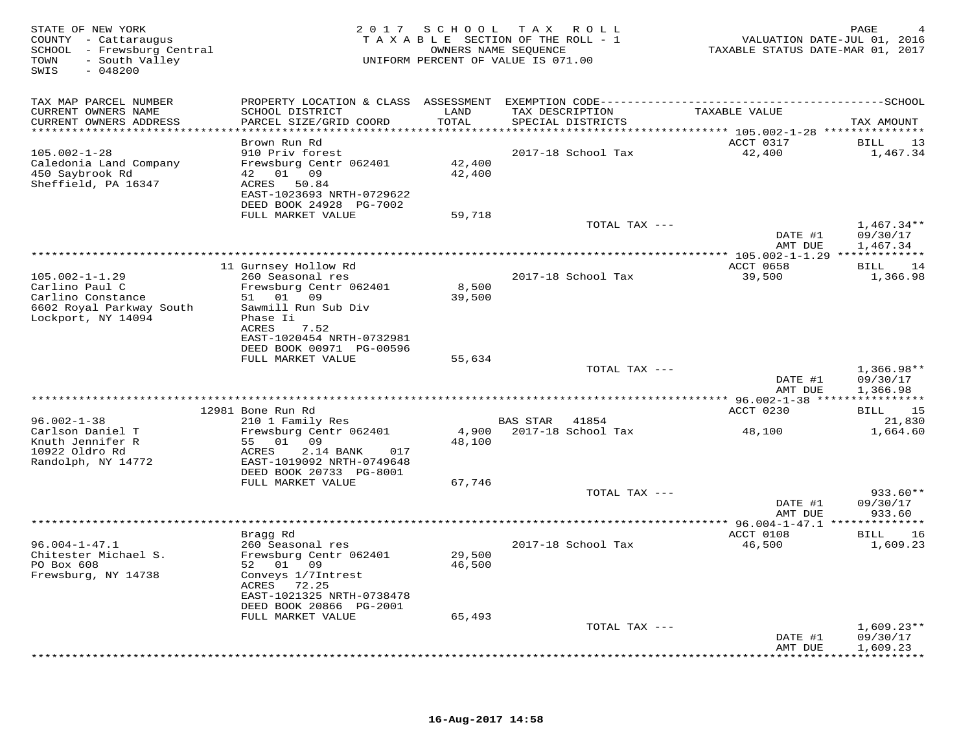| STATE OF NEW YORK<br>COUNTY - Cattaraugus<br>SCHOOL - Frewsburg Central<br>- South Valley<br>TOWN<br>SWIS<br>$-048200$ |                                                      | 2017 SCHOOL                  | TAX ROLL<br>TAXABLE SECTION OF THE ROLL - 1<br>OWNERS NAME SEQUENCE<br>UNIFORM PERCENT OF VALUE IS 071.00 | VALUATION DATE-JUL 01, 2016<br>TAXABLE STATUS DATE-MAR 01, 2017            | PAGE                              |
|------------------------------------------------------------------------------------------------------------------------|------------------------------------------------------|------------------------------|-----------------------------------------------------------------------------------------------------------|----------------------------------------------------------------------------|-----------------------------------|
| TAX MAP PARCEL NUMBER                                                                                                  |                                                      |                              |                                                                                                           |                                                                            |                                   |
| CURRENT OWNERS NAME<br>CURRENT OWNERS ADDRESS<br>**********************                                                | SCHOOL DISTRICT<br>PARCEL SIZE/GRID COORD            | LAND<br>TOTAL<br>*********** | TAX DESCRIPTION<br>SPECIAL DISTRICTS                                                                      | TAXABLE VALUE<br>**************************** 105.002-1-28 *************** | TAX AMOUNT                        |
|                                                                                                                        | Brown Run Rd                                         |                              |                                                                                                           | ACCT 0317                                                                  | 13<br>BILL                        |
| $105.002 - 1 - 28$<br>Caledonia Land Company                                                                           | 910 Priv forest<br>Frewsburg Centr 062401            | 42,400                       | 2017-18 School Tax                                                                                        | 42,400                                                                     | 1,467.34                          |
| 450 Saybrook Rd                                                                                                        | 42 01 09                                             | 42,400                       |                                                                                                           |                                                                            |                                   |
| Sheffield, PA 16347                                                                                                    | ACRES 50.84                                          |                              |                                                                                                           |                                                                            |                                   |
|                                                                                                                        | EAST-1023693 NRTH-0729622<br>DEED BOOK 24928 PG-7002 |                              |                                                                                                           |                                                                            |                                   |
|                                                                                                                        | FULL MARKET VALUE                                    | 59,718                       |                                                                                                           |                                                                            |                                   |
|                                                                                                                        |                                                      |                              | TOTAL TAX ---                                                                                             |                                                                            | $1,467.34**$                      |
|                                                                                                                        |                                                      |                              |                                                                                                           | DATE #1<br>AMT DUE                                                         | 09/30/17<br>1,467.34              |
|                                                                                                                        |                                                      |                              |                                                                                                           |                                                                            |                                   |
|                                                                                                                        | 11 Gurnsey Hollow Rd                                 |                              |                                                                                                           | <b>ACCT 0658</b>                                                           | 14<br>BILL                        |
| $105.002 - 1 - 1.29$<br>Carlino Paul C                                                                                 | 260 Seasonal res<br>Frewsburg Centr 062401           | 8,500                        | 2017-18 School Tax                                                                                        | 39,500                                                                     | 1,366.98                          |
| Carlino Constance                                                                                                      | 01 09<br>51                                          | 39,500                       |                                                                                                           |                                                                            |                                   |
| 6602 Royal Parkway South                                                                                               | Sawmill Run Sub Div                                  |                              |                                                                                                           |                                                                            |                                   |
| Lockport, NY 14094                                                                                                     | Phase Ii<br>ACRES<br>7.52                            |                              |                                                                                                           |                                                                            |                                   |
|                                                                                                                        | EAST-1020454 NRTH-0732981                            |                              |                                                                                                           |                                                                            |                                   |
|                                                                                                                        | DEED BOOK 00971 PG-00596                             |                              |                                                                                                           |                                                                            |                                   |
|                                                                                                                        | FULL MARKET VALUE                                    | 55,634                       | TOTAL TAX ---                                                                                             |                                                                            | $1,366.98**$                      |
|                                                                                                                        |                                                      |                              |                                                                                                           | DATE #1                                                                    | 09/30/17                          |
|                                                                                                                        |                                                      |                              |                                                                                                           | AMT DUE                                                                    | 1,366.98                          |
|                                                                                                                        | 12981 Bone Run Rd                                    |                              |                                                                                                           | ACCT 0230                                                                  | 15<br>BILL                        |
| $96.002 - 1 - 38$                                                                                                      | 210 1 Family Res                                     |                              | BAS STAR 41854                                                                                            |                                                                            | 21,830                            |
| Carlson Daniel T                                                                                                       | Frewsburg Centr 062401                               | 4,900                        | 2017-18 School Tax                                                                                        | 48,100                                                                     | 1,664.60                          |
| Knuth Jennifer R<br>10922 Oldro Rd                                                                                     | 55 01 09<br>ACRES<br>2.14 BANK<br>017                | 48,100                       |                                                                                                           |                                                                            |                                   |
| Randolph, NY 14772                                                                                                     | EAST-1019092 NRTH-0749648                            |                              |                                                                                                           |                                                                            |                                   |
|                                                                                                                        | DEED BOOK 20733 PG-8001                              |                              |                                                                                                           |                                                                            |                                   |
|                                                                                                                        | FULL MARKET VALUE                                    | 67,746                       | TOTAL TAX ---                                                                                             |                                                                            | $933.60**$                        |
|                                                                                                                        |                                                      |                              |                                                                                                           | DATE #1                                                                    | 09/30/17                          |
|                                                                                                                        |                                                      |                              |                                                                                                           | AMT DUE                                                                    | 933.60                            |
|                                                                                                                        | Bragg Rd                                             |                              |                                                                                                           | ACCT 0108                                                                  | 16<br>BILL                        |
| $96.004 - 1 - 47.1$                                                                                                    | 260 Seasonal res                                     |                              | 2017-18 School Tax                                                                                        | 46,500                                                                     | 1,609.23                          |
| Chitester Michael S.                                                                                                   | Frewsburg Centr 062401                               | 29,500                       |                                                                                                           |                                                                            |                                   |
| PO Box 608<br>Frewsburg, NY 14738                                                                                      | 52 01 09<br>Conveys 1/7Intrest                       | 46,500                       |                                                                                                           |                                                                            |                                   |
|                                                                                                                        | 72.25<br>ACRES                                       |                              |                                                                                                           |                                                                            |                                   |
|                                                                                                                        | EAST-1021325 NRTH-0738478                            |                              |                                                                                                           |                                                                            |                                   |
|                                                                                                                        | DEED BOOK 20866 PG-2001<br>FULL MARKET VALUE         | 65,493                       |                                                                                                           |                                                                            |                                   |
|                                                                                                                        |                                                      |                              | TOTAL TAX ---                                                                                             |                                                                            | $1,609.23**$                      |
|                                                                                                                        |                                                      |                              |                                                                                                           | DATE #1                                                                    | 09/30/17                          |
|                                                                                                                        |                                                      |                              |                                                                                                           | AMT DUE                                                                    | 1,609.23<br>. * * * * * * * * * * |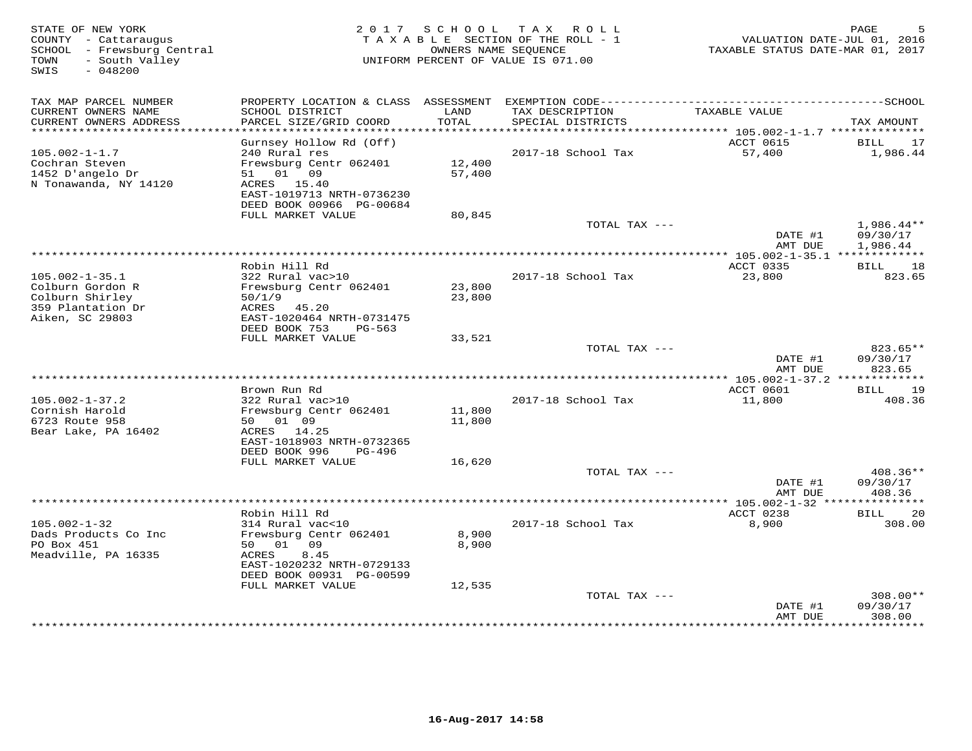| TAX MAP PARCEL NUMBER<br>PROPERTY LOCATION & CLASS ASSESSMENT                                                                                                                                                                                                                                                           |                                |
|-------------------------------------------------------------------------------------------------------------------------------------------------------------------------------------------------------------------------------------------------------------------------------------------------------------------------|--------------------------------|
| CURRENT OWNERS NAME<br>SCHOOL DISTRICT<br>LAND<br>TAX DESCRIPTION<br>TAXABLE VALUE                                                                                                                                                                                                                                      |                                |
| CURRENT OWNERS ADDRESS<br>PARCEL SIZE/GRID COORD<br>TOTAL<br>SPECIAL DISTRICTS<br>**********************                                                                                                                                                                                                                | TAX AMOUNT                     |
| Gurnsey Hollow Rd (Off)<br>ACCT 0615                                                                                                                                                                                                                                                                                    | BILL<br>17                     |
| $105.002 - 1 - 1.7$<br>240 Rural res<br>2017-18 School Tax<br>57,400<br>Cochran Steven<br>Frewsburg Centr 062401<br>12,400<br>1452 D'angelo Dr<br>01 09<br>57,400<br>51<br>N Tonawanda, NY 14120<br>ACRES 15.40<br>EAST-1019713 NRTH-0736230                                                                            | 1,986.44                       |
| DEED BOOK 00966 PG-00684                                                                                                                                                                                                                                                                                                |                                |
| FULL MARKET VALUE<br>80,845<br>TOTAL TAX ---<br>DATE #1                                                                                                                                                                                                                                                                 | $1,986.44**$<br>09/30/17       |
| AMT DUE                                                                                                                                                                                                                                                                                                                 | 1,986.44                       |
| ***********************<br>**** 105.002-1-35.1 *************                                                                                                                                                                                                                                                            |                                |
| Robin Hill Rd<br>ACCT 0335<br>$105.002 - 1 - 35.1$<br>322 Rural vac>10<br>2017-18 School Tax<br>23,800<br>Colburn Gordon R<br>Frewsburg Centr 062401<br>23,800<br>Colburn Shirley<br>50/1/9<br>23,800<br>359 Plantation Dr<br>ACRES<br>45.20<br>Aiken, SC 29803<br>EAST-1020464 NRTH-0731475<br>DEED BOOK 753<br>PG-563 | 18<br>BILL<br>823.65           |
| FULL MARKET VALUE<br>33,521                                                                                                                                                                                                                                                                                             |                                |
| TOTAL TAX ---<br>DATE #1<br>AMT DUE                                                                                                                                                                                                                                                                                     | 823.65**<br>09/30/17<br>823.65 |
|                                                                                                                                                                                                                                                                                                                         |                                |
| Brown Run Rd<br>ACCT 0601<br>$105.002 - 1 - 37.2$<br>322 Rural vac>10<br>2017-18 School Tax<br>11,800<br>Cornish Harold<br>Frewsburg Centr 062401<br>11,800<br>6723 Route 958<br>50 01 09<br>11,800<br>Bear Lake, PA 16402<br>ACRES<br>14.25<br>EAST-1018903 NRTH-0732365                                               | 19<br>BILL<br>408.36           |
| DEED BOOK 996<br>PG-496                                                                                                                                                                                                                                                                                                 |                                |
| FULL MARKET VALUE<br>16,620<br>TOTAL TAX ---                                                                                                                                                                                                                                                                            | 408.36**                       |
| DATE #1<br>AMT DUE                                                                                                                                                                                                                                                                                                      | 09/30/17<br>408.36             |
| *********** 105.002-1-32 ***                                                                                                                                                                                                                                                                                            |                                |
| Robin Hill Rd<br>ACCT 0238<br>$105.002 - 1 - 32$<br>314 Rural vac<10<br>2017-18 School Tax<br>8,900<br>8,900<br>Dads Products Co Inc<br>Frewsburg Centr 062401                                                                                                                                                          | 20<br>BILL<br>308.00           |
| PO Box 451<br>50 01<br>09<br>8,900<br>Meadville, PA 16335<br>8.45<br>ACRES<br>EAST-1020232 NRTH-0729133<br>DEED BOOK 00931 PG-00599                                                                                                                                                                                     |                                |
| FULL MARKET VALUE<br>12,535                                                                                                                                                                                                                                                                                             |                                |
| TOTAL TAX ---<br>DATE #1<br>AMT DUE                                                                                                                                                                                                                                                                                     | 308.00**<br>09/30/17<br>308.00 |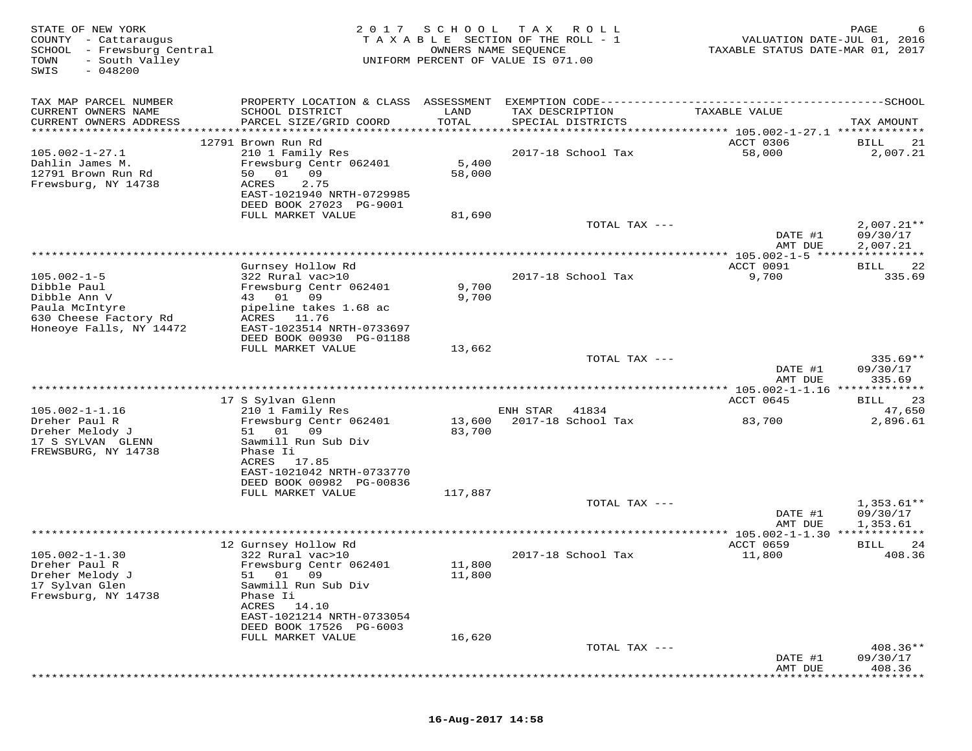| STATE OF NEW YORK<br>COUNTY - Cattaraugus<br>SCHOOL<br>- Frewsburg Central<br>TOWN<br>- South Valley<br>$-048200$<br>SWIS | 2017                                                                                                                                                                   | SCHOOL<br>T A X A B L E SECTION OF THE ROLL - 1<br>UNIFORM PERCENT OF VALUE IS 071.00 | T A X<br>OWNERS NAME SEQUENCE | R O L L            | TAXABLE STATUS DATE-MAR 01, 2017                           | PAGE<br>VALUATION DATE-JUL 01, 2016  |
|---------------------------------------------------------------------------------------------------------------------------|------------------------------------------------------------------------------------------------------------------------------------------------------------------------|---------------------------------------------------------------------------------------|-------------------------------|--------------------|------------------------------------------------------------|--------------------------------------|
| TAX MAP PARCEL NUMBER<br>CURRENT OWNERS NAME<br>CURRENT OWNERS ADDRESS<br>**********************                          | PROPERTY LOCATION & CLASS ASSESSMENT<br>SCHOOL DISTRICT<br>PARCEL SIZE/GRID COORD                                                                                      | LAND<br>TOTAL<br>*****************                                                    | TAX DESCRIPTION               | SPECIAL DISTRICTS  | EXEMPTION CODE---------------------------<br>TAXABLE VALUE | ---------SCHOOL<br>TAX AMOUNT        |
| $105.002 - 1 - 27.1$<br>Dahlin James M.<br>12791 Brown Run Rd<br>Frewsburg, NY 14738                                      | 12791 Brown Run Rd<br>210 1 Family Res<br>Frewsburg Centr 062401<br>01<br>09<br>50<br>2.75<br>ACRES<br>EAST-1021940 NRTH-0729985<br>DEED BOOK 27023 PG-9001            | 5,400<br>58,000                                                                       |                               | 2017-18 School Tax | ACCT 0306<br>58,000                                        | 21<br>BILL<br>2,007.21               |
|                                                                                                                           | FULL MARKET VALUE                                                                                                                                                      | 81,690                                                                                |                               | TOTAL TAX ---      | DATE #1                                                    | $2,007.21**$<br>09/30/17             |
|                                                                                                                           |                                                                                                                                                                        |                                                                                       |                               |                    | AMT DUE                                                    | 2,007.21                             |
| $105.002 - 1 - 5$<br>Dibble Paul<br>Dibble Ann V                                                                          | Gurnsey Hollow Rd<br>322 Rural vac>10<br>Frewsburg Centr 062401<br>01<br>09<br>43                                                                                      | 9,700<br>9,700                                                                        |                               | 2017-18 School Tax | ACCT 0091<br>9,700                                         | 22<br>BILL<br>335.69                 |
| Paula McIntyre<br>630 Cheese Factory Rd<br>Honeoye Falls, NY 14472                                                        | pipeline takes 1.68 ac<br>ACRES<br>11.76<br>EAST-1023514 NRTH-0733697<br>DEED BOOK 00930 PG-01188<br>FULL MARKET VALUE                                                 | 13,662                                                                                |                               |                    |                                                            |                                      |
|                                                                                                                           |                                                                                                                                                                        |                                                                                       |                               | TOTAL TAX ---      | DATE #1<br>AMT DUE                                         | $335.69**$<br>09/30/17<br>335.69     |
|                                                                                                                           |                                                                                                                                                                        |                                                                                       |                               |                    |                                                            |                                      |
| $105.002 - 1 - 1.16$                                                                                                      | 17 S Sylvan Glenn<br>210 1 Family Res                                                                                                                                  |                                                                                       | ENH STAR                      | 41834              | ACCT 0645                                                  | 23<br>BILL<br>47,650                 |
| Dreher Paul R<br>Dreher Melody J<br>17 S SYLVAN GLENN<br>FREWSBURG, NY 14738                                              | Frewsburg Centr 062401<br>01<br>09<br>51<br>Sawmill Run Sub Div<br>Phase Ii<br>ACRES<br>17.85                                                                          | 13,600<br>83,700                                                                      |                               | 2017-18 School Tax | 83,700                                                     | 2,896.61                             |
|                                                                                                                           | EAST-1021042 NRTH-0733770<br>DEED BOOK 00982 PG-00836<br>FULL MARKET VALUE                                                                                             | 117,887                                                                               |                               |                    |                                                            |                                      |
|                                                                                                                           |                                                                                                                                                                        |                                                                                       |                               | TOTAL TAX ---      | DATE #1<br>AMT DUE                                         | $1,353.61**$<br>09/30/17<br>1,353.61 |
|                                                                                                                           |                                                                                                                                                                        |                                                                                       |                               |                    | $*$ 105.002-1-1.30 $*$                                     |                                      |
| $105.002 - 1 - 1.30$<br>Dreher Paul R<br>Dreher Melody J<br>17 Sylvan Glen<br>Frewsburg, NY 14738                         | 12 Gurnsey Hollow Rd<br>322 Rural vac>10<br>Frewsburg Centr 062401<br>01<br>09<br>51<br>Sawmill Run Sub Div<br>Phase Ii<br>14.10<br>ACRES<br>EAST-1021214 NRTH-0733054 | 11,800<br>11,800                                                                      |                               | 2017-18 School Tax | ACCT 0659<br>11,800                                        | 24<br>BILL<br>408.36                 |
|                                                                                                                           | DEED BOOK 17526 PG-6003                                                                                                                                                |                                                                                       |                               |                    |                                                            |                                      |
|                                                                                                                           | FULL MARKET VALUE                                                                                                                                                      | 16,620                                                                                |                               |                    |                                                            |                                      |
|                                                                                                                           |                                                                                                                                                                        |                                                                                       |                               | TOTAL TAX ---      | DATE #1<br>AMT DUE                                         | $408.36**$<br>09/30/17<br>408.36     |
|                                                                                                                           |                                                                                                                                                                        |                                                                                       |                               |                    |                                                            |                                      |

# **16-Aug-2017 14:58**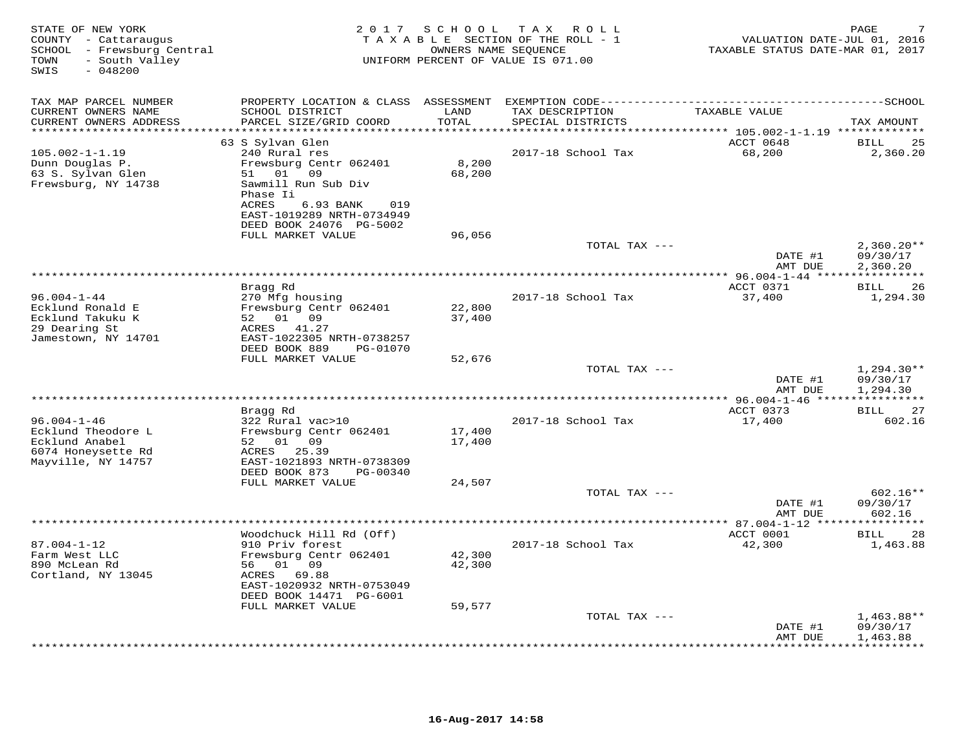| STATE OF NEW YORK<br>COUNTY - Cattaraugus<br>SCHOOL - Frewsburg Central<br>- South Valley<br>TOWN<br>SWIS<br>$-048200$ | 2 0 1 7                                                                                            | SCHOOL                        | TAX ROLL<br>TAXABLE SECTION OF THE ROLL - 1<br>OWNERS NAME SEQUENCE<br>UNIFORM PERCENT OF VALUE IS 071.00 | VALUATION DATE-JUL 01, 2016<br>TAXABLE STATUS DATE-MAR 01, 2017             | PAGE                                 |
|------------------------------------------------------------------------------------------------------------------------|----------------------------------------------------------------------------------------------------|-------------------------------|-----------------------------------------------------------------------------------------------------------|-----------------------------------------------------------------------------|--------------------------------------|
| TAX MAP PARCEL NUMBER                                                                                                  |                                                                                                    |                               |                                                                                                           |                                                                             |                                      |
| CURRENT OWNERS NAME<br>CURRENT OWNERS ADDRESS<br>**********************                                                | SCHOOL DISTRICT<br>PARCEL SIZE/GRID COORD<br>***************************                           | LAND<br>TOTAL<br>************ | TAX DESCRIPTION<br>SPECIAL DISTRICTS                                                                      | TAXABLE VALUE<br>***************************** 105.002-1-1.19 ************* | TAX AMOUNT                           |
|                                                                                                                        | 63 S Sylvan Glen                                                                                   |                               |                                                                                                           | ACCT 0648                                                                   | 25<br><b>BILL</b>                    |
| $105.002 - 1 - 1.19$<br>Dunn Douglas P.<br>63 S. Sylvan Glen<br>Frewsburg, NY 14738                                    | 240 Rural res<br>Frewsburg Centr 062401<br>51 01 09<br>Sawmill Run Sub Div                         | 8,200<br>68,200               | 2017-18 School Tax                                                                                        | 68,200                                                                      | 2,360.20                             |
|                                                                                                                        | Phase Ii<br>ACRES<br>6.93 BANK<br>019<br>EAST-1019289 NRTH-0734949<br>DEED BOOK 24076 PG-5002      |                               |                                                                                                           |                                                                             |                                      |
|                                                                                                                        | FULL MARKET VALUE                                                                                  | 96,056                        | TOTAL TAX ---                                                                                             | DATE #1<br>AMT DUE                                                          | $2,360.20**$<br>09/30/17<br>2,360.20 |
|                                                                                                                        |                                                                                                    |                               |                                                                                                           |                                                                             |                                      |
| $96.004 - 1 - 44$<br>Ecklund Ronald E                                                                                  | Bragg Rd<br>270 Mfg housing<br>Frewsburg Centr 062401                                              | 22,800                        | 2017-18 School Tax                                                                                        | ACCT 0371<br>37,400                                                         | 26<br>BILL<br>1,294.30               |
| Ecklund Takuku K<br>29 Dearing St<br>Jamestown, NY 14701                                                               | 0109<br>52<br>ACRES<br>41.27<br>EAST-1022305 NRTH-0738257                                          | 37,400                        |                                                                                                           |                                                                             |                                      |
|                                                                                                                        | DEED BOOK 889<br>PG-01070<br>FULL MARKET VALUE                                                     | 52,676                        |                                                                                                           |                                                                             |                                      |
|                                                                                                                        |                                                                                                    |                               | TOTAL TAX ---                                                                                             | DATE #1<br>AMT DUE                                                          | $1,294.30**$<br>09/30/17<br>1,294.30 |
|                                                                                                                        |                                                                                                    |                               |                                                                                                           | ******** 96.004-1-46 ****                                                   |                                      |
|                                                                                                                        | Bragg Rd                                                                                           |                               |                                                                                                           | ACCT 0373                                                                   | 27<br>BILL                           |
| $96.004 - 1 - 46$<br>Ecklund Theodore L<br>Ecklund Anabel<br>6074 Honeysette Rd<br>Mayville, NY 14757                  | 322 Rural vac>10<br>Frewsburg Centr 062401<br>52 01 09<br>ACRES 25.39<br>EAST-1021893 NRTH-0738309 | 17,400<br>17,400              | 2017-18 School Tax                                                                                        | 17,400                                                                      | 602.16                               |
|                                                                                                                        | DEED BOOK 873<br>PG-00340<br>FULL MARKET VALUE                                                     | 24,507                        |                                                                                                           |                                                                             |                                      |
|                                                                                                                        |                                                                                                    |                               | TOTAL TAX ---                                                                                             | DATE #1<br>AMT DUE                                                          | $602.16**$<br>09/30/17<br>602.16     |
|                                                                                                                        |                                                                                                    |                               |                                                                                                           |                                                                             | **********                           |
| $87.004 - 1 - 12$<br>Farm West LLC<br>890 McLean Rd<br>Cortland, NY 13045                                              | Woodchuck Hill Rd (Off)<br>910 Priv forest<br>Frewsburg Centr 062401<br>56 01 09<br>ACRES 69.88    | 42,300<br>42,300              | 2017-18 School Tax                                                                                        | ACCT 0001<br>42,300                                                         | 28<br>BILL<br>1,463.88               |
|                                                                                                                        | EAST-1020932 NRTH-0753049<br>DEED BOOK 14471 PG-6001<br>FULL MARKET VALUE                          | 59,577                        |                                                                                                           |                                                                             |                                      |
|                                                                                                                        |                                                                                                    |                               | TOTAL TAX ---                                                                                             | DATE #1                                                                     | $1,463.88**$<br>09/30/17             |
|                                                                                                                        |                                                                                                    |                               |                                                                                                           | AMT DUE                                                                     | 1,463.88<br>* * * * * * * * *        |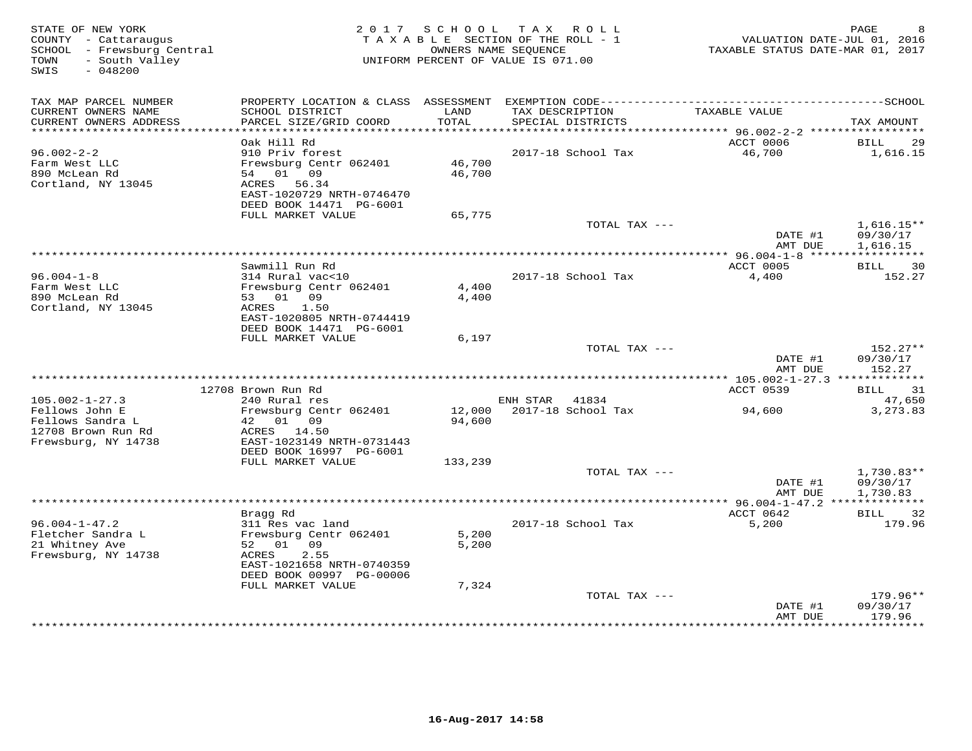| COUNTY - Cattaraugus<br>SCHOOL - Frewsburg Central<br>TOWN<br>- South Valley<br>SWIS<br>$-048200$ |                                                                                                                                 |                  | 2017 SCHOOL TAX ROLL<br>TAXABLE SECTION OF THE ROLL - 1<br>OWNERS NAME SEQUENCE<br>UNIFORM PERCENT OF VALUE IS 071.00 | TAXABLE STATUS DATE-MAR 01, 2017                               | PAGE<br>VALUATION DATE-JUL 01, 2016  |
|---------------------------------------------------------------------------------------------------|---------------------------------------------------------------------------------------------------------------------------------|------------------|-----------------------------------------------------------------------------------------------------------------------|----------------------------------------------------------------|--------------------------------------|
| TAX MAP PARCEL NUMBER                                                                             |                                                                                                                                 |                  |                                                                                                                       |                                                                |                                      |
| CURRENT OWNERS NAME<br>CURRENT OWNERS ADDRESS<br>***********************                          | SCHOOL DISTRICT<br>PARCEL SIZE/GRID COORD                                                                                       | LAND<br>TOTAL    | TAX DESCRIPTION<br>SPECIAL DISTRICTS                                                                                  | TAXABLE VALUE                                                  | TAX AMOUNT                           |
|                                                                                                   | Oak Hill Rd                                                                                                                     |                  |                                                                                                                       | ACCT 0006                                                      | <b>BILL</b><br>29                    |
| $96.002 - 2 - 2$<br>Farm West LLC<br>890 McLean Rd<br>Cortland, NY 13045                          | 910 Priv forest<br>Frewsburg Centr 062401<br>54 01 09<br>56.34<br>ACRES<br>EAST-1020729 NRTH-0746470                            | 46,700<br>46,700 | 2017-18 School Tax                                                                                                    | 46,700                                                         | 1,616.15                             |
|                                                                                                   | DEED BOOK 14471 PG-6001                                                                                                         |                  |                                                                                                                       |                                                                |                                      |
|                                                                                                   | FULL MARKET VALUE                                                                                                               | 65,775           | TOTAL TAX ---                                                                                                         | DATE #1                                                        | $1,616.15**$<br>09/30/17             |
|                                                                                                   |                                                                                                                                 |                  |                                                                                                                       | AMT DUE                                                        | 1,616.15                             |
|                                                                                                   | Sawmill Run Rd                                                                                                                  |                  |                                                                                                                       | ACCT 0005                                                      | 30<br>BILL                           |
| $96.004 - 1 - 8$<br>Farm West LLC<br>890 McLean Rd<br>Cortland, NY 13045                          | 314 Rural vac<10<br>Frewsburg Centr 062401<br>53 01 09<br>ACRES<br>1.50<br>EAST-1020805 NRTH-0744419<br>DEED BOOK 14471 PG-6001 | 4,400<br>4,400   | 2017-18 School Tax                                                                                                    | 4,400                                                          | 152.27                               |
|                                                                                                   | FULL MARKET VALUE                                                                                                               | 6,197            |                                                                                                                       |                                                                |                                      |
|                                                                                                   |                                                                                                                                 |                  | TOTAL TAX ---                                                                                                         | DATE #1<br>AMT DUE<br>*********** 105.002-1-27.3 ************* | $152.27**$<br>09/30/17<br>152.27     |
|                                                                                                   | 12708 Brown Run Rd                                                                                                              |                  |                                                                                                                       | ACCT 0539                                                      | <b>BILL</b><br>31                    |
| $105.002 - 1 - 27.3$                                                                              | 240 Rural res                                                                                                                   |                  | ENH STAR 41834                                                                                                        |                                                                | 47,650                               |
| Fellows John E<br>Fellows Sandra L<br>12708 Brown Run Rd<br>Frewsburg, NY 14738                   | Frewsburg Centr 062401<br>42  01  09<br>ACRES 14.50<br>EAST-1023149 NRTH-0731443<br>DEED BOOK 16997 PG-6001                     | 12,000<br>94,600 | 2017-18 School Tax                                                                                                    | 94,600                                                         | 3,273.83                             |
|                                                                                                   | FULL MARKET VALUE                                                                                                               | 133,239          |                                                                                                                       |                                                                |                                      |
|                                                                                                   |                                                                                                                                 |                  | TOTAL TAX ---                                                                                                         | DATE #1<br>AMT DUE                                             | $1,730.83**$<br>09/30/17<br>1,730.83 |
|                                                                                                   |                                                                                                                                 |                  |                                                                                                                       |                                                                |                                      |
|                                                                                                   | Bragg Rd                                                                                                                        |                  |                                                                                                                       | ACCT 0642                                                      | BILL<br>32                           |
| $96.004 - 1 - 47.2$<br>Fletcher Sandra L<br>21 Whitney Ave<br>Frewsburg, NY 14738                 | 311 Res vac land<br>Frewsburg Centr 062401<br>09<br>52 01<br>2.55<br>ACRES<br>EAST-1021658 NRTH-0740359                         | 5,200<br>5,200   | 2017-18 School Tax                                                                                                    | 5,200                                                          | 179.96                               |
|                                                                                                   | DEED BOOK 00997 PG-00006                                                                                                        |                  |                                                                                                                       |                                                                |                                      |
|                                                                                                   | FULL MARKET VALUE                                                                                                               | 7,324            |                                                                                                                       |                                                                |                                      |
|                                                                                                   |                                                                                                                                 |                  | TOTAL TAX ---                                                                                                         | DATE #1<br>AMT DUE                                             | 179.96**<br>09/30/17<br>179.96       |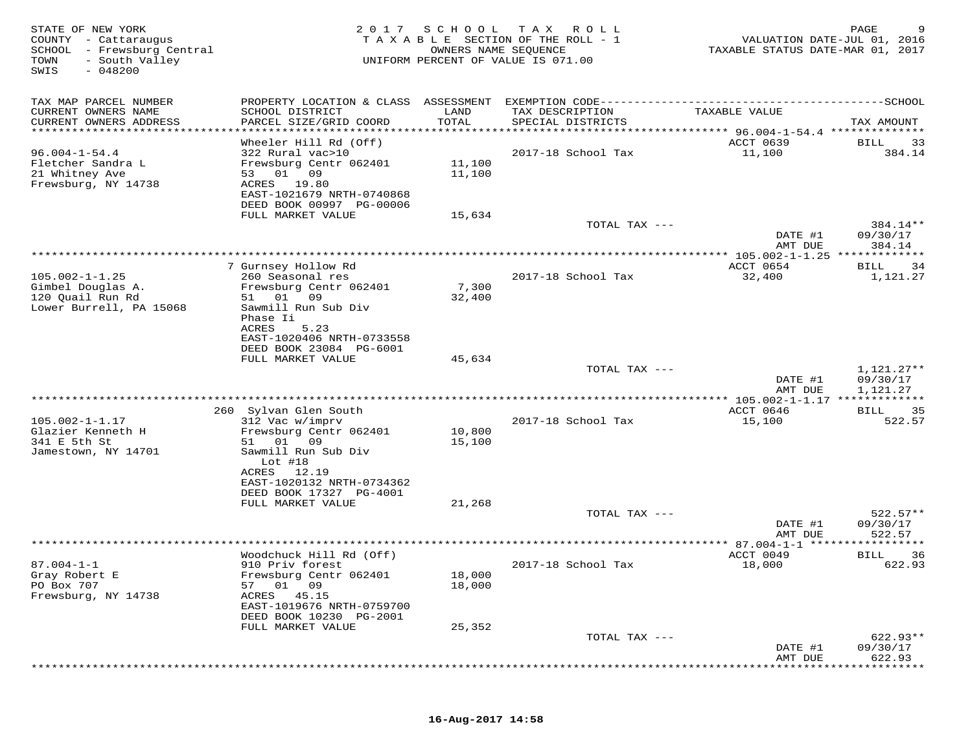| STATE OF NEW YORK<br>COUNTY - Cattaraugus<br>SCHOOL - Frewsburg Central<br>TOWN<br>- South Valley<br>SWIS<br>$-048200$ | 2017                                                                                                            | SCHOOL           | T A X<br>R O L L<br>TAXABLE SECTION OF THE ROLL - 1<br>OWNERS NAME SEQUENCE<br>UNIFORM PERCENT OF VALUE IS 071.00 | VALUATION DATE-JUL 01, 2016<br>TAXABLE STATUS DATE-MAR 01, 2017 | PAGE<br>9                          |
|------------------------------------------------------------------------------------------------------------------------|-----------------------------------------------------------------------------------------------------------------|------------------|-------------------------------------------------------------------------------------------------------------------|-----------------------------------------------------------------|------------------------------------|
| TAX MAP PARCEL NUMBER                                                                                                  | PROPERTY LOCATION & CLASS ASSESSMENT                                                                            |                  | EXEMPTION CODE------------                                                                                        | -------------                                                   | $------SCHOOL$                     |
| CURRENT OWNERS NAME<br>CURRENT OWNERS ADDRESS                                                                          | SCHOOL DISTRICT<br>PARCEL SIZE/GRID COORD                                                                       | LAND<br>TOTAL    | TAX DESCRIPTION<br>SPECIAL DISTRICTS                                                                              | TAXABLE VALUE                                                   | TAX AMOUNT                         |
| **********************                                                                                                 |                                                                                                                 |                  |                                                                                                                   |                                                                 |                                    |
| $96.004 - 1 - 54.4$<br>Fletcher Sandra L<br>21 Whitney Ave<br>Frewsburg, NY 14738                                      | Wheeler Hill Rd (Off)<br>322 Rural vac>10<br>Frewsburg Centr 062401<br>53 01<br>09<br>ACRES 19.80               | 11,100<br>11,100 | 2017-18 School Tax                                                                                                | ACCT 0639<br>11,100                                             | 33<br>BILL<br>384.14               |
|                                                                                                                        | EAST-1021679 NRTH-0740868<br>DEED BOOK 00997 PG-00006                                                           |                  |                                                                                                                   |                                                                 |                                    |
|                                                                                                                        | FULL MARKET VALUE                                                                                               | 15,634           | TOTAL TAX ---                                                                                                     | DATE #1                                                         | 384.14**<br>09/30/17               |
|                                                                                                                        |                                                                                                                 |                  |                                                                                                                   | AMT DUE                                                         | 384.14                             |
|                                                                                                                        | 7 Gurnsey Hollow Rd                                                                                             |                  | **************************************                                                                            | ** 105.002-1-1.25 ***<br>ACCT 0654                              | *********<br>34<br>BILL            |
| $105.002 - 1 - 1.25$<br>Gimbel Douglas A.<br>120 Quail Run Rd                                                          | 260 Seasonal res<br>Frewsburg Centr 062401<br>01<br>09<br>51                                                    | 7,300<br>32,400  | 2017-18 School Tax                                                                                                | 32,400                                                          | 1,121.27                           |
| Lower Burrell, PA 15068                                                                                                | Sawmill Run Sub Div<br>Phase Ii<br><b>ACRES</b><br>5.23<br>EAST-1020406 NRTH-0733558<br>DEED BOOK 23084 PG-6001 |                  |                                                                                                                   |                                                                 |                                    |
|                                                                                                                        | FULL MARKET VALUE                                                                                               | 45,634           |                                                                                                                   |                                                                 |                                    |
|                                                                                                                        |                                                                                                                 |                  | TOTAL TAX ---                                                                                                     | DATE #1<br>AMT DUE                                              | 1,121.27**<br>09/30/17<br>1,121.27 |
|                                                                                                                        |                                                                                                                 |                  |                                                                                                                   |                                                                 |                                    |
|                                                                                                                        | 260 Sylvan Glen South                                                                                           |                  |                                                                                                                   | ACCT 0646                                                       | 35<br>BILL                         |
| $105.002 - 1 - 1.17$<br>Glazier Kenneth H<br>341 E 5th St<br>Jamestown, NY 14701                                       | 312 Vac w/imprv<br>Frewsburg Centr 062401<br>01<br>09<br>51<br>Sawmill Run Sub Div                              | 10,800<br>15,100 | 2017-18 School Tax                                                                                                | 15,100                                                          | 522.57                             |
|                                                                                                                        | Lot $#18$<br>12.19<br>ACRES<br>EAST-1020132 NRTH-0734362<br>DEED BOOK 17327 PG-4001<br>FULL MARKET VALUE        | 21,268           |                                                                                                                   |                                                                 |                                    |
|                                                                                                                        |                                                                                                                 |                  | TOTAL TAX ---                                                                                                     |                                                                 | $522.57**$                         |
|                                                                                                                        |                                                                                                                 |                  |                                                                                                                   | DATE #1<br>AMT DUE                                              | 09/30/17<br>522.57                 |
|                                                                                                                        |                                                                                                                 |                  |                                                                                                                   |                                                                 | ********                           |
| $87.004 - 1 - 1$<br>Gray Robert E<br>PO Box 707<br>Frewsburg, NY 14738                                                 | Woodchuck Hill Rd (Off)<br>910 Priv forest<br>Frewsburg Centr 062401<br>01 09<br>57<br>ACRES<br>45.15           | 18,000<br>18,000 | 2017-18 School Tax                                                                                                | ACCT 0049<br>18,000                                             | BILL<br>36<br>622.93               |
|                                                                                                                        | EAST-1019676 NRTH-0759700<br>DEED BOOK 10230 PG-2001                                                            |                  |                                                                                                                   |                                                                 |                                    |
|                                                                                                                        | FULL MARKET VALUE                                                                                               | 25,352           |                                                                                                                   |                                                                 |                                    |
|                                                                                                                        |                                                                                                                 |                  | TOTAL TAX ---                                                                                                     | DATE #1<br>AMT DUE                                              | 622.93**<br>09/30/17<br>622.93     |
|                                                                                                                        |                                                                                                                 |                  |                                                                                                                   |                                                                 |                                    |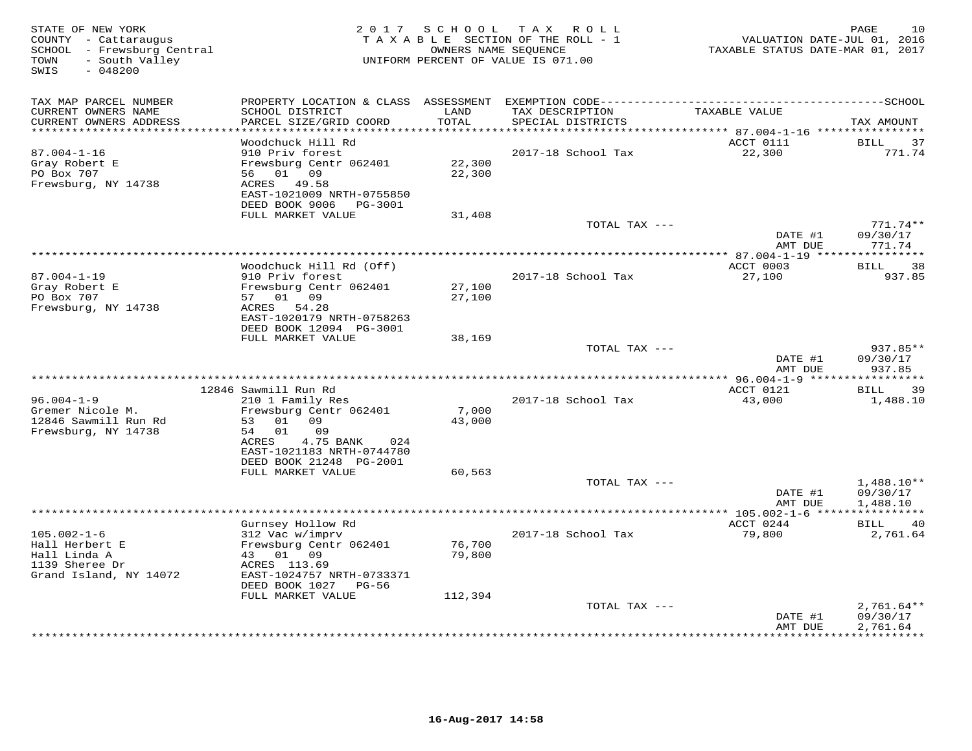| STATE OF NEW YORK<br>COUNTY - Cattaraugus<br>SCHOOL - Frewsburg Central<br>- South Valley<br>TOWN<br>$-048200$<br>SWIS |                                                        |               | 2017 SCHOOL TAX ROLL<br>TAXABLE SECTION OF THE ROLL - 1<br>OWNERS NAME SEQUENCE<br>UNIFORM PERCENT OF VALUE IS 071.00 | VALUATION DATE-JUL 01, 2016<br>TAXABLE STATUS DATE-MAR 01, 2017 | 10<br>PAGE   |
|------------------------------------------------------------------------------------------------------------------------|--------------------------------------------------------|---------------|-----------------------------------------------------------------------------------------------------------------------|-----------------------------------------------------------------|--------------|
| TAX MAP PARCEL NUMBER                                                                                                  | PROPERTY LOCATION & CLASS ASSESSMENT                   |               |                                                                                                                       |                                                                 |              |
| CURRENT OWNERS NAME<br>CURRENT OWNERS ADDRESS                                                                          | SCHOOL DISTRICT<br>PARCEL SIZE/GRID COORD              | LAND<br>TOTAL | TAX DESCRIPTION<br>SPECIAL DISTRICTS                                                                                  | TAXABLE VALUE<br>*********** 87.004-1-16 *****************      | TAX AMOUNT   |
|                                                                                                                        | Woodchuck Hill Rd                                      |               |                                                                                                                       | ACCT 0111                                                       | 37<br>BILL   |
| $87.004 - 1 - 16$                                                                                                      | 910 Priv forest                                        |               | 2017-18 School Tax                                                                                                    | 22,300                                                          | 771.74       |
| Gray Robert E                                                                                                          | Frewsburg Centr 062401                                 | 22,300        |                                                                                                                       |                                                                 |              |
| PO Box 707                                                                                                             | 01 09<br>56 —                                          | 22,300        |                                                                                                                       |                                                                 |              |
| Frewsburg, NY 14738                                                                                                    | ACRES<br>49.58                                         |               |                                                                                                                       |                                                                 |              |
|                                                                                                                        | EAST-1021009 NRTH-0755850<br>DEED BOOK 9006<br>PG-3001 |               |                                                                                                                       |                                                                 |              |
|                                                                                                                        | FULL MARKET VALUE                                      | 31,408        |                                                                                                                       |                                                                 |              |
|                                                                                                                        |                                                        |               | TOTAL TAX ---                                                                                                         |                                                                 | $771.74**$   |
|                                                                                                                        |                                                        |               |                                                                                                                       | DATE #1                                                         | 09/30/17     |
|                                                                                                                        |                                                        |               |                                                                                                                       | AMT DUE                                                         | 771.74       |
|                                                                                                                        | Woodchuck Hill Rd (Off)                                |               |                                                                                                                       | ACCT 0003                                                       | 38<br>BILL   |
| $87.004 - 1 - 19$                                                                                                      | 910 Priv forest                                        |               | 2017-18 School Tax                                                                                                    | 27,100                                                          | 937.85       |
| Gray Robert E                                                                                                          | Frewsburg Centr 062401                                 | 27,100        |                                                                                                                       |                                                                 |              |
| PO Box 707                                                                                                             | 01 09<br>57                                            | 27,100        |                                                                                                                       |                                                                 |              |
| Frewsburg, NY 14738                                                                                                    | ACRES<br>54.28                                         |               |                                                                                                                       |                                                                 |              |
|                                                                                                                        | EAST-1020179 NRTH-0758263<br>DEED BOOK 12094 PG-3001   |               |                                                                                                                       |                                                                 |              |
|                                                                                                                        | FULL MARKET VALUE                                      | 38,169        |                                                                                                                       |                                                                 |              |
|                                                                                                                        |                                                        |               | TOTAL TAX ---                                                                                                         |                                                                 | 937.85**     |
|                                                                                                                        |                                                        |               |                                                                                                                       | DATE #1                                                         | 09/30/17     |
|                                                                                                                        |                                                        |               |                                                                                                                       | AMT DUE                                                         | 937.85       |
|                                                                                                                        | 12846 Sawmill Run Rd                                   |               |                                                                                                                       | ACCT 0121                                                       | BILL<br>39   |
| $96.004 - 1 - 9$                                                                                                       | 210 1 Family Res                                       |               | 2017-18 School Tax                                                                                                    | 43,000                                                          | 1,488.10     |
| Gremer Nicole M.                                                                                                       | Frewsburg Centr 062401                                 | 7,000         |                                                                                                                       |                                                                 |              |
| 12846 Sawmill Run Rd                                                                                                   | 01 09<br>53                                            | 43,000        |                                                                                                                       |                                                                 |              |
| Frewsburg, NY 14738                                                                                                    | 54 01<br>09                                            |               |                                                                                                                       |                                                                 |              |
|                                                                                                                        | ACRES<br>4.75 BANK<br>024<br>EAST-1021183 NRTH-0744780 |               |                                                                                                                       |                                                                 |              |
|                                                                                                                        | DEED BOOK 21248 PG-2001                                |               |                                                                                                                       |                                                                 |              |
|                                                                                                                        | FULL MARKET VALUE                                      | 60,563        |                                                                                                                       |                                                                 |              |
|                                                                                                                        |                                                        |               | TOTAL TAX ---                                                                                                         |                                                                 | $1,488.10**$ |
|                                                                                                                        |                                                        |               |                                                                                                                       | DATE #1                                                         | 09/30/17     |
|                                                                                                                        |                                                        |               |                                                                                                                       | AMT DUE                                                         | 1,488.10     |
|                                                                                                                        | Gurnsey Hollow Rd                                      |               |                                                                                                                       | *********** 105.002-1-6 **<br>ACCT 0244                         | BILL<br>40   |
| $105.002 - 1 - 6$                                                                                                      | 312 Vac w/imprv                                        |               | 2017-18 School Tax                                                                                                    | 79,800                                                          | 2,761.64     |
| Hall Herbert E                                                                                                         | Frewsburg Centr 062401                                 | 76,700        |                                                                                                                       |                                                                 |              |
| Hall Linda A                                                                                                           | 43 01 09                                               | 79,800        |                                                                                                                       |                                                                 |              |
| 1139 Sheree Dr                                                                                                         | ACRES 113.69                                           |               |                                                                                                                       |                                                                 |              |
| Grand Island, NY 14072                                                                                                 | EAST-1024757 NRTH-0733371<br>DEED BOOK 1027 PG-56      |               |                                                                                                                       |                                                                 |              |
|                                                                                                                        | FULL MARKET VALUE                                      | 112,394       |                                                                                                                       |                                                                 |              |
|                                                                                                                        |                                                        |               | TOTAL TAX ---                                                                                                         |                                                                 | $2,761.64**$ |
|                                                                                                                        |                                                        |               |                                                                                                                       | DATE #1                                                         | 09/30/17     |
|                                                                                                                        |                                                        |               |                                                                                                                       | AMT DUE                                                         | 2,761.64     |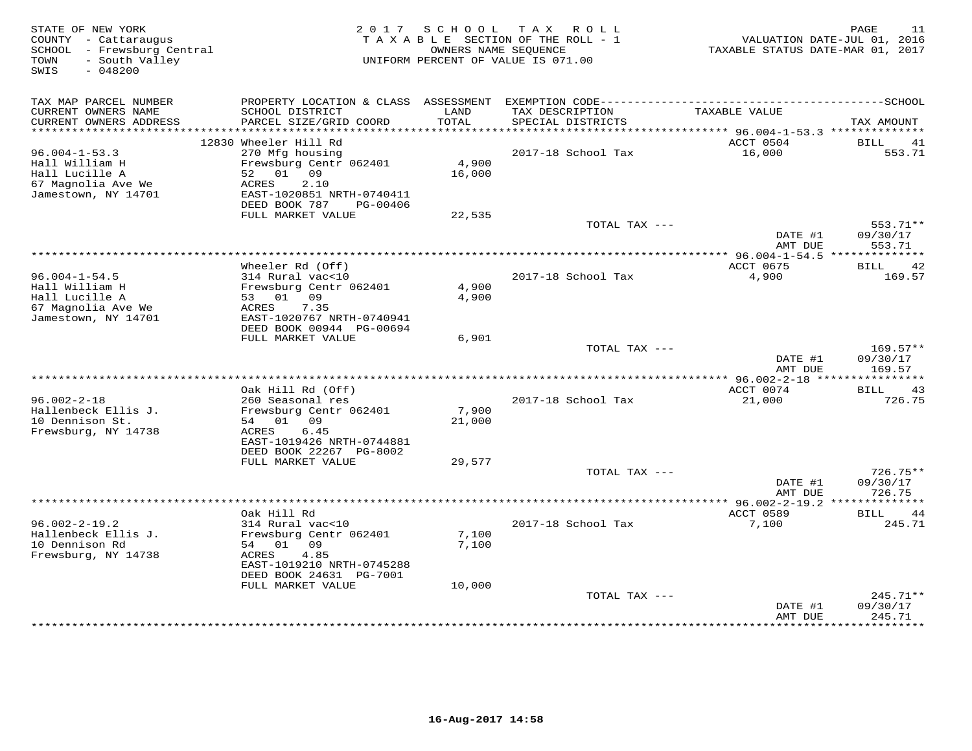| STATE OF NEW YORK<br>COUNTY - Cattaraugus<br>- Frewsburg Central<br>SCHOOL<br>- South Valley<br>TOWN<br>SWIS<br>$-048200$ |                                                         | 2017 SCHOOL          | T A X<br>R O L L<br>TAXABLE SECTION OF THE ROLL - 1<br>OWNERS NAME SEQUENCE<br>UNIFORM PERCENT OF VALUE IS 071.00 | TAXABLE STATUS DATE-MAR 01, 2017             | PAGE<br>11<br>VALUATION DATE-JUL 01, 2016 |
|---------------------------------------------------------------------------------------------------------------------------|---------------------------------------------------------|----------------------|-------------------------------------------------------------------------------------------------------------------|----------------------------------------------|-------------------------------------------|
| TAX MAP PARCEL NUMBER<br>CURRENT OWNERS NAME                                                                              | SCHOOL DISTRICT                                         | LAND                 | TAX DESCRIPTION                                                                                                   | TAXABLE VALUE                                |                                           |
| CURRENT OWNERS ADDRESS<br>**********************                                                                          | PARCEL SIZE/GRID COORD<br>***************************** | TOTAL<br>*********** | SPECIAL DISTRICTS<br>********************************** 96.004-1-53.3 **************                              |                                              | TAX AMOUNT                                |
|                                                                                                                           | 12830 Wheeler Hill Rd                                   |                      |                                                                                                                   | ACCT 0504                                    | BILL<br>41                                |
| $96.004 - 1 - 53.3$                                                                                                       | 270 Mfg housing                                         |                      | 2017-18 School Tax                                                                                                | 16,000                                       | 553.71                                    |
| Hall William H                                                                                                            | Frewsburg Centr 062401                                  | 4,900                |                                                                                                                   |                                              |                                           |
| Hall Lucille A                                                                                                            | 52<br>01<br>09                                          | 16,000               |                                                                                                                   |                                              |                                           |
| 67 Magnolia Ave We                                                                                                        | 2.10<br>ACRES                                           |                      |                                                                                                                   |                                              |                                           |
| Jamestown, NY 14701                                                                                                       | EAST-1020851 NRTH-0740411<br>DEED BOOK 787<br>PG-00406  |                      |                                                                                                                   |                                              |                                           |
|                                                                                                                           | FULL MARKET VALUE                                       | 22,535               |                                                                                                                   |                                              |                                           |
|                                                                                                                           |                                                         |                      | TOTAL TAX ---                                                                                                     |                                              | 553.71**                                  |
|                                                                                                                           |                                                         |                      |                                                                                                                   | DATE #1                                      | 09/30/17                                  |
|                                                                                                                           |                                                         |                      |                                                                                                                   | AMT DUE                                      | 553.71                                    |
|                                                                                                                           |                                                         |                      |                                                                                                                   | ************** 96.004-1-54.5 *************** |                                           |
| $96.004 - 1 - 54.5$                                                                                                       | Wheeler Rd (Off)<br>314 Rural vac<10                    |                      | 2017-18 School Tax                                                                                                | ACCT 0675<br>4,900                           | BILL<br>42<br>169.57                      |
| Hall William H                                                                                                            | Frewsburg Centr 062401                                  | 4,900                |                                                                                                                   |                                              |                                           |
| Hall Lucille A                                                                                                            | 53 01 09                                                | 4,900                |                                                                                                                   |                                              |                                           |
| 67 Magnolia Ave We                                                                                                        | 7.35<br>ACRES                                           |                      |                                                                                                                   |                                              |                                           |
| Jamestown, NY 14701                                                                                                       | EAST-1020767 NRTH-0740941                               |                      |                                                                                                                   |                                              |                                           |
|                                                                                                                           | DEED BOOK 00944 PG-00694                                |                      |                                                                                                                   |                                              |                                           |
|                                                                                                                           | FULL MARKET VALUE                                       | 6,901                | TOTAL TAX ---                                                                                                     |                                              | $169.57**$                                |
|                                                                                                                           |                                                         |                      |                                                                                                                   | DATE #1                                      | 09/30/17                                  |
|                                                                                                                           |                                                         |                      |                                                                                                                   | AMT DUE                                      | 169.57                                    |
|                                                                                                                           | *****************************                           |                      | *******************************                                                                                   | * $96.002 - 2 - 18$ *****                    | **********                                |
|                                                                                                                           | Oak Hill Rd (Off)                                       |                      |                                                                                                                   | ACCT 0074                                    | BILL<br>43                                |
| $96.002 - 2 - 18$                                                                                                         | 260 Seasonal res                                        |                      | 2017-18 School Tax                                                                                                | 21,000                                       | 726.75                                    |
| Hallenbeck Ellis J.<br>10 Dennison St.                                                                                    | Frewsburg Centr 062401<br>54 01 09                      | 7,900<br>21,000      |                                                                                                                   |                                              |                                           |
| Frewsburg, NY 14738                                                                                                       | ACRES<br>6.45                                           |                      |                                                                                                                   |                                              |                                           |
|                                                                                                                           | EAST-1019426 NRTH-0744881                               |                      |                                                                                                                   |                                              |                                           |
|                                                                                                                           | DEED BOOK 22267 PG-8002                                 |                      |                                                                                                                   |                                              |                                           |
|                                                                                                                           | FULL MARKET VALUE                                       | 29,577               |                                                                                                                   |                                              |                                           |
|                                                                                                                           |                                                         |                      | TOTAL TAX ---                                                                                                     |                                              | $726.75**$                                |
|                                                                                                                           |                                                         |                      |                                                                                                                   | DATE #1<br>AMT DUE                           | 09/30/17<br>726.75                        |
|                                                                                                                           |                                                         |                      |                                                                                                                   | ************* 96.002-2-19.2 **************   |                                           |
|                                                                                                                           | Oak Hill Rd                                             |                      |                                                                                                                   | ACCT 0589                                    | <b>BILL</b><br>44                         |
| $96.002 - 2 - 19.2$                                                                                                       | 314 Rural vac<10                                        |                      | 2017-18 School Tax                                                                                                | 7,100                                        | 245.71                                    |
| Hallenbeck Ellis J.                                                                                                       | Frewsburg Centr 062401                                  | 7,100                |                                                                                                                   |                                              |                                           |
| 10 Dennison Rd                                                                                                            | 54 01 09                                                | 7,100                |                                                                                                                   |                                              |                                           |
| Frewsburg, NY 14738                                                                                                       | ACRES<br>4.85                                           |                      |                                                                                                                   |                                              |                                           |
|                                                                                                                           | EAST-1019210 NRTH-0745288<br>DEED BOOK 24631 PG-7001    |                      |                                                                                                                   |                                              |                                           |
|                                                                                                                           | FULL MARKET VALUE                                       | 10,000               |                                                                                                                   |                                              |                                           |
|                                                                                                                           |                                                         |                      | TOTAL TAX ---                                                                                                     |                                              | $245.71**$                                |
|                                                                                                                           |                                                         |                      |                                                                                                                   | DATE #1                                      | 09/30/17                                  |
|                                                                                                                           |                                                         |                      |                                                                                                                   | AMT DUE                                      | 245.71<br>*********                       |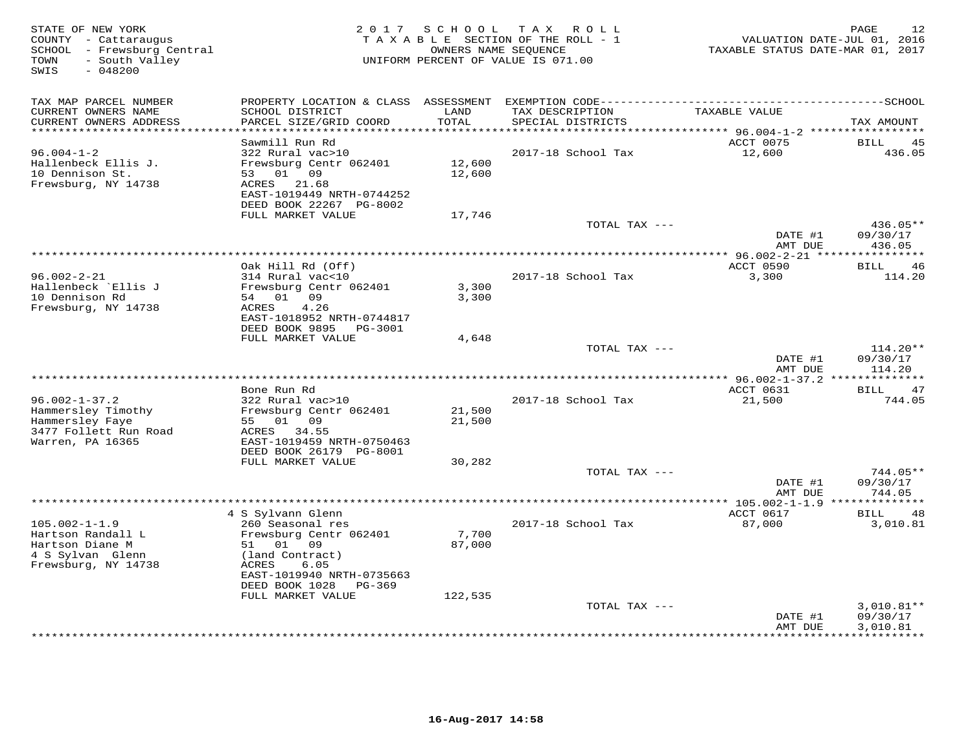| STATE OF NEW YORK<br>COUNTY - Cattaraugus<br>SCHOOL - Frewsburg Central<br>- South Valley<br>TOWN<br>$-048200$<br>SWIS | 2 0 1 7                                                                                                                                                                     | SCHOOL           | TAX ROLL<br>T A X A B L E SECTION OF THE ROLL - 1<br>OWNERS NAME SEQUENCE<br>UNIFORM PERCENT OF VALUE IS 071.00 | VALUATION DATE-JUL 01, 2016<br>TAXABLE STATUS DATE-MAR 01, 2017 | 12<br>PAGE                           |
|------------------------------------------------------------------------------------------------------------------------|-----------------------------------------------------------------------------------------------------------------------------------------------------------------------------|------------------|-----------------------------------------------------------------------------------------------------------------|-----------------------------------------------------------------|--------------------------------------|
| TAX MAP PARCEL NUMBER<br>CURRENT OWNERS NAME<br>CURRENT OWNERS ADDRESS                                                 | SCHOOL DISTRICT<br>PARCEL SIZE/GRID COORD                                                                                                                                   | LAND<br>TOTAL    | TAX DESCRIPTION<br>SPECIAL DISTRICTS                                                                            | TAXABLE VALUE                                                   | TAX AMOUNT                           |
|                                                                                                                        |                                                                                                                                                                             |                  |                                                                                                                 | ***** 96.004-1-2 *****                                          |                                      |
| $96.004 - 1 - 2$<br>Hallenbeck Ellis J.<br>10 Dennison St.<br>Frewsburg, NY 14738                                      | Sawmill Run Rd<br>322 Rural vac>10<br>Frewsburg Centr 062401<br>01 09<br>53<br>21.68<br>ACRES<br>EAST-1019449 NRTH-0744252<br>DEED BOOK 22267 PG-8002<br>FULL MARKET VALUE  | 12,600<br>12,600 | 2017-18 School Tax                                                                                              | ACCT 0075<br>12,600                                             | <b>BILL</b><br>45<br>436.05          |
|                                                                                                                        |                                                                                                                                                                             | 17,746           | TOTAL TAX ---                                                                                                   |                                                                 | 436.05**                             |
|                                                                                                                        |                                                                                                                                                                             |                  |                                                                                                                 | DATE #1<br>AMT DUE                                              | 09/30/17<br>436.05                   |
|                                                                                                                        |                                                                                                                                                                             |                  | ************************                                                                                        | *** 96.002-2-21 ****************                                |                                      |
| $96.002 - 2 - 21$<br>Hallenbeck `Ellis J<br>10 Dennison Rd<br>Frewsburg, NY 14738                                      | Oak Hill Rd (Off)<br>314 Rural vac<10<br>Frewsburg Centr 062401<br>09<br>54 01<br>ACRES<br>4.26                                                                             | 3,300<br>3,300   | 2017-18 School Tax                                                                                              | ACCT 0590<br>3,300                                              | <b>BILL</b><br>46<br>114.20          |
|                                                                                                                        | EAST-1018952 NRTH-0744817<br>DEED BOOK 9895<br>PG-3001<br>FULL MARKET VALUE                                                                                                 | 4,648            | TOTAL TAX ---                                                                                                   | DATE #1                                                         | $114.20**$<br>09/30/17               |
|                                                                                                                        |                                                                                                                                                                             |                  |                                                                                                                 | AMT DUE                                                         | 114.20                               |
| **************************                                                                                             | Bone Run Rd                                                                                                                                                                 |                  |                                                                                                                 | ACCT 0631                                                       | 47<br><b>BILL</b>                    |
| $96.002 - 1 - 37.2$<br>Hammersley Timothy<br>Hammersley Faye<br>3477 Follett Run Road<br>Warren, PA 16365              | 322 Rural vac>10<br>Frewsburg Centr 062401<br>01 09<br>55<br>ACRES<br>34.55<br>EAST-1019459 NRTH-0750463                                                                    | 21,500<br>21,500 | 2017-18 School Tax                                                                                              | 21,500                                                          | 744.05                               |
|                                                                                                                        | DEED BOOK 26179 PG-8001                                                                                                                                                     |                  |                                                                                                                 |                                                                 |                                      |
|                                                                                                                        | FULL MARKET VALUE                                                                                                                                                           | 30,282           | TOTAL TAX ---                                                                                                   | DATE #1<br>AMT DUE                                              | 744.05**<br>09/30/17<br>744.05       |
|                                                                                                                        |                                                                                                                                                                             |                  |                                                                                                                 | ** 105.002-1-1.9 ***************                                |                                      |
| $105.002 - 1 - 1.9$<br>Hartson Randall L<br>Hartson Diane M<br>4 S Sylvan Glenn<br>Frewsburg, NY 14738                 | 4 S Sylvann Glenn<br>260 Seasonal res<br>Frewsburg Centr 062401<br>01 09<br>51<br>(land Contract)<br>ACRES<br>6.05<br>EAST-1019940 NRTH-0735663<br>DEED BOOK 1028<br>PG-369 | 7,700<br>87,000  | 2017-18 School Tax                                                                                              | ACCT 0617<br>87,000                                             | 48<br>BILL<br>3,010.81               |
|                                                                                                                        | FULL MARKET VALUE                                                                                                                                                           | 122,535          |                                                                                                                 |                                                                 |                                      |
|                                                                                                                        |                                                                                                                                                                             |                  | TOTAL TAX ---                                                                                                   | DATE #1<br>AMT DUE                                              | $3,010.81**$<br>09/30/17<br>3,010.81 |
|                                                                                                                        |                                                                                                                                                                             |                  |                                                                                                                 |                                                                 | * * * * * * * * * *                  |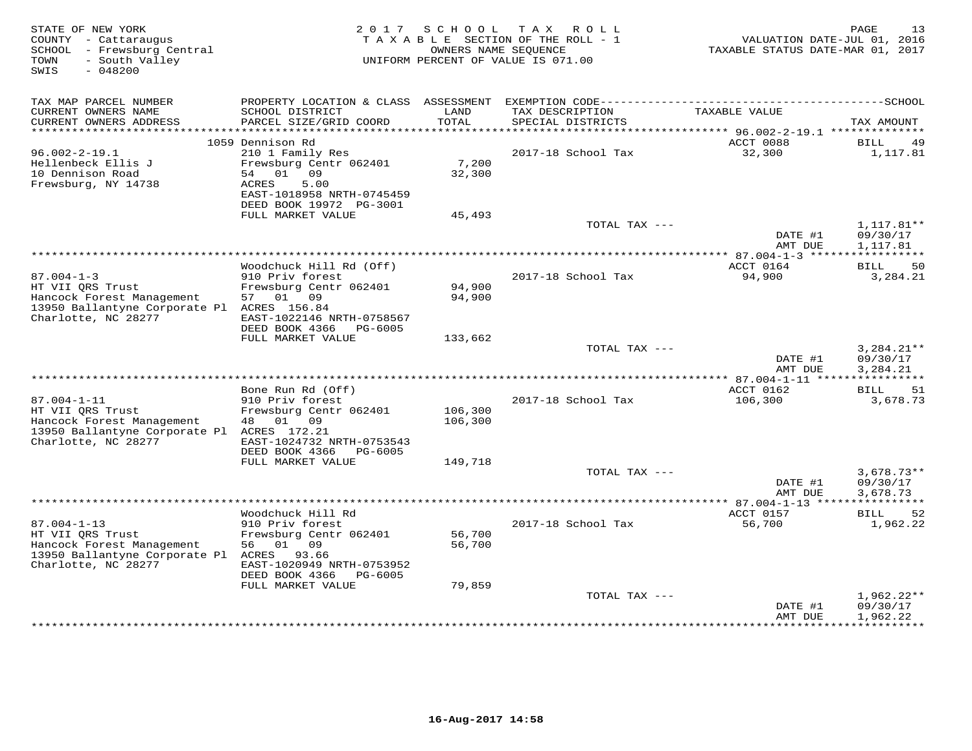| STATE OF NEW YORK<br>COUNTY - Cattaraugus<br>SCHOOL - Frewsburg Central<br>- South Valley<br>TOWN<br>$-048200$<br>SWIS |                                                                                                                                       |                  | 2017 SCHOOL TAX ROLL<br>TAXABLE SECTION OF THE ROLL - 1<br>OWNERS NAME SEQUENCE<br>UNIFORM PERCENT OF VALUE IS 071.00 | VALUATION DATE-JUL 01, 2016<br>TAXABLE STATUS DATE-MAR 01, 2017 | PAGE<br>13                           |
|------------------------------------------------------------------------------------------------------------------------|---------------------------------------------------------------------------------------------------------------------------------------|------------------|-----------------------------------------------------------------------------------------------------------------------|-----------------------------------------------------------------|--------------------------------------|
| TAX MAP PARCEL NUMBER                                                                                                  | PROPERTY LOCATION & CLASS ASSESSMENT                                                                                                  |                  |                                                                                                                       |                                                                 |                                      |
| CURRENT OWNERS NAME<br>CURRENT OWNERS ADDRESS<br>**********************                                                | SCHOOL DISTRICT<br>PARCEL SIZE/GRID COORD                                                                                             | LAND<br>TOTAL    | TAX DESCRIPTION<br>SPECIAL DISTRICTS                                                                                  | TAXABLE VALUE                                                   | TAX AMOUNT                           |
|                                                                                                                        | 1059 Dennison Rd                                                                                                                      |                  |                                                                                                                       | ACCT 0088                                                       | <b>BILL</b><br>49                    |
| $96.002 - 2 - 19.1$<br>Hellenbeck Ellis J<br>10 Dennison Road<br>Frewsburg, NY 14738                                   | 210 1 Family Res<br>Frewsburg Centr 062401<br>01<br>09<br>54<br>5.00<br>ACRES<br>EAST-1018958 NRTH-0745459<br>DEED BOOK 19972 PG-3001 | 7,200<br>32,300  | 2017-18 School Tax                                                                                                    | 32,300                                                          | 1,117.81                             |
|                                                                                                                        | FULL MARKET VALUE                                                                                                                     | 45,493           |                                                                                                                       |                                                                 |                                      |
|                                                                                                                        |                                                                                                                                       |                  | TOTAL TAX ---                                                                                                         | DATE #1<br>AMT DUE                                              | $1,117.81**$<br>09/30/17<br>1,117.81 |
|                                                                                                                        |                                                                                                                                       |                  | ************************************                                                                                  | *** 87.004-1-3 *****                                            |                                      |
| $87.004 - 1 - 3$<br>HT VII QRS Trust                                                                                   | Woodchuck Hill Rd (Off)<br>910 Priv forest<br>Frewsburg Centr 062401                                                                  | 94,900           | 2017-18 School Tax                                                                                                    | ACCT 0164<br>94,900                                             | 50<br>BILL<br>3,284.21               |
| Hancock Forest Management<br>13950 Ballantyne Corporate Pl ACRES 156.84<br>Charlotte, NC 28277                         | 57 01 09<br>EAST-1022146 NRTH-0758567<br>DEED BOOK 4366 PG-6005                                                                       | 94,900           |                                                                                                                       |                                                                 |                                      |
|                                                                                                                        | FULL MARKET VALUE                                                                                                                     | 133,662          |                                                                                                                       |                                                                 |                                      |
|                                                                                                                        |                                                                                                                                       |                  | TOTAL TAX ---                                                                                                         | DATE #1<br>AMT DUE                                              | $3,284.21**$<br>09/30/17<br>3,284.21 |
| ******************************                                                                                         |                                                                                                                                       |                  |                                                                                                                       | ACCT 0162                                                       | ***********                          |
| $87.004 - 1 - 11$                                                                                                      | Bone Run Rd (Off)<br>910 Priv forest                                                                                                  |                  | 2017-18 School Tax                                                                                                    | 106,300                                                         | BILL<br>-51<br>3,678.73              |
| HT VII QRS Trust                                                                                                       | Frewsburg Centr 062401                                                                                                                | 106,300          |                                                                                                                       |                                                                 |                                      |
| Hancock Forest Management<br>13950 Ballantyne Corporate Pl ACRES 172.21<br>Charlotte, NC 28277                         | 48<br>01 09<br>EAST-1024732 NRTH-0753543                                                                                              | 106,300          |                                                                                                                       |                                                                 |                                      |
|                                                                                                                        | DEED BOOK 4366<br>PG-6005                                                                                                             |                  |                                                                                                                       |                                                                 |                                      |
|                                                                                                                        | FULL MARKET VALUE                                                                                                                     | 149,718          | TOTAL TAX ---                                                                                                         |                                                                 | $3,678.73**$                         |
|                                                                                                                        |                                                                                                                                       |                  |                                                                                                                       | DATE #1<br>AMT DUE                                              | 09/30/17<br>3,678.73                 |
|                                                                                                                        |                                                                                                                                       |                  |                                                                                                                       |                                                                 |                                      |
| $87.004 - 1 - 13$                                                                                                      | Woodchuck Hill Rd<br>910 Priv forest                                                                                                  |                  | 2017-18 School Tax                                                                                                    | ACCT 0157<br>56,700                                             | BILL<br>52<br>1,962.22               |
| HT VII QRS Trust<br>Hancock Forest Management<br>13950 Ballantyne Corporate Pl                                         | Frewsburg Centr 062401<br>01 09<br>56<br>ACRES 93.66                                                                                  | 56,700<br>56,700 |                                                                                                                       |                                                                 |                                      |
| Charlotte, NC 28277                                                                                                    | EAST-1020949 NRTH-0753952<br>DEED BOOK 4366<br>PG-6005                                                                                |                  |                                                                                                                       |                                                                 |                                      |
|                                                                                                                        | FULL MARKET VALUE                                                                                                                     | 79,859           | TOTAL TAX ---                                                                                                         |                                                                 | $1,962.22**$                         |
|                                                                                                                        |                                                                                                                                       |                  |                                                                                                                       | DATE #1<br>AMT DUE                                              | 09/30/17<br>1,962.22                 |
|                                                                                                                        |                                                                                                                                       |                  |                                                                                                                       |                                                                 | **********                           |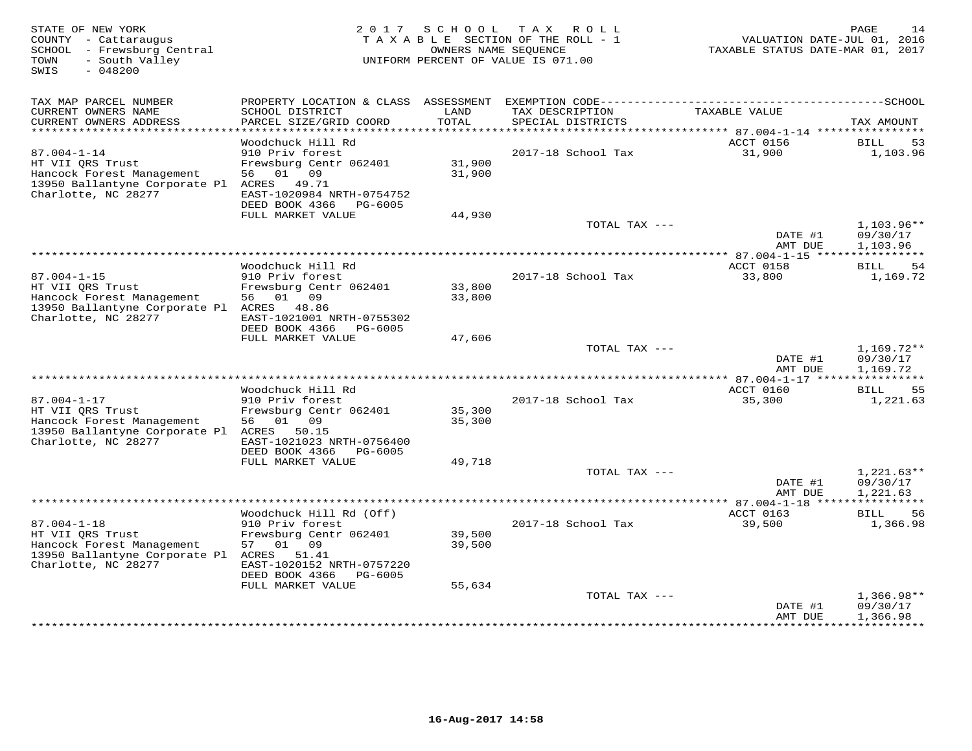| STATE OF NEW YORK<br>COUNTY - Cattaraugus<br>SCHOOL - Frewsburg Central<br>- South Valley<br>TOWN<br>$-048200$<br>SWIS           | 2017                                                                                                                                    | SCHOOL           | T A X<br>R O L L<br>TAXABLE SECTION OF THE ROLL - 1<br>OWNERS NAME SEQUENCE<br>UNIFORM PERCENT OF VALUE IS 071.00 | VALUATION DATE-JUL 01, 2016<br>TAXABLE STATUS DATE-MAR 01, 2017 | 14<br>PAGE                           |
|----------------------------------------------------------------------------------------------------------------------------------|-----------------------------------------------------------------------------------------------------------------------------------------|------------------|-------------------------------------------------------------------------------------------------------------------|-----------------------------------------------------------------|--------------------------------------|
| TAX MAP PARCEL NUMBER                                                                                                            | PROPERTY LOCATION & CLASS                                                                                                               | ASSESSMENT       |                                                                                                                   |                                                                 |                                      |
| CURRENT OWNERS NAME<br>CURRENT OWNERS ADDRESS<br>**********************                                                          | SCHOOL DISTRICT<br>PARCEL SIZE/GRID COORD<br>************************                                                                   | LAND<br>TOTAL    | TAX DESCRIPTION<br>SPECIAL DISTRICTS                                                                              | TAXABLE VALUE                                                   | TAX AMOUNT                           |
|                                                                                                                                  | Woodchuck Hill Rd                                                                                                                       |                  |                                                                                                                   | ACCT 0156                                                       | 53<br><b>BILL</b>                    |
| $87.004 - 1 - 14$<br>HT VII ORS Trust<br>Hancock Forest Management<br>13950 Ballantyne Corporate Pl<br>Charlotte, NC 28277       | 910 Priv forest<br>Frewsburg Centr 062401<br>01<br>09<br>56<br>ACRES<br>49.71<br>EAST-1020984 NRTH-0754752<br>DEED BOOK 4366<br>PG-6005 | 31,900<br>31,900 | 2017-18 School Tax                                                                                                | 31,900                                                          | 1,103.96                             |
|                                                                                                                                  | FULL MARKET VALUE                                                                                                                       | 44,930           |                                                                                                                   |                                                                 |                                      |
|                                                                                                                                  |                                                                                                                                         |                  | TOTAL TAX ---                                                                                                     | DATE #1<br>AMT DUE                                              | $1,103.96**$<br>09/30/17<br>1,103.96 |
|                                                                                                                                  |                                                                                                                                         |                  | ********************                                                                                              | $* * 87.004 - 1 - 15$ ****                                      |                                      |
| $87.004 - 1 - 15$<br>HT VII QRS Trust<br>Hancock Forest Management<br>13950 Ballantyne Corporate Pl ACRES 48.86                  | Woodchuck Hill Rd<br>910 Priv forest<br>Frewsburg Centr 062401<br>01<br>09<br>56                                                        | 33,800<br>33,800 | 2017-18 School Tax                                                                                                | ACCT 0158<br>33,800                                             | 54<br>BILL<br>1,169.72               |
| Charlotte, NC 28277                                                                                                              | EAST-1021001 NRTH-0755302<br>DEED BOOK 4366<br>PG-6005                                                                                  |                  |                                                                                                                   |                                                                 |                                      |
|                                                                                                                                  | FULL MARKET VALUE                                                                                                                       | 47,606           |                                                                                                                   |                                                                 |                                      |
|                                                                                                                                  |                                                                                                                                         |                  | TOTAL TAX ---                                                                                                     | DATE #1<br>AMT DUE                                              | $1,169.72**$<br>09/30/17<br>1,169.72 |
|                                                                                                                                  | Woodchuck Hill Rd                                                                                                                       |                  |                                                                                                                   | ACCT 0160                                                       | ***********<br>55<br>BILL            |
| $87.004 - 1 - 17$<br>HT VII QRS Trust<br>Hancock Forest Management                                                               | 910 Priv forest<br>Frewsburg Centr 062401<br>56<br>01<br>09                                                                             | 35,300<br>35,300 | 2017-18 School Tax                                                                                                | 35,300                                                          | 1,221.63                             |
| 13950 Ballantyne Corporate Pl ACRES<br>Charlotte, NC 28277                                                                       | 50.15<br>EAST-1021023 NRTH-0756400<br>DEED BOOK 4366<br>PG-6005<br>FULL MARKET VALUE                                                    | 49,718           |                                                                                                                   |                                                                 |                                      |
|                                                                                                                                  |                                                                                                                                         |                  | TOTAL TAX ---                                                                                                     |                                                                 | $1,221.63**$                         |
|                                                                                                                                  |                                                                                                                                         |                  | **********************************                                                                                | DATE #1<br>AMT DUE                                              | 09/30/17<br>1,221.63                 |
|                                                                                                                                  | Woodchuck Hill Rd (Off)                                                                                                                 |                  |                                                                                                                   | ************ 87.004-1-18 ****<br>ACCT 0163                      | BILL<br>56                           |
| $87.004 - 1 - 18$<br>HT VII QRS Trust<br>Hancock Forest Management<br>13950 Ballantyne Corporate Pl ACRES<br>Charlotte, NC 28277 | 910 Priv forest<br>Frewsburg Centr 062401<br>01<br>09<br>57<br>51.41<br>EAST-1020152 NRTH-0757220                                       | 39,500<br>39,500 | 2017-18 School Tax                                                                                                | 39,500                                                          | 1,366.98                             |
|                                                                                                                                  | DEED BOOK 4366<br>PG-6005                                                                                                               |                  |                                                                                                                   |                                                                 |                                      |
|                                                                                                                                  | FULL MARKET VALUE                                                                                                                       | 55,634           | TOTAL TAX ---                                                                                                     |                                                                 | $1,366.98**$                         |
|                                                                                                                                  |                                                                                                                                         |                  |                                                                                                                   | DATE #1<br>AMT DUE                                              | 09/30/17<br>1,366.98                 |
|                                                                                                                                  |                                                                                                                                         |                  |                                                                                                                   |                                                                 |                                      |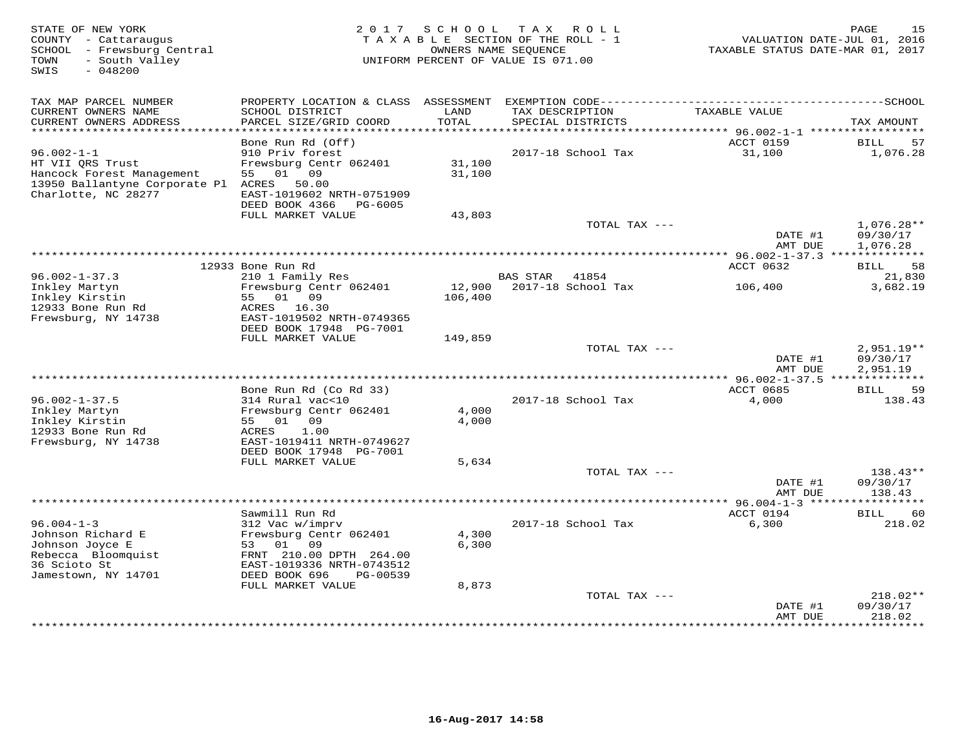| STATE OF NEW YORK<br>COUNTY - Cattaraugus<br>SCHOOL - Frewsburg Central<br>- South Valley<br>TOWN<br>SWIS<br>$-048200$    | 2 0 1 7                                                                                                                                 |                   | SCHOOL TAX ROLL<br>T A X A B L E SECTION OF THE ROLL - 1<br>OWNERS NAME SEQUENCE<br>UNIFORM PERCENT OF VALUE IS 071.00 | VALUATION DATE-JUL 01, 2016<br>TAXABLE STATUS DATE-MAR 01, 2017 | PAGE<br>15                           |
|---------------------------------------------------------------------------------------------------------------------------|-----------------------------------------------------------------------------------------------------------------------------------------|-------------------|------------------------------------------------------------------------------------------------------------------------|-----------------------------------------------------------------|--------------------------------------|
| TAX MAP PARCEL NUMBER<br>CURRENT OWNERS NAME                                                                              | SCHOOL DISTRICT                                                                                                                         | LAND              | TAX DESCRIPTION                                                                                                        | TAXABLE VALUE                                                   |                                      |
| CURRENT OWNERS ADDRESS<br>**********************                                                                          | PARCEL SIZE/GRID COORD                                                                                                                  | TOTAL             | SPECIAL DISTRICTS<br>********************************                                                                  |                                                                 | TAX AMOUNT                           |
|                                                                                                                           | Bone Run Rd (Off)                                                                                                                       |                   |                                                                                                                        | ********** 96.002-1-1 ***********<br>ACCT 0159                  | BILL<br>57                           |
| $96.002 - 1 - 1$<br>HT VII QRS Trust<br>Hancock Forest Management<br>13950 Ballantyne Corporate Pl<br>Charlotte, NC 28277 | 910 Priv forest<br>Frewsburg Centr 062401<br>55<br>01<br>09<br>ACRES<br>50.00<br>EAST-1019602 NRTH-0751909<br>DEED BOOK 4366<br>PG-6005 | 31,100<br>31,100  | 2017-18 School Tax                                                                                                     | 31,100                                                          | 1,076.28                             |
|                                                                                                                           | FULL MARKET VALUE                                                                                                                       | 43,803            |                                                                                                                        |                                                                 |                                      |
|                                                                                                                           |                                                                                                                                         |                   | TOTAL TAX ---                                                                                                          | DATE #1<br>AMT DUE                                              | $1,076.28**$<br>09/30/17<br>1,076.28 |
|                                                                                                                           |                                                                                                                                         |                   | *************************************                                                                                  | *** 96.002-1-37.3 **************                                |                                      |
| $96.002 - 1 - 37.3$                                                                                                       | 12933 Bone Run Rd<br>210 1 Family Res                                                                                                   |                   | <b>BAS STAR</b><br>41854                                                                                               | ACCT 0632                                                       | 58<br>BILL<br>21,830                 |
| Inkley Martyn<br>Inkley Kirstin<br>12933 Bone Run Rd<br>Frewsburg, NY 14738                                               | Frewsburg Centr 062401<br>55 01 09<br>ACRES 16.30<br>EAST-1019502 NRTH-0749365<br>DEED BOOK 17948 PG-7001                               | 12,900<br>106,400 | 2017-18 School Tax                                                                                                     | 106,400                                                         | 3,682.19                             |
|                                                                                                                           | FULL MARKET VALUE                                                                                                                       | 149,859           |                                                                                                                        |                                                                 |                                      |
|                                                                                                                           |                                                                                                                                         |                   | TOTAL TAX ---                                                                                                          | DATE #1<br>AMT DUE                                              | $2,951.19**$<br>09/30/17<br>2,951.19 |
|                                                                                                                           | Bone Run Rd (Co Rd 33)                                                                                                                  |                   |                                                                                                                        | ACCT 0685                                                       | <b>BILL</b><br>59                    |
| $96.002 - 1 - 37.5$<br>Inkley Martyn<br>Inkley Kirstin<br>12933 Bone Run Rd                                               | 314 Rural vac<10<br>Frewsburg Centr 062401<br>09<br>55<br>01<br>ACRES<br>1.00                                                           | 4,000<br>4,000    | 2017-18 School Tax                                                                                                     | 4,000                                                           | 138.43                               |
| Frewsburg, NY 14738                                                                                                       | EAST-1019411 NRTH-0749627<br>DEED BOOK 17948 PG-7001                                                                                    |                   |                                                                                                                        |                                                                 |                                      |
|                                                                                                                           | FULL MARKET VALUE                                                                                                                       | 5,634             | TOTAL TAX ---                                                                                                          |                                                                 | 138.43**                             |
|                                                                                                                           |                                                                                                                                         |                   |                                                                                                                        | DATE #1<br>AMT DUE                                              | 09/30/17<br>138.43                   |
|                                                                                                                           |                                                                                                                                         |                   |                                                                                                                        | **************** 96.004-1-3 *****                               |                                      |
| $96.004 - 1 - 3$                                                                                                          | Sawmill Run Rd<br>312 Vac w/imprv                                                                                                       |                   | 2017-18 School Tax                                                                                                     | ACCT 0194<br>6,300                                              | 60<br><b>BILL</b><br>218.02          |
| Johnson Richard E<br>Johnson Joyce E<br>Rebecca Bloomquist<br>36 Scioto St<br>Jamestown, NY 14701                         | Frewsburg Centr 062401<br>53<br>01<br>09<br>FRNT 210.00 DPTH 264.00<br>EAST-1019336 NRTH-0743512<br>DEED BOOK 696<br>PG-00539           | 4,300<br>6,300    |                                                                                                                        |                                                                 |                                      |
|                                                                                                                           | FULL MARKET VALUE                                                                                                                       | 8,873             |                                                                                                                        |                                                                 |                                      |
|                                                                                                                           |                                                                                                                                         |                   | TOTAL TAX ---                                                                                                          | DATE #1<br>AMT DUE                                              | 218.02**<br>09/30/17<br>218.02       |
|                                                                                                                           |                                                                                                                                         |                   |                                                                                                                        |                                                                 | * * * * * * * *                      |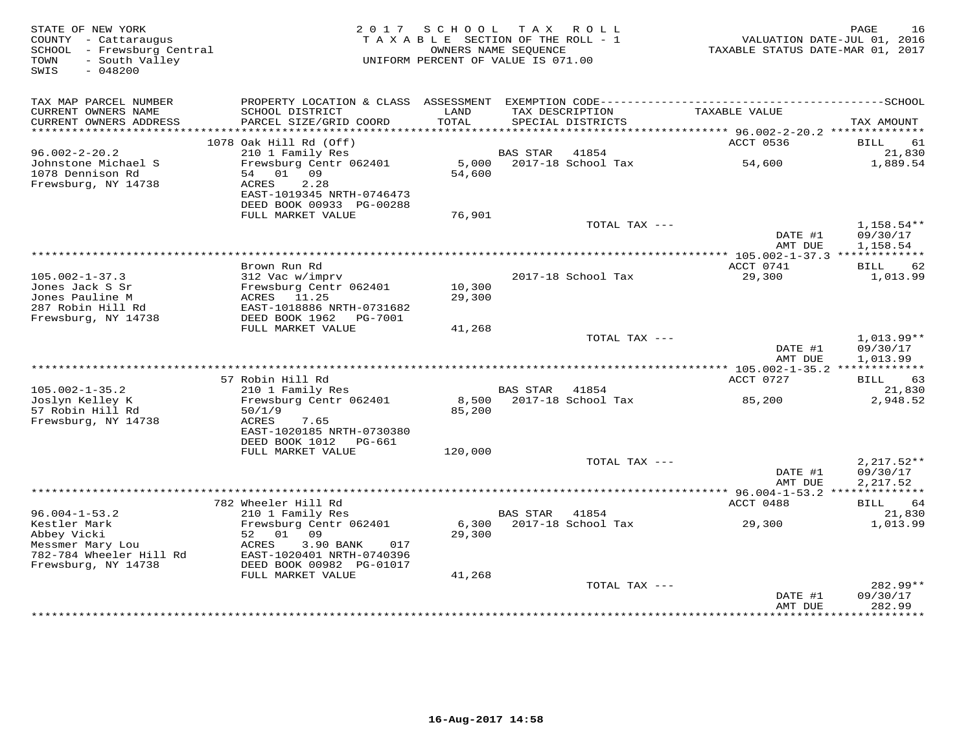| STATE OF NEW YORK<br>COUNTY - Cattaraugus<br>SCHOOL - Frewsburg Central<br>- South Valley<br>TOWN<br>SWIS<br>$-048200$ | 2 0 1 7                                                                            | SCHOOL           | T A X<br>R O L L<br>TAXABLE SECTION OF THE ROLL - 1<br>OWNERS NAME SEOUENCE<br>UNIFORM PERCENT OF VALUE IS 071.00 | VALUATION DATE-JUL 01, 2016<br>TAXABLE STATUS DATE-MAR 01, 2017 | 16<br>PAGE                           |
|------------------------------------------------------------------------------------------------------------------------|------------------------------------------------------------------------------------|------------------|-------------------------------------------------------------------------------------------------------------------|-----------------------------------------------------------------|--------------------------------------|
|                                                                                                                        |                                                                                    |                  |                                                                                                                   |                                                                 |                                      |
| TAX MAP PARCEL NUMBER<br>CURRENT OWNERS NAME                                                                           | SCHOOL DISTRICT                                                                    | LAND             | TAX DESCRIPTION                                                                                                   | TAXABLE VALUE                                                   |                                      |
| CURRENT OWNERS ADDRESS                                                                                                 | PARCEL SIZE/GRID COORD                                                             | TOTAL            | SPECIAL DISTRICTS                                                                                                 |                                                                 | TAX AMOUNT                           |
|                                                                                                                        | 1078 Oak Hill Rd (Off)                                                             |                  |                                                                                                                   | ACCT 0536                                                       | 61<br>BILL                           |
| $96.002 - 2 - 20.2$                                                                                                    | 210 1 Family Res                                                                   |                  | <b>BAS STAR</b><br>41854                                                                                          |                                                                 | 21,830                               |
| Johnstone Michael S<br>1078 Dennison Rd<br>Frewsburg, NY 14738                                                         | Frewsburg Centr 062401<br>01<br>09<br>54<br>ACRES<br>2.28                          | 5,000<br>54,600  | 2017-18 School Tax                                                                                                | 54,600                                                          | 1,889.54                             |
|                                                                                                                        | EAST-1019345 NRTH-0746473<br>DEED BOOK 00933 PG-00288                              |                  |                                                                                                                   |                                                                 |                                      |
|                                                                                                                        | FULL MARKET VALUE                                                                  | 76,901           | TOTAL TAX ---                                                                                                     |                                                                 | 1,158.54**                           |
|                                                                                                                        |                                                                                    |                  |                                                                                                                   | DATE #1<br>AMT DUE                                              | 09/30/17<br>1,158.54                 |
|                                                                                                                        | Brown Run Rd                                                                       |                  |                                                                                                                   | ** $105.002 - 1 - 37.3$ **<br>ACCT 0741                         | 62<br>BILL                           |
| $105.002 - 1 - 37.3$                                                                                                   | 312 Vac w/imprv                                                                    |                  | 2017-18 School Tax                                                                                                | 29,300                                                          | 1,013.99                             |
| Jones Jack S Sr<br>Jones Pauline M                                                                                     | Frewsburg Centr 062401<br>ACRES<br>11.25                                           | 10,300<br>29,300 |                                                                                                                   |                                                                 |                                      |
| 287 Robin Hill Rd                                                                                                      | EAST-1018886 NRTH-0731682                                                          |                  |                                                                                                                   |                                                                 |                                      |
| Frewsburg, NY 14738                                                                                                    | DEED BOOK 1962<br><b>PG-7001</b><br>FULL MARKET VALUE                              |                  |                                                                                                                   |                                                                 |                                      |
|                                                                                                                        |                                                                                    | 41,268           | TOTAL TAX ---                                                                                                     |                                                                 | 1,013.99**                           |
|                                                                                                                        |                                                                                    |                  |                                                                                                                   | DATE #1<br>AMT DUE                                              | 09/30/17<br>1,013.99                 |
|                                                                                                                        | 57 Robin Hill Rd                                                                   |                  |                                                                                                                   | ACCT 0727                                                       | 63<br>BILL                           |
| $105.002 - 1 - 35.2$                                                                                                   | 210 1 Family Res                                                                   |                  | <b>BAS STAR</b><br>41854                                                                                          |                                                                 | 21,830                               |
| Joslyn Kelley K<br>57 Robin Hill Rd                                                                                    | Frewsburg Centr 062401<br>50/1/9                                                   | 8,500<br>85,200  | 2017-18 School Tax                                                                                                | 85,200                                                          | 2,948.52                             |
| Frewsburg, NY 14738                                                                                                    | ACRES<br>7.65<br>EAST-1020185 NRTH-0730380<br>DEED BOOK 1012<br>PG-661             |                  |                                                                                                                   |                                                                 |                                      |
|                                                                                                                        | FULL MARKET VALUE                                                                  | 120,000          |                                                                                                                   |                                                                 |                                      |
|                                                                                                                        |                                                                                    |                  | TOTAL TAX ---                                                                                                     | DATE #1<br>AMT DUE                                              | $2,217.52**$<br>09/30/17<br>2,217.52 |
|                                                                                                                        |                                                                                    |                  |                                                                                                                   |                                                                 | ***********                          |
|                                                                                                                        | 782 Wheeler Hill Rd                                                                |                  |                                                                                                                   | ACCT 0488                                                       | <b>BILL</b><br>64                    |
| $96.004 - 1 - 53.2$<br>Kestler Mark                                                                                    | 210 1 Family Res<br>Frewsburg Centr 062401                                         | 6,300            | <b>BAS STAR</b><br>41854<br>2017-18 School Tax                                                                    | 29,300                                                          | 21,830<br>1,013.99                   |
| Abbey Vicki                                                                                                            | 01<br>09<br>52                                                                     | 29,300           |                                                                                                                   |                                                                 |                                      |
| Messmer Mary Lou<br>782-784 Wheeler Hill Rd<br>Frewsburg, NY 14738                                                     | ACRES<br>3.90 BANK<br>017<br>EAST-1020401 NRTH-0740396<br>DEED BOOK 00982 PG-01017 |                  |                                                                                                                   |                                                                 |                                      |
|                                                                                                                        | FULL MARKET VALUE                                                                  | 41,268           |                                                                                                                   |                                                                 |                                      |
|                                                                                                                        |                                                                                    |                  | TOTAL TAX ---                                                                                                     | DATE #1<br>AMT DUE                                              | 282.99**<br>09/30/17<br>282.99       |
|                                                                                                                        |                                                                                    |                  |                                                                                                                   |                                                                 | * * * * * * * * *                    |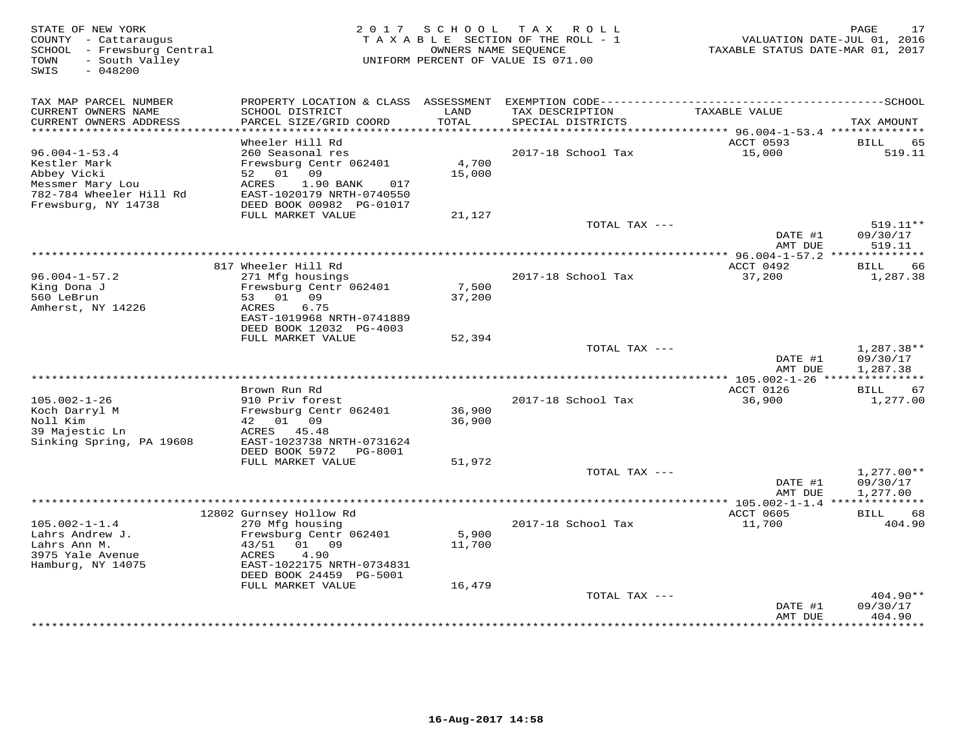| TAX MAP PARCEL NUMBER<br>CURRENT OWNERS NAME<br>SCHOOL DISTRICT<br>LAND<br>TAXABLE VALUE<br>TAX DESCRIPTION<br>CURRENT OWNERS ADDRESS<br>PARCEL SIZE/GRID COORD<br>TOTAL<br>SPECIAL DISTRICTS<br>TAX AMOUNT<br>***********************<br>ACCT 0593<br>Wheeler Hill Rd<br>BILL<br>65<br>$96.004 - 1 - 53.4$<br>260 Seasonal res<br>2017-18 School Tax<br>15,000<br>519.11<br>Kestler Mark<br>Frewsburg Centr 062401<br>4,700<br>Abbey Vicki<br>52 01<br>09<br>15,000<br>Messmer Mary Lou<br>1.90 BANK<br>ACRES<br>017<br>782-784 Wheeler Hill Rd<br>EAST-1020179 NRTH-0740550<br>Frewsburg, NY 14738<br>DEED BOOK 00982 PG-01017<br>FULL MARKET VALUE<br>21,127<br>$519.11**$<br>TOTAL TAX ---<br>DATE #1<br>09/30/17<br>AMT DUE<br>519.11<br>817 Wheeler Hill Rd<br>ACCT 0492<br>66<br>BILL<br>271 Mfg housings<br>2017-18 School Tax<br>37,200<br>$96.004 - 1 - 57.2$<br>1,287.38<br>King Dona J<br>Frewsburg Centr 062401<br>7,500<br>560 LeBrun<br>53 01 09<br>37,200<br>6.75<br>Amherst, NY 14226<br>ACRES<br>EAST-1019968 NRTH-0741889<br>DEED BOOK 12032 PG-4003<br>FULL MARKET VALUE<br>52,394<br>TOTAL TAX ---<br>$1,287.38**$<br>09/30/17<br>DATE #1<br>AMT DUE<br>1,287.38<br>** 105.002-1-26 ****<br>***********<br>ACCT 0126<br>Brown Run Rd<br><b>BILL</b><br>67<br>$105.002 - 1 - 26$<br>36,900<br>1,277.00<br>910 Priv forest<br>2017-18 School Tax<br>Frewsburg Centr 062401<br>36,900<br>Koch Darryl M<br>42 01 09<br>Noll Kim<br>36,900<br>39 Majestic Ln<br>ACRES<br>45.48<br>Sinking Spring, PA 19608<br>EAST-1023738 NRTH-0731624<br>DEED BOOK 5972<br>PG-8001<br>FULL MARKET VALUE<br>51,972<br>TOTAL TAX ---<br>$1,277.00**$<br>DATE #1<br>09/30/17<br>1,277.00<br>AMT DUE<br>12802 Gurnsey Hollow Rd<br>ACCT 0605<br>BILL<br>68<br>$105.002 - 1 - 1.4$<br>270 Mfg housing<br>2017-18 School Tax<br>11,700<br>404.90<br>5,900<br>Lahrs Andrew J.<br>Frewsburg Centr 062401<br>Lahrs Ann M.<br>01 09<br>11,700<br>43/51<br>4.90<br>3975 Yale Avenue<br>ACRES<br>Hamburg, NY 14075<br>EAST-1022175 NRTH-0734831<br>DEED BOOK 24459 PG-5001<br>FULL MARKET VALUE<br>16,479<br>404.90**<br>TOTAL TAX ---<br>09/30/17<br>DATE #1<br>AMT DUE<br>404.90<br>* * * * * * * * | STATE OF NEW YORK<br>COUNTY - Cattaraugus<br>SCHOOL - Frewsburg Central<br>TOWN<br>- South Valley<br>SWIS<br>$-048200$ | 2017 SCHOOL | TAX ROLL<br>TAXABLE SECTION OF THE ROLL - 1<br>OWNERS NAME SEQUENCE<br>UNIFORM PERCENT OF VALUE IS 071.00 | TAXABLE STATUS DATE-MAR 01, 2017 | 17<br>PAGE<br>VALUATION DATE-JUL 01, 2016 |
|---------------------------------------------------------------------------------------------------------------------------------------------------------------------------------------------------------------------------------------------------------------------------------------------------------------------------------------------------------------------------------------------------------------------------------------------------------------------------------------------------------------------------------------------------------------------------------------------------------------------------------------------------------------------------------------------------------------------------------------------------------------------------------------------------------------------------------------------------------------------------------------------------------------------------------------------------------------------------------------------------------------------------------------------------------------------------------------------------------------------------------------------------------------------------------------------------------------------------------------------------------------------------------------------------------------------------------------------------------------------------------------------------------------------------------------------------------------------------------------------------------------------------------------------------------------------------------------------------------------------------------------------------------------------------------------------------------------------------------------------------------------------------------------------------------------------------------------------------------------------------------------------------------------------------------------------------------------------------------------------------------------------------------------------------------------------------------------------------------------------------------------------------------------------------------------------|------------------------------------------------------------------------------------------------------------------------|-------------|-----------------------------------------------------------------------------------------------------------|----------------------------------|-------------------------------------------|
|                                                                                                                                                                                                                                                                                                                                                                                                                                                                                                                                                                                                                                                                                                                                                                                                                                                                                                                                                                                                                                                                                                                                                                                                                                                                                                                                                                                                                                                                                                                                                                                                                                                                                                                                                                                                                                                                                                                                                                                                                                                                                                                                                                                             |                                                                                                                        |             |                                                                                                           |                                  |                                           |
|                                                                                                                                                                                                                                                                                                                                                                                                                                                                                                                                                                                                                                                                                                                                                                                                                                                                                                                                                                                                                                                                                                                                                                                                                                                                                                                                                                                                                                                                                                                                                                                                                                                                                                                                                                                                                                                                                                                                                                                                                                                                                                                                                                                             |                                                                                                                        |             |                                                                                                           |                                  |                                           |
|                                                                                                                                                                                                                                                                                                                                                                                                                                                                                                                                                                                                                                                                                                                                                                                                                                                                                                                                                                                                                                                                                                                                                                                                                                                                                                                                                                                                                                                                                                                                                                                                                                                                                                                                                                                                                                                                                                                                                                                                                                                                                                                                                                                             |                                                                                                                        |             |                                                                                                           |                                  |                                           |
|                                                                                                                                                                                                                                                                                                                                                                                                                                                                                                                                                                                                                                                                                                                                                                                                                                                                                                                                                                                                                                                                                                                                                                                                                                                                                                                                                                                                                                                                                                                                                                                                                                                                                                                                                                                                                                                                                                                                                                                                                                                                                                                                                                                             |                                                                                                                        |             |                                                                                                           |                                  |                                           |
|                                                                                                                                                                                                                                                                                                                                                                                                                                                                                                                                                                                                                                                                                                                                                                                                                                                                                                                                                                                                                                                                                                                                                                                                                                                                                                                                                                                                                                                                                                                                                                                                                                                                                                                                                                                                                                                                                                                                                                                                                                                                                                                                                                                             |                                                                                                                        |             |                                                                                                           |                                  |                                           |
|                                                                                                                                                                                                                                                                                                                                                                                                                                                                                                                                                                                                                                                                                                                                                                                                                                                                                                                                                                                                                                                                                                                                                                                                                                                                                                                                                                                                                                                                                                                                                                                                                                                                                                                                                                                                                                                                                                                                                                                                                                                                                                                                                                                             |                                                                                                                        |             |                                                                                                           |                                  |                                           |
|                                                                                                                                                                                                                                                                                                                                                                                                                                                                                                                                                                                                                                                                                                                                                                                                                                                                                                                                                                                                                                                                                                                                                                                                                                                                                                                                                                                                                                                                                                                                                                                                                                                                                                                                                                                                                                                                                                                                                                                                                                                                                                                                                                                             |                                                                                                                        |             |                                                                                                           |                                  |                                           |
|                                                                                                                                                                                                                                                                                                                                                                                                                                                                                                                                                                                                                                                                                                                                                                                                                                                                                                                                                                                                                                                                                                                                                                                                                                                                                                                                                                                                                                                                                                                                                                                                                                                                                                                                                                                                                                                                                                                                                                                                                                                                                                                                                                                             |                                                                                                                        |             |                                                                                                           |                                  |                                           |
|                                                                                                                                                                                                                                                                                                                                                                                                                                                                                                                                                                                                                                                                                                                                                                                                                                                                                                                                                                                                                                                                                                                                                                                                                                                                                                                                                                                                                                                                                                                                                                                                                                                                                                                                                                                                                                                                                                                                                                                                                                                                                                                                                                                             |                                                                                                                        |             |                                                                                                           |                                  |                                           |
|                                                                                                                                                                                                                                                                                                                                                                                                                                                                                                                                                                                                                                                                                                                                                                                                                                                                                                                                                                                                                                                                                                                                                                                                                                                                                                                                                                                                                                                                                                                                                                                                                                                                                                                                                                                                                                                                                                                                                                                                                                                                                                                                                                                             |                                                                                                                        |             |                                                                                                           |                                  |                                           |
|                                                                                                                                                                                                                                                                                                                                                                                                                                                                                                                                                                                                                                                                                                                                                                                                                                                                                                                                                                                                                                                                                                                                                                                                                                                                                                                                                                                                                                                                                                                                                                                                                                                                                                                                                                                                                                                                                                                                                                                                                                                                                                                                                                                             |                                                                                                                        |             |                                                                                                           |                                  |                                           |
|                                                                                                                                                                                                                                                                                                                                                                                                                                                                                                                                                                                                                                                                                                                                                                                                                                                                                                                                                                                                                                                                                                                                                                                                                                                                                                                                                                                                                                                                                                                                                                                                                                                                                                                                                                                                                                                                                                                                                                                                                                                                                                                                                                                             |                                                                                                                        |             |                                                                                                           |                                  |                                           |
|                                                                                                                                                                                                                                                                                                                                                                                                                                                                                                                                                                                                                                                                                                                                                                                                                                                                                                                                                                                                                                                                                                                                                                                                                                                                                                                                                                                                                                                                                                                                                                                                                                                                                                                                                                                                                                                                                                                                                                                                                                                                                                                                                                                             |                                                                                                                        |             |                                                                                                           |                                  |                                           |
|                                                                                                                                                                                                                                                                                                                                                                                                                                                                                                                                                                                                                                                                                                                                                                                                                                                                                                                                                                                                                                                                                                                                                                                                                                                                                                                                                                                                                                                                                                                                                                                                                                                                                                                                                                                                                                                                                                                                                                                                                                                                                                                                                                                             |                                                                                                                        |             |                                                                                                           |                                  |                                           |
|                                                                                                                                                                                                                                                                                                                                                                                                                                                                                                                                                                                                                                                                                                                                                                                                                                                                                                                                                                                                                                                                                                                                                                                                                                                                                                                                                                                                                                                                                                                                                                                                                                                                                                                                                                                                                                                                                                                                                                                                                                                                                                                                                                                             |                                                                                                                        |             |                                                                                                           |                                  |                                           |
|                                                                                                                                                                                                                                                                                                                                                                                                                                                                                                                                                                                                                                                                                                                                                                                                                                                                                                                                                                                                                                                                                                                                                                                                                                                                                                                                                                                                                                                                                                                                                                                                                                                                                                                                                                                                                                                                                                                                                                                                                                                                                                                                                                                             |                                                                                                                        |             |                                                                                                           |                                  |                                           |
|                                                                                                                                                                                                                                                                                                                                                                                                                                                                                                                                                                                                                                                                                                                                                                                                                                                                                                                                                                                                                                                                                                                                                                                                                                                                                                                                                                                                                                                                                                                                                                                                                                                                                                                                                                                                                                                                                                                                                                                                                                                                                                                                                                                             |                                                                                                                        |             |                                                                                                           |                                  |                                           |
|                                                                                                                                                                                                                                                                                                                                                                                                                                                                                                                                                                                                                                                                                                                                                                                                                                                                                                                                                                                                                                                                                                                                                                                                                                                                                                                                                                                                                                                                                                                                                                                                                                                                                                                                                                                                                                                                                                                                                                                                                                                                                                                                                                                             |                                                                                                                        |             |                                                                                                           |                                  |                                           |
|                                                                                                                                                                                                                                                                                                                                                                                                                                                                                                                                                                                                                                                                                                                                                                                                                                                                                                                                                                                                                                                                                                                                                                                                                                                                                                                                                                                                                                                                                                                                                                                                                                                                                                                                                                                                                                                                                                                                                                                                                                                                                                                                                                                             |                                                                                                                        |             |                                                                                                           |                                  |                                           |
|                                                                                                                                                                                                                                                                                                                                                                                                                                                                                                                                                                                                                                                                                                                                                                                                                                                                                                                                                                                                                                                                                                                                                                                                                                                                                                                                                                                                                                                                                                                                                                                                                                                                                                                                                                                                                                                                                                                                                                                                                                                                                                                                                                                             |                                                                                                                        |             |                                                                                                           |                                  |                                           |
|                                                                                                                                                                                                                                                                                                                                                                                                                                                                                                                                                                                                                                                                                                                                                                                                                                                                                                                                                                                                                                                                                                                                                                                                                                                                                                                                                                                                                                                                                                                                                                                                                                                                                                                                                                                                                                                                                                                                                                                                                                                                                                                                                                                             |                                                                                                                        |             |                                                                                                           |                                  |                                           |
|                                                                                                                                                                                                                                                                                                                                                                                                                                                                                                                                                                                                                                                                                                                                                                                                                                                                                                                                                                                                                                                                                                                                                                                                                                                                                                                                                                                                                                                                                                                                                                                                                                                                                                                                                                                                                                                                                                                                                                                                                                                                                                                                                                                             |                                                                                                                        |             |                                                                                                           |                                  |                                           |
|                                                                                                                                                                                                                                                                                                                                                                                                                                                                                                                                                                                                                                                                                                                                                                                                                                                                                                                                                                                                                                                                                                                                                                                                                                                                                                                                                                                                                                                                                                                                                                                                                                                                                                                                                                                                                                                                                                                                                                                                                                                                                                                                                                                             |                                                                                                                        |             |                                                                                                           |                                  |                                           |
|                                                                                                                                                                                                                                                                                                                                                                                                                                                                                                                                                                                                                                                                                                                                                                                                                                                                                                                                                                                                                                                                                                                                                                                                                                                                                                                                                                                                                                                                                                                                                                                                                                                                                                                                                                                                                                                                                                                                                                                                                                                                                                                                                                                             |                                                                                                                        |             |                                                                                                           |                                  |                                           |
|                                                                                                                                                                                                                                                                                                                                                                                                                                                                                                                                                                                                                                                                                                                                                                                                                                                                                                                                                                                                                                                                                                                                                                                                                                                                                                                                                                                                                                                                                                                                                                                                                                                                                                                                                                                                                                                                                                                                                                                                                                                                                                                                                                                             |                                                                                                                        |             |                                                                                                           |                                  |                                           |
|                                                                                                                                                                                                                                                                                                                                                                                                                                                                                                                                                                                                                                                                                                                                                                                                                                                                                                                                                                                                                                                                                                                                                                                                                                                                                                                                                                                                                                                                                                                                                                                                                                                                                                                                                                                                                                                                                                                                                                                                                                                                                                                                                                                             |                                                                                                                        |             |                                                                                                           |                                  |                                           |
|                                                                                                                                                                                                                                                                                                                                                                                                                                                                                                                                                                                                                                                                                                                                                                                                                                                                                                                                                                                                                                                                                                                                                                                                                                                                                                                                                                                                                                                                                                                                                                                                                                                                                                                                                                                                                                                                                                                                                                                                                                                                                                                                                                                             |                                                                                                                        |             |                                                                                                           |                                  |                                           |
|                                                                                                                                                                                                                                                                                                                                                                                                                                                                                                                                                                                                                                                                                                                                                                                                                                                                                                                                                                                                                                                                                                                                                                                                                                                                                                                                                                                                                                                                                                                                                                                                                                                                                                                                                                                                                                                                                                                                                                                                                                                                                                                                                                                             |                                                                                                                        |             |                                                                                                           |                                  |                                           |
|                                                                                                                                                                                                                                                                                                                                                                                                                                                                                                                                                                                                                                                                                                                                                                                                                                                                                                                                                                                                                                                                                                                                                                                                                                                                                                                                                                                                                                                                                                                                                                                                                                                                                                                                                                                                                                                                                                                                                                                                                                                                                                                                                                                             |                                                                                                                        |             |                                                                                                           |                                  |                                           |
|                                                                                                                                                                                                                                                                                                                                                                                                                                                                                                                                                                                                                                                                                                                                                                                                                                                                                                                                                                                                                                                                                                                                                                                                                                                                                                                                                                                                                                                                                                                                                                                                                                                                                                                                                                                                                                                                                                                                                                                                                                                                                                                                                                                             |                                                                                                                        |             |                                                                                                           |                                  |                                           |
|                                                                                                                                                                                                                                                                                                                                                                                                                                                                                                                                                                                                                                                                                                                                                                                                                                                                                                                                                                                                                                                                                                                                                                                                                                                                                                                                                                                                                                                                                                                                                                                                                                                                                                                                                                                                                                                                                                                                                                                                                                                                                                                                                                                             |                                                                                                                        |             |                                                                                                           |                                  |                                           |
|                                                                                                                                                                                                                                                                                                                                                                                                                                                                                                                                                                                                                                                                                                                                                                                                                                                                                                                                                                                                                                                                                                                                                                                                                                                                                                                                                                                                                                                                                                                                                                                                                                                                                                                                                                                                                                                                                                                                                                                                                                                                                                                                                                                             |                                                                                                                        |             |                                                                                                           |                                  |                                           |
|                                                                                                                                                                                                                                                                                                                                                                                                                                                                                                                                                                                                                                                                                                                                                                                                                                                                                                                                                                                                                                                                                                                                                                                                                                                                                                                                                                                                                                                                                                                                                                                                                                                                                                                                                                                                                                                                                                                                                                                                                                                                                                                                                                                             |                                                                                                                        |             |                                                                                                           |                                  |                                           |
|                                                                                                                                                                                                                                                                                                                                                                                                                                                                                                                                                                                                                                                                                                                                                                                                                                                                                                                                                                                                                                                                                                                                                                                                                                                                                                                                                                                                                                                                                                                                                                                                                                                                                                                                                                                                                                                                                                                                                                                                                                                                                                                                                                                             |                                                                                                                        |             |                                                                                                           |                                  |                                           |
|                                                                                                                                                                                                                                                                                                                                                                                                                                                                                                                                                                                                                                                                                                                                                                                                                                                                                                                                                                                                                                                                                                                                                                                                                                                                                                                                                                                                                                                                                                                                                                                                                                                                                                                                                                                                                                                                                                                                                                                                                                                                                                                                                                                             |                                                                                                                        |             |                                                                                                           |                                  |                                           |
|                                                                                                                                                                                                                                                                                                                                                                                                                                                                                                                                                                                                                                                                                                                                                                                                                                                                                                                                                                                                                                                                                                                                                                                                                                                                                                                                                                                                                                                                                                                                                                                                                                                                                                                                                                                                                                                                                                                                                                                                                                                                                                                                                                                             |                                                                                                                        |             |                                                                                                           |                                  |                                           |
|                                                                                                                                                                                                                                                                                                                                                                                                                                                                                                                                                                                                                                                                                                                                                                                                                                                                                                                                                                                                                                                                                                                                                                                                                                                                                                                                                                                                                                                                                                                                                                                                                                                                                                                                                                                                                                                                                                                                                                                                                                                                                                                                                                                             |                                                                                                                        |             |                                                                                                           |                                  |                                           |
|                                                                                                                                                                                                                                                                                                                                                                                                                                                                                                                                                                                                                                                                                                                                                                                                                                                                                                                                                                                                                                                                                                                                                                                                                                                                                                                                                                                                                                                                                                                                                                                                                                                                                                                                                                                                                                                                                                                                                                                                                                                                                                                                                                                             |                                                                                                                        |             |                                                                                                           |                                  |                                           |
|                                                                                                                                                                                                                                                                                                                                                                                                                                                                                                                                                                                                                                                                                                                                                                                                                                                                                                                                                                                                                                                                                                                                                                                                                                                                                                                                                                                                                                                                                                                                                                                                                                                                                                                                                                                                                                                                                                                                                                                                                                                                                                                                                                                             |                                                                                                                        |             |                                                                                                           |                                  |                                           |
|                                                                                                                                                                                                                                                                                                                                                                                                                                                                                                                                                                                                                                                                                                                                                                                                                                                                                                                                                                                                                                                                                                                                                                                                                                                                                                                                                                                                                                                                                                                                                                                                                                                                                                                                                                                                                                                                                                                                                                                                                                                                                                                                                                                             |                                                                                                                        |             |                                                                                                           |                                  |                                           |
|                                                                                                                                                                                                                                                                                                                                                                                                                                                                                                                                                                                                                                                                                                                                                                                                                                                                                                                                                                                                                                                                                                                                                                                                                                                                                                                                                                                                                                                                                                                                                                                                                                                                                                                                                                                                                                                                                                                                                                                                                                                                                                                                                                                             |                                                                                                                        |             |                                                                                                           |                                  |                                           |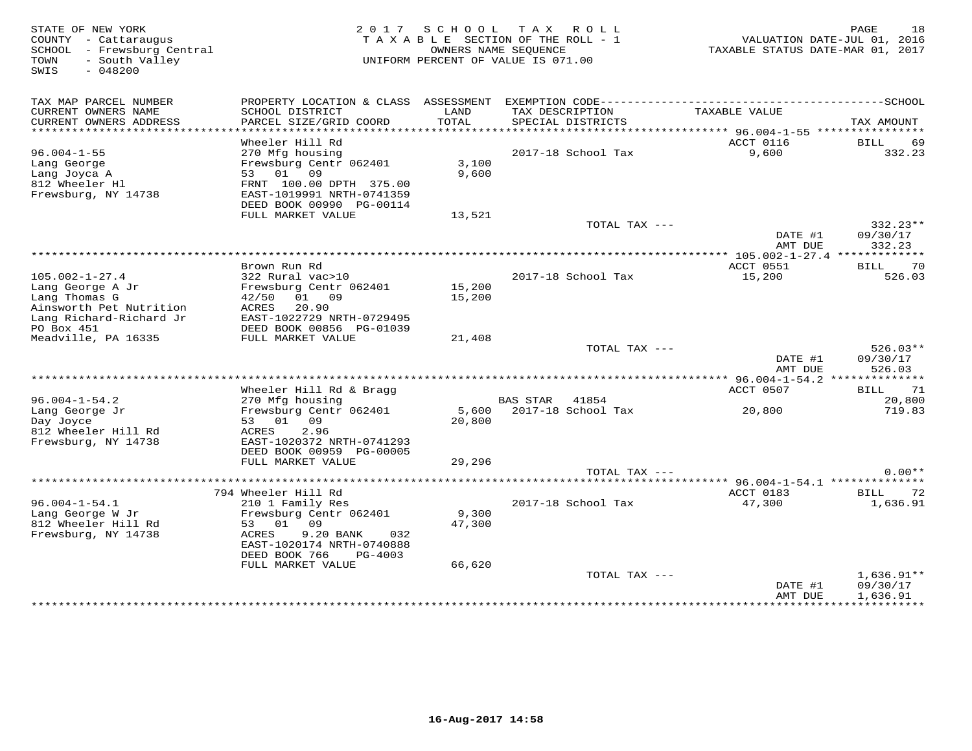STATE OF NEW YORK DRGE RESULT A SCHOOL TAX ROLL<br>COUNTY - Cattaraugus states of the SECTION OF THE ROLL - 1 when the VALUATION DATE-JUL 01, 2016<br>SCHOOL - Frewsburg Central (2017 - 2019) OWNERS NAME SEQUENCE<br>TOWN - South Val SWIS - 048200TAX MAP PARCEL NUMBER PROPERTY LOCATION & CLASS ASSESSMENT EXEMPTION CODE------------------------------------------SCHOOL CURRENT OWNERS NAME SCHOOL DISTRICT LAND TAX DESCRIPTION TAXABLE VALUE CURRENT OWNERS ADDRESS PARCEL SIZE/GRID COORD TOTAL SPECIAL DISTRICTS TAX AMOUNT \*\*\*\*\*\*\*\*\*\*\*\*\*\*\*\*\*\*\*\*\*\*\*\*\*\*\*\*\*\*\*\*\*\*\*\*\*\*\*\*\*\*\*\*\*\*\*\*\*\*\*\*\*\*\*\*\*\*\*\*\*\*\*\*\*\*\*\*\*\*\*\*\*\*\*\*\*\*\*\*\*\*\*\*\*\*\*\*\*\*\*\*\*\*\*\*\*\*\*\*\*\*\* 96.004-1-55 \*\*\*\*\*\*\*\*\*\*\*\*\*\*\*\* Wheeler Hill Rd ACCT 0116 BILL 69 96.004-1-55 270 Mfg housing 2017-18 School Tax 9,600 332.23Lang George Frewsburg Centr 062401 3,100 Lang Joyca A 53 01 09 9,600 812 Wheeler Hl FRNT 100.00 DPTH 375.00 Frewsburg, NY 14738 EAST-1019991 NRTH-0741359 DEED BOOK 00990 PG-00114FULL MARKET VALUE 13,521  $\text{TOTAL } \text{TX}$  --- $\text{DMTE}$   $\text{H}^{11}$  09/30/17 AMT DUE 332.23 \*\*\*\*\*\*\*\*\*\*\*\*\*\*\*\*\*\*\*\*\*\*\*\*\*\*\*\*\*\*\*\*\*\*\*\*\*\*\*\*\*\*\*\*\*\*\*\*\*\*\*\*\*\*\*\*\*\*\*\*\*\*\*\*\*\*\*\*\*\*\*\*\*\*\*\*\*\*\*\*\*\*\*\*\*\*\*\*\*\*\*\*\*\*\*\*\*\*\*\*\*\*\* 105.002-1-27.4 \*\*\*\*\*\*\*\*\*\*\*\*\* Brown Run Rd ACCT 0551 BILL 70105.002-1-27.4 322 Rural vac>10 2017-18 School Tax 15,200 526.03Lang George A Jr Frewsburg Centr 062401 15,200 Lang Thomas G 42/50 01 09 15,200 Ainsworth Pet Nutrition ACRES 20.90 Lang Richard-Richard Jr EAST-1022729 NRTH-0729495 PO Box 451 DEED BOOK 00856 PG-01039 Meadville, PA 16335 FULL MARKET VALUE 21,408 TOTAL TAX --- 526.03\*\*DATE #1 09/30/17<br>National parts of the state of the state of the state of the state of the state of the state of the state of t AMT DUE 526.03 \*\*\*\*\*\*\*\*\*\*\*\*\*\*\*\*\*\*\*\*\*\*\*\*\*\*\*\*\*\*\*\*\*\*\*\*\*\*\*\*\*\*\*\*\*\*\*\*\*\*\*\*\*\*\*\*\*\*\*\*\*\*\*\*\*\*\*\*\*\*\*\*\*\*\*\*\*\*\*\*\*\*\*\*\*\*\*\*\*\*\*\*\*\*\*\*\*\*\*\*\*\*\* 96.004-1-54.2 \*\*\*\*\*\*\*\*\*\*\*\*\*\*ACCT 0507 BILL 71 Wheeler Hill Rd & Bragg ACCT 0507 BILL 71 and Monetary ACCT 0507 BILL 71 and Monetary ACCT 0507 BILL 71 and Monetary ACCT 0507 BILL 71 20,800 96.004-1-54.2 270 Mfg housing BAS STAR 41854 20,800719.83 Lang George Jr Frewsburg Centr 062401 5,600 2017-18 School Tax 20,800 719.83Day Joyce 53 01 09 20,800 812 Wheeler Hill Rd ACRES 2.96 Frewsburg, NY 14738 EAST-1020372 NRTH-0741293 DEED BOOK 00959 PG-00005 FULL MARKET VALUE 29,296 TOTAL TAX --- 0.00\*\* \*\*\*\*\*\*\*\*\*\*\*\*\*\*\*\*\*\*\*\*\*\*\*\*\*\*\*\*\*\*\*\*\*\*\*\*\*\*\*\*\*\*\*\*\*\*\*\*\*\*\*\*\*\*\*\*\*\*\*\*\*\*\*\*\*\*\*\*\*\*\*\*\*\*\*\*\*\*\*\*\*\*\*\*\*\*\*\*\*\*\*\*\*\*\*\*\*\*\*\*\*\*\* 96.004-1-54.1 \*\*\*\*\*\*\*\*\*\*\*\*\*\*ACCT 0183 BILL 72 794 Wheeler Hill Rd ACCT 0183 BILL 721,636.91 96.004-1-54.1 210 1 Family Res 2017-18 School Tax 47,300 1,636.91Lang George W Jr Frewsburg Centr 062401 9,300 812 Wheeler Hill Rd 53 01 09 47,300 Frewsburg, NY 14738 ACRES 9.20 BANK 032 EAST-1020174 NRTH-0740888 DEED BOOK 766 PG-4003 FULL MARKET VALUE 66,620TOTAL TAX ---  $207A + 1$ ,  $636.91**$ <br>DATE #1 09/30/17  $DATA \texttt{AMT} \texttt{DUE} \quad \quad 1\texttt{,}636.91$ 

\*\*\*\*\*\*\*\*\*\*\*\*\*\*\*\*\*\*\*\*\*\*\*\*\*\*\*\*\*\*\*\*\*\*\*\*\*\*\*\*\*\*\*\*\*\*\*\*\*\*\*\*\*\*\*\*\*\*\*\*\*\*\*\*\*\*\*\*\*\*\*\*\*\*\*\*\*\*\*\*\*\*\*\*\*\*\*\*\*\*\*\*\*\*\*\*\*\*\*\*\*\*\*\*\*\*\*\*\*\*\*\*\*\*\*\*\*\*\*\*\*\*\*\*\*\*\*\*\*\*\*\*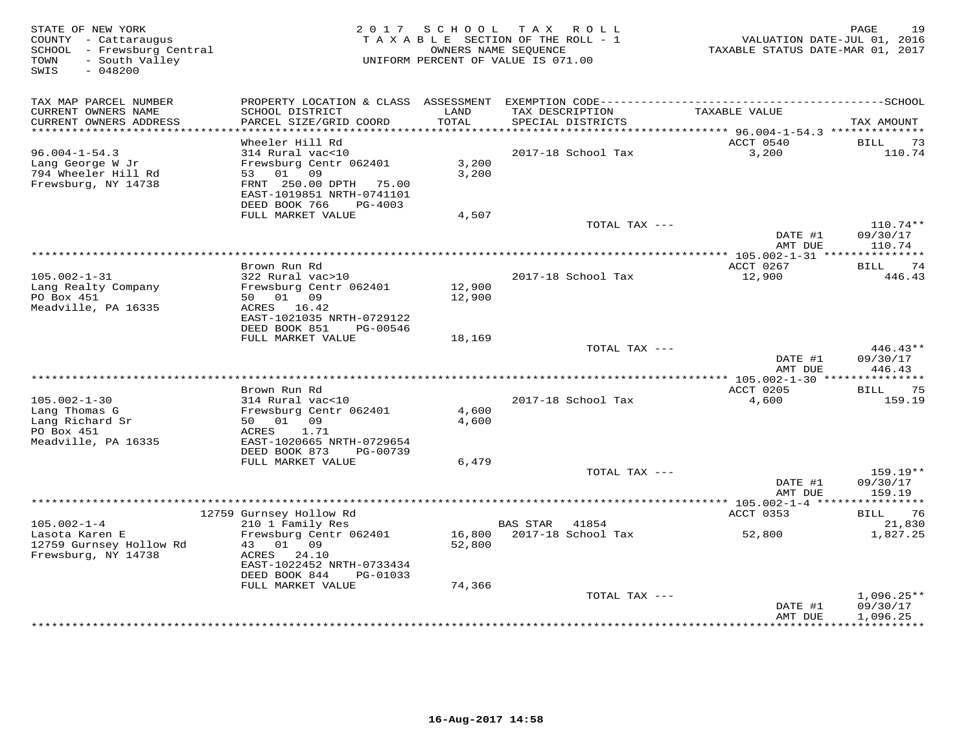| TAX MAP PARCEL NUMBER<br>PROPERTY LOCATION & CLASS ASSESSMENT<br>CURRENT OWNERS NAME<br>LAND<br>TAX DESCRIPTION<br>SCHOOL DISTRICT<br>TAXABLE VALUE<br>CURRENT OWNERS ADDRESS<br>PARCEL SIZE/GRID COORD<br>TOTAL<br>SPECIAL DISTRICTS<br>TAX AMOUNT<br>*************************<br>ACCT 0540<br>Wheeler Hill Rd<br>BILL<br>73<br>$96.004 - 1 - 54.3$<br>314 Rural vac<10<br>2017-18 School Tax<br>3,200<br>110.74<br>Lang George W Jr<br>Frewsburg Centr 062401<br>3,200<br>794 Wheeler Hill Rd<br>53 01 09<br>3,200<br>Frewsburg, NY 14738<br>FRNT 250.00 DPTH 75.00<br>EAST-1019851 NRTH-0741101<br>DEED BOOK 766<br>PG-4003<br>FULL MARKET VALUE<br>4,507<br>$110.74**$<br>TOTAL TAX ---<br>09/30/17<br>DATE #1<br>AMT DUE<br>110.74<br>Brown Run Rd<br>ACCT 0267<br>74<br>BILL<br>$105.002 - 1 - 31$<br>322 Rural vac>10<br>2017-18 School Tax<br>12,900<br>446.43<br>Lang Realty Company<br>Frewsburg Centr 062401<br>12,900<br>50 01 09<br>PO Box 451<br>12,900<br>Meadville, PA 16335<br>ACRES 16.42<br>EAST-1021035 NRTH-0729122<br>DEED BOOK 851<br>PG-00546<br>FULL MARKET VALUE<br>18,169<br>TOTAL TAX ---<br>$446.43**$<br>DATE #1<br>09/30/17<br>446.43<br>AMT DUE<br>************************<br>$*105.002 - 1 - 30$ **<br>Brown Run Rd<br>ACCT 0205<br><b>BILL</b><br>75<br>$105.002 - 1 - 30$<br>314 Rural vac<10<br>2017-18 School Tax<br>4,600<br>159.19<br>Lang Thomas G<br>Frewsburg Centr 062401<br>4,600<br>50 01 09<br>Lang Richard Sr<br>4,600<br>PO Box 451<br>ACRES<br>1.71<br>Meadville, PA 16335<br>EAST-1020665 NRTH-0729654<br>DEED BOOK 873<br>PG-00739<br>FULL MARKET VALUE<br>6,479<br>TOTAL TAX ---<br>159.19**<br>DATE #1<br>09/30/17<br>AMT DUE<br>159.19<br>* * * * * * * * * * *<br>12759 Gurnsey Hollow Rd<br>ACCT 0353<br>76<br>BILL<br>$105.002 - 1 - 4$<br>210 1 Family Res<br>21,830<br>BAS STAR<br>41854<br>Frewsburg Centr 062401<br>2017-18 School Tax<br>1,827.25<br>Lasota Karen E<br>16,800<br>52,800<br>12759 Gurnsey Hollow Rd<br>01<br>52,800<br>43<br>09<br>Frewsburg, NY 14738<br>24.10<br>ACRES<br>EAST-1022452 NRTH-0733434<br>DEED BOOK 844<br>PG-01033<br>FULL MARKET VALUE<br>74,366<br>TOTAL TAX ---<br>$1,096.25**$<br>DATE #1<br>09/30/17<br>AMT DUE<br>1,096.25 | STATE OF NEW YORK<br>COUNTY - Cattaraugus<br>SCHOOL - Frewsburg Central<br>- South Valley<br>TOWN<br>SWIS<br>$-048200$ | 2 0 1 7 | SCHOOL TAX ROLL<br>TAXABLE SECTION OF THE ROLL - 1<br>OWNERS NAME SEQUENCE<br>UNIFORM PERCENT OF VALUE IS 071.00 | VALUATION DATE-JUL 01, 2016<br>TAXABLE STATUS DATE-MAR 01, 2017 | PAGE<br>19       |
|---------------------------------------------------------------------------------------------------------------------------------------------------------------------------------------------------------------------------------------------------------------------------------------------------------------------------------------------------------------------------------------------------------------------------------------------------------------------------------------------------------------------------------------------------------------------------------------------------------------------------------------------------------------------------------------------------------------------------------------------------------------------------------------------------------------------------------------------------------------------------------------------------------------------------------------------------------------------------------------------------------------------------------------------------------------------------------------------------------------------------------------------------------------------------------------------------------------------------------------------------------------------------------------------------------------------------------------------------------------------------------------------------------------------------------------------------------------------------------------------------------------------------------------------------------------------------------------------------------------------------------------------------------------------------------------------------------------------------------------------------------------------------------------------------------------------------------------------------------------------------------------------------------------------------------------------------------------------------------------------------------------------------------------------------------------------------------------------------------------------------------------------------------------------------------------------------------------------------------|------------------------------------------------------------------------------------------------------------------------|---------|------------------------------------------------------------------------------------------------------------------|-----------------------------------------------------------------|------------------|
|                                                                                                                                                                                                                                                                                                                                                                                                                                                                                                                                                                                                                                                                                                                                                                                                                                                                                                                                                                                                                                                                                                                                                                                                                                                                                                                                                                                                                                                                                                                                                                                                                                                                                                                                                                                                                                                                                                                                                                                                                                                                                                                                                                                                                                 |                                                                                                                        |         |                                                                                                                  |                                                                 |                  |
|                                                                                                                                                                                                                                                                                                                                                                                                                                                                                                                                                                                                                                                                                                                                                                                                                                                                                                                                                                                                                                                                                                                                                                                                                                                                                                                                                                                                                                                                                                                                                                                                                                                                                                                                                                                                                                                                                                                                                                                                                                                                                                                                                                                                                                 |                                                                                                                        |         |                                                                                                                  |                                                                 |                  |
|                                                                                                                                                                                                                                                                                                                                                                                                                                                                                                                                                                                                                                                                                                                                                                                                                                                                                                                                                                                                                                                                                                                                                                                                                                                                                                                                                                                                                                                                                                                                                                                                                                                                                                                                                                                                                                                                                                                                                                                                                                                                                                                                                                                                                                 |                                                                                                                        |         |                                                                                                                  |                                                                 |                  |
|                                                                                                                                                                                                                                                                                                                                                                                                                                                                                                                                                                                                                                                                                                                                                                                                                                                                                                                                                                                                                                                                                                                                                                                                                                                                                                                                                                                                                                                                                                                                                                                                                                                                                                                                                                                                                                                                                                                                                                                                                                                                                                                                                                                                                                 |                                                                                                                        |         |                                                                                                                  |                                                                 |                  |
|                                                                                                                                                                                                                                                                                                                                                                                                                                                                                                                                                                                                                                                                                                                                                                                                                                                                                                                                                                                                                                                                                                                                                                                                                                                                                                                                                                                                                                                                                                                                                                                                                                                                                                                                                                                                                                                                                                                                                                                                                                                                                                                                                                                                                                 |                                                                                                                        |         |                                                                                                                  |                                                                 |                  |
|                                                                                                                                                                                                                                                                                                                                                                                                                                                                                                                                                                                                                                                                                                                                                                                                                                                                                                                                                                                                                                                                                                                                                                                                                                                                                                                                                                                                                                                                                                                                                                                                                                                                                                                                                                                                                                                                                                                                                                                                                                                                                                                                                                                                                                 |                                                                                                                        |         |                                                                                                                  |                                                                 |                  |
|                                                                                                                                                                                                                                                                                                                                                                                                                                                                                                                                                                                                                                                                                                                                                                                                                                                                                                                                                                                                                                                                                                                                                                                                                                                                                                                                                                                                                                                                                                                                                                                                                                                                                                                                                                                                                                                                                                                                                                                                                                                                                                                                                                                                                                 |                                                                                                                        |         |                                                                                                                  |                                                                 |                  |
|                                                                                                                                                                                                                                                                                                                                                                                                                                                                                                                                                                                                                                                                                                                                                                                                                                                                                                                                                                                                                                                                                                                                                                                                                                                                                                                                                                                                                                                                                                                                                                                                                                                                                                                                                                                                                                                                                                                                                                                                                                                                                                                                                                                                                                 |                                                                                                                        |         |                                                                                                                  |                                                                 |                  |
|                                                                                                                                                                                                                                                                                                                                                                                                                                                                                                                                                                                                                                                                                                                                                                                                                                                                                                                                                                                                                                                                                                                                                                                                                                                                                                                                                                                                                                                                                                                                                                                                                                                                                                                                                                                                                                                                                                                                                                                                                                                                                                                                                                                                                                 |                                                                                                                        |         |                                                                                                                  |                                                                 |                  |
|                                                                                                                                                                                                                                                                                                                                                                                                                                                                                                                                                                                                                                                                                                                                                                                                                                                                                                                                                                                                                                                                                                                                                                                                                                                                                                                                                                                                                                                                                                                                                                                                                                                                                                                                                                                                                                                                                                                                                                                                                                                                                                                                                                                                                                 |                                                                                                                        |         |                                                                                                                  |                                                                 |                  |
|                                                                                                                                                                                                                                                                                                                                                                                                                                                                                                                                                                                                                                                                                                                                                                                                                                                                                                                                                                                                                                                                                                                                                                                                                                                                                                                                                                                                                                                                                                                                                                                                                                                                                                                                                                                                                                                                                                                                                                                                                                                                                                                                                                                                                                 |                                                                                                                        |         |                                                                                                                  |                                                                 |                  |
|                                                                                                                                                                                                                                                                                                                                                                                                                                                                                                                                                                                                                                                                                                                                                                                                                                                                                                                                                                                                                                                                                                                                                                                                                                                                                                                                                                                                                                                                                                                                                                                                                                                                                                                                                                                                                                                                                                                                                                                                                                                                                                                                                                                                                                 |                                                                                                                        |         |                                                                                                                  |                                                                 |                  |
|                                                                                                                                                                                                                                                                                                                                                                                                                                                                                                                                                                                                                                                                                                                                                                                                                                                                                                                                                                                                                                                                                                                                                                                                                                                                                                                                                                                                                                                                                                                                                                                                                                                                                                                                                                                                                                                                                                                                                                                                                                                                                                                                                                                                                                 |                                                                                                                        |         |                                                                                                                  |                                                                 |                  |
|                                                                                                                                                                                                                                                                                                                                                                                                                                                                                                                                                                                                                                                                                                                                                                                                                                                                                                                                                                                                                                                                                                                                                                                                                                                                                                                                                                                                                                                                                                                                                                                                                                                                                                                                                                                                                                                                                                                                                                                                                                                                                                                                                                                                                                 |                                                                                                                        |         |                                                                                                                  |                                                                 |                  |
|                                                                                                                                                                                                                                                                                                                                                                                                                                                                                                                                                                                                                                                                                                                                                                                                                                                                                                                                                                                                                                                                                                                                                                                                                                                                                                                                                                                                                                                                                                                                                                                                                                                                                                                                                                                                                                                                                                                                                                                                                                                                                                                                                                                                                                 |                                                                                                                        |         |                                                                                                                  |                                                                 |                  |
|                                                                                                                                                                                                                                                                                                                                                                                                                                                                                                                                                                                                                                                                                                                                                                                                                                                                                                                                                                                                                                                                                                                                                                                                                                                                                                                                                                                                                                                                                                                                                                                                                                                                                                                                                                                                                                                                                                                                                                                                                                                                                                                                                                                                                                 |                                                                                                                        |         |                                                                                                                  |                                                                 |                  |
|                                                                                                                                                                                                                                                                                                                                                                                                                                                                                                                                                                                                                                                                                                                                                                                                                                                                                                                                                                                                                                                                                                                                                                                                                                                                                                                                                                                                                                                                                                                                                                                                                                                                                                                                                                                                                                                                                                                                                                                                                                                                                                                                                                                                                                 |                                                                                                                        |         |                                                                                                                  |                                                                 |                  |
|                                                                                                                                                                                                                                                                                                                                                                                                                                                                                                                                                                                                                                                                                                                                                                                                                                                                                                                                                                                                                                                                                                                                                                                                                                                                                                                                                                                                                                                                                                                                                                                                                                                                                                                                                                                                                                                                                                                                                                                                                                                                                                                                                                                                                                 |                                                                                                                        |         |                                                                                                                  |                                                                 |                  |
|                                                                                                                                                                                                                                                                                                                                                                                                                                                                                                                                                                                                                                                                                                                                                                                                                                                                                                                                                                                                                                                                                                                                                                                                                                                                                                                                                                                                                                                                                                                                                                                                                                                                                                                                                                                                                                                                                                                                                                                                                                                                                                                                                                                                                                 |                                                                                                                        |         |                                                                                                                  |                                                                 |                  |
|                                                                                                                                                                                                                                                                                                                                                                                                                                                                                                                                                                                                                                                                                                                                                                                                                                                                                                                                                                                                                                                                                                                                                                                                                                                                                                                                                                                                                                                                                                                                                                                                                                                                                                                                                                                                                                                                                                                                                                                                                                                                                                                                                                                                                                 |                                                                                                                        |         |                                                                                                                  |                                                                 |                  |
|                                                                                                                                                                                                                                                                                                                                                                                                                                                                                                                                                                                                                                                                                                                                                                                                                                                                                                                                                                                                                                                                                                                                                                                                                                                                                                                                                                                                                                                                                                                                                                                                                                                                                                                                                                                                                                                                                                                                                                                                                                                                                                                                                                                                                                 |                                                                                                                        |         |                                                                                                                  |                                                                 |                  |
|                                                                                                                                                                                                                                                                                                                                                                                                                                                                                                                                                                                                                                                                                                                                                                                                                                                                                                                                                                                                                                                                                                                                                                                                                                                                                                                                                                                                                                                                                                                                                                                                                                                                                                                                                                                                                                                                                                                                                                                                                                                                                                                                                                                                                                 |                                                                                                                        |         |                                                                                                                  |                                                                 |                  |
|                                                                                                                                                                                                                                                                                                                                                                                                                                                                                                                                                                                                                                                                                                                                                                                                                                                                                                                                                                                                                                                                                                                                                                                                                                                                                                                                                                                                                                                                                                                                                                                                                                                                                                                                                                                                                                                                                                                                                                                                                                                                                                                                                                                                                                 |                                                                                                                        |         |                                                                                                                  |                                                                 |                  |
|                                                                                                                                                                                                                                                                                                                                                                                                                                                                                                                                                                                                                                                                                                                                                                                                                                                                                                                                                                                                                                                                                                                                                                                                                                                                                                                                                                                                                                                                                                                                                                                                                                                                                                                                                                                                                                                                                                                                                                                                                                                                                                                                                                                                                                 |                                                                                                                        |         |                                                                                                                  |                                                                 |                  |
|                                                                                                                                                                                                                                                                                                                                                                                                                                                                                                                                                                                                                                                                                                                                                                                                                                                                                                                                                                                                                                                                                                                                                                                                                                                                                                                                                                                                                                                                                                                                                                                                                                                                                                                                                                                                                                                                                                                                                                                                                                                                                                                                                                                                                                 |                                                                                                                        |         |                                                                                                                  |                                                                 |                  |
|                                                                                                                                                                                                                                                                                                                                                                                                                                                                                                                                                                                                                                                                                                                                                                                                                                                                                                                                                                                                                                                                                                                                                                                                                                                                                                                                                                                                                                                                                                                                                                                                                                                                                                                                                                                                                                                                                                                                                                                                                                                                                                                                                                                                                                 |                                                                                                                        |         |                                                                                                                  |                                                                 |                  |
|                                                                                                                                                                                                                                                                                                                                                                                                                                                                                                                                                                                                                                                                                                                                                                                                                                                                                                                                                                                                                                                                                                                                                                                                                                                                                                                                                                                                                                                                                                                                                                                                                                                                                                                                                                                                                                                                                                                                                                                                                                                                                                                                                                                                                                 |                                                                                                                        |         |                                                                                                                  |                                                                 |                  |
|                                                                                                                                                                                                                                                                                                                                                                                                                                                                                                                                                                                                                                                                                                                                                                                                                                                                                                                                                                                                                                                                                                                                                                                                                                                                                                                                                                                                                                                                                                                                                                                                                                                                                                                                                                                                                                                                                                                                                                                                                                                                                                                                                                                                                                 |                                                                                                                        |         |                                                                                                                  |                                                                 |                  |
|                                                                                                                                                                                                                                                                                                                                                                                                                                                                                                                                                                                                                                                                                                                                                                                                                                                                                                                                                                                                                                                                                                                                                                                                                                                                                                                                                                                                                                                                                                                                                                                                                                                                                                                                                                                                                                                                                                                                                                                                                                                                                                                                                                                                                                 |                                                                                                                        |         |                                                                                                                  |                                                                 |                  |
|                                                                                                                                                                                                                                                                                                                                                                                                                                                                                                                                                                                                                                                                                                                                                                                                                                                                                                                                                                                                                                                                                                                                                                                                                                                                                                                                                                                                                                                                                                                                                                                                                                                                                                                                                                                                                                                                                                                                                                                                                                                                                                                                                                                                                                 |                                                                                                                        |         |                                                                                                                  |                                                                 |                  |
|                                                                                                                                                                                                                                                                                                                                                                                                                                                                                                                                                                                                                                                                                                                                                                                                                                                                                                                                                                                                                                                                                                                                                                                                                                                                                                                                                                                                                                                                                                                                                                                                                                                                                                                                                                                                                                                                                                                                                                                                                                                                                                                                                                                                                                 |                                                                                                                        |         |                                                                                                                  |                                                                 |                  |
|                                                                                                                                                                                                                                                                                                                                                                                                                                                                                                                                                                                                                                                                                                                                                                                                                                                                                                                                                                                                                                                                                                                                                                                                                                                                                                                                                                                                                                                                                                                                                                                                                                                                                                                                                                                                                                                                                                                                                                                                                                                                                                                                                                                                                                 |                                                                                                                        |         |                                                                                                                  |                                                                 |                  |
|                                                                                                                                                                                                                                                                                                                                                                                                                                                                                                                                                                                                                                                                                                                                                                                                                                                                                                                                                                                                                                                                                                                                                                                                                                                                                                                                                                                                                                                                                                                                                                                                                                                                                                                                                                                                                                                                                                                                                                                                                                                                                                                                                                                                                                 |                                                                                                                        |         |                                                                                                                  |                                                                 |                  |
|                                                                                                                                                                                                                                                                                                                                                                                                                                                                                                                                                                                                                                                                                                                                                                                                                                                                                                                                                                                                                                                                                                                                                                                                                                                                                                                                                                                                                                                                                                                                                                                                                                                                                                                                                                                                                                                                                                                                                                                                                                                                                                                                                                                                                                 |                                                                                                                        |         |                                                                                                                  |                                                                 |                  |
|                                                                                                                                                                                                                                                                                                                                                                                                                                                                                                                                                                                                                                                                                                                                                                                                                                                                                                                                                                                                                                                                                                                                                                                                                                                                                                                                                                                                                                                                                                                                                                                                                                                                                                                                                                                                                                                                                                                                                                                                                                                                                                                                                                                                                                 |                                                                                                                        |         |                                                                                                                  |                                                                 |                  |
|                                                                                                                                                                                                                                                                                                                                                                                                                                                                                                                                                                                                                                                                                                                                                                                                                                                                                                                                                                                                                                                                                                                                                                                                                                                                                                                                                                                                                                                                                                                                                                                                                                                                                                                                                                                                                                                                                                                                                                                                                                                                                                                                                                                                                                 |                                                                                                                        |         |                                                                                                                  |                                                                 |                  |
|                                                                                                                                                                                                                                                                                                                                                                                                                                                                                                                                                                                                                                                                                                                                                                                                                                                                                                                                                                                                                                                                                                                                                                                                                                                                                                                                                                                                                                                                                                                                                                                                                                                                                                                                                                                                                                                                                                                                                                                                                                                                                                                                                                                                                                 |                                                                                                                        |         |                                                                                                                  |                                                                 |                  |
|                                                                                                                                                                                                                                                                                                                                                                                                                                                                                                                                                                                                                                                                                                                                                                                                                                                                                                                                                                                                                                                                                                                                                                                                                                                                                                                                                                                                                                                                                                                                                                                                                                                                                                                                                                                                                                                                                                                                                                                                                                                                                                                                                                                                                                 |                                                                                                                        |         |                                                                                                                  |                                                                 |                  |
|                                                                                                                                                                                                                                                                                                                                                                                                                                                                                                                                                                                                                                                                                                                                                                                                                                                                                                                                                                                                                                                                                                                                                                                                                                                                                                                                                                                                                                                                                                                                                                                                                                                                                                                                                                                                                                                                                                                                                                                                                                                                                                                                                                                                                                 |                                                                                                                        |         |                                                                                                                  |                                                                 |                  |
|                                                                                                                                                                                                                                                                                                                                                                                                                                                                                                                                                                                                                                                                                                                                                                                                                                                                                                                                                                                                                                                                                                                                                                                                                                                                                                                                                                                                                                                                                                                                                                                                                                                                                                                                                                                                                                                                                                                                                                                                                                                                                                                                                                                                                                 |                                                                                                                        |         |                                                                                                                  |                                                                 |                  |
|                                                                                                                                                                                                                                                                                                                                                                                                                                                                                                                                                                                                                                                                                                                                                                                                                                                                                                                                                                                                                                                                                                                                                                                                                                                                                                                                                                                                                                                                                                                                                                                                                                                                                                                                                                                                                                                                                                                                                                                                                                                                                                                                                                                                                                 |                                                                                                                        |         |                                                                                                                  |                                                                 |                  |
|                                                                                                                                                                                                                                                                                                                                                                                                                                                                                                                                                                                                                                                                                                                                                                                                                                                                                                                                                                                                                                                                                                                                                                                                                                                                                                                                                                                                                                                                                                                                                                                                                                                                                                                                                                                                                                                                                                                                                                                                                                                                                                                                                                                                                                 |                                                                                                                        |         |                                                                                                                  |                                                                 |                  |
|                                                                                                                                                                                                                                                                                                                                                                                                                                                                                                                                                                                                                                                                                                                                                                                                                                                                                                                                                                                                                                                                                                                                                                                                                                                                                                                                                                                                                                                                                                                                                                                                                                                                                                                                                                                                                                                                                                                                                                                                                                                                                                                                                                                                                                 |                                                                                                                        |         |                                                                                                                  |                                                                 |                  |
|                                                                                                                                                                                                                                                                                                                                                                                                                                                                                                                                                                                                                                                                                                                                                                                                                                                                                                                                                                                                                                                                                                                                                                                                                                                                                                                                                                                                                                                                                                                                                                                                                                                                                                                                                                                                                                                                                                                                                                                                                                                                                                                                                                                                                                 |                                                                                                                        |         |                                                                                                                  |                                                                 | <b>+++++++++</b> |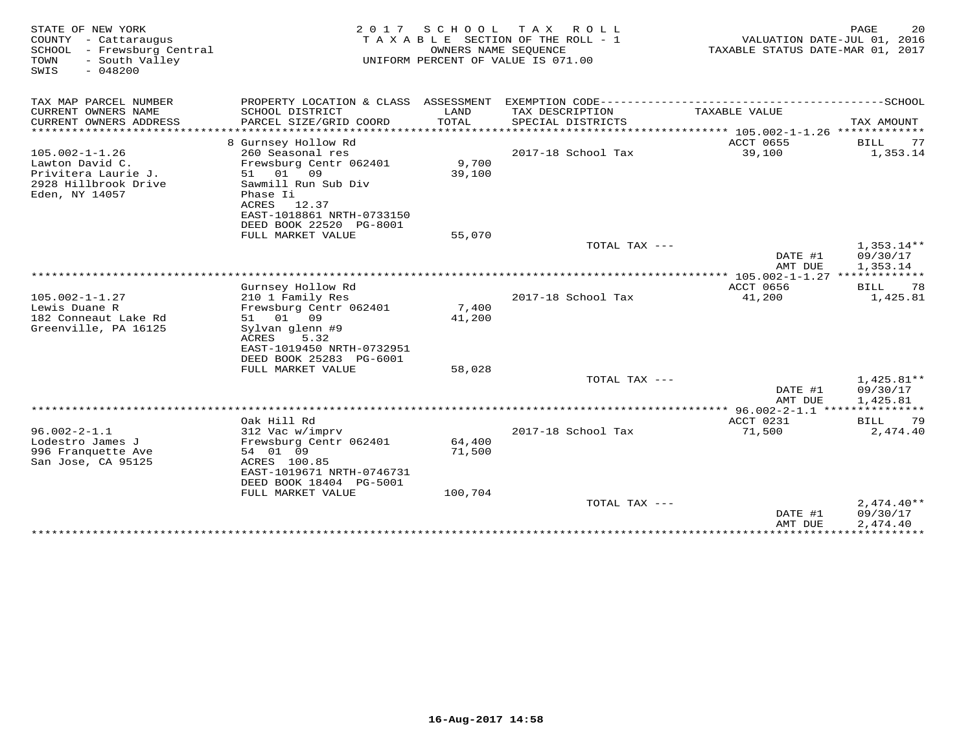| STATE OF NEW YORK<br>COUNTY - Cattaraugus<br>- Frewsburg Central<br>SCHOOL<br>- South Valley<br>TOWN<br>$-048200$<br>SWIS | 2 0 1 7                                                                                                                                                                                  | SCHOOL<br>OWNERS NAME SEOUENCE | T A X<br>R O L L<br>TAXABLE SECTION OF THE ROLL - 1<br>UNIFORM PERCENT OF VALUE IS 071.00 | TAXABLE STATUS DATE-MAR 01, 2017 | PAGE<br>20<br>VALUATION DATE-JUL 01, 2016 |
|---------------------------------------------------------------------------------------------------------------------------|------------------------------------------------------------------------------------------------------------------------------------------------------------------------------------------|--------------------------------|-------------------------------------------------------------------------------------------|----------------------------------|-------------------------------------------|
| TAX MAP PARCEL NUMBER                                                                                                     |                                                                                                                                                                                          |                                |                                                                                           |                                  |                                           |
| CURRENT OWNERS NAME<br>CURRENT OWNERS ADDRESS<br>**********************                                                   | SCHOOL DISTRICT<br>PARCEL SIZE/GRID COORD                                                                                                                                                | LAND<br>TOTAL                  | TAX DESCRIPTION<br>SPECIAL DISTRICTS                                                      | TAXABLE VALUE                    | TAX AMOUNT                                |
|                                                                                                                           | 8 Gurnsey Hollow Rd                                                                                                                                                                      |                                |                                                                                           | <b>ACCT 0655</b>                 | <b>BILL</b><br>77                         |
| $105.002 - 1 - 1.26$<br>Lawton David C.<br>Privitera Laurie J.<br>2928 Hillbrook Drive<br>Eden, NY 14057                  | 260 Seasonal res<br>Frewsburg Centr 062401<br>51 01 09<br>Sawmill Run Sub Div<br>Phase Ii<br>ACRES<br>12.37<br>EAST-1018861 NRTH-0733150<br>DEED BOOK 22520 PG-8001<br>FULL MARKET VALUE | 9,700<br>39,100<br>55,070      | 2017-18 School Tax                                                                        | 39,100                           | 1,353.14                                  |
|                                                                                                                           |                                                                                                                                                                                          |                                | TOTAL TAX ---                                                                             | DATE #1                          | 1,353.14**<br>09/30/17                    |
|                                                                                                                           |                                                                                                                                                                                          |                                |                                                                                           | AMT DUE                          | 1,353.14                                  |
|                                                                                                                           | Gurnsey Hollow Rd                                                                                                                                                                        |                                |                                                                                           | ACCT 0656                        | 78<br><b>BILL</b>                         |
| $105.002 - 1 - 1.27$<br>Lewis Duane R<br>182 Conneaut Lake Rd                                                             | 210 1 Family Res<br>Frewsburg Centr 062401<br>01<br>09<br>51                                                                                                                             | 7,400<br>41,200                | 2017-18 School Tax                                                                        | 41,200                           | 1,425.81                                  |
| Greenville, PA 16125                                                                                                      | Sylvan glenn #9<br>ACRES<br>5.32<br>EAST-1019450 NRTH-0732951<br>DEED BOOK 25283 PG-6001                                                                                                 |                                |                                                                                           |                                  |                                           |
|                                                                                                                           | FULL MARKET VALUE                                                                                                                                                                        | 58,028                         |                                                                                           |                                  |                                           |
|                                                                                                                           |                                                                                                                                                                                          |                                | TOTAL TAX ---                                                                             | DATE #1<br>AMT DUE               | $1.425.81**$<br>09/30/17<br>1,425.81      |
|                                                                                                                           |                                                                                                                                                                                          |                                |                                                                                           |                                  |                                           |
|                                                                                                                           | Oak Hill Rd                                                                                                                                                                              |                                |                                                                                           | ACCT 0231                        | 79<br>BILL                                |
| $96.002 - 2 - 1.1$<br>Lodestro James J<br>996 Franquette Ave<br>San Jose, CA 95125                                        | 312 Vac w/imprv<br>Frewsburg Centr 062401<br>54 01 09<br>ACRES 100.85<br>EAST-1019671 NRTH-0746731<br>DEED BOOK 18404 PG-5001<br>FULL MARKET VALUE                                       | 64,400<br>71,500<br>100,704    | 2017-18 School Tax                                                                        | 71,500                           | 2,474.40                                  |
|                                                                                                                           |                                                                                                                                                                                          |                                | TOTAL TAX ---                                                                             | DATE #1<br>AMT DUE               | $2,474.40**$<br>09/30/17<br>2,474.40      |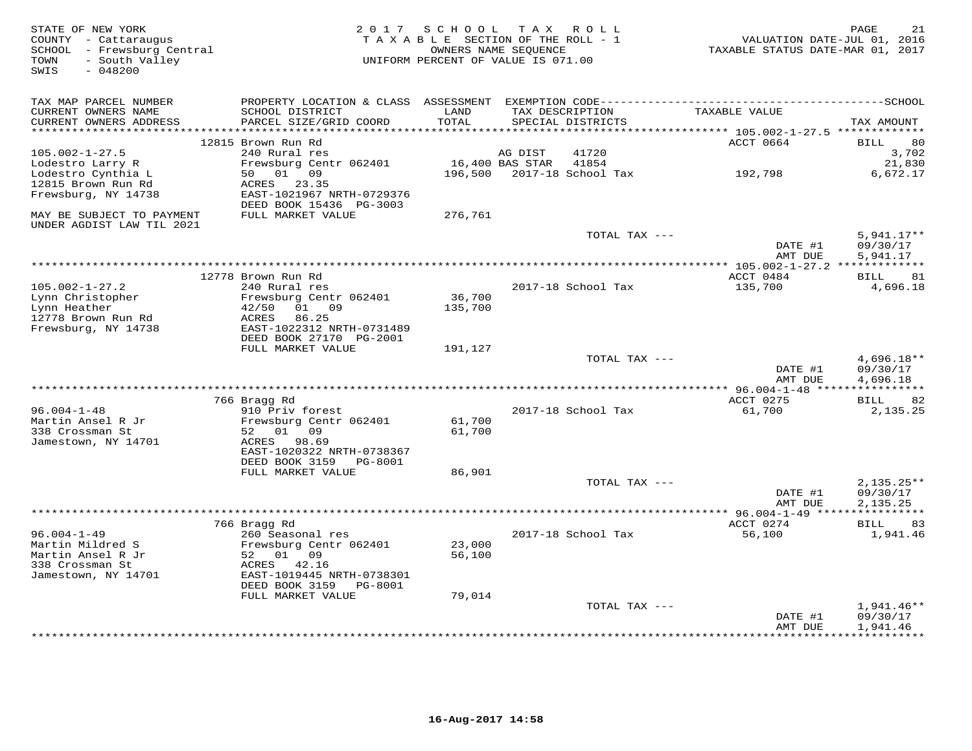| STATE OF NEW YORK<br>COUNTY - Cattaraugus<br>SCHOOL - Frewsburg Central<br>- South Valley<br>TOWN<br>$-048200$<br>SWIS | 2 0 1 7                                                                                                                                   | SCHOOL<br>TAXABLE SECTION OF THE ROLL - 1<br>UNIFORM PERCENT OF VALUE IS 071.00 | OWNERS NAME SEOUENCE | TAX ROLL                    | TAXABLE STATUS DATE-MAR 01, 2017                          | 21<br>PAGE<br>VALUATION DATE-JUL 01, 2016 |
|------------------------------------------------------------------------------------------------------------------------|-------------------------------------------------------------------------------------------------------------------------------------------|---------------------------------------------------------------------------------|----------------------|-----------------------------|-----------------------------------------------------------|-------------------------------------------|
| TAX MAP PARCEL NUMBER<br>CURRENT OWNERS NAME<br>CURRENT OWNERS ADDRESS                                                 | PROPERTY LOCATION & CLASS ASSESSMENT EXEMPTION CODE-----------------------------------SCHOOL<br>SCHOOL DISTRICT<br>PARCEL SIZE/GRID COORD | LAND<br>TOTAL                                                                   | TAX DESCRIPTION      | SPECIAL DISTRICTS           | TAXABLE VALUE                                             | TAX AMOUNT                                |
| **********************                                                                                                 |                                                                                                                                           | *******                                                                         |                      |                             | **************************** 105.002-1-27.5 ************* |                                           |
|                                                                                                                        | 12815 Brown Run Rd                                                                                                                        |                                                                                 |                      |                             | ACCT 0664                                                 | 80<br><b>BILL</b>                         |
| $105.002 - 1 - 27.5$                                                                                                   | 240 Rural res                                                                                                                             |                                                                                 | AG DIST              | 41720                       |                                                           | 3,702                                     |
| Lodestro Larry R<br>Lodestro Cynthia L                                                                                 | Frewsburg Centr 062401<br>01 09<br>50                                                                                                     | 196,500                                                                         | 16,400 BAS STAR      | 41854<br>2017-18 School Tax |                                                           | 21,830<br>6,672.17                        |
| 12815 Brown Run Rd                                                                                                     | ACRES<br>23.35                                                                                                                            |                                                                                 |                      |                             | 192,798                                                   |                                           |
| Frewsburg, NY 14738                                                                                                    | EAST-1021967 NRTH-0729376<br>DEED BOOK 15436 PG-3003                                                                                      |                                                                                 |                      |                             |                                                           |                                           |
| MAY BE SUBJECT TO PAYMENT<br>UNDER AGDIST LAW TIL 2021                                                                 | FULL MARKET VALUE                                                                                                                         | 276,761                                                                         |                      |                             |                                                           |                                           |
|                                                                                                                        |                                                                                                                                           |                                                                                 |                      | TOTAL TAX ---               |                                                           | $5,941.17**$                              |
|                                                                                                                        |                                                                                                                                           |                                                                                 |                      |                             | DATE #1<br>AMT DUE                                        | 09/30/17<br>5,941.17                      |
|                                                                                                                        |                                                                                                                                           |                                                                                 |                      |                             |                                                           |                                           |
| $105.002 - 1 - 27.2$                                                                                                   | 12778 Brown Run Rd<br>240 Rural res                                                                                                       |                                                                                 |                      | 2017-18 School Tax          | ACCT 0484<br>135,700                                      | 81<br>BILL<br>4,696.18                    |
| Lynn Christopher                                                                                                       | Frewsburg Centr 062401                                                                                                                    | 36,700                                                                          |                      |                             |                                                           |                                           |
| Lynn Heather                                                                                                           | 42/50<br>01 09                                                                                                                            | 135,700                                                                         |                      |                             |                                                           |                                           |
| 12778 Brown Run Rd                                                                                                     | ACRES<br>86.25                                                                                                                            |                                                                                 |                      |                             |                                                           |                                           |
| Frewsburg, NY 14738                                                                                                    | EAST-1022312 NRTH-0731489<br>DEED BOOK 27170 PG-2001                                                                                      |                                                                                 |                      |                             |                                                           |                                           |
|                                                                                                                        | FULL MARKET VALUE                                                                                                                         | 191,127                                                                         |                      |                             |                                                           |                                           |
|                                                                                                                        |                                                                                                                                           |                                                                                 |                      | TOTAL TAX ---               |                                                           | $4,696.18**$                              |
|                                                                                                                        |                                                                                                                                           |                                                                                 |                      |                             | DATE #1                                                   | 09/30/17                                  |
|                                                                                                                        |                                                                                                                                           |                                                                                 |                      |                             | AMT DUE                                                   | 4,696.18                                  |
|                                                                                                                        | 766 Bragg Rd                                                                                                                              |                                                                                 |                      |                             | ACCT 0275                                                 | 82<br>BILL                                |
| $96.004 - 1 - 48$                                                                                                      | 910 Priv forest                                                                                                                           |                                                                                 |                      | 2017-18 School Tax          | 61,700                                                    | 2,135.25                                  |
| Martin Ansel R Jr                                                                                                      | Frewsburg Centr 062401                                                                                                                    | 61,700                                                                          |                      |                             |                                                           |                                           |
| 338 Crossman St                                                                                                        | 52<br>01<br>09                                                                                                                            | 61,700                                                                          |                      |                             |                                                           |                                           |
| Jamestown, NY 14701                                                                                                    | 98.69<br>ACRES                                                                                                                            |                                                                                 |                      |                             |                                                           |                                           |
|                                                                                                                        | EAST-1020322 NRTH-0738367<br>DEED BOOK 3159<br>PG-8001                                                                                    |                                                                                 |                      |                             |                                                           |                                           |
|                                                                                                                        | FULL MARKET VALUE                                                                                                                         | 86,901                                                                          |                      |                             |                                                           |                                           |
|                                                                                                                        |                                                                                                                                           |                                                                                 |                      | TOTAL TAX ---               |                                                           | $2,135.25**$                              |
|                                                                                                                        |                                                                                                                                           |                                                                                 |                      |                             | DATE #1                                                   | 09/30/17                                  |
|                                                                                                                        |                                                                                                                                           |                                                                                 |                      |                             | AMT DUE                                                   | 2.135.25                                  |
|                                                                                                                        | 766 Bragg Rd                                                                                                                              |                                                                                 |                      |                             | ACCT 0274                                                 | BILL<br>83                                |
| $96.004 - 1 - 49$                                                                                                      | 260 Seasonal res                                                                                                                          |                                                                                 |                      | 2017-18 School Tax          | 56,100                                                    | 1,941.46                                  |
| Martin Mildred S                                                                                                       | Frewsburg Centr 062401                                                                                                                    | 23,000                                                                          |                      |                             |                                                           |                                           |
| Martin Ansel R Jr                                                                                                      | 52 01 09                                                                                                                                  | 56,100                                                                          |                      |                             |                                                           |                                           |
| 338 Crossman St                                                                                                        | ACRES<br>42.16                                                                                                                            |                                                                                 |                      |                             |                                                           |                                           |
| Jamestown, NY 14701                                                                                                    | EAST-1019445 NRTH-0738301<br>DEED BOOK 3159<br>PG-8001                                                                                    |                                                                                 |                      |                             |                                                           |                                           |
|                                                                                                                        | FULL MARKET VALUE                                                                                                                         | 79,014                                                                          |                      |                             |                                                           |                                           |
|                                                                                                                        |                                                                                                                                           |                                                                                 |                      | TOTAL TAX ---               |                                                           | $1,941.46**$                              |
|                                                                                                                        |                                                                                                                                           |                                                                                 |                      |                             | DATE #1                                                   | 09/30/17                                  |
|                                                                                                                        |                                                                                                                                           |                                                                                 |                      |                             | AMT DUE                                                   | 1,941.46<br>* * * * * * * * *             |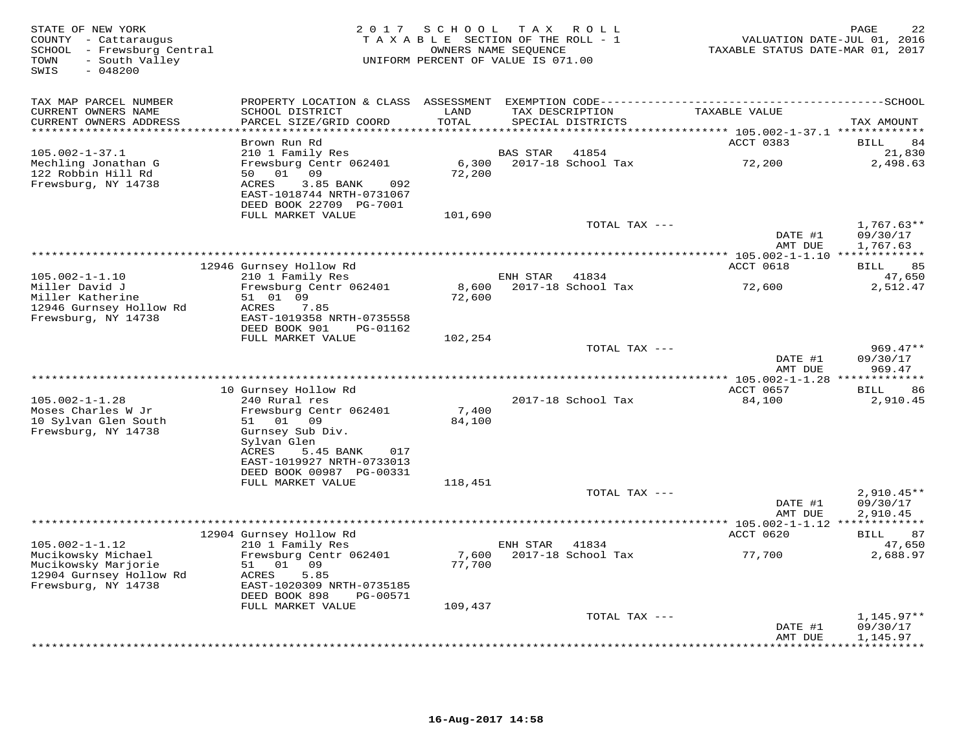| STATE OF NEW YORK<br>COUNTY - Cattaraugus<br>SCHOOL - Frewsburg Central<br>- South Valley<br>TOWN<br>SWIS<br>$-048200$ | 2 0 1 7                                                                                                                                                                  | SCHOOL<br>TAXABLE SECTION OF THE ROLL - 1<br>UNIFORM PERCENT OF VALUE IS 071.00 | T A X<br>OWNERS NAME SEQUENCE | R O L L                     | TAXABLE STATUS DATE-MAR 01, 2017        | 22<br>PAGE<br>VALUATION DATE-JUL 01, 2016 |
|------------------------------------------------------------------------------------------------------------------------|--------------------------------------------------------------------------------------------------------------------------------------------------------------------------|---------------------------------------------------------------------------------|-------------------------------|-----------------------------|-----------------------------------------|-------------------------------------------|
| TAX MAP PARCEL NUMBER<br>CURRENT OWNERS NAME                                                                           | PROPERTY LOCATION & CLASS ASSESSMENT EXEMPTION CODE------------------------<br>SCHOOL DISTRICT                                                                           | LAND                                                                            | TAX DESCRIPTION               |                             | TAXABLE VALUE                           | $---------SCH OOL$                        |
| CURRENT OWNERS ADDRESS<br>***********************                                                                      | PARCEL SIZE/GRID COORD<br>**********************                                                                                                                         | TOTAL<br>************                                                           |                               | SPECIAL DISTRICTS           |                                         | TAX AMOUNT                                |
|                                                                                                                        | Brown Run Rd                                                                                                                                                             |                                                                                 |                               |                             | ACCT 0383                               | 84<br><b>BILL</b>                         |
| $105.002 - 1 - 37.1$                                                                                                   | 210 1 Family Res                                                                                                                                                         |                                                                                 | <b>BAS STAR</b>               | 41854                       |                                         | 21,830                                    |
| Mechling Jonathan G<br>122 Robbin Hill Rd<br>Frewsburg, NY 14738                                                       | Frewsburg Centr 062401<br>50 01 09<br>ACRES<br>3.85 BANK<br>092<br>EAST-1018744 NRTH-0731067<br>DEED BOOK 22709 PG-7001                                                  | 6,300<br>72,200                                                                 |                               | 2017-18 School Tax          | 72,200                                  | 2,498.63                                  |
|                                                                                                                        | FULL MARKET VALUE                                                                                                                                                        | 101,690                                                                         |                               |                             |                                         |                                           |
|                                                                                                                        |                                                                                                                                                                          |                                                                                 |                               | TOTAL TAX ---               | DATE #1<br>AMT DUE                      | $1,767.63**$<br>09/30/17<br>1,767.63      |
|                                                                                                                        |                                                                                                                                                                          |                                                                                 |                               |                             |                                         |                                           |
|                                                                                                                        | 12946 Gurnsey Hollow Rd                                                                                                                                                  |                                                                                 |                               |                             | ACCT 0618                               | 85<br>BILL                                |
| $105.002 - 1 - 1.10$<br>Miller David J                                                                                 | 210 1 Family Res<br>Frewsburg Centr 062401                                                                                                                               | 8,600                                                                           | ENH STAR                      | 41834<br>2017-18 School Tax | 72,600                                  | 47,650<br>2,512.47                        |
| Miller Katherine<br>12946 Gurnsey Hollow Rd<br>Frewsburg, NY 14738                                                     | 51 01 09<br>ACRES<br>7.85<br>EAST-1019358 NRTH-0735558<br>DEED BOOK 901<br>PG-01162                                                                                      | 72,600                                                                          |                               |                             |                                         |                                           |
|                                                                                                                        | FULL MARKET VALUE                                                                                                                                                        | 102,254                                                                         |                               |                             |                                         |                                           |
|                                                                                                                        |                                                                                                                                                                          |                                                                                 |                               | TOTAL TAX ---               | DATE #1                                 | $969.47**$<br>09/30/17                    |
|                                                                                                                        |                                                                                                                                                                          |                                                                                 |                               |                             | AMT DUE<br>$* 105.002 - 1 - 1.28 **$    | 969.47<br>* * * * * * * * *               |
|                                                                                                                        | 10 Gurnsey Hollow Rd                                                                                                                                                     |                                                                                 |                               |                             | ACCT 0657                               | BILL<br>86                                |
| $105.002 - 1 - 1.28$                                                                                                   | 240 Rural res                                                                                                                                                            |                                                                                 |                               | 2017-18 School Tax          | 84,100                                  | 2,910.45                                  |
| Moses Charles W Jr<br>10 Sylvan Glen South<br>Frewsburg, NY 14738                                                      | Frewsburg Centr 062401<br>51<br>01<br>09<br>Gurnsey Sub Div.<br>Sylvan Glen<br><b>ACRES</b><br>5.45 BANK<br>017<br>EAST-1019927 NRTH-0733013<br>DEED BOOK 00987 PG-00331 | 7,400<br>84,100                                                                 |                               |                             |                                         |                                           |
|                                                                                                                        | FULL MARKET VALUE                                                                                                                                                        | 118,451                                                                         |                               |                             |                                         |                                           |
|                                                                                                                        |                                                                                                                                                                          |                                                                                 |                               | TOTAL TAX ---               | DATE #1<br>AMT DUE                      | $2,910.45**$<br>09/30/17<br>2,910.45      |
|                                                                                                                        |                                                                                                                                                                          |                                                                                 |                               |                             | ********** 105.002-1-1.12 ************* |                                           |
| $105.002 - 1 - 1.12$                                                                                                   | 12904 Gurnsey Hollow Rd<br>210 1 Family Res                                                                                                                              |                                                                                 | ENH STAR                      | 41834                       | ACCT 0620                               | 87<br>BILL<br>47,650                      |
| Mucikowsky Michael<br>Mucikowsky Marjorie<br>12904 Gurnsey Hollow Rd<br>Frewsburg, NY 14738                            | Frewsburg Centr 062401<br>51<br>01 09<br>ACRES<br>5.85<br>EAST-1020309 NRTH-0735185<br>DEED BOOK 898<br>PG-00571<br>FULL MARKET VALUE                                    | 7,600<br>77,700<br>109,437                                                      |                               | 2017-18 School Tax          | 77,700                                  | 2,688.97                                  |
|                                                                                                                        |                                                                                                                                                                          |                                                                                 |                               | TOTAL TAX ---               |                                         | $1,145.97**$                              |
|                                                                                                                        |                                                                                                                                                                          |                                                                                 |                               |                             | DATE #1<br>AMT DUE                      | 09/30/17<br>1,145.97                      |
|                                                                                                                        |                                                                                                                                                                          |                                                                                 |                               |                             |                                         | *********                                 |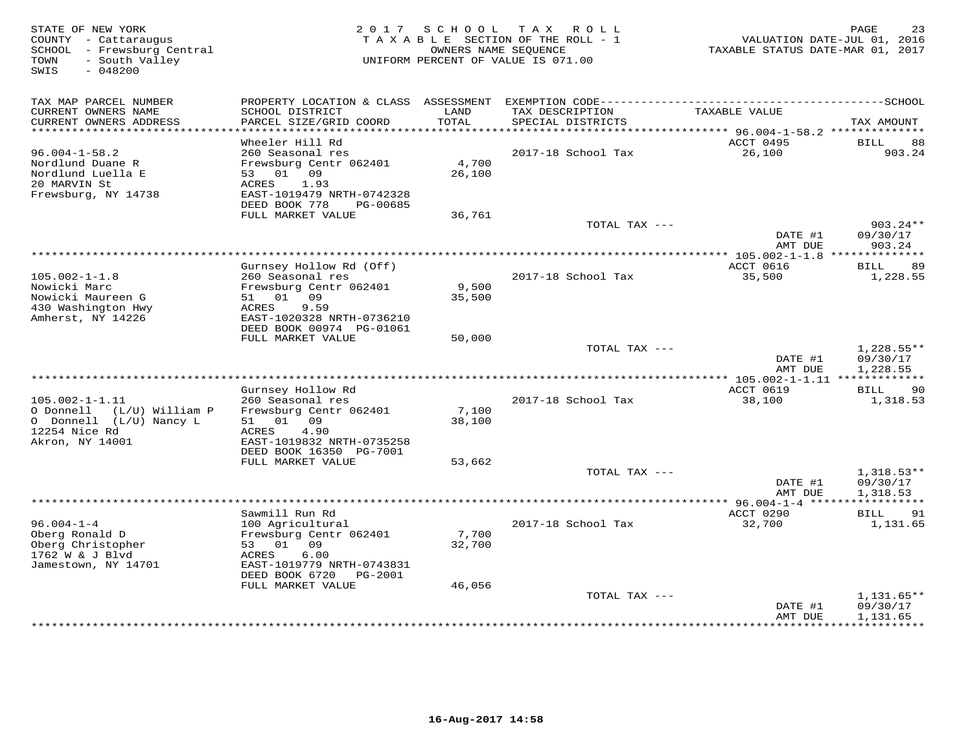| STATE OF NEW YORK<br>COUNTY - Cattaraugus<br>SCHOOL - Frewsburg Central<br>- South Valley<br>TOWN<br>SWIS<br>$-048200$ |                                                        | 2017 SCHOOL   | T A X<br>R O L L<br>TAXABLE SECTION OF THE ROLL - 1<br>OWNERS NAME SEOUENCE<br>UNIFORM PERCENT OF VALUE IS 071.00 | VALUATION DATE-JUL 01, 2016<br>TAXABLE STATUS DATE-MAR 01, 2017 | PAGE<br>23              |
|------------------------------------------------------------------------------------------------------------------------|--------------------------------------------------------|---------------|-------------------------------------------------------------------------------------------------------------------|-----------------------------------------------------------------|-------------------------|
| TAX MAP PARCEL NUMBER                                                                                                  |                                                        |               |                                                                                                                   |                                                                 |                         |
| CURRENT OWNERS NAME<br>CURRENT OWNERS ADDRESS<br>**********************                                                | SCHOOL DISTRICT<br>PARCEL SIZE/GRID COORD              | LAND<br>TOTAL | TAX DESCRIPTION<br>SPECIAL DISTRICTS                                                                              | TAXABLE VALUE                                                   | TAX AMOUNT              |
|                                                                                                                        | Wheeler Hill Rd                                        |               |                                                                                                                   | ACCT 0495                                                       | BILL<br>88              |
| $96.004 - 1 - 58.2$                                                                                                    | 260 Seasonal res                                       |               | 2017-18 School Tax                                                                                                | 26,100                                                          | 903.24                  |
| Nordlund Duane R                                                                                                       | Frewsburg Centr 062401                                 | 4,700         |                                                                                                                   |                                                                 |                         |
| Nordlund Luella E                                                                                                      | 09<br>53<br>01                                         | 26,100        |                                                                                                                   |                                                                 |                         |
| 20 MARVIN St                                                                                                           | 1.93<br>ACRES                                          |               |                                                                                                                   |                                                                 |                         |
| Frewsburg, NY 14738                                                                                                    | EAST-1019479 NRTH-0742328<br>DEED BOOK 778<br>PG-00685 |               |                                                                                                                   |                                                                 |                         |
|                                                                                                                        | FULL MARKET VALUE                                      | 36,761        |                                                                                                                   |                                                                 |                         |
|                                                                                                                        |                                                        |               | TOTAL TAX ---                                                                                                     |                                                                 | $903.24**$              |
|                                                                                                                        |                                                        |               |                                                                                                                   | DATE #1<br>AMT DUE                                              | 09/30/17<br>903.24      |
|                                                                                                                        |                                                        |               |                                                                                                                   | ACCT 0616                                                       | 89                      |
| $105.002 - 1 - 1.8$                                                                                                    | Gurnsey Hollow Rd (Off)<br>260 Seasonal res            |               | 2017-18 School Tax                                                                                                | 35,500                                                          | <b>BILL</b><br>1,228.55 |
| Nowicki Marc                                                                                                           | Frewsburg Centr 062401                                 | 9,500         |                                                                                                                   |                                                                 |                         |
| Nowicki Maureen G                                                                                                      | 51<br>01<br>09                                         | 35,500        |                                                                                                                   |                                                                 |                         |
| 430 Washington Hwy                                                                                                     | 9.59<br>ACRES                                          |               |                                                                                                                   |                                                                 |                         |
| Amherst, NY 14226                                                                                                      | EAST-1020328 NRTH-0736210<br>DEED BOOK 00974 PG-01061  |               |                                                                                                                   |                                                                 |                         |
|                                                                                                                        | FULL MARKET VALUE                                      | 50,000        |                                                                                                                   |                                                                 |                         |
|                                                                                                                        |                                                        |               | TOTAL TAX ---                                                                                                     |                                                                 | $1,228.55**$            |
|                                                                                                                        |                                                        |               |                                                                                                                   | DATE #1                                                         | 09/30/17                |
|                                                                                                                        |                                                        |               |                                                                                                                   | AMT DUE                                                         | 1,228.55<br>*********** |
|                                                                                                                        | Gurnsey Hollow Rd                                      |               |                                                                                                                   | ACCT 0619                                                       | BILL<br>90              |
| $105.002 - 1 - 1.11$                                                                                                   | 260 Seasonal res                                       |               | 2017-18 School Tax                                                                                                | 38,100                                                          | 1,318.53                |
| O Donnell (L/U) William P                                                                                              | Frewsburg Centr 062401                                 | 7,100         |                                                                                                                   |                                                                 |                         |
| O Donnell (L/U) Nancy L                                                                                                | 01 09<br>51                                            | 38,100        |                                                                                                                   |                                                                 |                         |
| 12254 Nice Rd<br>Akron, NY 14001                                                                                       | 4.90<br>ACRES<br>EAST-1019832 NRTH-0735258             |               |                                                                                                                   |                                                                 |                         |
|                                                                                                                        | DEED BOOK 16350 PG-7001                                |               |                                                                                                                   |                                                                 |                         |
|                                                                                                                        | FULL MARKET VALUE                                      | 53,662        |                                                                                                                   |                                                                 |                         |
|                                                                                                                        |                                                        |               | TOTAL TAX ---                                                                                                     |                                                                 | $1,318.53**$            |
|                                                                                                                        |                                                        |               |                                                                                                                   | DATE #1                                                         | 09/30/17                |
|                                                                                                                        |                                                        |               |                                                                                                                   | AMT DUE<br>***************** 96.004-1-4 *****                   | 1,318.53<br>*********** |
|                                                                                                                        | Sawmill Run Rd                                         |               |                                                                                                                   | ACCT 0290                                                       | 91<br>BILL              |
| $96.004 - 1 - 4$                                                                                                       | 100 Agricultural                                       |               | 2017-18 School Tax                                                                                                | 32,700                                                          | 1,131.65                |
| Oberg Ronald D                                                                                                         | Frewsburg Centr 062401                                 | 7,700         |                                                                                                                   |                                                                 |                         |
| Oberg Christopher                                                                                                      | 53<br>01<br>09                                         | 32,700        |                                                                                                                   |                                                                 |                         |
| 1762 W & J Blvd<br>Jamestown, NY 14701                                                                                 | 6.00<br>ACRES<br>EAST-1019779 NRTH-0743831             |               |                                                                                                                   |                                                                 |                         |
|                                                                                                                        | DEED BOOK 6720<br>PG-2001                              |               |                                                                                                                   |                                                                 |                         |
|                                                                                                                        | FULL MARKET VALUE                                      | 46,056        |                                                                                                                   |                                                                 |                         |
|                                                                                                                        |                                                        |               | TOTAL TAX ---                                                                                                     |                                                                 | $1,131.65**$            |
|                                                                                                                        |                                                        |               |                                                                                                                   | DATE #1<br>AMT DUE                                              | 09/30/17<br>1,131.65    |
|                                                                                                                        |                                                        |               |                                                                                                                   |                                                                 | <b>+++++++++</b>        |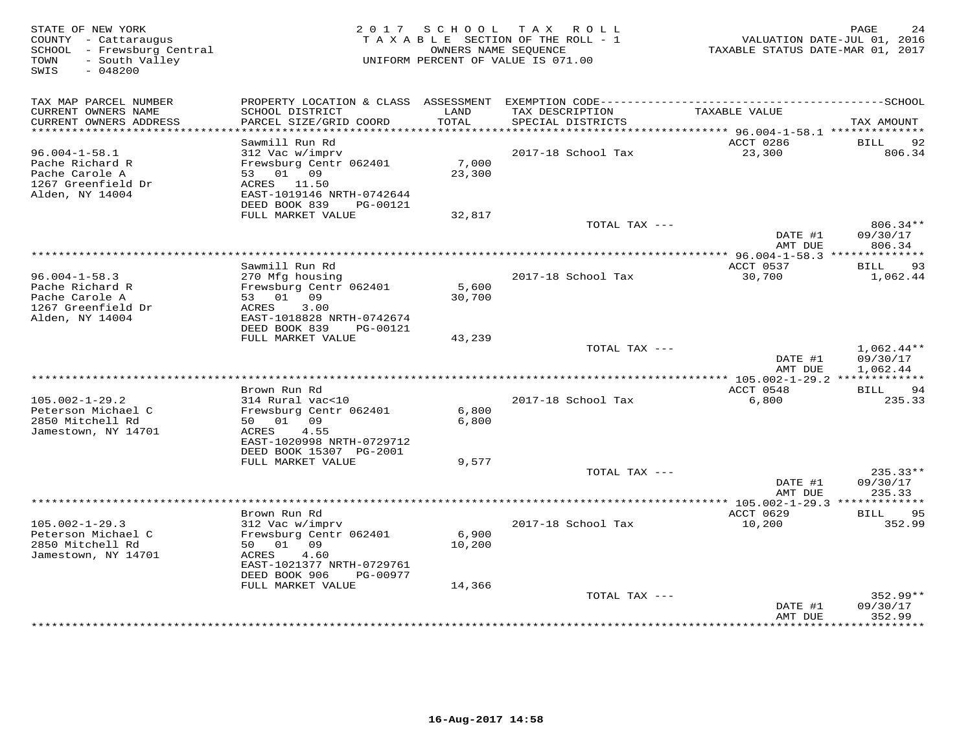| STATE OF NEW YORK<br>COUNTY - Cattaraugus<br>SCHOOL - Frewsburg Central<br>- South Valley<br>TOWN |                                                                                                                                                       | 2017 SCHOOL                | T A X<br>R O L L<br>TAXABLE SECTION OF THE ROLL - 1<br>OWNERS NAME SEOUENCE<br>UNIFORM PERCENT OF VALUE IS 071.00 | VALUATION DATE-JUL 01, 2016<br>TAXABLE STATUS DATE-MAR 01, 2017 | PAGE<br>24                           |
|---------------------------------------------------------------------------------------------------|-------------------------------------------------------------------------------------------------------------------------------------------------------|----------------------------|-------------------------------------------------------------------------------------------------------------------|-----------------------------------------------------------------|--------------------------------------|
| SWIS<br>$-048200$                                                                                 |                                                                                                                                                       |                            |                                                                                                                   |                                                                 |                                      |
| TAX MAP PARCEL NUMBER                                                                             |                                                                                                                                                       |                            |                                                                                                                   |                                                                 |                                      |
| CURRENT OWNERS NAME<br>CURRENT OWNERS ADDRESS<br>**********************                           | SCHOOL DISTRICT<br>PARCEL SIZE/GRID COORD<br>***********************                                                                                  | LAND<br>TOTAL<br>********* | TAX DESCRIPTION<br>SPECIAL DISTRICTS<br>***********************                                                   | TAXABLE VALUE<br>********** 96.004-1-58.1 ***************       | TAX AMOUNT                           |
|                                                                                                   | Sawmill Run Rd                                                                                                                                        |                            |                                                                                                                   | ACCT 0286                                                       | BILL<br>92                           |
| $96.004 - 1 - 58.1$<br>Pache Richard R<br>Pache Carole A<br>1267 Greenfield Dr<br>Alden, NY 14004 | 312 Vac w/imprv<br>Frewsburg Centr 062401<br>01 09<br>53<br>ACRES 11.50<br>EAST-1019146 NRTH-0742644<br>DEED BOOK 839<br>PG-00121                     | 7,000<br>23,300            | 2017-18 School Tax                                                                                                | 23,300                                                          | 806.34                               |
|                                                                                                   | FULL MARKET VALUE                                                                                                                                     | 32,817                     |                                                                                                                   |                                                                 |                                      |
|                                                                                                   |                                                                                                                                                       |                            | TOTAL TAX ---                                                                                                     | DATE #1<br>AMT DUE                                              | 806.34**<br>09/30/17<br>806.34       |
|                                                                                                   |                                                                                                                                                       |                            | ***************************                                                                                       | ******* 96.004-1-58.3 **************<br>ACCT 0537               |                                      |
| $96.004 - 1 - 58.3$<br>Pache Richard R<br>Pache Carole A<br>1267 Greenfield Dr<br>Alden, NY 14004 | Sawmill Run Rd<br>270 Mfg housing<br>Frewsburg Centr 062401<br>01 09<br>53<br>3.00<br>ACRES<br>EAST-1018828 NRTH-0742674<br>DEED BOOK 839<br>PG-00121 | 5,600<br>30,700            | 2017-18 School Tax                                                                                                | 30,700                                                          | 93<br>BILL<br>1,062.44               |
|                                                                                                   | FULL MARKET VALUE                                                                                                                                     | 43,239                     |                                                                                                                   |                                                                 |                                      |
|                                                                                                   |                                                                                                                                                       |                            | TOTAL TAX ---<br>***********************                                                                          | DATE #1<br>AMT DUE                                              | $1,062.44**$<br>09/30/17<br>1,062.44 |
|                                                                                                   | Brown Run Rd                                                                                                                                          |                            |                                                                                                                   | $* 105.002 - 1 - 29.2$ **<br>ACCT 0548                          | ***********<br>BILL<br>94            |
| $105.002 - 1 - 29.2$<br>Peterson Michael C<br>2850 Mitchell Rd<br>Jamestown, NY 14701             | 314 Rural vac<10<br>Frewsburg Centr 062401<br>50 01<br>09<br>4.55<br>ACRES<br>EAST-1020998 NRTH-0729712<br>DEED BOOK 15307 PG-2001                    | 6,800<br>6,800             | 2017-18 School Tax                                                                                                | 6,800                                                           | 235.33                               |
|                                                                                                   | FULL MARKET VALUE                                                                                                                                     | 9,577                      |                                                                                                                   |                                                                 |                                      |
|                                                                                                   |                                                                                                                                                       |                            | TOTAL TAX ---                                                                                                     | DATE #1<br>AMT DUE                                              | 235.33**<br>09/30/17<br>235.33       |
|                                                                                                   |                                                                                                                                                       |                            |                                                                                                                   | ************* 105.002-1-29.3 *************                      |                                      |
|                                                                                                   | Brown Run Rd                                                                                                                                          |                            |                                                                                                                   | ACCT 0629                                                       | BILL<br>95                           |
| $105.002 - 1 - 29.3$<br>Peterson Michael C<br>2850 Mitchell Rd<br>Jamestown, NY 14701             | 312 Vac w/imprv<br>Frewsburg Centr 062401<br>01<br>09<br>50<br>4.60<br>ACRES<br>EAST-1021377 NRTH-0729761<br>DEED BOOK 906<br>PG-00977                | 6,900<br>10,200            | 2017-18 School Tax                                                                                                | 10,200                                                          | 352.99                               |
|                                                                                                   | FULL MARKET VALUE                                                                                                                                     | 14,366                     | TOTAL TAX ---                                                                                                     |                                                                 | $352.99**$                           |
|                                                                                                   |                                                                                                                                                       |                            |                                                                                                                   | DATE #1<br>AMT DUE                                              | 09/30/17<br>352.99<br>.              |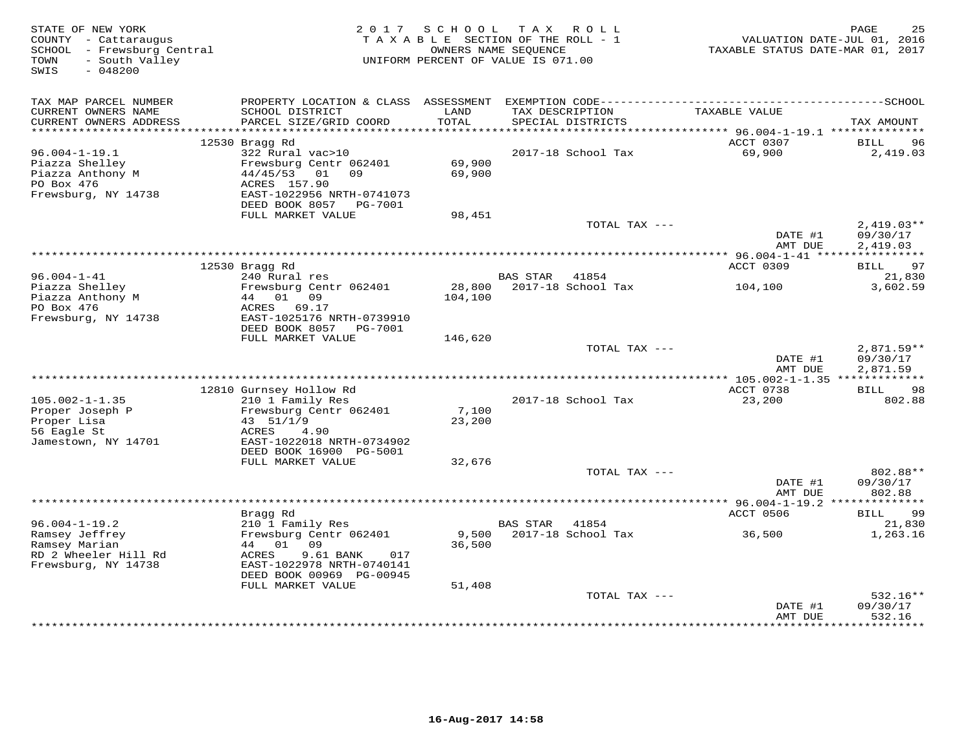| STATE OF NEW YORK<br>COUNTY - Cattaraugus<br>SCHOOL - Frewsburg Central<br>- South Valley<br>TOWN<br>SWIS<br>$-048200$ | 2017                                                                                      | SCHOOL            | TAX ROLL<br>TAXABLE SECTION OF THE ROLL - 1<br>OWNERS NAME SEQUENCE<br>UNIFORM PERCENT OF VALUE IS 071.00 | TAXABLE STATUS DATE-MAR 01, 2017                      | 25<br>PAGE<br>VALUATION DATE-JUL 01, 2016 |
|------------------------------------------------------------------------------------------------------------------------|-------------------------------------------------------------------------------------------|-------------------|-----------------------------------------------------------------------------------------------------------|-------------------------------------------------------|-------------------------------------------|
|                                                                                                                        |                                                                                           |                   |                                                                                                           |                                                       |                                           |
| TAX MAP PARCEL NUMBER                                                                                                  |                                                                                           |                   |                                                                                                           |                                                       |                                           |
| CURRENT OWNERS NAME<br>CURRENT OWNERS ADDRESS                                                                          | SCHOOL DISTRICT<br>PARCEL SIZE/GRID COORD                                                 | LAND<br>TOTAL     | TAX DESCRIPTION<br>SPECIAL DISTRICTS                                                                      | TAXABLE VALUE                                         | TAX AMOUNT                                |
| ***********************                                                                                                | 12530 Bragg Rd                                                                            |                   | ***********************************                                                                       | ********** 96.004-1-19.1 ***************<br>ACCT 0307 | BILL<br>96                                |
| $96.004 - 1 - 19.1$                                                                                                    | 322 Rural vac>10                                                                          |                   | 2017-18 School Tax                                                                                        | 69,900                                                | 2,419.03                                  |
| Piazza Shelley<br>Piazza Anthony M<br>PO Box 476                                                                       | Frewsburg Centr 062401<br>44/45/53<br>01<br>09<br>ACRES 157.90                            | 69,900<br>69,900  |                                                                                                           |                                                       |                                           |
| Frewsburg, NY 14738                                                                                                    | EAST-1022956 NRTH-0741073<br>DEED BOOK 8057<br>PG-7001                                    |                   |                                                                                                           |                                                       |                                           |
|                                                                                                                        | FULL MARKET VALUE                                                                         | 98,451            |                                                                                                           |                                                       |                                           |
|                                                                                                                        |                                                                                           |                   | TOTAL TAX ---                                                                                             | DATE #1                                               | $2,419.03**$<br>09/30/17                  |
|                                                                                                                        |                                                                                           |                   | ***********************************                                                                       | AMT DUE<br>** $96.004 - 1 - 41$ *****                 | 2,419.03<br>***********                   |
|                                                                                                                        | 12530 Bragg Rd                                                                            |                   |                                                                                                           | ACCT 0309                                             | 97<br>BILL                                |
| $96.004 - 1 - 41$                                                                                                      | 240 Rural res                                                                             |                   | <b>BAS STAR</b><br>41854                                                                                  |                                                       | 21,830                                    |
| Piazza Shelley<br>Piazza Anthony M<br>PO Box 476<br>Frewsburg, NY 14738                                                | Frewsburg Centr 062401<br>01<br>09<br>44<br>ACRES<br>69.17<br>EAST-1025176 NRTH-0739910   | 28,800<br>104,100 | 2017-18 School Tax                                                                                        | 104,100                                               | 3,602.59                                  |
|                                                                                                                        | DEED BOOK 8057<br>PG-7001                                                                 |                   |                                                                                                           |                                                       |                                           |
|                                                                                                                        | FULL MARKET VALUE                                                                         | 146,620           | TOTAL TAX ---                                                                                             |                                                       | 2,871.59**                                |
|                                                                                                                        |                                                                                           |                   |                                                                                                           | DATE #1<br>AMT DUE                                    | 09/30/17<br>2,871.59                      |
|                                                                                                                        |                                                                                           |                   |                                                                                                           |                                                       |                                           |
|                                                                                                                        | 12810 Gurnsey Hollow Rd                                                                   |                   |                                                                                                           | ACCT 0738                                             | <b>BILL</b><br>98                         |
| $105.002 - 1 - 1.35$<br>Proper Joseph P                                                                                | 210 1 Family Res<br>Frewsburg Centr 062401                                                | 7,100             | 2017-18 School Tax                                                                                        | 23,200                                                | 802.88                                    |
| Proper Lisa<br>56 Eagle St                                                                                             | 43 51/1/9<br>ACRES<br>4.90                                                                | 23,200            |                                                                                                           |                                                       |                                           |
| Jamestown, NY 14701                                                                                                    | EAST-1022018 NRTH-0734902<br>DEED BOOK 16900 PG-5001                                      |                   |                                                                                                           |                                                       |                                           |
|                                                                                                                        | FULL MARKET VALUE                                                                         | 32,676            |                                                                                                           |                                                       |                                           |
|                                                                                                                        |                                                                                           |                   | TOTAL TAX ---                                                                                             |                                                       | 802.88**                                  |
|                                                                                                                        |                                                                                           |                   |                                                                                                           | DATE #1<br>AMT DUE                                    | 09/30/17<br>802.88                        |
|                                                                                                                        |                                                                                           |                   |                                                                                                           | ************* 96.004-1-19.2 ***************           |                                           |
| $96.004 - 1 - 19.2$                                                                                                    | Bragg Rd<br>210 1 Family Res                                                              |                   | <b>BAS STAR</b><br>41854                                                                                  | ACCT 0506                                             | 99<br>BILL<br>21,830                      |
| Ramsey Jeffrey<br>Ramsey Marian                                                                                        | Frewsburg Centr 062401<br>44<br>01<br>09                                                  | 9,500<br>36,500   | 2017-18 School Tax                                                                                        | 36,500                                                | 1,263.16                                  |
| RD 2 Wheeler Hill Rd<br>Frewsburg, NY 14738                                                                            | <b>ACRES</b><br>9.61 BANK<br>017<br>EAST-1022978 NRTH-0740141<br>DEED BOOK 00969 PG-00945 |                   |                                                                                                           |                                                       |                                           |
|                                                                                                                        | FULL MARKET VALUE                                                                         | 51,408            |                                                                                                           |                                                       |                                           |
|                                                                                                                        |                                                                                           |                   | TOTAL TAX ---                                                                                             | DATE #1                                               | 532.16**<br>09/30/17                      |
|                                                                                                                        |                                                                                           |                   |                                                                                                           | AMT DUE                                               | 532.16<br>* * * * * * * *                 |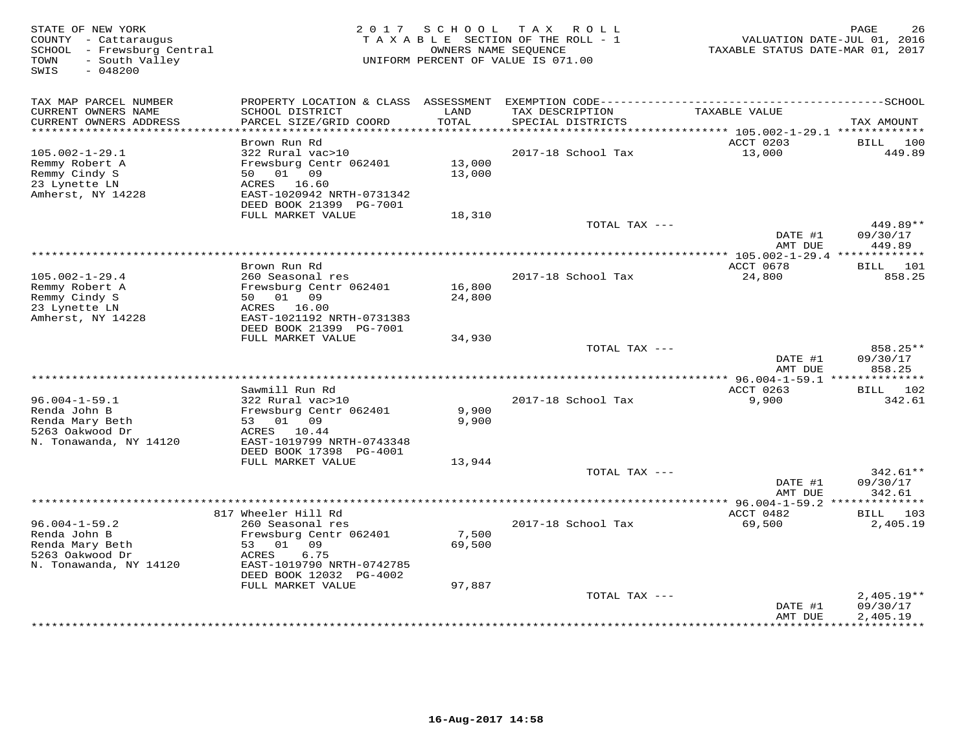| STATE OF NEW YORK<br>COUNTY - Cattaraugus<br>SCHOOL - Frewsburg Central<br>- South Valley<br>TOWN<br>$-048200$<br>SWIS | 2 0 1 7                                                               | SCHOOL        | T A X<br>ROLL<br>TAXABLE SECTION OF THE ROLL - 1<br>OWNERS NAME SEOUENCE<br>UNIFORM PERCENT OF VALUE IS 071.00 | TAXABLE STATUS DATE-MAR 01, 2017                         | PAGE<br>26<br>VALUATION DATE-JUL 01, 2016 |
|------------------------------------------------------------------------------------------------------------------------|-----------------------------------------------------------------------|---------------|----------------------------------------------------------------------------------------------------------------|----------------------------------------------------------|-------------------------------------------|
| TAX MAP PARCEL NUMBER                                                                                                  |                                                                       |               |                                                                                                                |                                                          |                                           |
| CURRENT OWNERS NAME<br>CURRENT OWNERS ADDRESS<br>********************                                                  | SCHOOL DISTRICT<br>PARCEL SIZE/GRID COORD<br>************************ | LAND<br>TOTAL | TAX DESCRIPTION<br>SPECIAL DISTRICTS                                                                           | TAXABLE VALUE<br>********** 105.002-1-29.1 ************* | TAX AMOUNT                                |
|                                                                                                                        | Brown Run Rd                                                          |               |                                                                                                                | ACCT 0203                                                | BILL<br>100                               |
| $105.002 - 1 - 29.1$                                                                                                   | 322 Rural vac>10                                                      |               | 2017-18 School Tax                                                                                             | 13,000                                                   | 449.89                                    |
| Remmy Robert A                                                                                                         | Frewsburg Centr 062401                                                | 13,000        |                                                                                                                |                                                          |                                           |
| Remmy Cindy S                                                                                                          | 50<br>01<br>09                                                        | 13,000        |                                                                                                                |                                                          |                                           |
| 23 Lynette LN                                                                                                          | ACRES 16.60                                                           |               |                                                                                                                |                                                          |                                           |
| Amherst, NY 14228                                                                                                      | EAST-1020942 NRTH-0731342                                             |               |                                                                                                                |                                                          |                                           |
|                                                                                                                        | DEED BOOK 21399 PG-7001<br>FULL MARKET VALUE                          | 18,310        |                                                                                                                |                                                          |                                           |
|                                                                                                                        |                                                                       |               | TOTAL TAX ---                                                                                                  |                                                          | 449.89**                                  |
|                                                                                                                        |                                                                       |               |                                                                                                                | DATE #1                                                  | 09/30/17                                  |
|                                                                                                                        |                                                                       |               |                                                                                                                | AMT DUE                                                  | 449.89                                    |
|                                                                                                                        |                                                                       |               | *****************************                                                                                  | *** 105.002-1-29.4 *************                         |                                           |
|                                                                                                                        | Brown Run Rd                                                          |               |                                                                                                                | ACCT 0678                                                | BILL 101                                  |
| $105.002 - 1 - 29.4$<br>Remmy Robert A                                                                                 | 260 Seasonal res<br>Frewsburg Centr 062401                            | 16,800        | 2017-18 School Tax                                                                                             | 24,800                                                   | 858.25                                    |
| Remmy Cindy S                                                                                                          | 50 01 09                                                              | 24,800        |                                                                                                                |                                                          |                                           |
| 23 Lynette LN                                                                                                          | ACRES 16.00                                                           |               |                                                                                                                |                                                          |                                           |
| Amherst, NY 14228                                                                                                      | EAST-1021192 NRTH-0731383                                             |               |                                                                                                                |                                                          |                                           |
|                                                                                                                        | DEED BOOK 21399 PG-7001                                               |               |                                                                                                                |                                                          |                                           |
|                                                                                                                        | FULL MARKET VALUE                                                     | 34,930        |                                                                                                                |                                                          |                                           |
|                                                                                                                        |                                                                       |               | TOTAL TAX ---                                                                                                  | DATE #1                                                  | 858.25**<br>09/30/17                      |
|                                                                                                                        |                                                                       |               |                                                                                                                | AMT DUE                                                  | 858.25                                    |
|                                                                                                                        |                                                                       |               |                                                                                                                |                                                          | **************                            |
|                                                                                                                        | Sawmill Run Rd                                                        |               |                                                                                                                | ACCT 0263                                                | BILL 102                                  |
| $96.004 - 1 - 59.1$                                                                                                    | 322 Rural vac>10                                                      |               | 2017-18 School Tax                                                                                             | 9,900                                                    | 342.61                                    |
| Renda John B                                                                                                           | Frewsburg Centr 062401                                                | 9,900         |                                                                                                                |                                                          |                                           |
| Renda Mary Beth<br>5263 Oakwood Dr                                                                                     | 53<br>01 09<br>ACRES<br>10.44                                         | 9,900         |                                                                                                                |                                                          |                                           |
| N. Tonawanda, NY 14120                                                                                                 | EAST-1019799 NRTH-0743348                                             |               |                                                                                                                |                                                          |                                           |
|                                                                                                                        | DEED BOOK 17398 PG-4001                                               |               |                                                                                                                |                                                          |                                           |
|                                                                                                                        | FULL MARKET VALUE                                                     | 13,944        |                                                                                                                |                                                          |                                           |
|                                                                                                                        |                                                                       |               | TOTAL TAX ---                                                                                                  |                                                          | $342.61**$                                |
|                                                                                                                        |                                                                       |               |                                                                                                                | DATE #1<br>AMT DUE                                       | 09/30/17<br>342.61                        |
|                                                                                                                        |                                                                       |               |                                                                                                                | *********** 96.004-1-59.2 ***                            | * * * * * * *                             |
|                                                                                                                        | 817 Wheeler Hill Rd                                                   |               |                                                                                                                | ACCT 0482                                                | 103<br>BILL                               |
| $96.004 - 1 - 59.2$                                                                                                    | 260 Seasonal res                                                      |               | 2017-18 School Tax                                                                                             | 69,500                                                   | 2,405.19                                  |
| Renda John B                                                                                                           | Frewsburg Centr 062401                                                | 7,500         |                                                                                                                |                                                          |                                           |
| Renda Mary Beth                                                                                                        | 53<br>01 09                                                           | 69,500        |                                                                                                                |                                                          |                                           |
| 5263 Oakwood Dr                                                                                                        | 6.75<br>ACRES                                                         |               |                                                                                                                |                                                          |                                           |
| N. Tonawanda, NY 14120                                                                                                 | EAST-1019790 NRTH-0742785<br>DEED BOOK 12032 PG-4002                  |               |                                                                                                                |                                                          |                                           |
|                                                                                                                        | FULL MARKET VALUE                                                     | 97,887        |                                                                                                                |                                                          |                                           |
|                                                                                                                        |                                                                       |               | TOTAL TAX ---                                                                                                  |                                                          | $2,405.19**$                              |
|                                                                                                                        |                                                                       |               |                                                                                                                | DATE #1                                                  | 09/30/17                                  |
|                                                                                                                        |                                                                       |               |                                                                                                                | AMT DUE<br>* * * * * * * *                               | 2,405.19<br>**********                    |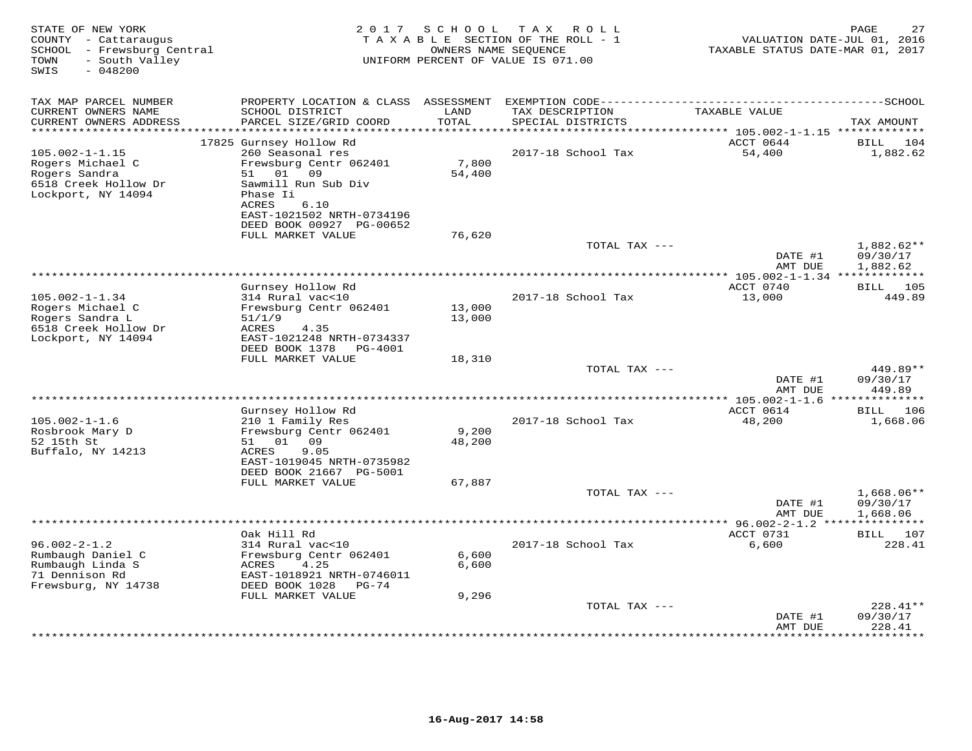| STATE OF NEW YORK<br>COUNTY - Cattaraugus<br>SCHOOL - Frewsburg Central<br>- South Valley<br>TOWN<br>SWIS<br>$-048200$ | 2 0 1 7                                                                                                                         | S C H O O L      | T A X<br>ROLL<br>TAXABLE SECTION OF THE ROLL - 1<br>OWNERS NAME SEQUENCE<br>UNIFORM PERCENT OF VALUE IS 071.00 | VALUATION DATE-JUL 01, 2016<br>TAXABLE STATUS DATE-MAR 01, 2017 | PAGE<br>27                           |
|------------------------------------------------------------------------------------------------------------------------|---------------------------------------------------------------------------------------------------------------------------------|------------------|----------------------------------------------------------------------------------------------------------------|-----------------------------------------------------------------|--------------------------------------|
| TAX MAP PARCEL NUMBER<br>CURRENT OWNERS NAME<br>CURRENT OWNERS ADDRESS                                                 | SCHOOL DISTRICT<br>PARCEL SIZE/GRID COORD                                                                                       | LAND<br>TOTAL    | TAX DESCRIPTION<br>SPECIAL DISTRICTS                                                                           | TAXABLE VALUE                                                   | TAX AMOUNT                           |
| *********************                                                                                                  |                                                                                                                                 | *********        |                                                                                                                |                                                                 |                                      |
| $105.002 - 1 - 1.15$                                                                                                   | 17825 Gurnsey Hollow Rd<br>260 Seasonal res                                                                                     |                  | 2017-18 School Tax                                                                                             | ACCT 0644<br>54,400                                             | <b>BILL</b><br>104<br>1,882.62       |
| Rogers Michael C<br>Rogers Sandra<br>6518 Creek Hollow Dr<br>Lockport, NY 14094                                        | Frewsburg Centr 062401<br>01 09<br>51<br>Sawmill Run Sub Div<br>Phase Ii                                                        | 7,800<br>54,400  |                                                                                                                |                                                                 |                                      |
|                                                                                                                        | ACRES<br>6.10<br>EAST-1021502 NRTH-0734196<br>DEED BOOK 00927 PG-00652<br>FULL MARKET VALUE                                     | 76,620           |                                                                                                                |                                                                 |                                      |
|                                                                                                                        |                                                                                                                                 |                  | TOTAL TAX ---                                                                                                  | DATE #1<br>AMT DUE                                              | $1,882.62**$<br>09/30/17<br>1,882.62 |
|                                                                                                                        |                                                                                                                                 |                  |                                                                                                                | ************* 105.002-1-1.34 *************                      |                                      |
|                                                                                                                        | Gurnsey Hollow Rd                                                                                                               |                  |                                                                                                                | ACCT 0740                                                       | <b>BILL</b> 105                      |
| $105.002 - 1 - 1.34$<br>Rogers Michael C<br>Rogers Sandra L<br>6518 Creek Hollow Dr<br>Lockport, NY 14094              | 314 Rural vac<10<br>Frewsburg Centr 062401<br>51/1/9<br>ACRES<br>4.35<br>EAST-1021248 NRTH-0734337<br>DEED BOOK 1378<br>PG-4001 | 13,000<br>13,000 | 2017-18 School Tax                                                                                             | 13,000                                                          | 449.89                               |
|                                                                                                                        | FULL MARKET VALUE                                                                                                               | 18,310           |                                                                                                                |                                                                 |                                      |
|                                                                                                                        |                                                                                                                                 |                  | TOTAL TAX ---                                                                                                  | DATE #1<br>AMT DUE                                              | 449.89**<br>09/30/17<br>449.89       |
|                                                                                                                        |                                                                                                                                 |                  |                                                                                                                | **** 105.002-1-1.6 **                                           | <b>********</b>                      |
| $105.002 - 1 - 1.6$<br>Rosbrook Mary D<br>52 15th St<br>Buffalo, NY 14213                                              | Gurnsey Hollow Rd<br>210 1 Family Res<br>Frewsburg Centr 062401<br>51 01 09<br>ACRES<br>9.05<br>EAST-1019045 NRTH-0735982       | 9,200<br>48,200  | 2017-18 School Tax                                                                                             | ACCT 0614<br>48,200                                             | 106<br>BILL<br>1,668.06              |
|                                                                                                                        | DEED BOOK 21667 PG-5001<br>FULL MARKET VALUE                                                                                    | 67,887           |                                                                                                                |                                                                 |                                      |
|                                                                                                                        |                                                                                                                                 |                  | TOTAL TAX ---                                                                                                  | DATE #1                                                         | $1,668.06**$<br>09/30/17             |
| *********************                                                                                                  |                                                                                                                                 |                  |                                                                                                                | AMT DUE<br>*********** 96.002-2-1.2 ***************             | 1,668.06                             |
|                                                                                                                        | Oak Hill Rd                                                                                                                     |                  |                                                                                                                | ACCT 0731                                                       | BILL 107                             |
| $96.002 - 2 - 1.2$<br>Rumbaugh Daniel C<br>Rumbaugh Linda S<br>71 Dennison Rd<br>Frewsburg, NY 14738                   | 314 Rural vac<10<br>Frewsburg Centr 062401<br>4.25<br>ACRES<br>EAST-1018921 NRTH-0746011<br>DEED BOOK 1028<br>PG-74             | 6,600<br>6,600   | 2017-18 School Tax                                                                                             | 6,600                                                           | 228.41                               |
|                                                                                                                        | FULL MARKET VALUE                                                                                                               | 9,296            | TOTAL TAX ---                                                                                                  |                                                                 | 228.41**                             |
|                                                                                                                        |                                                                                                                                 |                  |                                                                                                                | DATE #1<br>AMT DUE                                              | 09/30/17<br>228.41                   |
|                                                                                                                        |                                                                                                                                 |                  |                                                                                                                |                                                                 | . * * * * * * * ·                    |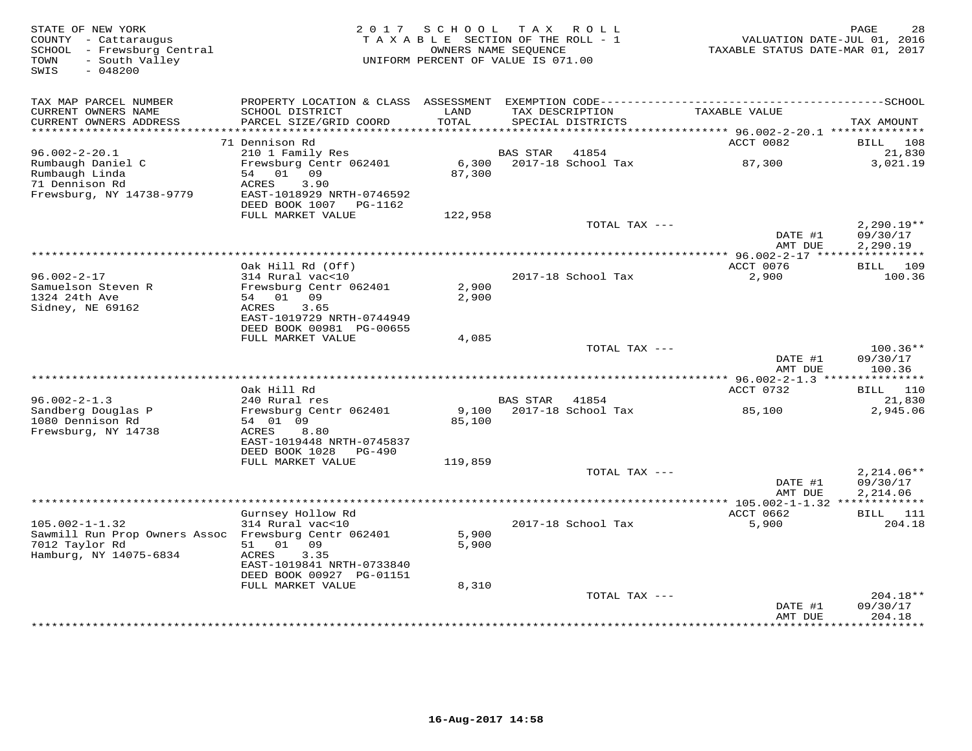| STATE OF NEW YORK<br>COUNTY - Cattaraugus<br>SCHOOL - Frewsburg Central<br>- South Valley<br>TOWN<br>SWIS<br>$-048200$ | 2017                                       | SCHOOL<br>TAXABLE SECTION OF THE ROLL - 1<br>UNIFORM PERCENT OF VALUE IS 071.00 | OWNERS NAME SEQUENCE | TAX ROLL           | VALUATION DATE-JUL 01, 2016<br>TAXABLE STATUS DATE-MAR 01, 2017       | PAGE<br>28               |
|------------------------------------------------------------------------------------------------------------------------|--------------------------------------------|---------------------------------------------------------------------------------|----------------------|--------------------|-----------------------------------------------------------------------|--------------------------|
| TAX MAP PARCEL NUMBER                                                                                                  |                                            |                                                                                 |                      |                    |                                                                       |                          |
| CURRENT OWNERS NAME                                                                                                    | SCHOOL DISTRICT                            | LAND                                                                            | TAX DESCRIPTION      |                    | TAXABLE VALUE                                                         |                          |
| CURRENT OWNERS ADDRESS<br>*******************                                                                          | PARCEL SIZE/GRID COORD                     | TOTAL<br>*********                                                              |                      | SPECIAL DISTRICTS  |                                                                       | TAX AMOUNT               |
|                                                                                                                        | 71 Dennison Rd                             |                                                                                 |                      |                    | *************************** 96.002-2-20.1 **************<br>ACCT 0082 | BILL<br>108              |
| $96.002 - 2 - 20.1$                                                                                                    | 210 1 Family Res                           |                                                                                 | <b>BAS STAR</b>      | 41854              |                                                                       | 21,830                   |
| Rumbaugh Daniel C                                                                                                      | Frewsburg Centr 062401                     | 6,300                                                                           |                      | 2017-18 School Tax | 87,300                                                                | 3,021.19                 |
| Rumbaugh Linda                                                                                                         | 01 09<br>54                                | 87,300                                                                          |                      |                    |                                                                       |                          |
| 71 Dennison Rd                                                                                                         | ACRES<br>3.90<br>EAST-1018929 NRTH-0746592 |                                                                                 |                      |                    |                                                                       |                          |
| Frewsburg, NY 14738-9779                                                                                               | DEED BOOK 1007 PG-1162                     |                                                                                 |                      |                    |                                                                       |                          |
|                                                                                                                        | FULL MARKET VALUE                          | 122,958                                                                         |                      |                    |                                                                       |                          |
|                                                                                                                        |                                            |                                                                                 |                      | TOTAL TAX ---      |                                                                       | $2,290.19**$             |
|                                                                                                                        |                                            |                                                                                 |                      |                    | DATE #1                                                               | 09/30/17                 |
|                                                                                                                        |                                            |                                                                                 | *******************  |                    | AMT DUE<br>* $96.002 - 2 - 17$ ****                                   | 2,290.19                 |
|                                                                                                                        | Oak Hill Rd (Off)                          |                                                                                 |                      |                    | ACCT 0076                                                             | BILL 109                 |
| $96.002 - 2 - 17$                                                                                                      | 314 Rural vac<10                           |                                                                                 |                      | 2017-18 School Tax | 2,900                                                                 | 100.36                   |
| Samuelson Steven R                                                                                                     | Frewsburg Centr 062401                     | 2,900                                                                           |                      |                    |                                                                       |                          |
| 1324 24th Ave                                                                                                          | 54 01<br>09                                | 2,900                                                                           |                      |                    |                                                                       |                          |
| Sidney, NE 69162                                                                                                       | 3.65<br>ACRES<br>EAST-1019729 NRTH-0744949 |                                                                                 |                      |                    |                                                                       |                          |
|                                                                                                                        | DEED BOOK 00981 PG-00655                   |                                                                                 |                      |                    |                                                                       |                          |
|                                                                                                                        | FULL MARKET VALUE                          | 4,085                                                                           |                      |                    |                                                                       |                          |
|                                                                                                                        |                                            |                                                                                 |                      | TOTAL TAX ---      |                                                                       | 100.36**                 |
|                                                                                                                        |                                            |                                                                                 |                      |                    | DATE #1<br>AMT DUE                                                    | 09/30/17<br>100.36       |
|                                                                                                                        |                                            |                                                                                 |                      |                    |                                                                       |                          |
|                                                                                                                        | Oak Hill Rd                                |                                                                                 |                      |                    | ACCT 0732                                                             | <b>BILL</b> 110          |
| $96.002 - 2 - 1.3$                                                                                                     | 240 Rural res                              |                                                                                 | BAS STAR             | 41854              |                                                                       | 21,830                   |
| Sandberg Douglas P<br>1080 Dennison Rd                                                                                 | Frewsburg Centr 062401<br>54 01 09         | 9,100                                                                           |                      | 2017-18 School Tax | 85,100                                                                | 2,945.06                 |
| Frewsburg, NY 14738                                                                                                    | ACRES<br>8.80                              | 85,100                                                                          |                      |                    |                                                                       |                          |
|                                                                                                                        | EAST-1019448 NRTH-0745837                  |                                                                                 |                      |                    |                                                                       |                          |
|                                                                                                                        | DEED BOOK 1028<br><b>PG-490</b>            |                                                                                 |                      |                    |                                                                       |                          |
|                                                                                                                        | FULL MARKET VALUE                          | 119,859                                                                         |                      |                    |                                                                       |                          |
|                                                                                                                        |                                            |                                                                                 |                      | TOTAL TAX ---      | DATE #1                                                               | $2,214.06**$<br>09/30/17 |
|                                                                                                                        |                                            |                                                                                 |                      |                    | AMT DUE                                                               | 2,214.06                 |
|                                                                                                                        |                                            |                                                                                 |                      |                    | ************* 105.002-1-1.32 **************                           |                          |
|                                                                                                                        | Gurnsey Hollow Rd                          |                                                                                 |                      |                    | ACCT 0662                                                             | BILL<br>111              |
| $105.002 - 1 - 1.32$                                                                                                   | 314 Rural vac<10                           |                                                                                 |                      | 2017-18 School Tax | 5,900                                                                 | 204.18                   |
| Sawmill Run Prop Owners Assoc<br>7012 Taylor Rd                                                                        | Frewsburg Centr 062401<br>01<br>09<br>51   | 5,900<br>5,900                                                                  |                      |                    |                                                                       |                          |
| Hamburg, NY 14075-6834                                                                                                 | ACRES<br>3.35                              |                                                                                 |                      |                    |                                                                       |                          |
|                                                                                                                        | EAST-1019841 NRTH-0733840                  |                                                                                 |                      |                    |                                                                       |                          |
|                                                                                                                        | DEED BOOK 00927 PG-01151                   |                                                                                 |                      |                    |                                                                       |                          |
|                                                                                                                        | FULL MARKET VALUE                          | 8,310                                                                           |                      | TOTAL TAX ---      |                                                                       | $204.18**$               |
|                                                                                                                        |                                            |                                                                                 |                      |                    | DATE #1                                                               | 09/30/17                 |
|                                                                                                                        |                                            |                                                                                 |                      |                    | AMT DUE                                                               | 204.18                   |
|                                                                                                                        |                                            |                                                                                 |                      |                    |                                                                       | * * * * * * * *          |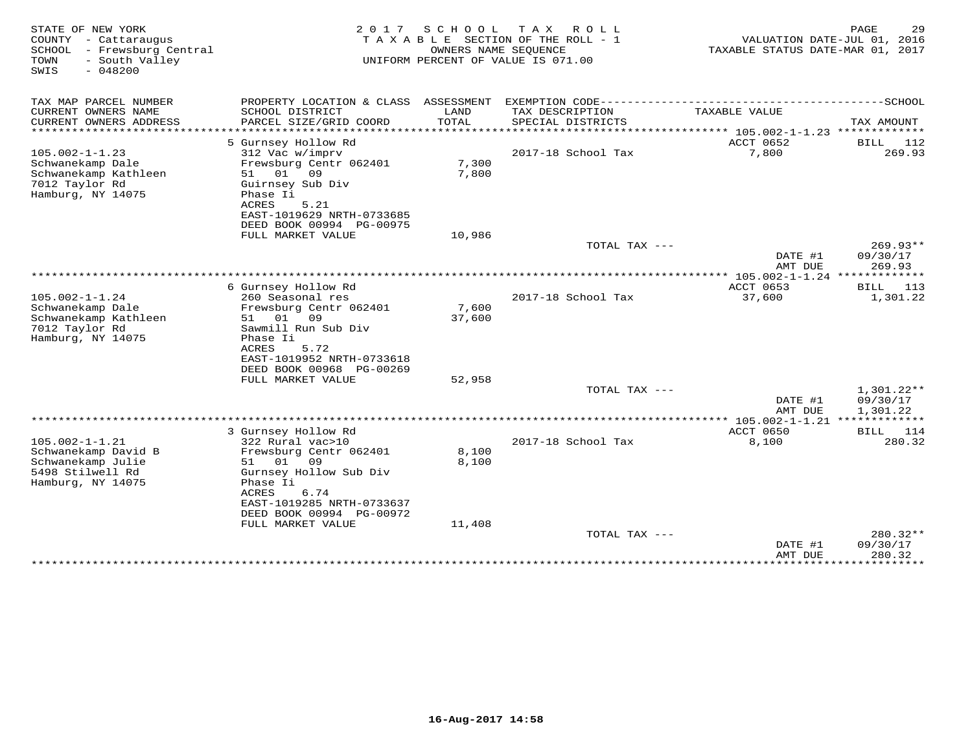| STATE OF NEW YORK<br>COUNTY - Cattaraugus<br>SCHOOL - Frewsburg Central<br>- South Valley<br>TOWN<br>$-048200$<br>SWIS | 2017                                          | S C H O O L     | T A X<br>R O L L<br>TAXABLE SECTION OF THE ROLL - 1<br>OWNERS NAME SEOUENCE<br>UNIFORM PERCENT OF VALUE IS 071.00 | TAXABLE STATUS DATE-MAR 01, 2017                         | 29<br>PAGE<br>VALUATION DATE-JUL 01, 2016 |
|------------------------------------------------------------------------------------------------------------------------|-----------------------------------------------|-----------------|-------------------------------------------------------------------------------------------------------------------|----------------------------------------------------------|-------------------------------------------|
| TAX MAP PARCEL NUMBER                                                                                                  | PROPERTY LOCATION & CLASS ASSESSMENT          |                 |                                                                                                                   |                                                          |                                           |
| CURRENT OWNERS NAME<br>CURRENT OWNERS ADDRESS<br>**********************                                                | SCHOOL DISTRICT<br>PARCEL SIZE/GRID COORD     | LAND<br>TOTAL   | TAX DESCRIPTION<br>SPECIAL DISTRICTS                                                                              | TAXABLE VALUE                                            | TAX AMOUNT                                |
|                                                                                                                        | 5 Gurnsey Hollow Rd                           |                 |                                                                                                                   | ACCT 0652                                                | 112<br><b>BILL</b>                        |
| $105.002 - 1 - 1.23$<br>Schwanekamp Dale                                                                               | 312 Vac w/imprv<br>Frewsburg Centr 062401     | 7,300           | 2017-18 School Tax                                                                                                | 7,800                                                    | 269.93                                    |
| Schwanekamp Kathleen                                                                                                   | 51 01<br>09                                   | 7,800           |                                                                                                                   |                                                          |                                           |
| 7012 Taylor Rd                                                                                                         | Guirnsey Sub Div                              |                 |                                                                                                                   |                                                          |                                           |
| Hamburg, NY 14075                                                                                                      | Phase Ii<br>ACRES<br>5.21                     |                 |                                                                                                                   |                                                          |                                           |
|                                                                                                                        | EAST-1019629 NRTH-0733685                     |                 |                                                                                                                   |                                                          |                                           |
|                                                                                                                        | DEED BOOK 00994 PG-00975<br>FULL MARKET VALUE | 10,986          |                                                                                                                   |                                                          |                                           |
|                                                                                                                        |                                               |                 | TOTAL TAX ---                                                                                                     |                                                          | $269.93**$                                |
|                                                                                                                        |                                               |                 |                                                                                                                   | DATE #1                                                  | 09/30/17                                  |
|                                                                                                                        |                                               |                 |                                                                                                                   | AMT DUE<br>*************** 105.002-1-1.24 ************** | 269.93                                    |
|                                                                                                                        | 6 Gurnsey Hollow Rd                           |                 |                                                                                                                   | ACCT 0653                                                | 113<br>BILL                               |
| $105.002 - 1 - 1.24$                                                                                                   | 260 Seasonal res                              |                 | 2017-18 School Tax                                                                                                | 37,600                                                   | 1,301.22                                  |
| Schwanekamp Dale<br>Schwanekamp Kathleen                                                                               | Frewsburg Centr 062401<br>51<br>01<br>09      | 7,600<br>37,600 |                                                                                                                   |                                                          |                                           |
| 7012 Taylor Rd                                                                                                         | Sawmill Run Sub Div                           |                 |                                                                                                                   |                                                          |                                           |
| Hamburg, NY 14075                                                                                                      | Phase Ii                                      |                 |                                                                                                                   |                                                          |                                           |
|                                                                                                                        | ACRES<br>5.72<br>EAST-1019952 NRTH-0733618    |                 |                                                                                                                   |                                                          |                                           |
|                                                                                                                        | DEED BOOK 00968 PG-00269                      |                 |                                                                                                                   |                                                          |                                           |
|                                                                                                                        | FULL MARKET VALUE                             | 52,958          | TOTAL TAX ---                                                                                                     |                                                          | 1,301.22**                                |
|                                                                                                                        |                                               |                 |                                                                                                                   | DATE #1                                                  | 09/30/17                                  |
|                                                                                                                        |                                               |                 |                                                                                                                   | AMT DUE                                                  | 1,301.22                                  |
|                                                                                                                        | 3 Gurnsey Hollow Rd                           |                 |                                                                                                                   | ACCT 0650                                                | BILL 114                                  |
| $105.002 - 1 - 1.21$                                                                                                   | 322 Rural vac>10                              |                 | 2017-18 School Tax                                                                                                | 8,100                                                    | 280.32                                    |
| Schwanekamp David B                                                                                                    | Frewsburg Centr 062401                        | 8,100           |                                                                                                                   |                                                          |                                           |
| Schwanekamp Julie<br>5498 Stilwell Rd                                                                                  | 01<br>09<br>51<br>Gurnsey Hollow Sub Div      | 8,100           |                                                                                                                   |                                                          |                                           |
| Hamburg, NY 14075                                                                                                      | Phase Ii                                      |                 |                                                                                                                   |                                                          |                                           |
|                                                                                                                        | ACRES<br>6.74<br>EAST-1019285 NRTH-0733637    |                 |                                                                                                                   |                                                          |                                           |
|                                                                                                                        | DEED BOOK 00994 PG-00972                      |                 |                                                                                                                   |                                                          |                                           |
|                                                                                                                        | FULL MARKET VALUE                             | 11,408          |                                                                                                                   |                                                          |                                           |
|                                                                                                                        |                                               |                 | TOTAL TAX ---                                                                                                     |                                                          | $280.32**$<br>09/30/17                    |
|                                                                                                                        |                                               |                 |                                                                                                                   | DATE #1<br>AMT DUE                                       | 280.32                                    |
|                                                                                                                        |                                               |                 |                                                                                                                   | **************                                           | *********                                 |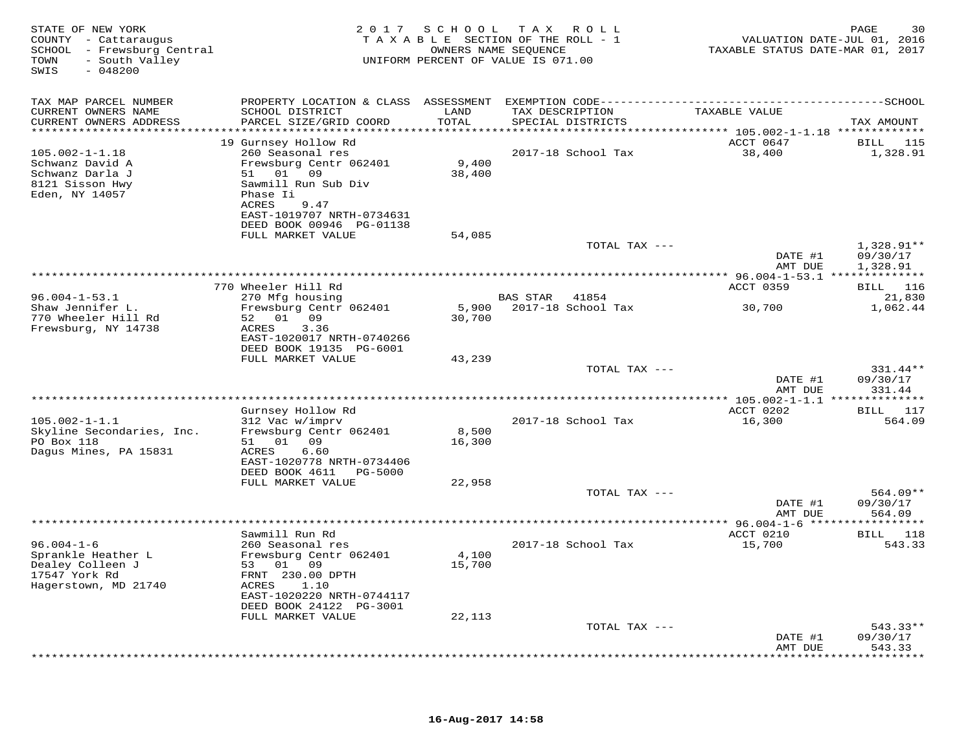| STATE OF NEW YORK<br>COUNTY - Cattaraugus<br>SCHOOL - Frewsburg Central<br>- South Valley<br>TOWN<br>SWIS<br>$-048200$ |                                                                             | 2017 SCHOOL                     | T A X<br>R O L L<br>TAXABLE SECTION OF THE ROLL - 1<br>OWNERS NAME SEOUENCE<br>UNIFORM PERCENT OF VALUE IS 071.00 | TAXABLE STATUS DATE-MAR 01, 2017 | PAGE<br>30<br>VALUATION DATE-JUL 01, 2016 |
|------------------------------------------------------------------------------------------------------------------------|-----------------------------------------------------------------------------|---------------------------------|-------------------------------------------------------------------------------------------------------------------|----------------------------------|-------------------------------------------|
| TAX MAP PARCEL NUMBER                                                                                                  |                                                                             |                                 |                                                                                                                   |                                  |                                           |
| CURRENT OWNERS NAME<br>CURRENT OWNERS ADDRESS<br>**********************                                                | SCHOOL DISTRICT<br>PARCEL SIZE/GRID COORD<br>****************************** | LAND<br>TOTAL<br>************** | TAX DESCRIPTION<br>SPECIAL DISTRICTS                                                                              | TAXABLE VALUE                    | TAX AMOUNT                                |
|                                                                                                                        | 19 Gurnsey Hollow Rd                                                        |                                 | ************************************** 105.002-1-1.18 **************                                              | ACCT 0647                        | BILL 115                                  |
| $105.002 - 1 - 1.18$                                                                                                   | 260 Seasonal res                                                            |                                 | 2017-18 School Tax                                                                                                | 38,400                           | 1,328.91                                  |
| Schwanz David A                                                                                                        | Frewsburg Centr 062401                                                      | 9,400                           |                                                                                                                   |                                  |                                           |
| Schwanz Darla J                                                                                                        | 51 01 09                                                                    | 38,400                          |                                                                                                                   |                                  |                                           |
| 8121 Sisson Hwy<br>Eden, NY 14057                                                                                      | Sawmill Run Sub Div<br>Phase Ii                                             |                                 |                                                                                                                   |                                  |                                           |
|                                                                                                                        | 9.47<br>ACRES<br>EAST-1019707 NRTH-0734631<br>DEED BOOK 00946 PG-01138      |                                 |                                                                                                                   |                                  |                                           |
|                                                                                                                        | FULL MARKET VALUE                                                           | 54,085                          |                                                                                                                   |                                  |                                           |
|                                                                                                                        |                                                                             |                                 | TOTAL TAX ---                                                                                                     | DATE #1                          | $1,328.91**$<br>09/30/17                  |
|                                                                                                                        |                                                                             |                                 |                                                                                                                   | AMT DUE                          | 1,328.91                                  |
|                                                                                                                        | 770 Wheeler Hill Rd                                                         |                                 |                                                                                                                   | ACCT 0359                        | BILL 116                                  |
| $96.004 - 1 - 53.1$                                                                                                    | 270 Mfg housing                                                             |                                 | <b>BAS STAR</b><br>41854                                                                                          |                                  | 21,830                                    |
| Shaw Jennifer L.                                                                                                       | Frewsburg Centr 062401                                                      | 5,900                           | 2017-18 School Tax                                                                                                | 30,700                           | 1,062.44                                  |
| 770 Wheeler Hill Rd                                                                                                    | 52 01 09                                                                    | 30,700                          |                                                                                                                   |                                  |                                           |
| Frewsburg, NY 14738                                                                                                    | 3.36<br>ACRES                                                               |                                 |                                                                                                                   |                                  |                                           |
|                                                                                                                        | EAST-1020017 NRTH-0740266                                                   |                                 |                                                                                                                   |                                  |                                           |
|                                                                                                                        | DEED BOOK 19135 PG-6001                                                     |                                 |                                                                                                                   |                                  |                                           |
|                                                                                                                        | FULL MARKET VALUE                                                           | 43,239                          | TOTAL TAX ---                                                                                                     |                                  | $331.44**$                                |
|                                                                                                                        |                                                                             |                                 |                                                                                                                   | DATE #1                          | 09/30/17                                  |
|                                                                                                                        |                                                                             |                                 |                                                                                                                   | AMT DUE                          | 331.44                                    |
|                                                                                                                        |                                                                             |                                 |                                                                                                                   |                                  |                                           |
|                                                                                                                        | Gurnsey Hollow Rd                                                           |                                 |                                                                                                                   | ACCT 0202                        | BILL 117                                  |
| $105.002 - 1 - 1.1$                                                                                                    | 312 Vac w/imprv                                                             |                                 | 2017-18 School Tax                                                                                                | 16,300                           | 564.09                                    |
| Skyline Secondaries, Inc.<br>PO Box 118                                                                                | Frewsburg Centr 062401<br>51 01 09                                          | 8,500<br>16,300                 |                                                                                                                   |                                  |                                           |
| Dagus Mines, PA 15831                                                                                                  | ACRES<br>6.60                                                               |                                 |                                                                                                                   |                                  |                                           |
|                                                                                                                        | EAST-1020778 NRTH-0734406                                                   |                                 |                                                                                                                   |                                  |                                           |
|                                                                                                                        | DEED BOOK 4611 PG-5000                                                      |                                 |                                                                                                                   |                                  |                                           |
|                                                                                                                        | FULL MARKET VALUE                                                           | 22,958                          |                                                                                                                   |                                  |                                           |
|                                                                                                                        |                                                                             |                                 | TOTAL TAX ---                                                                                                     |                                  | $564.09**$                                |
|                                                                                                                        |                                                                             |                                 |                                                                                                                   | DATE #1<br>AMT DUE               | 09/30/17<br>564.09                        |
|                                                                                                                        | Sawmill Run Rd                                                              |                                 |                                                                                                                   | ACCT 0210                        | BILL 118                                  |
| $96.004 - 1 - 6$                                                                                                       | 260 Seasonal res                                                            |                                 | 2017-18 School Tax                                                                                                | 15,700                           | 543.33                                    |
| Sprankle Heather L                                                                                                     | Frewsburg Centr 062401                                                      | 4,100                           |                                                                                                                   |                                  |                                           |
| Dealey Colleen J                                                                                                       | 53 01 09                                                                    | 15,700                          |                                                                                                                   |                                  |                                           |
| 17547 York Rd                                                                                                          | FRNT 230.00 DPTH                                                            |                                 |                                                                                                                   |                                  |                                           |
| Hagerstown, MD 21740                                                                                                   | 1.10<br>ACRES<br>EAST-1020220 NRTH-0744117                                  |                                 |                                                                                                                   |                                  |                                           |
|                                                                                                                        | DEED BOOK 24122 PG-3001                                                     |                                 |                                                                                                                   |                                  |                                           |
|                                                                                                                        | FULL MARKET VALUE                                                           | 22,113                          |                                                                                                                   |                                  |                                           |
|                                                                                                                        |                                                                             |                                 | TOTAL TAX ---                                                                                                     |                                  | $543.33**$                                |
|                                                                                                                        |                                                                             |                                 |                                                                                                                   | DATE #1                          | 09/30/17                                  |
|                                                                                                                        |                                                                             |                                 |                                                                                                                   | AMT DUE                          | 543.33<br>* * * * * * * *                 |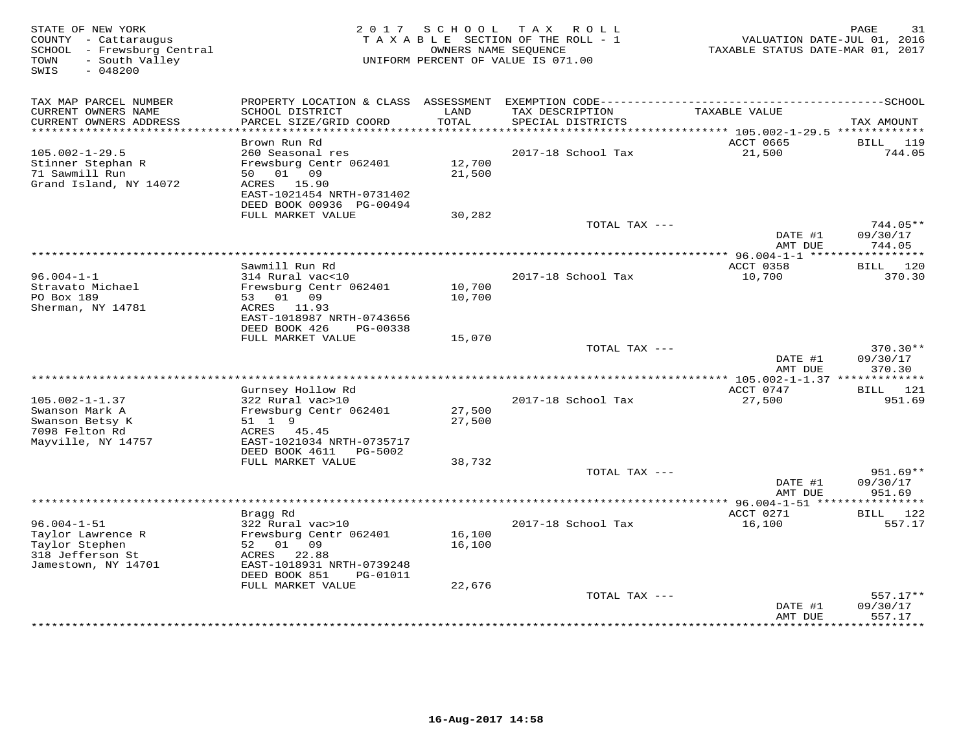| STATE OF NEW YORK<br>COUNTY - Cattaraugus<br>SCHOOL - Frewsburg Central<br>- South Valley<br>TOWN<br>$-048200$<br>SWIS | 2 0 1 7                                                                 | SCHOOL             | TAX ROLL<br>TAXABLE SECTION OF THE ROLL - 1<br>OWNERS NAME SEQUENCE<br>UNIFORM PERCENT OF VALUE IS 071.00 | TAXABLE STATUS DATE-MAR 01, 2017             | PAGE<br>31<br>VALUATION DATE-JUL 01, 2016 |
|------------------------------------------------------------------------------------------------------------------------|-------------------------------------------------------------------------|--------------------|-----------------------------------------------------------------------------------------------------------|----------------------------------------------|-------------------------------------------|
| TAX MAP PARCEL NUMBER<br>CURRENT OWNERS NAME                                                                           | PROPERTY LOCATION & CLASS<br>SCHOOL DISTRICT                            | ASSESSMENT<br>LAND | TAX DESCRIPTION                                                                                           | TAXABLE VALUE                                |                                           |
| CURRENT OWNERS ADDRESS                                                                                                 | PARCEL SIZE/GRID COORD                                                  | TOTAL              | SPECIAL DISTRICTS                                                                                         |                                              | TAX AMOUNT                                |
| **********************                                                                                                 | ***********************<br>Brown Run Rd                                 | ***********        |                                                                                                           | ACCT 0665                                    | <b>BILL</b><br>119                        |
| $105.002 - 1 - 29.5$<br>Stinner Stephan R<br>71 Sawmill Run                                                            | 260 Seasonal res<br>Frewsburg Centr 062401<br>01 09<br>50               | 12,700<br>21,500   | 2017-18 School Tax                                                                                        | 21,500                                       | 744.05                                    |
| Grand Island, NY 14072                                                                                                 | 15.90<br>ACRES<br>EAST-1021454 NRTH-0731402<br>DEED BOOK 00936 PG-00494 |                    |                                                                                                           |                                              |                                           |
|                                                                                                                        | FULL MARKET VALUE                                                       | 30,282             |                                                                                                           |                                              |                                           |
|                                                                                                                        |                                                                         |                    | TOTAL TAX ---                                                                                             | DATE #1<br>AMT DUE                           | 744.05**<br>09/30/17<br>744.05            |
|                                                                                                                        |                                                                         |                    |                                                                                                           | ** 96.004-1-1 ***                            |                                           |
|                                                                                                                        | Sawmill Run Rd                                                          |                    |                                                                                                           | ACCT 0358                                    | BILL 120                                  |
| $96.004 - 1 - 1$<br>Stravato Michael                                                                                   | 314 Rural vac<10<br>Frewsburg Centr 062401                              | 10,700             | 2017-18 School Tax                                                                                        | 10,700                                       | 370.30                                    |
| PO Box 189                                                                                                             | 53 01 09                                                                | 10,700             |                                                                                                           |                                              |                                           |
| Sherman, NY 14781                                                                                                      | ACRES 11.93<br>EAST-1018987 NRTH-0743656                                |                    |                                                                                                           |                                              |                                           |
|                                                                                                                        | DEED BOOK 426<br>PG-00338<br>FULL MARKET VALUE                          | 15,070             |                                                                                                           |                                              |                                           |
|                                                                                                                        |                                                                         |                    | TOTAL TAX ---                                                                                             |                                              | 370.30**                                  |
|                                                                                                                        |                                                                         |                    |                                                                                                           | DATE #1<br>AMT DUE                           | 09/30/17<br>370.30                        |
|                                                                                                                        |                                                                         |                    |                                                                                                           |                                              |                                           |
| $105.002 - 1 - 1.37$                                                                                                   | Gurnsey Hollow Rd<br>322 Rural vac>10                                   |                    | 2017-18 School Tax                                                                                        | ACCT 0747<br>27,500                          | <b>BILL</b> 121<br>951.69                 |
| Swanson Mark A                                                                                                         | Frewsburg Centr 062401                                                  | 27,500             |                                                                                                           |                                              |                                           |
| Swanson Betsy K                                                                                                        | 51 1 9                                                                  | 27,500             |                                                                                                           |                                              |                                           |
| 7098 Felton Rd<br>Mayville, NY 14757                                                                                   | ACRES<br>45.45<br>EAST-1021034 NRTH-0735717                             |                    |                                                                                                           |                                              |                                           |
|                                                                                                                        | DEED BOOK 4611<br>PG-5002<br>FULL MARKET VALUE                          | 38,732             |                                                                                                           |                                              |                                           |
|                                                                                                                        |                                                                         |                    | TOTAL TAX ---                                                                                             |                                              | $951.69**$                                |
|                                                                                                                        |                                                                         |                    |                                                                                                           | DATE #1<br>AMT DUE                           | 09/30/17<br>951.69                        |
|                                                                                                                        |                                                                         |                    |                                                                                                           | ************** 96.004-1-51 ****<br>ACCT 0271 | 122                                       |
| $96.004 - 1 - 51$                                                                                                      | Bragg Rd<br>322 Rural vac>10                                            |                    | 2017-18 School Tax                                                                                        | 16,100                                       | BILL<br>557.17                            |
| Taylor Lawrence R                                                                                                      | Frewsburg Centr 062401                                                  | 16,100             |                                                                                                           |                                              |                                           |
| Taylor Stephen<br>318 Jefferson St                                                                                     | 01<br>09<br>52<br>ACRES<br>22.88                                        | 16,100             |                                                                                                           |                                              |                                           |
| Jamestown, NY 14701                                                                                                    | EAST-1018931 NRTH-0739248<br>DEED BOOK 851<br>PG-01011                  |                    |                                                                                                           |                                              |                                           |
|                                                                                                                        | FULL MARKET VALUE                                                       | 22,676             |                                                                                                           |                                              |                                           |
|                                                                                                                        |                                                                         |                    | TOTAL TAX ---                                                                                             |                                              | 557.17**                                  |
|                                                                                                                        |                                                                         |                    |                                                                                                           | DATE #1<br>AMT DUE                           | 09/30/17<br>557.17                        |
|                                                                                                                        |                                                                         |                    |                                                                                                           |                                              | + + + + + + + +                           |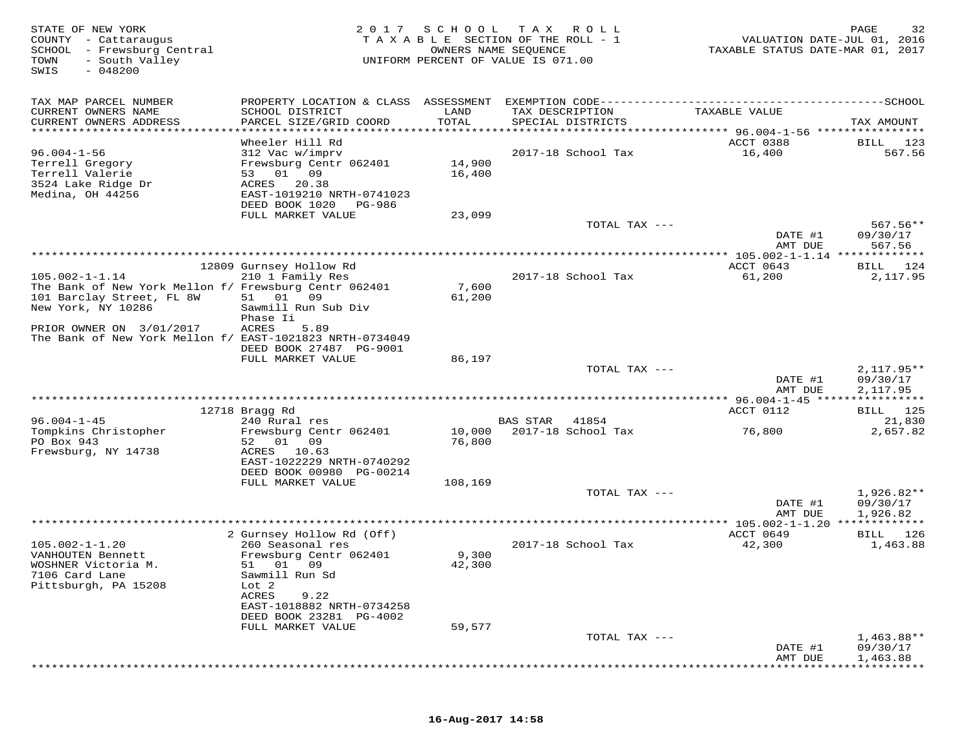| STATE OF NEW YORK<br>COUNTY - Cattaraugus<br>SCHOOL - Frewsburg Central<br>- South Valley<br>TOWN<br>$-048200$<br>SWIS | 2017                                          | S C H O O L              | T A X<br>R O L L<br>TAXABLE SECTION OF THE ROLL - 1<br>OWNERS NAME SEQUENCE<br>UNIFORM PERCENT OF VALUE IS 071.00 | VALUATION DATE-JUL 01, 2016<br>TAXABLE STATUS DATE-MAR 01, 2017             | PAGE<br>32              |
|------------------------------------------------------------------------------------------------------------------------|-----------------------------------------------|--------------------------|-------------------------------------------------------------------------------------------------------------------|-----------------------------------------------------------------------------|-------------------------|
| TAX MAP PARCEL NUMBER                                                                                                  | PROPERTY LOCATION & CLASS ASSESSMENT          |                          |                                                                                                                   |                                                                             |                         |
| CURRENT OWNERS NAME<br>CURRENT OWNERS ADDRESS<br>********************                                                  | SCHOOL DISTRICT<br>PARCEL SIZE/GRID COORD     | LAND<br>TOTAL<br>******* | TAX DESCRIPTION<br>SPECIAL DISTRICTS                                                                              | TAXABLE VALUE<br>**************************** 96.004-1-56 ***************** | TAX AMOUNT              |
|                                                                                                                        | Wheeler Hill Rd                               |                          |                                                                                                                   | ACCT 0388                                                                   | BILL<br>123             |
| $96.004 - 1 - 56$                                                                                                      | 312 Vac w/imprv                               |                          | 2017-18 School Tax                                                                                                | 16,400                                                                      | 567.56                  |
| Terrell Gregory                                                                                                        | Frewsburg Centr 062401                        | 14,900                   |                                                                                                                   |                                                                             |                         |
| Terrell Valerie<br>3524 Lake Ridge Dr                                                                                  | 53 01 09<br>ACRES 20.38                       | 16,400                   |                                                                                                                   |                                                                             |                         |
| Medina, OH 44256                                                                                                       | EAST-1019210 NRTH-0741023                     |                          |                                                                                                                   |                                                                             |                         |
|                                                                                                                        | DEED BOOK 1020<br>PG-986                      |                          |                                                                                                                   |                                                                             |                         |
|                                                                                                                        | FULL MARKET VALUE                             | 23,099                   | TOTAL TAX ---                                                                                                     |                                                                             | $567.56**$              |
|                                                                                                                        |                                               |                          |                                                                                                                   | DATE #1                                                                     | 09/30/17                |
|                                                                                                                        |                                               |                          |                                                                                                                   | AMT DUE                                                                     | 567.56                  |
|                                                                                                                        |                                               |                          |                                                                                                                   | ************ 105.002-1-1.14 *************                                   |                         |
| $105.002 - 1 - 1.14$                                                                                                   | 12809 Gurnsey Hollow Rd<br>210 1 Family Res   |                          | 2017-18 School Tax                                                                                                | ACCT 0643<br>61,200                                                         | BILL 124<br>2,117.95    |
| The Bank of New York Mellon f/ Frewsburg Centr 062401                                                                  |                                               | 7,600                    |                                                                                                                   |                                                                             |                         |
| 101 Barclay Street, FL 8W                                                                                              | 51 01 09                                      | 61,200                   |                                                                                                                   |                                                                             |                         |
| New York, NY 10286                                                                                                     | Sawmill Run Sub Div<br>Phase Ii               |                          |                                                                                                                   |                                                                             |                         |
| PRIOR OWNER ON 3/01/2017                                                                                               | <b>ACRES</b><br>5.89                          |                          |                                                                                                                   |                                                                             |                         |
| The Bank of New York Mellon f/ EAST-1021823 NRTH-0734049                                                               |                                               |                          |                                                                                                                   |                                                                             |                         |
|                                                                                                                        | DEED BOOK 27487 PG-9001<br>FULL MARKET VALUE  | 86,197                   |                                                                                                                   |                                                                             |                         |
|                                                                                                                        |                                               |                          | TOTAL TAX ---                                                                                                     |                                                                             | $2,117.95**$            |
|                                                                                                                        |                                               |                          |                                                                                                                   | DATE #1                                                                     | 09/30/17                |
|                                                                                                                        |                                               |                          |                                                                                                                   | AMT DUE                                                                     | 2,117.95                |
|                                                                                                                        | 12718 Bragg Rd                                |                          |                                                                                                                   | ACCT 0112                                                                   | BILL 125                |
| $96.004 - 1 - 45$                                                                                                      | 240 Rural res                                 |                          | <b>BAS STAR</b><br>41854                                                                                          |                                                                             | 21,830                  |
| Tompkins Christopher                                                                                                   | Frewsburg Centr 062401                        | 10,000                   | 2017-18 School Tax                                                                                                | 76,800                                                                      | 2,657.82                |
| PO Box 943<br>Frewsburg, NY 14738                                                                                      | 52<br>01 09<br>ACRES<br>10.63                 | 76,800                   |                                                                                                                   |                                                                             |                         |
|                                                                                                                        | EAST-1022229 NRTH-0740292                     |                          |                                                                                                                   |                                                                             |                         |
|                                                                                                                        | DEED BOOK 00980 PG-00214                      |                          |                                                                                                                   |                                                                             |                         |
|                                                                                                                        | FULL MARKET VALUE                             | 108,169                  | TOTAL TAX ---                                                                                                     |                                                                             | 1,926.82**              |
|                                                                                                                        |                                               |                          |                                                                                                                   | DATE #1                                                                     | 09/30/17                |
|                                                                                                                        |                                               |                          |                                                                                                                   | AMT DUE                                                                     | 1,926.82                |
|                                                                                                                        |                                               |                          |                                                                                                                   | $*******105.002-1-1.20*************$                                        |                         |
| $105.002 - 1 - 1.20$                                                                                                   | 2 Gurnsey Hollow Rd (Off)<br>260 Seasonal res |                          | 2017-18 School Tax                                                                                                | ACCT 0649<br>42,300                                                         | 126<br>BILL<br>1,463.88 |
| VANHOUTEN Bennett                                                                                                      | Frewsburg Centr 062401                        | 9,300                    |                                                                                                                   |                                                                             |                         |
| WOSHNER Victoria M.                                                                                                    | 51<br>01 09                                   | 42,300                   |                                                                                                                   |                                                                             |                         |
| 7106 Card Lane<br>Pittsburgh, PA 15208                                                                                 | Sawmill Run Sd<br>Lot 2                       |                          |                                                                                                                   |                                                                             |                         |
|                                                                                                                        | ACRES<br>9.22                                 |                          |                                                                                                                   |                                                                             |                         |
|                                                                                                                        | EAST-1018882 NRTH-0734258                     |                          |                                                                                                                   |                                                                             |                         |
|                                                                                                                        | DEED BOOK 23281 PG-4002<br>FULL MARKET VALUE  | 59,577                   |                                                                                                                   |                                                                             |                         |
|                                                                                                                        |                                               |                          | TOTAL TAX ---                                                                                                     |                                                                             | 1,463.88**              |
|                                                                                                                        |                                               |                          |                                                                                                                   | DATE #1                                                                     | 09/30/17                |
|                                                                                                                        |                                               |                          |                                                                                                                   | AMT DUE                                                                     | 1,463.88                |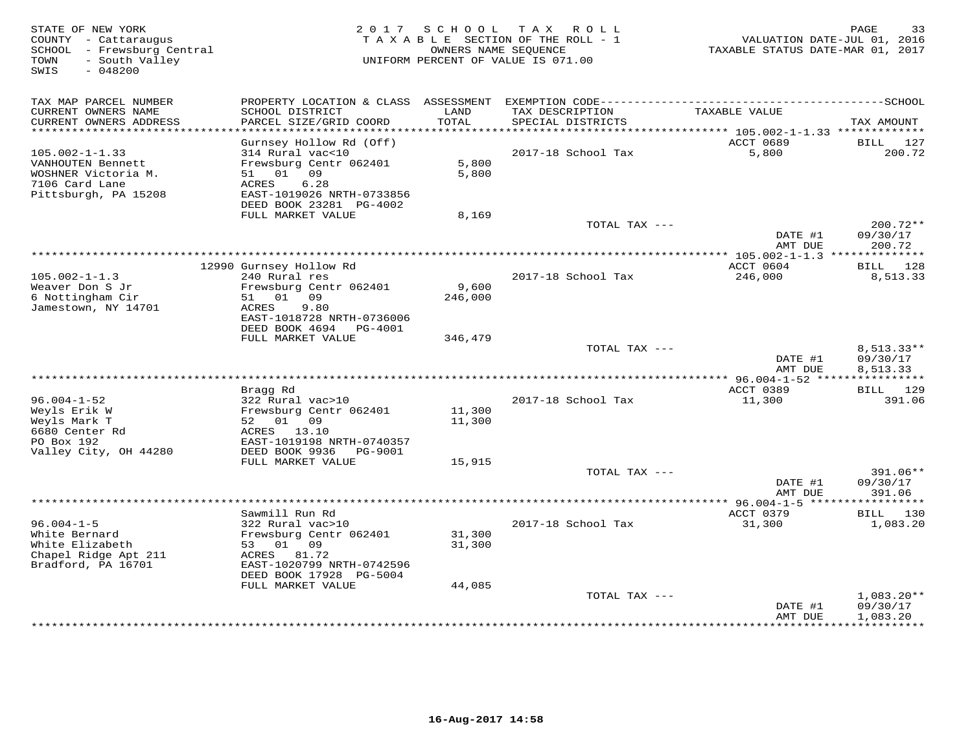| STATE OF NEW YORK<br>COUNTY - Cattaraugus<br>SCHOOL - Frewsburg Central<br>- South Valley<br>TOWN<br>SWIS<br>$-048200$ |                                                                                                                                      | 2017 SCHOOL      | T A X<br>R O L L<br>TAXABLE SECTION OF THE ROLL - 1<br>OWNERS NAME SEQUENCE<br>UNIFORM PERCENT OF VALUE IS 071.00 | VALUATION DATE-JUL 01, 2016<br>TAXABLE STATUS DATE-MAR 01, 2017 | PAGE<br>33                           |
|------------------------------------------------------------------------------------------------------------------------|--------------------------------------------------------------------------------------------------------------------------------------|------------------|-------------------------------------------------------------------------------------------------------------------|-----------------------------------------------------------------|--------------------------------------|
| TAX MAP PARCEL NUMBER<br>CURRENT OWNERS NAME<br>CURRENT OWNERS ADDRESS                                                 | PROPERTY LOCATION & CLASS ASSESSMENT<br>SCHOOL DISTRICT<br>PARCEL SIZE/GRID COORD                                                    | LAND<br>TOTAL    | TAX DESCRIPTION<br>SPECIAL DISTRICTS                                                                              | TAXABLE VALUE                                                   | TAX AMOUNT                           |
| **********************                                                                                                 |                                                                                                                                      |                  |                                                                                                                   |                                                                 |                                      |
| $105.002 - 1 - 1.33$<br>VANHOUTEN Bennett<br>WOSHNER Victoria M.<br>7106 Card Lane                                     | Gurnsey Hollow Rd (Off)<br>314 Rural vac<10<br>Frewsburg Centr 062401<br>09<br>51 01<br>6.28<br>ACRES                                | 5,800<br>5,800   | 2017-18 School Tax                                                                                                | ACCT 0689<br>5,800                                              | BILL<br>127<br>200.72                |
| Pittsburgh, PA 15208                                                                                                   | EAST-1019026 NRTH-0733856<br>DEED BOOK 23281 PG-4002                                                                                 |                  |                                                                                                                   |                                                                 |                                      |
|                                                                                                                        | FULL MARKET VALUE                                                                                                                    | 8,169            | TOTAL TAX ---                                                                                                     | DATE #1                                                         | 200.72**<br>09/30/17                 |
|                                                                                                                        |                                                                                                                                      |                  |                                                                                                                   | AMT DUE                                                         | 200.72                               |
|                                                                                                                        | 12990 Gurnsey Hollow Rd                                                                                                              |                  |                                                                                                                   | ACCT 0604                                                       | BILL 128                             |
| $105.002 - 1 - 1.3$<br>Weaver Don S Jr<br>6 Nottingham Cir<br>Jamestown, NY 14701                                      | 240 Rural res<br>Frewsburg Centr 062401<br>01<br>09<br>51<br>ACRES<br>9.80<br>EAST-1018728 NRTH-0736006<br>DEED BOOK 4694<br>PG-4001 | 9,600<br>246,000 | 2017-18 School Tax                                                                                                | 246,000                                                         | 8,513.33                             |
|                                                                                                                        | FULL MARKET VALUE                                                                                                                    | 346,479          |                                                                                                                   |                                                                 |                                      |
|                                                                                                                        |                                                                                                                                      |                  | TOTAL TAX ---                                                                                                     | DATE #1<br>AMT DUE                                              | $8,513.33**$<br>09/30/17<br>8,513.33 |
|                                                                                                                        | Bragg Rd                                                                                                                             |                  | ************************                                                                                          | $*$ 96.004-1-52 $**$<br>ACCT 0389                               | ***********<br>BILL 129              |
| $96.004 - 1 - 52$<br>Weyls Erik W<br>Weyls Mark T<br>6680 Center Rd<br>PO Box 192                                      | 322 Rural vac>10<br>Frewsburg Centr 062401<br>52 01 09<br>ACRES<br>13.10<br>EAST-1019198 NRTH-0740357                                | 11,300<br>11,300 | 2017-18 School Tax                                                                                                | 11,300                                                          | 391.06                               |
| Valley City, OH 44280                                                                                                  | DEED BOOK 9936<br>PG-9001<br>FULL MARKET VALUE                                                                                       | 15,915           |                                                                                                                   |                                                                 |                                      |
|                                                                                                                        |                                                                                                                                      |                  | TOTAL TAX ---                                                                                                     | DATE #1<br>AMT DUE                                              | 391.06**<br>09/30/17<br>391.06       |
|                                                                                                                        |                                                                                                                                      |                  |                                                                                                                   |                                                                 | * * * * * * * * *                    |
| $96.004 - 1 - 5$<br>White Bernard                                                                                      | Sawmill Run Rd<br>322 Rural vac>10<br>Frewsburg Centr 062401                                                                         | 31,300           | 2017-18 School Tax                                                                                                | ACCT 0379<br>31,300                                             | BILL 130<br>1,083.20                 |
| White Elizabeth<br>Chapel Ridge Apt 211<br>Bradford, PA 16701                                                          | 53 01<br>09<br>ACRES 81.72<br>EAST-1020799 NRTH-0742596<br>DEED BOOK 17928 PG-5004<br>FULL MARKET VALUE                              | 31,300<br>44,085 |                                                                                                                   |                                                                 |                                      |
|                                                                                                                        |                                                                                                                                      |                  | TOTAL TAX ---                                                                                                     | DATE #1                                                         | $1,083.20**$<br>09/30/17             |
|                                                                                                                        |                                                                                                                                      |                  |                                                                                                                   | AMT DUE                                                         | 1,083.20<br><b>+++++++++</b>         |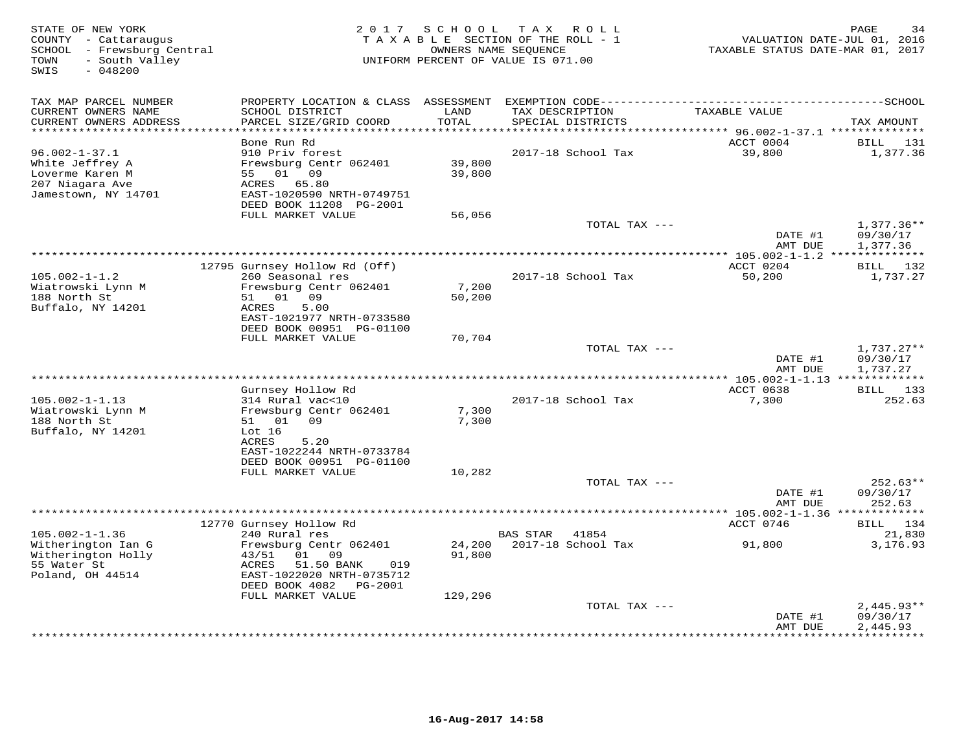| STATE OF NEW YORK<br>COUNTY - Cattaraugus<br>SCHOOL - Frewsburg Central<br>- South Valley<br>TOWN<br>SWIS<br>$-048200$ | 2 0 1 7                                              | S C H O O L                   | T A X<br>R O L L<br>TAXABLE SECTION OF THE ROLL - 1<br>OWNERS NAME SEQUENCE<br>UNIFORM PERCENT OF VALUE IS 071.00 | TAXABLE STATUS DATE-MAR 01, 2017 | PAGE<br>34<br>VALUATION DATE-JUL 01, 2016 |
|------------------------------------------------------------------------------------------------------------------------|------------------------------------------------------|-------------------------------|-------------------------------------------------------------------------------------------------------------------|----------------------------------|-------------------------------------------|
| TAX MAP PARCEL NUMBER                                                                                                  | PROPERTY LOCATION & CLASS ASSESSMENT                 |                               |                                                                                                                   |                                  |                                           |
| CURRENT OWNERS NAME<br>CURRENT OWNERS ADDRESS<br>**********************                                                | SCHOOL DISTRICT<br>PARCEL SIZE/GRID COORD            | LAND<br>TOTAL<br>************ | TAX DESCRIPTION<br>SPECIAL DISTRICTS                                                                              | TAXABLE VALUE                    | TAX AMOUNT                                |
|                                                                                                                        | Bone Run Rd                                          |                               |                                                                                                                   | ACCT 0004                        | BILL<br>131                               |
| $96.002 - 1 - 37.1$                                                                                                    | 910 Priv forest                                      |                               | 2017-18 School Tax                                                                                                | 39,800                           | 1,377.36                                  |
| White Jeffrey A                                                                                                        | Frewsburg Centr 062401                               | 39,800                        |                                                                                                                   |                                  |                                           |
| Loverme Karen M                                                                                                        | 01 09<br>55                                          | 39,800                        |                                                                                                                   |                                  |                                           |
| 207 Niagara Ave                                                                                                        | ACRES<br>65.80                                       |                               |                                                                                                                   |                                  |                                           |
| Jamestown, NY 14701                                                                                                    | EAST-1020590 NRTH-0749751<br>DEED BOOK 11208 PG-2001 |                               |                                                                                                                   |                                  |                                           |
|                                                                                                                        | FULL MARKET VALUE                                    | 56,056                        | TOTAL TAX ---                                                                                                     |                                  | $1,377.36**$                              |
|                                                                                                                        |                                                      |                               |                                                                                                                   | DATE #1<br>AMT DUE               | 09/30/17<br>1,377.36                      |
|                                                                                                                        |                                                      |                               | ******************                                                                                                | ** 105.002-1-1.2 ******          | ********                                  |
|                                                                                                                        | 12795 Gurnsey Hollow Rd (Off)                        |                               |                                                                                                                   | ACCT 0204                        | BILL 132                                  |
| $105.002 - 1 - 1.2$                                                                                                    | 260 Seasonal res                                     |                               | 2017-18 School Tax                                                                                                | 50,200                           | 1,737.27                                  |
| Wiatrowski Lynn M<br>188 North St                                                                                      | Frewsburg Centr 062401<br>01 09<br>51                | 7,200<br>50,200               |                                                                                                                   |                                  |                                           |
| Buffalo, NY 14201                                                                                                      | 5.00<br>ACRES                                        |                               |                                                                                                                   |                                  |                                           |
|                                                                                                                        | EAST-1021977 NRTH-0733580                            |                               |                                                                                                                   |                                  |                                           |
|                                                                                                                        | DEED BOOK 00951 PG-01100                             |                               |                                                                                                                   |                                  |                                           |
|                                                                                                                        | FULL MARKET VALUE                                    | 70,704                        |                                                                                                                   |                                  |                                           |
|                                                                                                                        |                                                      |                               | TOTAL TAX ---                                                                                                     | DATE #1                          | $1,737.27**$<br>09/30/17                  |
|                                                                                                                        |                                                      |                               |                                                                                                                   | AMT DUE                          | 1,737.27                                  |
|                                                                                                                        |                                                      |                               | ********************                                                                                              | *** 105.002-1-1.13 *****         | ********                                  |
|                                                                                                                        | Gurnsey Hollow Rd                                    |                               |                                                                                                                   | ACCT 0638                        | BILL<br>133                               |
| $105.002 - 1 - 1.13$                                                                                                   | 314 Rural vac<10                                     |                               | 2017-18 School Tax                                                                                                | 7,300                            | 252.63                                    |
| Wiatrowski Lynn M<br>188 North St                                                                                      | Frewsburg Centr 062401<br>01<br>09<br>51             | 7,300                         |                                                                                                                   |                                  |                                           |
| Buffalo, NY 14201                                                                                                      | Lot 16                                               | 7,300                         |                                                                                                                   |                                  |                                           |
|                                                                                                                        | 5.20<br>ACRES                                        |                               |                                                                                                                   |                                  |                                           |
|                                                                                                                        | EAST-1022244 NRTH-0733784                            |                               |                                                                                                                   |                                  |                                           |
|                                                                                                                        | DEED BOOK 00951 PG-01100                             |                               |                                                                                                                   |                                  |                                           |
|                                                                                                                        | FULL MARKET VALUE                                    | 10,282                        |                                                                                                                   |                                  |                                           |
|                                                                                                                        |                                                      |                               | TOTAL TAX ---                                                                                                     | DATE #1                          | $252.63**$<br>09/30/17                    |
|                                                                                                                        |                                                      |                               |                                                                                                                   | AMT DUE                          | 252.63                                    |
|                                                                                                                        |                                                      |                               |                                                                                                                   | $*105.002 - 1 - 1.36$            |                                           |
|                                                                                                                        | 12770 Gurnsey Hollow Rd                              |                               |                                                                                                                   | ACCT 0746                        | 134<br>BILL                               |
| $105.002 - 1 - 1.36$                                                                                                   | 240 Rural res                                        |                               | BAS STAR<br>41854<br>2017-18 School Tax                                                                           |                                  | 21,830                                    |
| Witherington Ian G<br>Witherington Holly                                                                               | Frewsburg Centr 062401<br>01<br>09<br>43/51          | 24,200<br>91,800              |                                                                                                                   | 91,800                           | 3,176.93                                  |
| 55 Water St                                                                                                            | <b>ACRES</b><br>51.50 BANK<br>019                    |                               |                                                                                                                   |                                  |                                           |
| Poland, OH 44514                                                                                                       | EAST-1022020 NRTH-0735712                            |                               |                                                                                                                   |                                  |                                           |
|                                                                                                                        | DEED BOOK 4082<br>PG-2001                            |                               |                                                                                                                   |                                  |                                           |
|                                                                                                                        | FULL MARKET VALUE                                    | 129,296                       |                                                                                                                   |                                  |                                           |
|                                                                                                                        |                                                      |                               | TOTAL TAX ---                                                                                                     | DATE #1                          | $2,445.93**$<br>09/30/17                  |
|                                                                                                                        |                                                      |                               |                                                                                                                   | AMT DUE                          | 2,445.93                                  |
|                                                                                                                        |                                                      |                               |                                                                                                                   |                                  |                                           |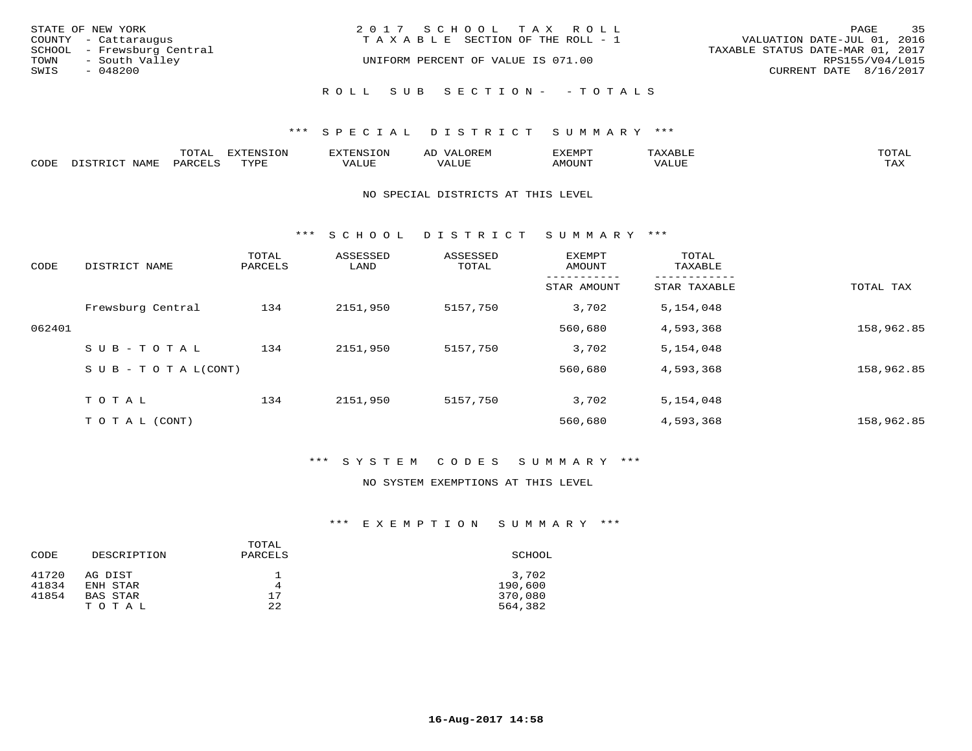| STATE OF NEW YORK<br>COUNTY - Cattaraugus   | 2017 SCHOOL TAX ROLL<br>T A X A B L E SECTION OF THE ROLL - 1 | 35<br>PAGE<br>VALUATION DATE-JUL 01, 2016 |
|---------------------------------------------|---------------------------------------------------------------|-------------------------------------------|
| SCHOOL - Frewsburg Central                  |                                                               | TAXABLE STATUS DATE-MAR 01, 2017          |
| TOWN<br>- South Valley<br>SWIS<br>$-048200$ | UNIFORM PERCENT OF VALUE IS 071.00                            | RPS155/V04/L015<br>CURRENT DATE 8/16/2017 |
|                                             | ROLL SUB SECTION- - TOTALS                                    |                                           |

|      |      | mom n<br>-777 | pszmpato<br>$ \sim$ $\sim$<br>-UP | AL.         | ,,, <del>,</del> ,,, <del>,</del> ,<br>້ |                         | $m \wedge m \wedge n$ |
|------|------|---------------|-----------------------------------|-------------|------------------------------------------|-------------------------|-----------------------|
| CODE | ⊥'⊥⊥ | PARO          | TVDF                              | ۳۰ تا سند د | <b>MOTTNT</b>                            | - ---<br>$'$ $\Delta$ . | $m \times r$<br>- −-  |

#### NO SPECIAL DISTRICTS AT THIS LEVEL

\*\*\* S C H O O L D I S T R I C T S U M M A R Y \*\*\*

| CODE   | DISTRICT NAME              | TOTAL<br>PARCELS | ASSESSED<br>LAND | ASSESSED<br>TOTAL | EXEMPT<br>AMOUNT | TOTAL<br>TAXABLE |            |
|--------|----------------------------|------------------|------------------|-------------------|------------------|------------------|------------|
|        |                            |                  |                  |                   | STAR AMOUNT      | STAR TAXABLE     | TOTAL TAX  |
|        | Frewsburg Central          | 134              | 2151,950         | 5157,750          | 3,702            | 5,154,048        |            |
| 062401 |                            |                  |                  |                   | 560,680          | 4,593,368        | 158,962.85 |
|        | SUB-TOTAL                  | 134              | 2151,950         | 5157,750          | 3,702            | 5,154,048        |            |
|        | S U B - T O T A $L$ (CONT) |                  |                  |                   | 560,680          | 4,593,368        | 158,962.85 |
|        | TOTAL                      | 134              | 2151,950         | 5157,750          | 3,702            | 5,154,048        |            |
|        | T O T A L (CONT)           |                  |                  |                   | 560,680          | 4,593,368        | 158,962.85 |

### \*\*\* S Y S T E M C O D E S S U M M A R Y \*\*\*

#### NO SYSTEM EXEMPTIONS AT THIS LEVEL

|       |             | TOTAL   |         |
|-------|-------------|---------|---------|
| CODE  | DESCRIPTION | PARCELS | SCHOOL  |
| 41720 | AG DIST     |         | 3,702   |
| 41834 | ENH STAR    | 4       | 190,600 |
| 41854 | BAS STAR    | 17      | 370,080 |
|       | TOTAL       | 22      | 564,382 |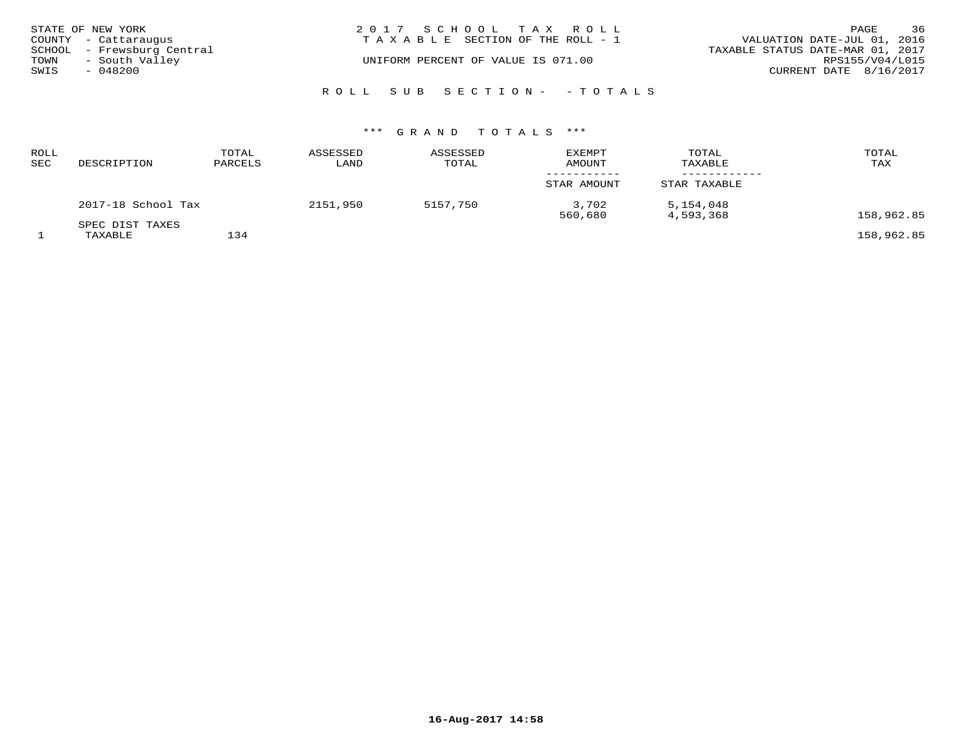|      | STATE OF NEW YORK          | 2017 SCHOOL TAX ROLL                  | PAGE                             | 36 |
|------|----------------------------|---------------------------------------|----------------------------------|----|
|      | COUNTY - Cattaraugus       | T A X A B L E SECTION OF THE ROLL - 1 | VALUATION DATE-JUL 01, 2016      |    |
|      | SCHOOL - Frewsburg Central |                                       | TAXABLE STATUS DATE-MAR 01, 2017 |    |
| TOWN | - South Valley             | UNIFORM PERCENT OF VALUE IS 071.00    | RPS155/V04/L015                  |    |
| SWIS | $-048200$                  |                                       | CURRENT DATE 8/16/2017           |    |
|      |                            | ROLL SUB SECTION- - TOTALS            |                                  |    |

| ROLL<br>SEC | DESCRIPTION                | TOTAL<br>PARCELS | ASSESSED<br>LAND | ASSESSED<br>TOTAL | <b>EXEMPT</b><br><b>AMOUNT</b> | TOTAL<br>TAXABLE       | TOTAL<br>TAX |
|-------------|----------------------------|------------------|------------------|-------------------|--------------------------------|------------------------|--------------|
|             |                            |                  |                  |                   | STAR AMOUNT                    | STAR TAXABLE           |              |
|             | 2017-18 School Tax         |                  | 2151,950         | 5157,750          | 3,702<br>560,680               | 5,154,048<br>4,593,368 | 158,962.85   |
|             | SPEC DIST TAXES<br>TAXABLE | 134              |                  |                   |                                |                        | 158,962.85   |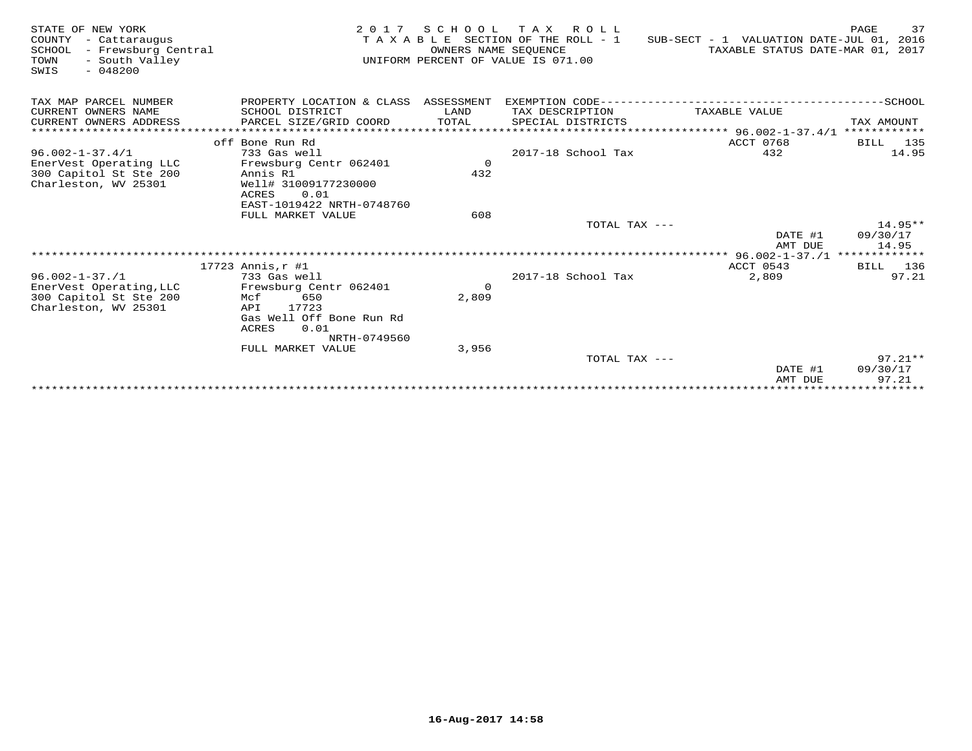| STATE OF NEW YORK<br>COUNTY<br>- Cattaraugus<br>SCHOOL<br>- Frewsburg Central<br>- South Valley<br>TOWN<br>$-048200$<br>SWIS | 2 0 1 7                                                                                                                                                    | OWNERS NAME SEOUENCE    | SCHOOL TAX ROLL<br>TAXABLE SECTION OF THE ROLL - 1<br>UNIFORM PERCENT OF VALUE IS 071.00 | SUB-SECT - 1 VALUATION DATE-JUL 01, 2016                         | 37<br>PAGE<br>TAXABLE STATUS DATE-MAR 01, 2017 |
|------------------------------------------------------------------------------------------------------------------------------|------------------------------------------------------------------------------------------------------------------------------------------------------------|-------------------------|------------------------------------------------------------------------------------------|------------------------------------------------------------------|------------------------------------------------|
| TAX MAP PARCEL NUMBER<br>CURRENT OWNERS NAME<br>CURRENT OWNERS ADDRESS                                                       | PROPERTY LOCATION & CLASS ASSESSMENT<br>SCHOOL DISTRICT<br>PARCEL SIZE/GRID COORD                                                                          | LAND<br>TOTAL           | TAX DESCRIPTION<br>SPECIAL DISTRICTS                                                     | TAXABLE VALUE<br>****************** 96.002-1-37.4/1 ************ | TAX AMOUNT                                     |
| $96.002 - 1 - 37.4/1$<br>EnerVest Operating LLC<br>300 Capitol St Ste 200<br>Charleston, WV 25301                            | off Bone Run Rd<br>733 Gas well<br>Frewsburg Centr 062401<br>Annis R1<br>Well# 31009177230000<br>0.01<br>ACRES<br>EAST-1019422 NRTH-0748760                | $\Omega$<br>432         | 2017-18 School Tax                                                                       | ACCT 0768<br>432                                                 | <b>BILL</b> 135<br>14.95                       |
|                                                                                                                              | FULL MARKET VALUE                                                                                                                                          | 608                     | TOTAL TAX ---                                                                            | DATE #1<br>AMT DUE                                               | $14.95**$<br>09/30/17<br>14.95                 |
|                                                                                                                              |                                                                                                                                                            |                         |                                                                                          |                                                                  |                                                |
| $96.002 - 1 - 37.1$<br>EnerVest Operating, LLC<br>300 Capitol St Ste 200<br>Charleston, WV 25301                             | $17723$ Annis, $r$ #1<br>733 Gas well<br>Frewsburg Centr 062401<br>650<br>Mcf<br>17723<br>API<br>Gas Well Off Bone Run Rd<br>0.01<br>ACRES<br>NRTH-0749560 | $\overline{0}$<br>2,809 | 2017-18 School Tax                                                                       | ACCT 0543<br>2,809                                               | BILL 136<br>97.21                              |
|                                                                                                                              | FULL MARKET VALUE                                                                                                                                          | 3,956                   |                                                                                          |                                                                  |                                                |
|                                                                                                                              |                                                                                                                                                            |                         | TOTAL TAX ---                                                                            | DATE #1<br>AMT DUE                                               | $97.21**$<br>09/30/17<br>97.21                 |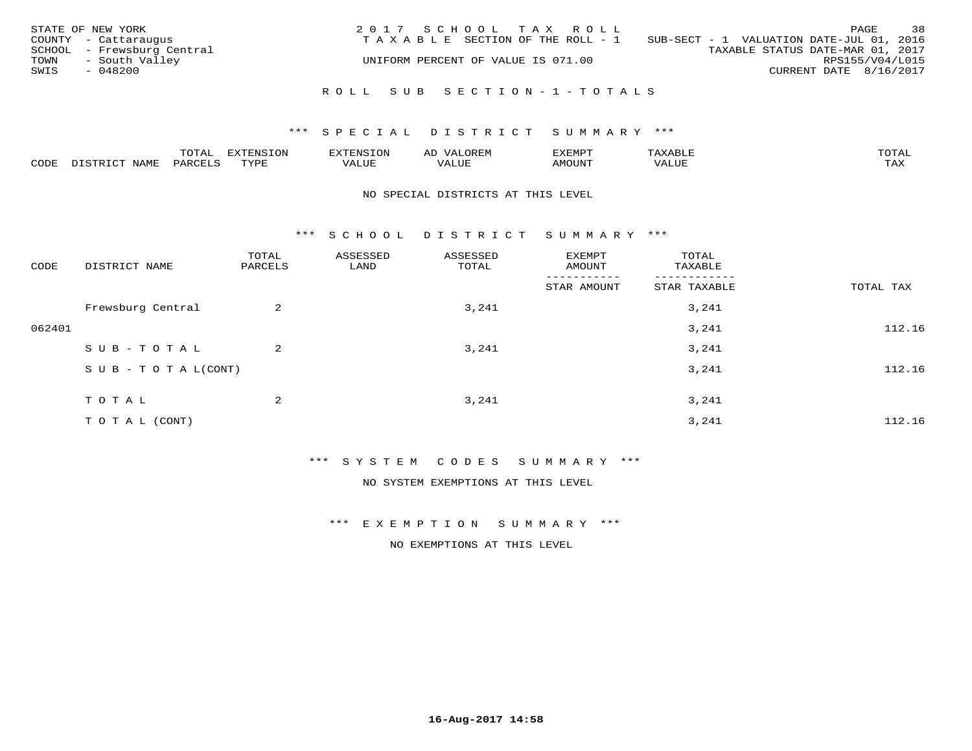|      | STATE OF NEW YORK          | 2017 SCHOOL TAX ROLL               |                                          | PAGE                   | 38 |
|------|----------------------------|------------------------------------|------------------------------------------|------------------------|----|
|      | COUNTY - Cattaraugus       | TAXABLE SECTION OF THE ROLL - 1    | SUB-SECT - 1 VALUATION DATE-JUL 01, 2016 |                        |    |
|      | SCHOOL - Frewsburg Central |                                    | TAXABLE STATUS DATE-MAR 01, 2017         |                        |    |
| TOWN | - South Valley             | UNIFORM PERCENT OF VALUE IS 071.00 |                                          | RPS155/V04/L015        |    |
| SWIS | - 048200                   |                                    |                                          | CURRENT DATE 8/16/2017 |    |
|      |                            |                                    |                                          |                        |    |
|      |                            | ROLL SUB SECTION-1-TOTALS          |                                          |                        |    |

|      |             | $m \wedge m$<br>$\sim$ |      | אי   | ΑL   | "EMP   |       |                |
|------|-------------|------------------------|------|------|------|--------|-------|----------------|
| CODE | <b>NAMH</b> | PARTFT                 | TVDF | ALUE | ALUI | AMOUNT | VALUE | max x<br>- ∠∡∡ |

#### NO SPECIAL DISTRICTS AT THIS LEVEL

\*\*\* S C H O O L D I S T R I C T S U M M A R Y \*\*\*

| CODE   | DISTRICT NAME              | TOTAL<br>PARCELS | ASSESSED<br>LAND | ASSESSED<br>TOTAL | EXEMPT<br>AMOUNT | TOTAL<br>TAXABLE |           |
|--------|----------------------------|------------------|------------------|-------------------|------------------|------------------|-----------|
|        |                            |                  |                  |                   | STAR AMOUNT      | STAR TAXABLE     | TOTAL TAX |
|        | Frewsburg Central          | $\overline{a}$   |                  | 3,241             |                  | 3,241            |           |
| 062401 |                            |                  |                  |                   |                  | 3,241            | 112.16    |
|        | SUB-TOTAL                  | $\overline{2}$   |                  | 3,241             |                  | 3,241            |           |
|        | S U B - T O T A $L$ (CONT) |                  |                  |                   |                  | 3,241            | 112.16    |
|        | TOTAL                      | 2                |                  | 3,241             |                  | 3,241            |           |
|        | TO TAL (CONT)              |                  |                  |                   |                  | 3,241            | 112.16    |

\*\*\* S Y S T E M C O D E S S U M M A R Y \*\*\*

NO SYSTEM EXEMPTIONS AT THIS LEVEL

\*\*\* E X E M P T I O N S U M M A R Y \*\*\*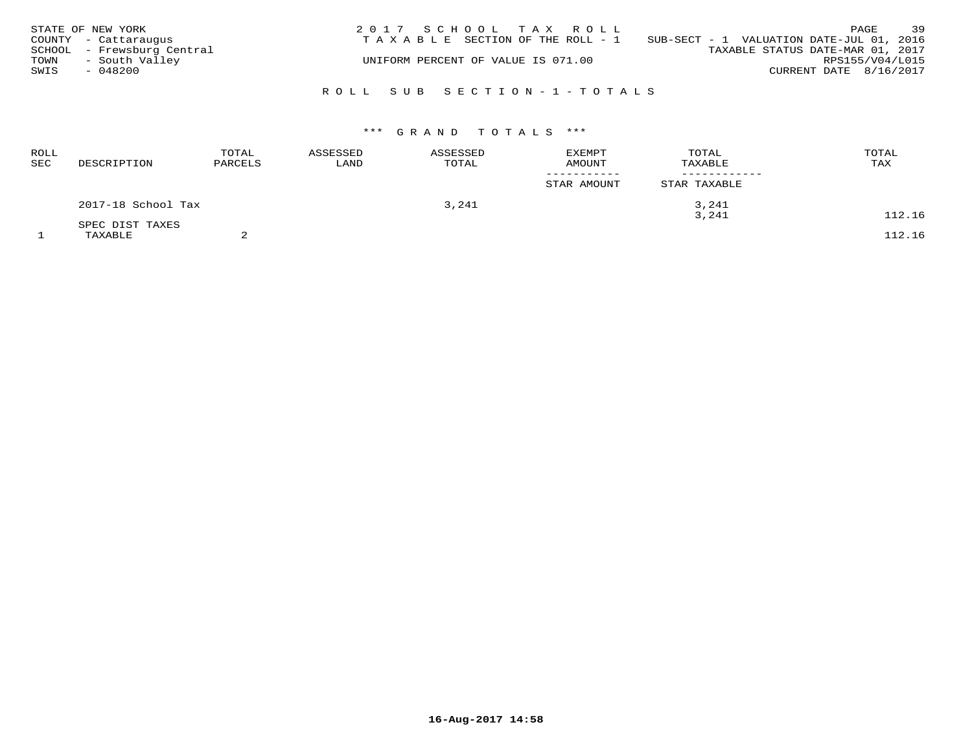|      | STATE OF NEW YORK          | 2017 SCHOOL TAX ROLL                                                        | 39<br>PAGE             |
|------|----------------------------|-----------------------------------------------------------------------------|------------------------|
|      | COUNTY - Cattaraugus       | SUB-SECT - 1 VALUATION DATE-JUL 01, 2016<br>TAXABLE SECTION OF THE ROLL - 1 |                        |
|      | SCHOOL - Frewsburg Central | TAXABLE STATUS DATE-MAR 01, 2017                                            |                        |
| TOWN | - South Valley             | UNIFORM PERCENT OF VALUE IS 071.00                                          | RPS155/V04/L015        |
| SWIS | - 048200                   |                                                                             | CURRENT DATE 8/16/2017 |
|      |                            |                                                                             |                        |
|      |                            | ROLL SUB SECTION-1-TOTALS                                                   |                        |

| <b>ROLL</b><br>SEC | DESCRIPTION        | TOTAL<br>PARCELS | ASSESSED<br>LAND | ASSESSED<br>TOTAL | <b>EXEMPT</b><br><b>AMOUNT</b> | TOTAL<br>TAXABLE | TOTAL<br>TAX |
|--------------------|--------------------|------------------|------------------|-------------------|--------------------------------|------------------|--------------|
|                    |                    |                  |                  |                   | STAR AMOUNT                    | STAR TAXABLE     |              |
|                    | 2017-18 School Tax |                  |                  | 3,241             |                                | 3,241            |              |
|                    | SPEC DIST TAXES    |                  |                  |                   |                                | 3,241            | 112.16       |
|                    | TAXABLE            |                  |                  |                   |                                |                  | 112.16       |

**16-Aug-2017 14:58**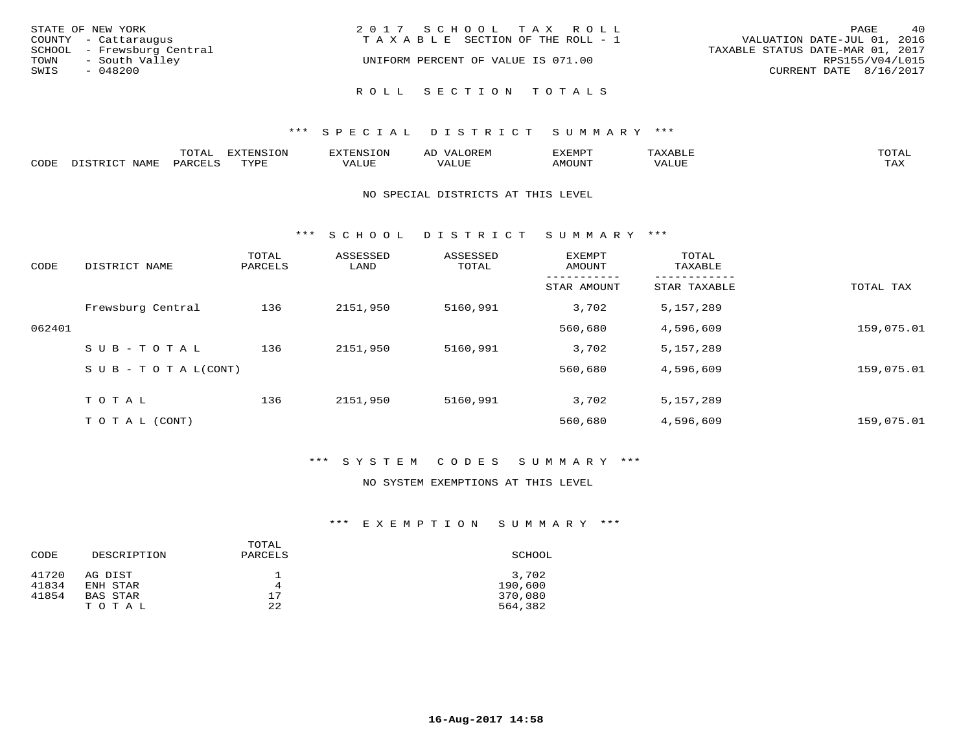| STATE OF NEW YORK          | 2017 SCHOOL TAX ROLL               | 40<br>PAGE                       |
|----------------------------|------------------------------------|----------------------------------|
| COUNTY - Cattaraugus       | TAXABLE SECTION OF THE ROLL - 1    | VALUATION DATE-JUL 01, 2016      |
| SCHOOL - Frewsburg Central |                                    | TAXABLE STATUS DATE-MAR 01, 2017 |
| - South Valley<br>TOWN     | UNIFORM PERCENT OF VALUE IS 071.00 | RPS155/V04/L015                  |
| SWIS<br>$-048200$          |                                    | CURRENT DATE 8/16/2017           |
|                            |                                    |                                  |
|                            | ROLL SECTION TOTALS                |                                  |

|      |                | m^m*<br>LUIAI | $T \cap N$<br>---- | .         | ىت        | YFMDT<br><u> 221 11</u> 11 |        | $m \wedge m \wedge n$<br>$\overline{a}$ |
|------|----------------|---------------|--------------------|-----------|-----------|----------------------------|--------|-----------------------------------------|
| CODE | √∐∆M™<br>AP 11 |               | $m \tau \tau \tau$ | --- - --- | $+ + + +$ | 57077377                   | . U B. | $m \times r$<br>- ∠∡∡                   |

#### NO SPECIAL DISTRICTS AT THIS LEVEL

\*\*\* S C H O O L D I S T R I C T S U M M A R Y \*\*\*

| CODE   | DISTRICT NAME             | TOTAL<br>PARCELS | ASSESSED<br>LAND | ASSESSED<br>TOTAL | EXEMPT<br>AMOUNT | TOTAL<br>TAXABLE |            |
|--------|---------------------------|------------------|------------------|-------------------|------------------|------------------|------------|
|        |                           |                  |                  |                   | STAR AMOUNT      | STAR TAXABLE     | TOTAL TAX  |
|        | Frewsburg Central         | 136              | 2151,950         | 5160,991          | 3,702            | 5,157,289        |            |
| 062401 |                           |                  |                  |                   | 560,680          | 4,596,609        | 159,075.01 |
|        | SUB-TOTAL                 | 136              | 2151,950         | 5160,991          | 3,702            | 5,157,289        |            |
|        | S U B - T O T A $L(CONT)$ |                  |                  |                   | 560,680          | 4,596,609        | 159,075.01 |
|        | TOTAL                     | 136              | 2151,950         | 5160,991          | 3,702            | 5,157,289        |            |
|        | T O T A L (CONT)          |                  |                  |                   | 560,680          | 4,596,609        | 159,075.01 |

### \*\*\* S Y S T E M C O D E S S U M M A R Y \*\*\*

### NO SYSTEM EXEMPTIONS AT THIS LEVEL

|       |             | TOTAL   |         |
|-------|-------------|---------|---------|
| CODE  | DESCRIPTION | PARCELS | SCHOOL  |
| 41720 | AG DIST     |         | 3,702   |
| 41834 | ENH STAR    | 4       | 190,600 |
| 41854 | BAS STAR    | 17      | 370,080 |
|       | TOTAL       | 22      | 564,382 |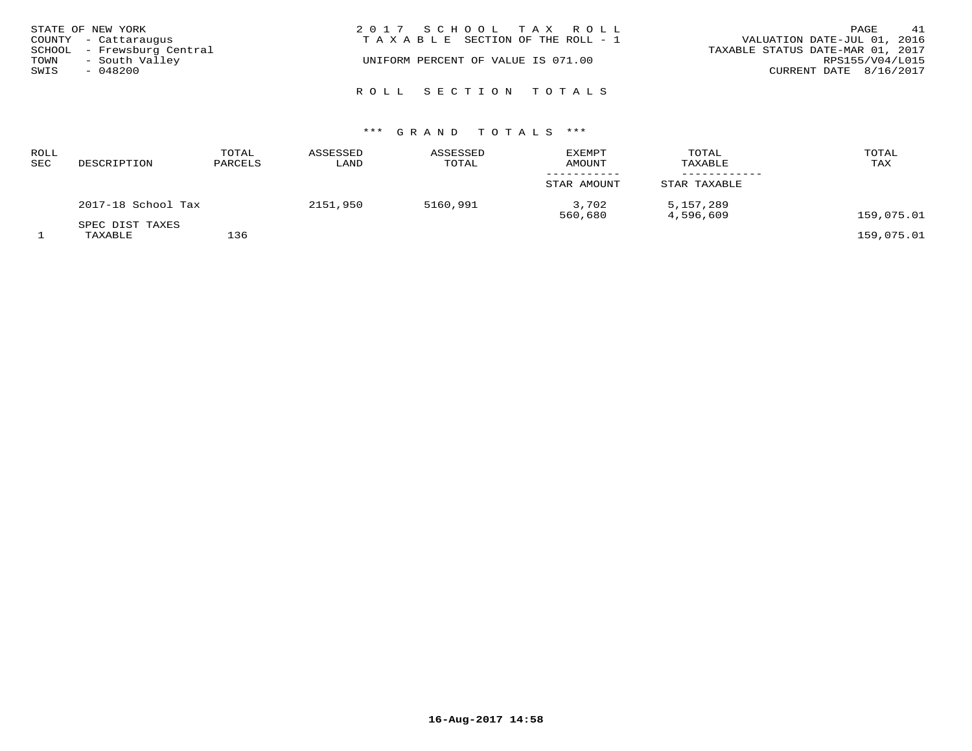|      | STATE OF NEW YORK          | 2017 SCHOOL TAX ROLL                                           | PAGE                   | 41 |
|------|----------------------------|----------------------------------------------------------------|------------------------|----|
|      | COUNTY - Cattaraugus       | VALUATION DATE-JUL 01, 2016<br>TAXABLE SECTION OF THE ROLL - 1 |                        |    |
|      | SCHOOL - Frewsburg Central | TAXABLE STATUS DATE-MAR 01, 2017                               |                        |    |
| TOWN | - South Valley             | UNIFORM PERCENT OF VALUE IS 071.00                             | RPS155/V04/L015        |    |
| SWIS | $-048200$                  |                                                                | CURRENT DATE 8/16/2017 |    |
|      |                            |                                                                |                        |    |
|      |                            | ROLL SECTION TOTALS                                            |                        |    |

| <b>ROLL</b><br><b>SEC</b> | DESCRIPTION                | TOTAL<br>PARCELS | ASSESSED<br>LAND | ASSESSED<br>TOTAL | EXEMPT<br>AMOUNT | TOTAL<br>TAXABLE       | TOTAL<br>TAX |
|---------------------------|----------------------------|------------------|------------------|-------------------|------------------|------------------------|--------------|
|                           |                            |                  |                  |                   | STAR AMOUNT      | STAR TAXABLE           |              |
|                           | 2017-18 School Tax         |                  | 2151,950         | 5160,991          | 3,702<br>560,680 | 5,157,289<br>4,596,609 | 159,075.01   |
|                           | SPEC DIST TAXES<br>TAXABLE | 136              |                  |                   |                  |                        | 159,075.01   |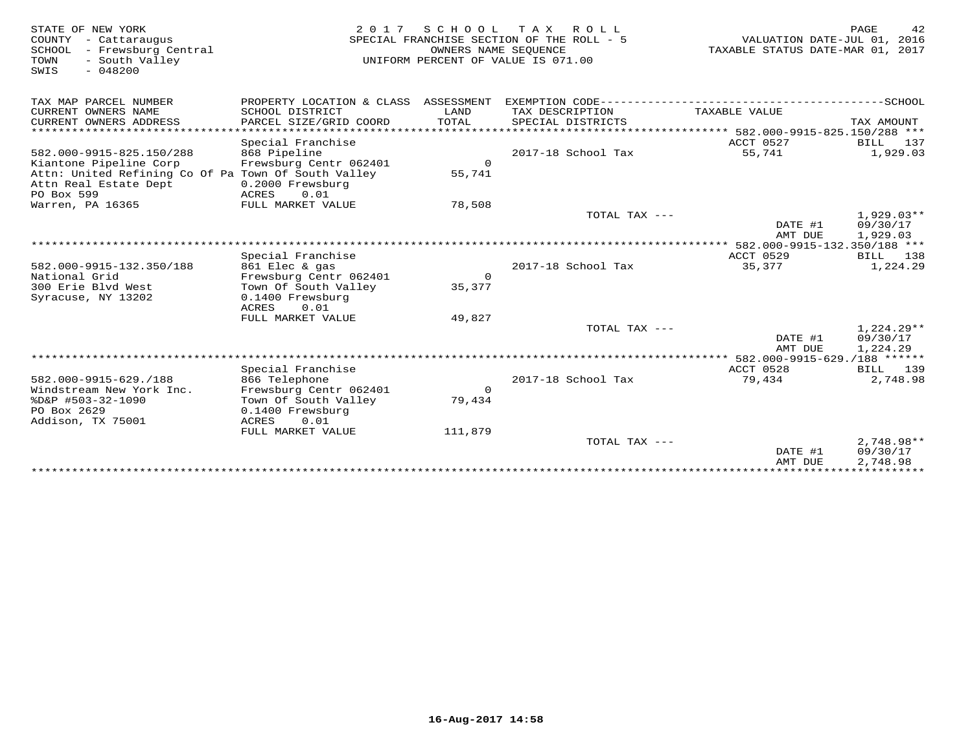| STATE OF NEW YORK<br>COUNTY - Cattaraugus<br>SCHOOL - Frewsburg Central<br>TOWN<br>- South Valley<br>$-048200$<br>SWIS             | 2 0 1 7                                                                                                                    |                        | SCHOOL TAX ROLL<br>SPECIAL FRANCHISE SECTION OF THE ROLL - 5<br>OWNERS NAME SEQUENCE<br>UNIFORM PERCENT OF VALUE IS 071.00 | VALUATION DATE-JUL 01, 2016<br>TAXABLE STATUS DATE-MAR 01, 2017 | 42<br>PAGE                           |
|------------------------------------------------------------------------------------------------------------------------------------|----------------------------------------------------------------------------------------------------------------------------|------------------------|----------------------------------------------------------------------------------------------------------------------------|-----------------------------------------------------------------|--------------------------------------|
| TAX MAP PARCEL NUMBER                                                                                                              | PROPERTY LOCATION & CLASS ASSESSMENT                                                                                       |                        |                                                                                                                            |                                                                 |                                      |
| CURRENT OWNERS NAME<br>CURRENT OWNERS ADDRESS<br>********************                                                              | SCHOOL DISTRICT<br>PARCEL SIZE/GRID COORD                                                                                  | LAND<br>TOTAL          | TAX DESCRIPTION<br>SPECIAL DISTRICTS<br>******************************** 582.000-9915-825.150/288 ***                      | TAXABLE VALUE                                                   | TAX AMOUNT                           |
| 582.000-9915-825.150/288<br>Kiantone Pipeline Corp<br>Attn: United Refining Co Of Pa Town Of South Valley<br>Attn Real Estate Dept | Special Franchise<br>868 Pipeline<br>Frewsburg Centr 062401<br>0.2000 Frewsburg                                            | $\Omega$<br>55,741     | 2017-18 School Tax                                                                                                         | ACCT 0527<br>55,741                                             | BILL<br>137<br>1,929.03              |
| PO Box 599<br>Warren, PA 16365                                                                                                     | 0.01<br>ACRES<br>FULL MARKET VALUE                                                                                         | 78,508                 | TOTAL TAX $---$                                                                                                            | DATE #1                                                         | $1,929.03**$<br>09/30/17             |
|                                                                                                                                    |                                                                                                                            |                        |                                                                                                                            | AMT DUE                                                         | 1,929.03                             |
| 582.000-9915-132.350/188<br>National Grid<br>300 Erie Blvd West<br>Syracuse, NY 13202                                              | Special Franchise<br>861 Elec & gas<br>Frewsburg Centr 062401<br>Town Of South Valley<br>0.1400 Frewsburg<br>0.01<br>ACRES | $\mathbf{0}$<br>35,377 | 2017-18 School Tax                                                                                                         | ACCT 0529<br>35,377                                             | 138<br>BILL<br>1,224.29              |
|                                                                                                                                    | FULL MARKET VALUE                                                                                                          | 49,827                 | TOTAL TAX ---                                                                                                              | DATE #1<br>AMT DUE                                              | $1,224.29**$<br>09/30/17<br>1,224.29 |
|                                                                                                                                    |                                                                                                                            |                        |                                                                                                                            |                                                                 |                                      |
| 582.000-9915-629./188<br>Windstream New York Inc.<br>%D&P #503-32-1090<br>PO Box 2629<br>Addison, TX 75001                         | Special Franchise<br>866 Telephone<br>Frewsburg Centr 062401<br>Town Of South Valley<br>0.1400 Frewsburg<br>0.01<br>ACRES  | $\mathbf 0$<br>79,434  | 2017-18 School Tax                                                                                                         | ACCT 0528<br>79,434                                             | BILL 139<br>2,748.98                 |
|                                                                                                                                    | FULL MARKET VALUE                                                                                                          | 111,879                | TOTAL TAX ---                                                                                                              | DATE #1<br>AMT DUE                                              | $2,748.98**$<br>09/30/17<br>2,748.98 |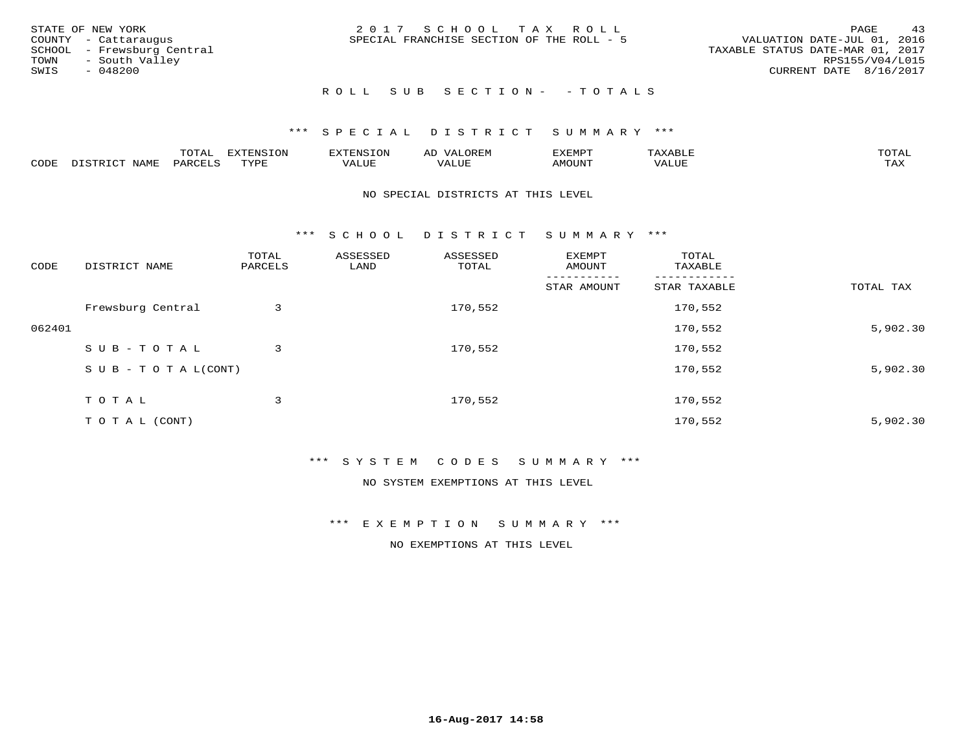|      | STATE OF NEW YORK          | 2017 SCHOOL TAX ROLL                                                     | PAGE            | 43 |
|------|----------------------------|--------------------------------------------------------------------------|-----------------|----|
|      | COUNTY - Cattaraugus       | VALUATION DATE-JUL 01, 2016<br>SPECIAL FRANCHISE SECTION OF THE ROLL - 5 |                 |    |
|      | SCHOOL - Frewsburg Central | TAXABLE STATUS DATE-MAR 01, 2017                                         |                 |    |
| TOWN | - South Valley             |                                                                          | RPS155/V04/L015 |    |
| SWIS | $-048200$                  | CURRENT DATE 8/16/2017                                                   |                 |    |
|      |                            |                                                                          |                 |    |

# ROLL SUB SECTION - - TOTALS

### \*\*\* S P E C I A L D I S T R I C T S U M M A R Y \*\*\*

|      |                            | ----<br>$\overline{\phantom{a}}$ | EXTENSION | <b>ENS</b>        | AL<br>$\cdots$ | דסאים אי     |                       | momn. |
|------|----------------------------|----------------------------------|-----------|-------------------|----------------|--------------|-----------------------|-------|
| CODE | $ \sim$ $-$<br><b>NAMP</b> | $\Omega$<br>'ARI                 | TVDF      | <sup>7</sup> ALUE | 'ALUE          | <b>MOUNT</b> | . <del>.</del><br>JUI | TAX   |

#### NO SPECIAL DISTRICTS AT THIS LEVEL

\*\*\* S C H O O L D I S T R I C T S U M M A R Y \*\*\*

| CODE   | DISTRICT NAME                    | TOTAL<br>PARCELS | ASSESSED<br>LAND | ASSESSED<br>TOTAL | EXEMPT<br>AMOUNT | TOTAL<br>TAXABLE |           |
|--------|----------------------------------|------------------|------------------|-------------------|------------------|------------------|-----------|
|        |                                  |                  |                  |                   | STAR AMOUNT      | STAR TAXABLE     | TOTAL TAX |
|        | Frewsburg Central                | 3                |                  | 170,552           |                  | 170,552          |           |
| 062401 |                                  |                  |                  |                   |                  | 170,552          | 5,902.30  |
|        | SUB-TOTAL                        | 3                |                  | 170,552           |                  | 170,552          |           |
|        | $S \cup B - T \cup T A L (CONT)$ |                  |                  |                   |                  | 170,552          | 5,902.30  |
|        | TOTAL                            | 3                |                  | 170,552           |                  | 170,552          |           |
|        | T O T A L (CONT)                 |                  |                  |                   |                  | 170,552          | 5,902.30  |

### \*\*\* S Y S T E M C O D E S S U M M A R Y \*\*\*

NO SYSTEM EXEMPTIONS AT THIS LEVEL

\*\*\* E X E M P T I O N S U M M A R Y \*\*\*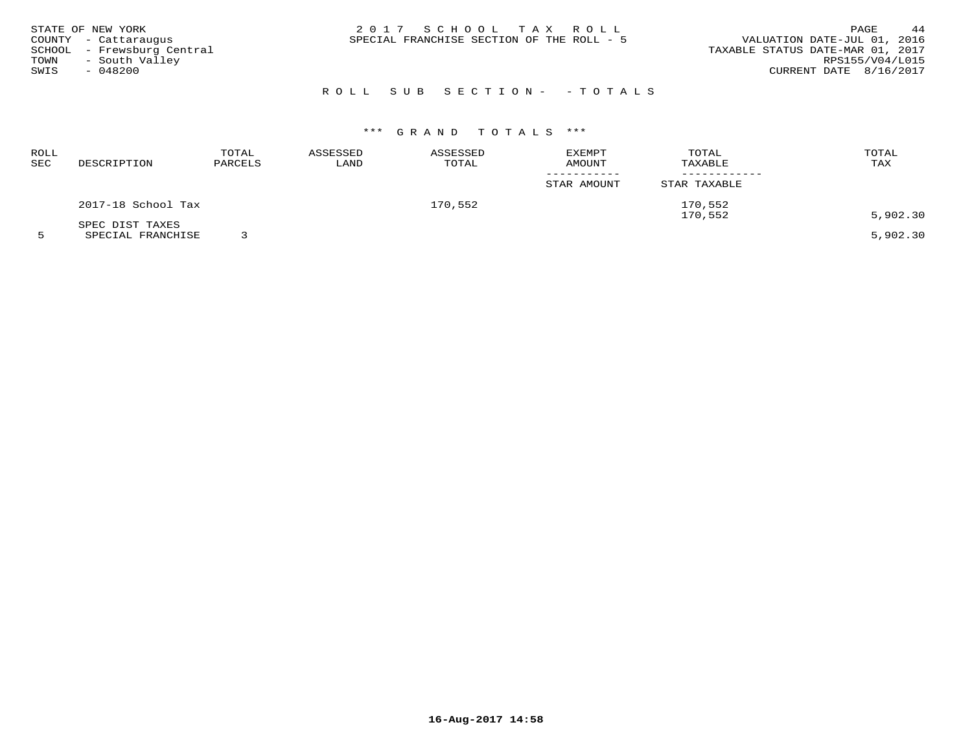| STATE OF NEW YORK          | 2017 SCHOOL TAX ROLL                      | 44<br>PAGE                       |
|----------------------------|-------------------------------------------|----------------------------------|
| COUNTY - Cattaraugus       | SPECIAL FRANCHISE SECTION OF THE ROLL - 5 | VALUATION DATE-JUL 01, 2016      |
| SCHOOL - Frewsburg Central |                                           | TAXABLE STATUS DATE-MAR 01, 2017 |
| - South Valley<br>TOWN     |                                           | RPS155/V04/L015                  |
| SWIS<br>- 048200           |                                           | CURRENT DATE 8/16/2017           |
|                            |                                           |                                  |

## ROLL SUB SECTION- - TOTALS

| ROLL<br>SEC | DESCRIPTION        | TOTAL<br>PARCELS | ASSESSED<br>LAND | ASSESSED<br>TOTAL | <b>EXEMPT</b><br>AMOUNT | TOTAL<br>TAXABLE   | TOTAL<br>TAX |
|-------------|--------------------|------------------|------------------|-------------------|-------------------------|--------------------|--------------|
|             |                    |                  |                  |                   | STAR AMOUNT             | STAR TAXABLE       |              |
|             | 2017-18 School Tax |                  |                  | 170,552           |                         | 170,552<br>170,552 | 5,902.30     |
|             | SPEC DIST TAXES    |                  |                  |                   |                         |                    |              |
|             | SPECIAL FRANCHISE  |                  |                  |                   |                         |                    | 5,902.30     |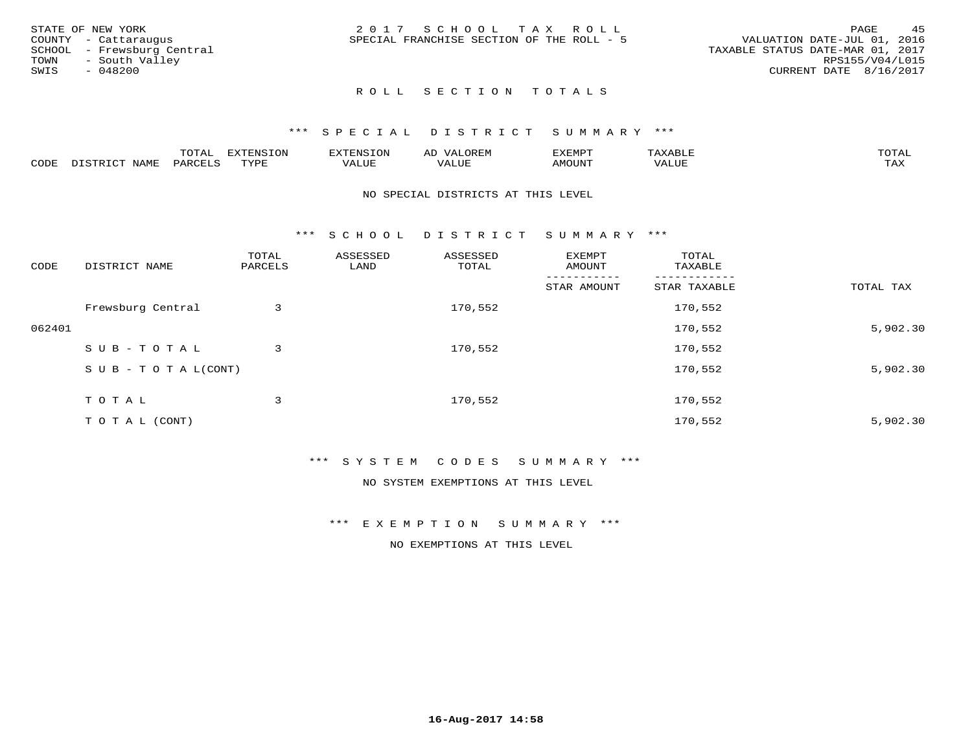| STATE OF NEW YORK          | 2017 SCHOOL TAX ROLL                      | 4.5<br><b>PAGE</b>               |
|----------------------------|-------------------------------------------|----------------------------------|
| COUNTY - Cattaraugus       | SPECIAL FRANCHISE SECTION OF THE ROLL - 5 | VALUATION DATE-JUL 01, 2016      |
| SCHOOL - Frewsburg Central |                                           | TAXABLE STATUS DATE-MAR 01, 2017 |
| - South Valley<br>TOWN     |                                           | RPS155/V04/L015                  |
| SWIS<br>- 048200           |                                           | CURRENT DATE 8/16/2017           |
|                            |                                           |                                  |

# ROLL SECTION TOTALS

### \*\*\* S P E C I A L D I S T R I C T S U M M A R Y \*\*\*

|      |                                              | mom n<br>L∪IAL   | <b>DIZPOIATO TOMT</b><br>LUN | -----------<br>י ו יו   | AD<br>URLIV  | $\ldots$<br>″ –<br>. ۱٬۱۳۰٬۰۰۰ | max                  | $m \wedge m \wedge n$ |
|------|----------------------------------------------|------------------|------------------------------|-------------------------|--------------|--------------------------------|----------------------|-----------------------|
| CODE | $ -$<br><b>NAM<sup>T</sup></b><br>- 12 - 14⊔ | PAR <sub>U</sub> | TVDF                         | $- - - -$<br>$A \cup P$ | ----<br>ALUF | IMOUNT                         | $   -$<br>$\sqrt{A}$ | $m \times r$<br>- −-  |

#### NO SPECIAL DISTRICTS AT THIS LEVEL

\*\*\* S C H O O L D I S T R I C T S U M M A R Y \*\*\*

| CODE   | DISTRICT NAME                    | TOTAL<br>PARCELS | ASSESSED<br>LAND | ASSESSED<br>TOTAL | EXEMPT<br>AMOUNT | TOTAL<br>TAXABLE |           |
|--------|----------------------------------|------------------|------------------|-------------------|------------------|------------------|-----------|
|        |                                  |                  |                  |                   | STAR AMOUNT      | STAR TAXABLE     | TOTAL TAX |
|        | Frewsburg Central                | 3                |                  | 170,552           |                  | 170,552          |           |
| 062401 |                                  |                  |                  |                   |                  | 170,552          | 5,902.30  |
|        | SUB-TOTAL                        | 3                |                  | 170,552           |                  | 170,552          |           |
|        | $S \cup B - T \cup T A L (CONT)$ |                  |                  |                   |                  | 170,552          | 5,902.30  |
|        | TOTAL                            | 3                |                  | 170,552           |                  | 170,552          |           |
|        | T O T A L (CONT)                 |                  |                  |                   |                  | 170,552          | 5,902.30  |

### \*\*\* S Y S T E M C O D E S S U M M A R Y \*\*\*

NO SYSTEM EXEMPTIONS AT THIS LEVEL

\*\*\* E X E M P T I O N S U M M A R Y \*\*\*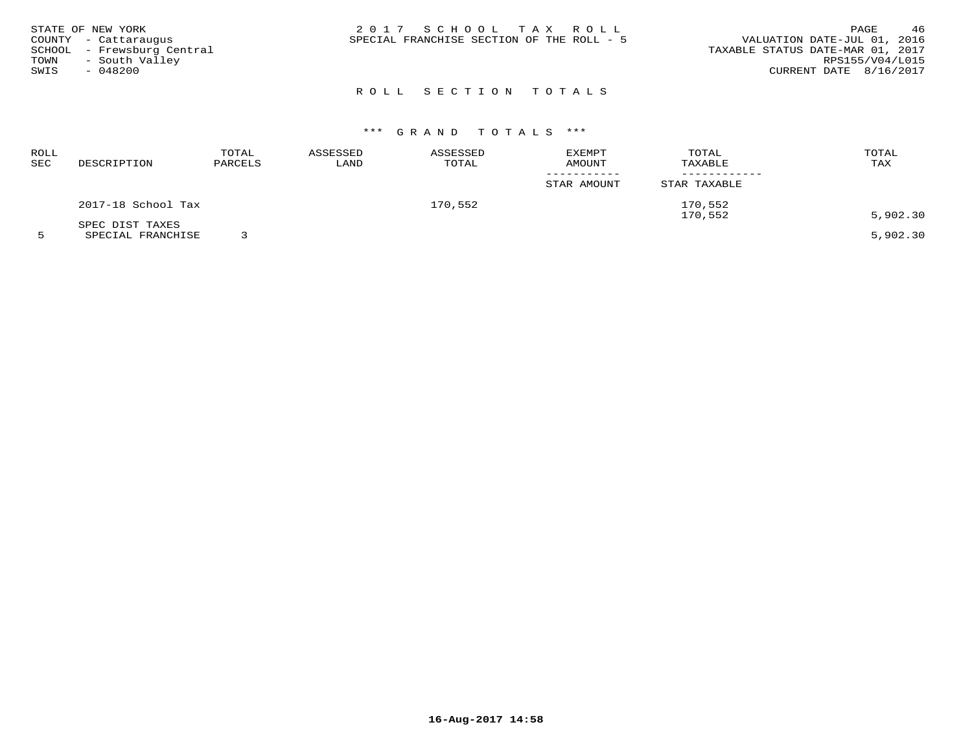| STATE OF NEW YORK<br>COUNTY - Cattaraugus<br>SCHOOL - Frewsburg Central<br>- South Valley<br>TOWN<br>SWIS<br>$-048200$ | 2017 SCHOOL TAX ROLL<br>SPECIAL FRANCHISE SECTION OF THE ROLL - 5 | 46<br>PAGE<br>VALUATION DATE-JUL 01, 2016<br>TAXABLE STATUS DATE-MAR 01, 2017<br>RPS155/V04/L015<br>CURRENT DATE 8/16/2017 |
|------------------------------------------------------------------------------------------------------------------------|-------------------------------------------------------------------|----------------------------------------------------------------------------------------------------------------------------|
|                                                                                                                        |                                                                   |                                                                                                                            |

# ROLL SECTION TOTALS

# \*\*\* G R A N D T O T A L S \*\*\*

| ROLL |                                                                                                                 | TOTAL   | ASSESSED | ASSESSED | <b>EXEMPT</b> | TOTAL        | TOTAL     |
|------|-----------------------------------------------------------------------------------------------------------------|---------|----------|----------|---------------|--------------|-----------|
| SEC  | DESCRIPTION                                                                                                     | PARCELS | LAND     | TOTAL    | AMOUNT        | TAXABLE      | TAX       |
|      |                                                                                                                 |         |          |          | STAR AMOUNT   | STAR TAXABLE |           |
|      | 2017-18 School Tax                                                                                              |         | 170,552  |          | 170,552       |              |           |
|      | SPEC DIST TAXES                                                                                                 |         |          |          |               | 170,552      | 5,902.30  |
|      | the contract of the contract of the contract of the contract of the contract of the contract of the contract of | __      |          |          |               |              | _ _ _ _ _ |

5 SPECIAL FRANCHISE 3 5,902.30

**16-Aug-2017 14:58**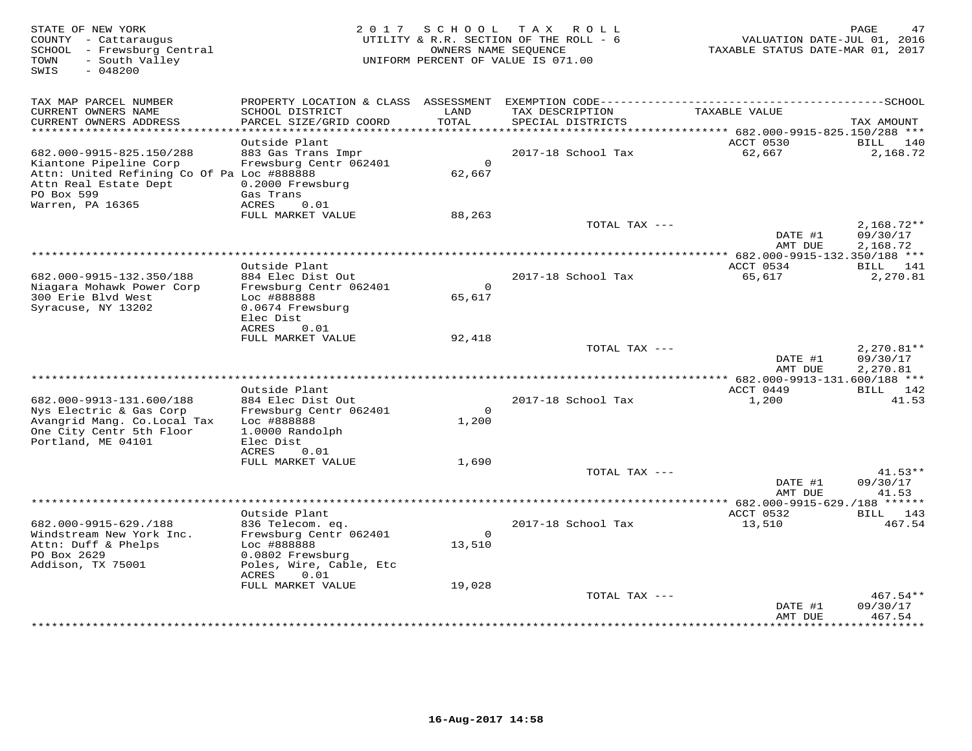| STATE OF NEW YORK<br>COUNTY - Cattaraugus<br>SCHOOL - Frewsburg Central<br>- South Valley<br>TOWN<br>$-048200$<br>SWIS                  | 2 0 1 7                                                                                        | SCHOOL             | TAX ROLL<br>UTILITY & R.R. SECTION OF THE ROLL - 6<br>OWNERS NAME SEOUENCE<br>UNIFORM PERCENT OF VALUE IS 071.00 | VALUATION DATE-JUL 01, 2016<br>TAXABLE STATUS DATE-MAR 01, 2017 | PAGE<br>47                           |
|-----------------------------------------------------------------------------------------------------------------------------------------|------------------------------------------------------------------------------------------------|--------------------|------------------------------------------------------------------------------------------------------------------|-----------------------------------------------------------------|--------------------------------------|
| TAX MAP PARCEL NUMBER                                                                                                                   | PROPERTY LOCATION & CLASS                                                                      |                    |                                                                                                                  |                                                                 |                                      |
| CURRENT OWNERS NAME<br>CURRENT OWNERS ADDRESS<br>**********************                                                                 | SCHOOL DISTRICT<br>PARCEL SIZE/GRID COORD<br>***********************                           | LAND<br>TOTAL      | TAX DESCRIPTION<br>SPECIAL DISTRICTS<br>******************************                                           | TAXABLE VALUE<br>****** 682.000-9915-825.150/288 ***            | TAX AMOUNT                           |
|                                                                                                                                         | Outside Plant                                                                                  |                    |                                                                                                                  | ACCT 0530                                                       | BILL<br>140                          |
| 682.000-9915-825.150/288<br>Kiantone Pipeline Corp<br>Attn: United Refining Co Of Pa Loc #888888<br>Attn Real Estate Dept<br>PO Box 599 | 883 Gas Trans Impr<br>Frewsburg Centr 062401<br>0.2000 Frewsburg<br>Gas Trans<br>ACRES<br>0.01 | $\circ$<br>62,667  | 2017-18 School Tax                                                                                               | 62,667                                                          | 2,168.72                             |
| Warren, PA 16365                                                                                                                        | FULL MARKET VALUE                                                                              | 88,263             |                                                                                                                  |                                                                 |                                      |
|                                                                                                                                         |                                                                                                |                    | TOTAL TAX ---                                                                                                    | DATE #1<br>AMT DUE                                              | $2,168.72**$<br>09/30/17<br>2,168.72 |
|                                                                                                                                         |                                                                                                |                    | ***********                                                                                                      | *** 682.000-9915-132.350/188 ***                                |                                      |
| 682.000-9915-132.350/188<br>Niagara Mohawk Power Corp                                                                                   | Outside Plant<br>884 Elec Dist Out<br>Frewsburg Centr 062401                                   | $\circ$            | 2017-18 School Tax                                                                                               | ACCT 0534<br>65,617                                             | BILL 141<br>2,270.81                 |
| 300 Erie Blvd West<br>Syracuse, NY 13202                                                                                                | Loc #888888<br>0.0674 Frewsburg<br>Elec Dist<br>ACRES<br>0.01                                  | 65,617             |                                                                                                                  |                                                                 |                                      |
|                                                                                                                                         | FULL MARKET VALUE                                                                              | 92,418             |                                                                                                                  |                                                                 |                                      |
|                                                                                                                                         |                                                                                                |                    | TOTAL TAX ---                                                                                                    | DATE #1<br>AMT DUE                                              | $2,270.81**$<br>09/30/17<br>2,270.81 |
| *************************                                                                                                               | Outside Plant                                                                                  |                    |                                                                                                                  | ACCT 0449                                                       | BILL 142                             |
| 682.000-9913-131.600/188<br>Nys Electric & Gas Corp                                                                                     | 884 Elec Dist Out<br>Frewsburg Centr 062401                                                    | $\Omega$           | 2017-18 School Tax                                                                                               | 1,200                                                           | 41.53                                |
| Avangrid Mang. Co. Local Tax<br>One City Centr 5th Floor<br>Portland, ME 04101                                                          | Loc #888888<br>1.0000 Randolph<br>Elec Dist                                                    | 1,200              |                                                                                                                  |                                                                 |                                      |
|                                                                                                                                         | ACRES<br>0.01<br>FULL MARKET VALUE                                                             | 1,690              |                                                                                                                  |                                                                 |                                      |
|                                                                                                                                         |                                                                                                |                    | TOTAL TAX ---                                                                                                    |                                                                 | $41.53**$                            |
|                                                                                                                                         |                                                                                                |                    |                                                                                                                  | DATE #1<br>AMT DUE                                              | 09/30/17<br>41.53                    |
|                                                                                                                                         |                                                                                                |                    |                                                                                                                  | ************ 682.000-9915-629./188 ******                       |                                      |
| 682.000-9915-629./188                                                                                                                   | Outside Plant<br>836 Telecom. eq.                                                              |                    | 2017-18 School Tax                                                                                               | ACCT 0532<br>13,510                                             | BILL<br>143<br>467.54                |
| Windstream New York Inc.<br>Attn: Duff & Phelps                                                                                         | Frewsburg Centr 062401<br>Loc #888888                                                          | $\Omega$<br>13,510 |                                                                                                                  |                                                                 |                                      |
| PO Box 2629<br>Addison, TX 75001                                                                                                        | 0.0802 Frewsburg<br>Poles, Wire, Cable, Etc<br>ACRES<br>0.01                                   |                    |                                                                                                                  |                                                                 |                                      |
|                                                                                                                                         | FULL MARKET VALUE                                                                              | 19,028             |                                                                                                                  |                                                                 |                                      |
|                                                                                                                                         |                                                                                                |                    | TOTAL TAX ---                                                                                                    | DATE #1                                                         | 467.54**<br>09/30/17                 |
|                                                                                                                                         |                                                                                                |                    |                                                                                                                  | AMT DUE                                                         | 467.54<br>.                          |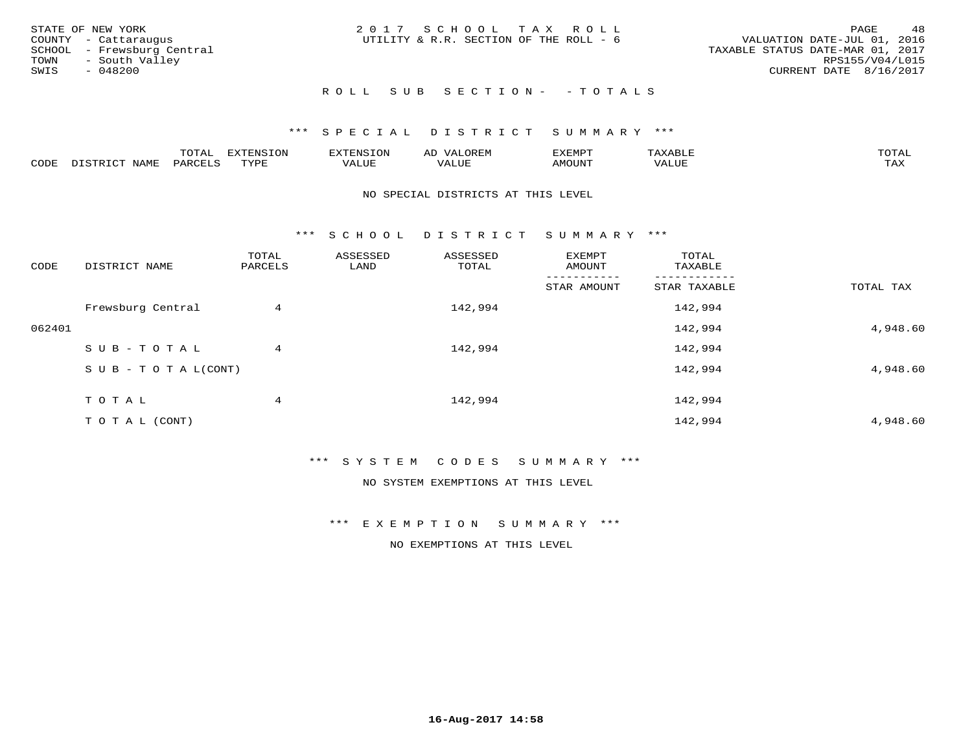| STATE OF NEW YORK<br>COUNTY - Cattaraugus<br>SCHOOL - Frewsburg Central<br>TOWN - South Valley<br>SWIS<br>- 048200 | 2017 SCHOOL TAX ROLL<br>UTILITY & R.R. SECTION OF THE ROLL - 6 | 48<br>PAGE<br>VALUATION DATE-JUL 01, 2016<br>TAXABLE STATUS DATE-MAR 01, 2017<br>RPS155/V04/L015<br>CURRENT DATE 8/16/2017 |
|--------------------------------------------------------------------------------------------------------------------|----------------------------------------------------------------|----------------------------------------------------------------------------------------------------------------------------|
|                                                                                                                    | ROLL SUB SECTION- - TOTALS                                     |                                                                                                                            |

|      |      | $m \wedge m \wedge n$<br>◡∸ғ | EXTENSION       | ਸਾ⊂⊤∩ਨ  | ΑL<br>.JREI"          | ∠XEMP™ | 'A X<br>יו∟ כו ר | $m \wedge m \wedge n$<br>$\overline{a}$ |
|------|------|------------------------------|-----------------|---------|-----------------------|--------|------------------|-----------------------------------------|
| CODE | NAMF | $44R_1$                      | TVDF<br>- - - - | تتابلهم | , , , , , , ,<br>ALUP | NMOUNT | 7ALUE            | .<br>⊥ ⊥ ⊥∡ ⊥                           |

#### NO SPECIAL DISTRICTS AT THIS LEVEL

\*\*\* S C H O O L D I S T R I C T S U M M A R Y \*\*\*

| CODE   | DISTRICT NAME                    | TOTAL<br>PARCELS | ASSESSED<br>LAND | ASSESSED<br>TOTAL | EXEMPT<br>AMOUNT | TOTAL<br>TAXABLE |           |
|--------|----------------------------------|------------------|------------------|-------------------|------------------|------------------|-----------|
|        |                                  |                  |                  |                   | STAR AMOUNT      | STAR TAXABLE     | TOTAL TAX |
|        | Frewsburg Central                | 4                |                  | 142,994           |                  | 142,994          |           |
| 062401 |                                  |                  |                  |                   |                  | 142,994          | 4,948.60  |
|        | SUB-TOTAL                        | 4                |                  | 142,994           |                  | 142,994          |           |
|        | $S \cup B - T \cup T A L (CONT)$ |                  |                  |                   |                  | 142,994          | 4,948.60  |
|        | TOTAL                            | 4                |                  | 142,994           |                  | 142,994          |           |
|        | T O T A L (CONT)                 |                  |                  |                   |                  | 142,994          | 4,948.60  |

### \*\*\* S Y S T E M C O D E S S U M M A R Y \*\*\*

NO SYSTEM EXEMPTIONS AT THIS LEVEL

#### \*\*\* E X E M P T I O N S U M M A R Y \*\*\*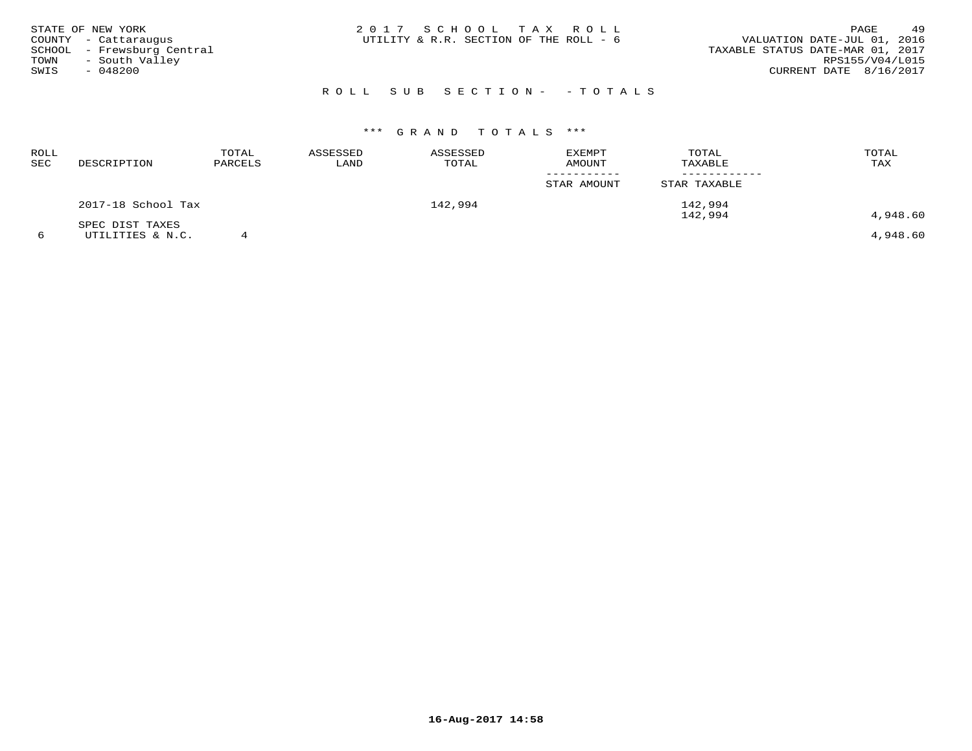| STATE OF NEW YORK          | 2017 SCHOOL TAX ROLL                   | 49<br>PAGE                       |
|----------------------------|----------------------------------------|----------------------------------|
| COUNTY - Cattaraugus       | UTILITY & R.R. SECTION OF THE ROLL - 6 | VALUATION DATE-JUL 01, 2016      |
| SCHOOL - Frewsburg Central |                                        | TAXABLE STATUS DATE-MAR 01, 2017 |
| - South Valley<br>TOWN     |                                        | RPS155/V04/L015                  |
| SWIS<br>$-048200$          |                                        | CURRENT DATE 8/16/2017           |
|                            |                                        |                                  |

# ROLL SUB SECTION- - TOTALS

| <b>ROLL</b><br>SEC | DESCRIPTION        | TOTAL<br>PARCELS | ASSESSED<br>LAND | ASSESSED<br>TOTAL | <b>EXEMPT</b><br>AMOUNT | TOTAL<br>TAXABLE | TOTAL<br>TAX |
|--------------------|--------------------|------------------|------------------|-------------------|-------------------------|------------------|--------------|
|                    |                    |                  |                  |                   | STAR AMOUNT             | STAR TAXABLE     |              |
|                    | 2017-18 School Tax |                  |                  | 142,994           |                         | 142,994          |              |
|                    | SPEC DIST TAXES    |                  |                  |                   |                         | 142,994          | 4,948.60     |
| 6                  | UTILITIES & N.C.   |                  |                  |                   |                         |                  | 4,948.60     |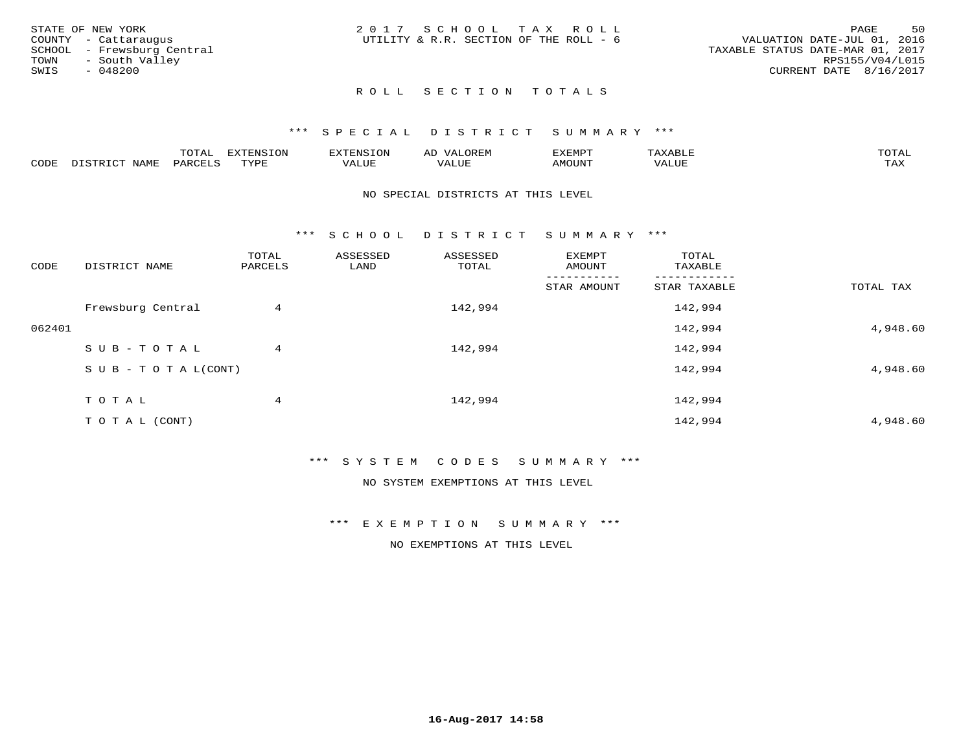| STATE OF NEW YORK          | 2017 SCHOOL TAX ROLL                   | 50<br>PAGE                       |
|----------------------------|----------------------------------------|----------------------------------|
| COUNTY - Cattaraugus       | UTILITY & R.R. SECTION OF THE ROLL - 6 | VALUATION DATE-JUL 01, 2016      |
| SCHOOL - Frewsburg Central |                                        | TAXABLE STATUS DATE-MAR 01, 2017 |
| - South Valley<br>TOWN     |                                        | RPS155/V04/L015                  |
| SWIS<br>$-048200$          |                                        | CURRENT DATE 8/16/2017           |
|                            |                                        |                                  |

# ROLL SECTION TOTALS

### \*\*\* S P E C I A L D I S T R I C T S U M M A R Y \*\*\*

|      |                      | mom n | <b>ELIMENT CLOSE</b><br>LUP | ALS.               | ΑL            | ,,, <del>,</del> ,,, <del>,</del><br>، ب<br>- ۱٬۱۳۰ نالاند |                         |                    |
|------|----------------------|-------|-----------------------------|--------------------|---------------|------------------------------------------------------------|-------------------------|--------------------|
| CODE | <b>NAMT</b><br>11.17 | PARC  | TVDF                        | <b>TTT</b><br>ALUR | T T T<br>ALUE | TUUOMA                                                     | . <del>.</del><br>'ALUL | $m \times r$<br>∸⊷ |

#### NO SPECIAL DISTRICTS AT THIS LEVEL

\*\*\* S C H O O L D I S T R I C T S U M M A R Y \*\*\*

| CODE   | DISTRICT NAME                    | TOTAL<br>PARCELS | ASSESSED<br>LAND | ASSESSED<br>TOTAL | EXEMPT<br>AMOUNT | TOTAL<br>TAXABLE |           |
|--------|----------------------------------|------------------|------------------|-------------------|------------------|------------------|-----------|
|        |                                  |                  |                  |                   | STAR AMOUNT      | STAR TAXABLE     | TOTAL TAX |
|        | Frewsburg Central                | 4                |                  | 142,994           |                  | 142,994          |           |
| 062401 |                                  |                  |                  |                   |                  | 142,994          | 4,948.60  |
|        | SUB-TOTAL                        | 4                |                  | 142,994           |                  | 142,994          |           |
|        | $S \cup B - T \cup T A L (CONT)$ |                  |                  |                   |                  | 142,994          | 4,948.60  |
|        | TOTAL                            | 4                |                  | 142,994           |                  | 142,994          |           |
|        | T O T A L (CONT)                 |                  |                  |                   |                  | 142,994          | 4,948.60  |

### \*\*\* S Y S T E M C O D E S S U M M A R Y \*\*\*

NO SYSTEM EXEMPTIONS AT THIS LEVEL

#### \*\*\* E X E M P T I O N S U M M A R Y \*\*\*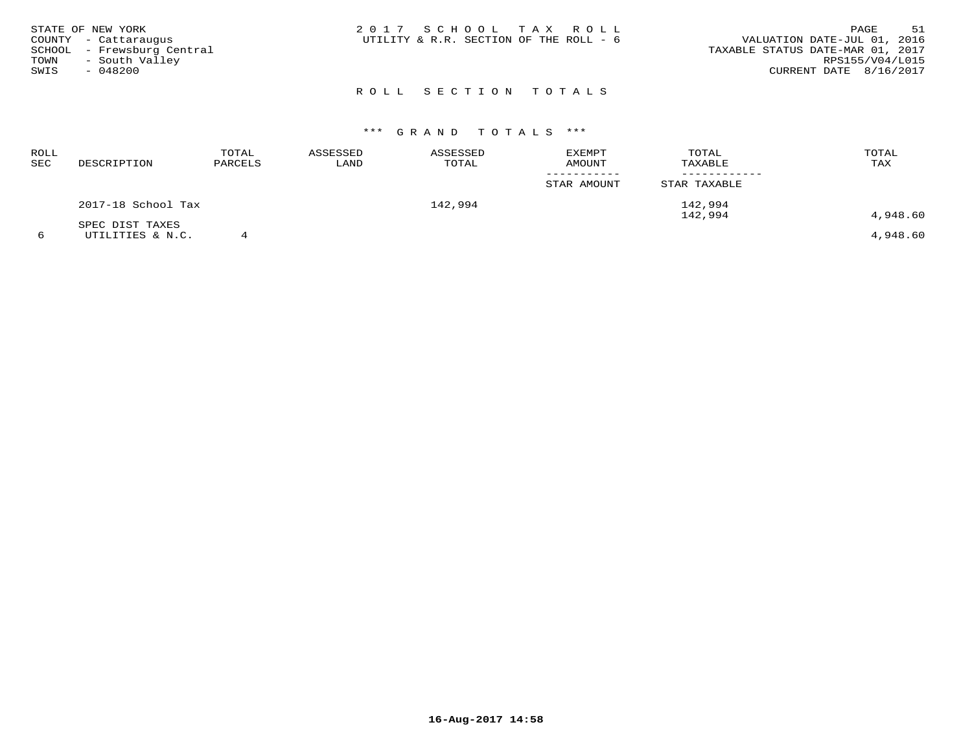| STATE OF NEW YORK          | 2017 SCHOOL TAX ROLL                   | 51<br>PAGE                  |
|----------------------------|----------------------------------------|-----------------------------|
| COUNTY - Cattaraugus       | UTILITY & R.R. SECTION OF THE ROLL - 6 | VALUATION DATE-JUL 01, 2016 |
| SCHOOL - Frewsburg Central | TAXABLE STATUS DATE-MAR 01, 2017       |                             |
| - South Valley<br>TOWN     |                                        | RPS155/V04/L015             |
| SWIS<br>$-048200$          |                                        | CURRENT DATE 8/16/2017      |
|                            |                                        |                             |

# R O L L S E C T I O N T O T A L S

| ROLL<br>SEC | DESCRIPTION        | TOTAL<br>PARCELS | ASSESSED<br>LAND | ASSESSED<br>TOTAL | EXEMPT<br><b>AMOUNT</b> | TOTAL<br>TAXABLE   | TOTAL<br>TAX |
|-------------|--------------------|------------------|------------------|-------------------|-------------------------|--------------------|--------------|
|             |                    |                  |                  |                   | STAR AMOUNT             | STAR TAXABLE       |              |
|             | 2017-18 School Tax |                  |                  | 142,994           |                         | 142,994<br>142,994 | 4,948.60     |
|             | SPEC DIST TAXES    |                  |                  |                   |                         |                    |              |
|             | UTILITIES & N.C.   |                  |                  |                   |                         |                    | 4,948.60     |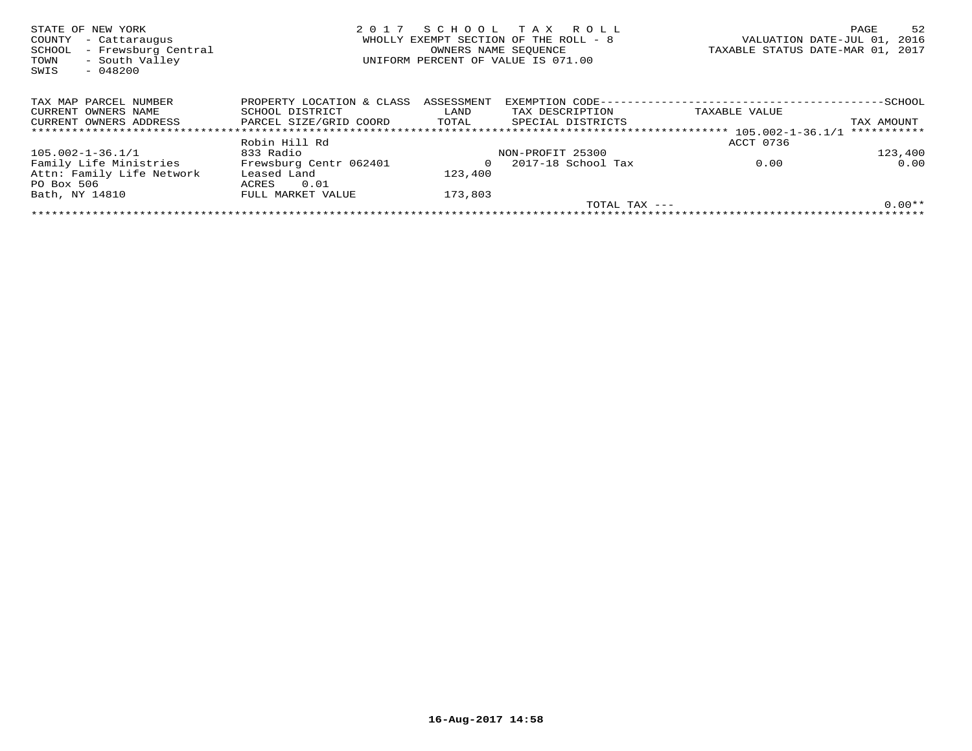| STATE OF NEW YORK<br>- Cattaraugus<br>COUNTY<br>- Frewsburg Central<br>SCHOOL<br>- South Valley<br>TOWN<br>$-048200$<br>SWIS | 2017                      | OWNERS NAME SEOUENCE | SCHOOL TAX ROLL<br>WHOLLY EXEMPT SECTION OF THE ROLL - 8<br>UNIFORM PERCENT OF VALUE IS 071.00 | TAXABLE STATUS DATE-MAR 01, 2017 | PAGE<br>VALUATION DATE-JUL 01, | 52<br>2016 |
|------------------------------------------------------------------------------------------------------------------------------|---------------------------|----------------------|------------------------------------------------------------------------------------------------|----------------------------------|--------------------------------|------------|
| TAX MAP PARCEL NUMBER                                                                                                        | PROPERTY LOCATION & CLASS | ASSESSMENT           | EXEMPTION CODE--                                                                               |                                  |                                |            |
| CURRENT OWNERS NAME                                                                                                          | SCHOOL DISTRICT           | LAND                 | TAX DESCRIPTION                                                                                | TAXABLE VALUE                    |                                |            |
| CURRENT OWNERS ADDRESS                                                                                                       | PARCEL SIZE/GRID COORD    | TOTAL                | SPECIAL DISTRICTS                                                                              |                                  | TAX AMOUNT                     |            |
|                                                                                                                              |                           |                      |                                                                                                |                                  | ***********                    |            |
|                                                                                                                              | Robin Hill Rd             |                      |                                                                                                | ACCT 0736                        |                                |            |
| 105.002-1-36.1/1                                                                                                             | 833 Radio                 |                      | NON-PROFIT 25300                                                                               |                                  |                                | 123,400    |
| Family Life Ministries                                                                                                       | Frewsburg Centr 062401    |                      | 2017-18 School Tax                                                                             | 0.00                             |                                | 0.00       |
| Attn: Family Life Network                                                                                                    | Leased Land               | 123,400              |                                                                                                |                                  |                                |            |
| PO Box 506                                                                                                                   | 0.01<br>ACRES             |                      |                                                                                                |                                  |                                |            |
| Bath, NY 14810                                                                                                               | FULL MARKET VALUE         | 173,803              |                                                                                                |                                  |                                |            |
|                                                                                                                              |                           |                      |                                                                                                | TOTAL TAX $---$                  |                                | $0.00**$   |
|                                                                                                                              |                           |                      |                                                                                                |                                  |                                |            |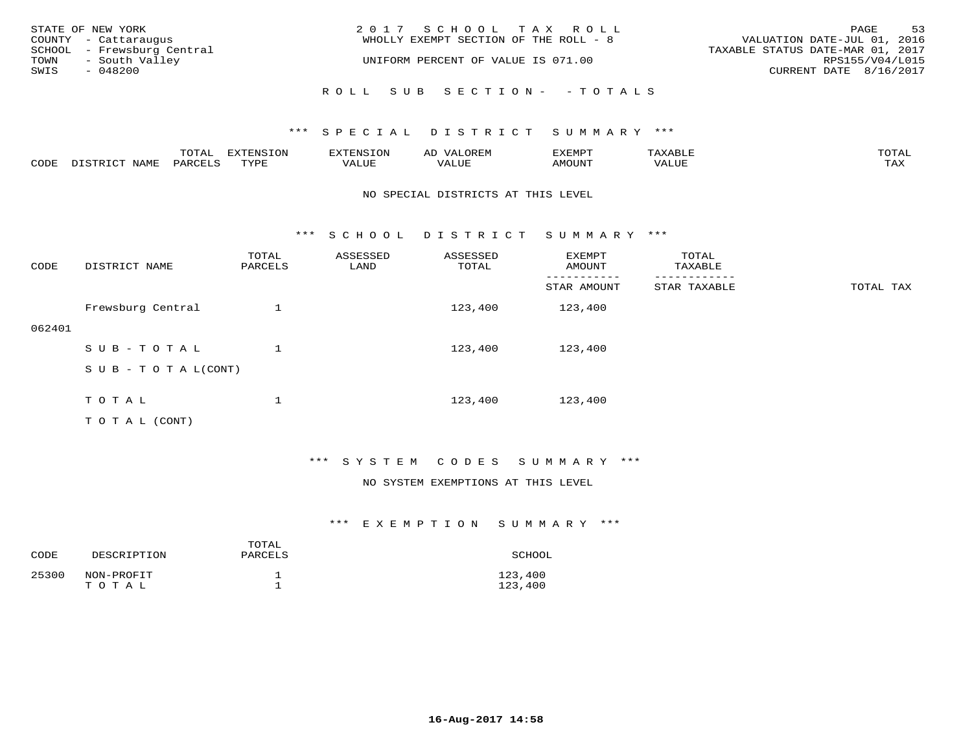|      | STATE OF NEW YORK<br>COUNTY - Cattaraugus    | 2017 SCHOOL TAX ROLL<br>WHOLLY EXEMPT SECTION OF THE ROLL - 8 | VALUATION DATE-JUL 01, 2016                         | PAGE | 53 |
|------|----------------------------------------------|---------------------------------------------------------------|-----------------------------------------------------|------|----|
| TOWN | SCHOOL - Frewsburg Central<br>- South Valley | UNIFORM PERCENT OF VALUE IS 071.00                            | TAXABLE STATUS DATE-MAR 01, 2017<br>RPS155/V04/L015 |      |    |
| SWIS | - 048200                                     |                                                               | CURRENT DATE 8/16/2017                              |      |    |
|      |                                              | ROLL SUB SECTION- - TOTALS                                    |                                                     |      |    |

|      |                  | TOTAL   | <b>DYMONIC TONT</b><br>7.NR TOIZ | 'ENS. | OREM<br>AL'           | דים איה צי | $x \sim$ $\sim$ | TOTAI |
|------|------------------|---------|----------------------------------|-------|-----------------------|------------|-----------------|-------|
| CODE | DISTRICT<br>NAME | PARCELS | TVDF<br>شد به به                 | VALUE | <b>TATTT</b><br>VALUE | AMOUNT     | VALUE           | TAX   |

#### NO SPECIAL DISTRICTS AT THIS LEVEL

\*\*\* S C H O O L D I S T R I C T S U M M A R Y \*\*\*

| CODE   | DISTRICT NAME             | TOTAL<br>PARCELS | ASSESSED<br>LAND | ASSESSED<br>TOTAL | EXEMPT<br>AMOUNT | TOTAL<br>TAXABLE |           |
|--------|---------------------------|------------------|------------------|-------------------|------------------|------------------|-----------|
|        |                           |                  |                  |                   | STAR AMOUNT      | STAR TAXABLE     | TOTAL TAX |
|        | Frewsburg Central         |                  |                  | 123,400           | 123,400          |                  |           |
| 062401 |                           |                  |                  |                   |                  |                  |           |
|        | SUB-TOTAL                 |                  |                  | 123,400           | 123,400          |                  |           |
|        | S U B - T O T A $L(CONT)$ |                  |                  |                   |                  |                  |           |
|        |                           | $\mathbf{I}$     |                  |                   |                  |                  |           |
|        | TOTAL                     | ┸                |                  | 123,400           | 123,400          |                  |           |
|        | T O T A L (CONT)          |                  |                  |                   |                  |                  |           |

\*\*\* S Y S T E M C O D E S S U M M A R Y \*\*\*

#### NO SYSTEM EXEMPTIONS AT THIS LEVEL

| CODE  | DESCRIPTION         | TOTAL<br>PARCELS | SCHOOL             |
|-------|---------------------|------------------|--------------------|
| 25300 | NON-PROFIT<br>TOTAL |                  | 123,400<br>123,400 |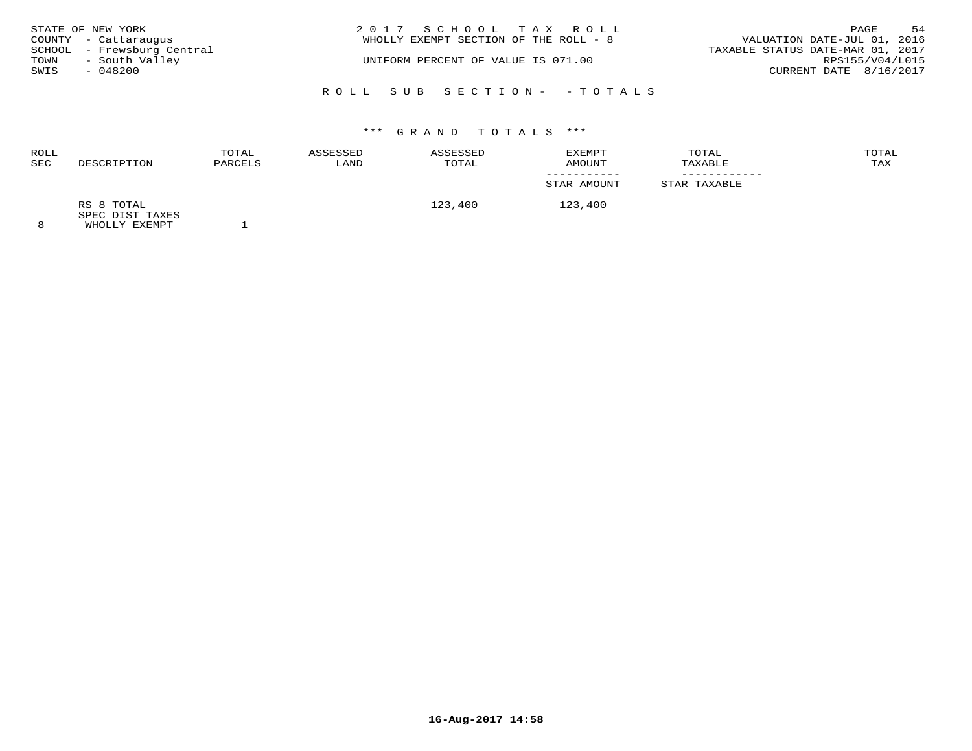|      | STATE OF NEW YORK          | 2017 SCHOOL TAX ROLL                  | PAGE                             | 54 |
|------|----------------------------|---------------------------------------|----------------------------------|----|
|      | COUNTY - Cattaraugus       | WHOLLY EXEMPT SECTION OF THE ROLL - 8 | VALUATION DATE-JUL 01, 2016      |    |
|      | SCHOOL - Frewsburg Central |                                       | TAXABLE STATUS DATE-MAR 01, 2017 |    |
| TOWN | - South Valley             | UNIFORM PERCENT OF VALUE IS 071.00    | RPS155/V04/L015                  |    |
| SWIS | $-048200$                  |                                       | CURRENT DATE 8/16/2017           |    |
|      |                            | ROLL SUB SECTION- - TOTALS            |                                  |    |

| ROLL<br>SEC | DESCRIPTION                   | TOTAL<br>PARCELS | ASSESSED<br>LAND | ASSESSED<br>TOTAL | EXEMPT<br>AMOUNT | TOTAL<br>TAXABLE | TOTAL<br>TAX |
|-------------|-------------------------------|------------------|------------------|-------------------|------------------|------------------|--------------|
|             |                               |                  |                  |                   | STAR AMOUNT      | STAR TAXABLE     |              |
|             | RS 8 TOTAL<br>SPEC DIST TAXES |                  |                  | 123,400           | 123,400          |                  |              |
| $\Omega$    | EULAR TILE BILLET             |                  |                  |                   |                  |                  |              |

8 WHOLLY EXEMPT 1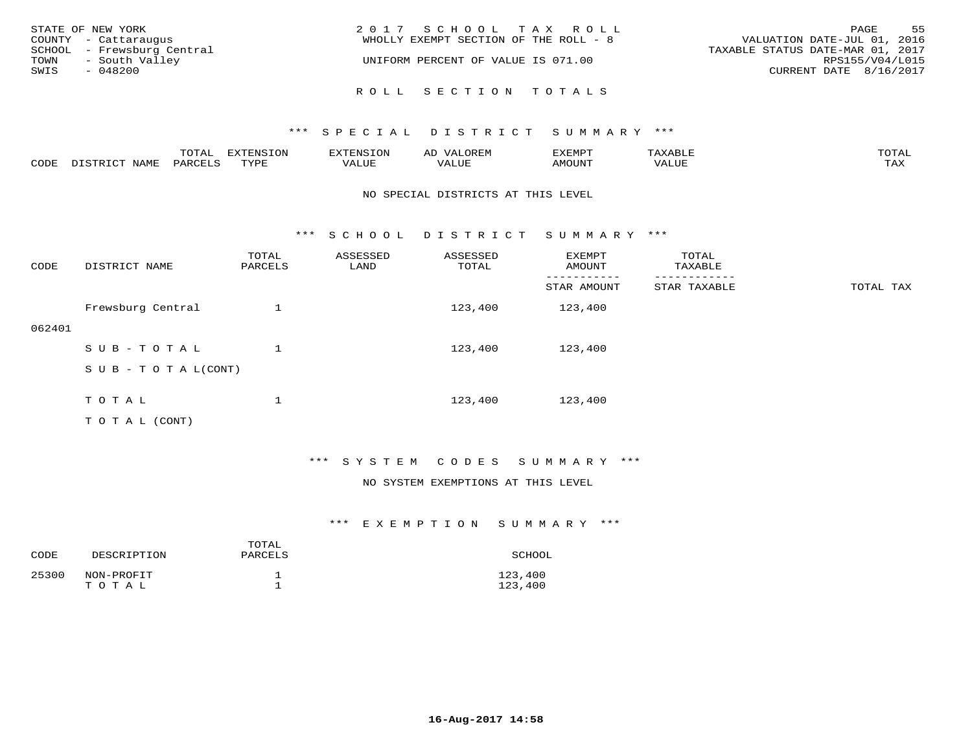| STATE OF NEW YORK<br>COUNTY - Cattaraugus            | 2017 SCHOOL TAX ROLL<br>WHOLLY EXEMPT SECTION OF THE ROLL - 8 | 55<br>PAGE<br>VALUATION DATE-JUL 01, 2016           |
|------------------------------------------------------|---------------------------------------------------------------|-----------------------------------------------------|
| SCHOOL - Frewsburg Central<br>- South Valley<br>TOWN | UNIFORM PERCENT OF VALUE IS 071.00                            | TAXABLE STATUS DATE-MAR 01, 2017<br>RPS155/V04/L015 |
| SWIS<br>- 048200                                     |                                                               | CURRENT DATE 8/16/2017                              |
|                                                      | ROLL SECTION TOTALS                                           |                                                     |

|      |                  | TOTAL   | <b>DYMONIC TONT</b><br>7.NR TOIZ | 'ENS. | OREM<br>AL'           | דים איה צי | $x \sim$ $\sim$ | TOTAI |
|------|------------------|---------|----------------------------------|-------|-----------------------|------------|-----------------|-------|
| CODE | DISTRICT<br>NAME | PARCELS | TVDF<br>ت ہے۔                    | VALUE | <b>TATTT</b><br>VALUE | AMOUNT     | VALUE           | TAX   |

#### NO SPECIAL DISTRICTS AT THIS LEVEL

\*\*\* S C H O O L D I S T R I C T S U M M A R Y \*\*\*

| CODE   | DISTRICT NAME                    | TOTAL<br>PARCELS | ASSESSED<br>LAND | ASSESSED<br>TOTAL | EXEMPT<br>AMOUNT | TOTAL<br>TAXABLE |           |
|--------|----------------------------------|------------------|------------------|-------------------|------------------|------------------|-----------|
|        |                                  |                  |                  |                   | STAR AMOUNT      | STAR TAXABLE     | TOTAL TAX |
|        | Frewsburg Central                |                  |                  | 123,400           | 123,400          |                  |           |
| 062401 |                                  |                  |                  |                   |                  |                  |           |
|        | SUB-TOTAL                        |                  |                  | 123,400           | 123,400          |                  |           |
|        | $S \cup B - T \cup T A L (CONT)$ |                  |                  |                   |                  |                  |           |
|        |                                  |                  |                  |                   |                  |                  |           |
|        | TOTAL                            |                  |                  | 123,400           | 123,400          |                  |           |
|        | T O T A L (CONT)                 |                  |                  |                   |                  |                  |           |

\*\*\* S Y S T E M C O D E S S U M M A R Y \*\*\*

#### NO SYSTEM EXEMPTIONS AT THIS LEVEL

| CODE  | DESCRIPTION         | TOTAL<br>PARCELS | SCHOOL             |
|-------|---------------------|------------------|--------------------|
| 25300 | NON-PROFIT<br>TOTAL |                  | 123,400<br>123,400 |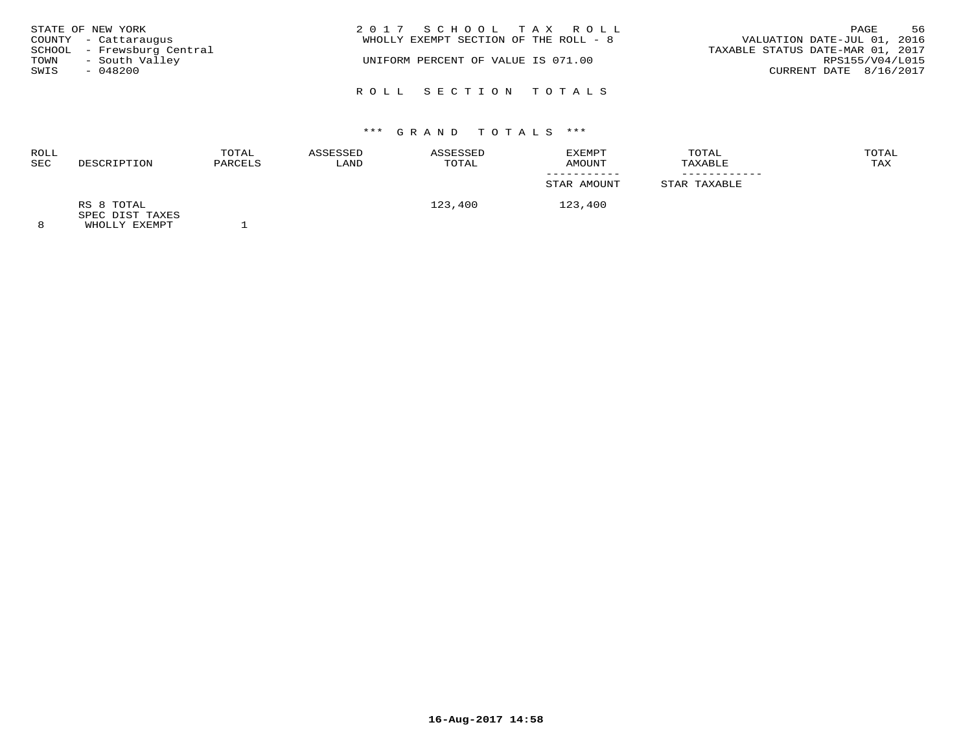|      | STATE OF NEW YORK          | 2017 SCHOOL TAX ROLL                  | PAGE                             | 56 |
|------|----------------------------|---------------------------------------|----------------------------------|----|
|      | COUNTY - Cattaraugus       | WHOLLY EXEMPT SECTION OF THE ROLL - 8 | VALUATION DATE-JUL 01, 2016      |    |
|      | SCHOOL - Frewsburg Central |                                       | TAXABLE STATUS DATE-MAR 01, 2017 |    |
| TOWN | - South Valley             | UNIFORM PERCENT OF VALUE IS 071.00    | RPS155/V04/L015                  |    |
| SWIS | $-048200$                  |                                       | CURRENT DATE 8/16/2017           |    |
|      |                            | ROLL SECTION TOTALS                   |                                  |    |

| <b>ROLL</b><br><b>SEC</b> | DESCRIPTION                               | TOTAL<br>PARCELS | ASSESSED<br>LAND | ASSESSED<br>TOTAL | EXEMPT<br>AMOUNT | TOTAL<br>TAXABLE | TOTAL<br>TAX |
|---------------------------|-------------------------------------------|------------------|------------------|-------------------|------------------|------------------|--------------|
|                           |                                           |                  |                  |                   | STAR AMOUNT      | STAR TAXABLE     |              |
|                           | RS 8 TOTAL                                |                  |                  | 123,400           | 123,400          |                  |              |
|                           | SPEC DIST TAXES<br><b>MILOT IV RYBMDP</b> |                  |                  |                   |                  |                  |              |

8 WHOLLY EXEMPT 1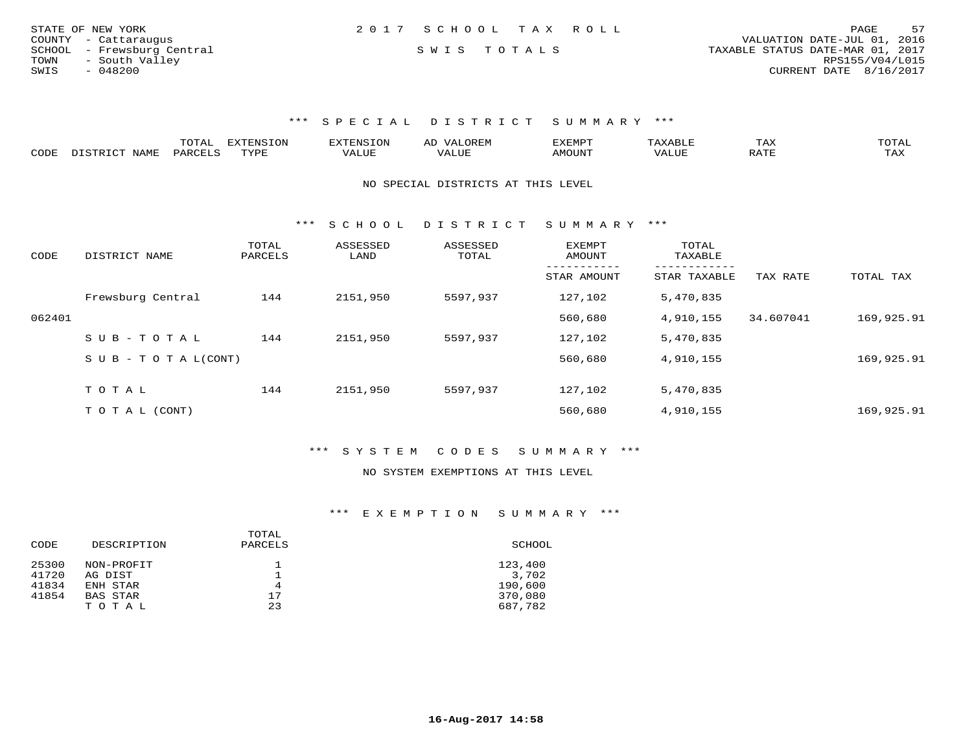| STATE OF NEW YORK          | 2017 SCHOOL TAX ROLL | 57<br>PAGE                       |
|----------------------------|----------------------|----------------------------------|
| COUNTY - Cattaraugus       |                      | VALUATION DATE-JUL 01, 2016      |
| SCHOOL - Frewsburg Central | SWIS TOTALS          | TAXABLE STATUS DATE-MAR 01, 2017 |
| - South Valley<br>TOWN     |                      | RPS155/V04/L015                  |
| SWIS<br>- 048200           |                      | CURRENT DATE $8/16/2017$         |

|      |      | .UIAL | <b>EXTENSION</b> | 7 A<br>AL | EXEMP.      |       | IAA |     |
|------|------|-------|------------------|-----------|-------------|-------|-----|-----|
| CODE | NAME | PARC  | TYPE             |           | <b>MOUN</b> | 'ALUL | ີ   | TAX |

NO SPECIAL DISTRICTS AT THIS LEVEL

\*\*\* S C H O O L D I S T R I C T S U M M A R Y \*\*\*

| CODE   | DISTRICT NAME              | TOTAL<br>PARCELS | ASSESSED<br>LAND | ASSESSED<br>TOTAL | <b>EXEMPT</b><br>AMOUNT | TOTAL<br>TAXABLE         |           |            |
|--------|----------------------------|------------------|------------------|-------------------|-------------------------|--------------------------|-----------|------------|
|        |                            |                  |                  |                   | STAR AMOUNT             | --------<br>STAR TAXABLE | TAX RATE  | TOTAL TAX  |
|        | Frewsburg Central          | 144              | 2151,950         | 5597,937          | 127,102                 | 5,470,835                |           |            |
| 062401 |                            |                  |                  |                   | 560,680                 | 4,910,155                | 34.607041 | 169,925.91 |
|        | SUB-TOTAL                  | 144              | 2151,950         | 5597,937          | 127,102                 | 5,470,835                |           |            |
|        | S U B - T O T A $L$ (CONT) |                  |                  |                   | 560,680                 | 4,910,155                |           | 169,925.91 |
|        | TOTAL                      | 144              | 2151,950         | 5597,937          | 127,102                 | 5,470,835                |           |            |
|        |                            |                  |                  |                   |                         |                          |           |            |
|        | T O T A L (CONT)           |                  |                  |                   | 560,680                 | 4,910,155                |           | 169,925.91 |

\*\*\* S Y S T E M C O D E S S U M M A R Y \*\*\*

#### NO SYSTEM EXEMPTIONS AT THIS LEVEL

| CODE  | DESCRIPTION | TOTAL<br>PARCELS | SCHOOL  |
|-------|-------------|------------------|---------|
| 25300 | NON-PROFIT  |                  | 123,400 |
| 41720 | AG DIST     |                  | 3,702   |
| 41834 | ENH STAR    | 4                | 190,600 |
| 41854 | BAS STAR    | 17               | 370,080 |
|       | TOTAL       | 23               | 687,782 |
|       |             |                  |         |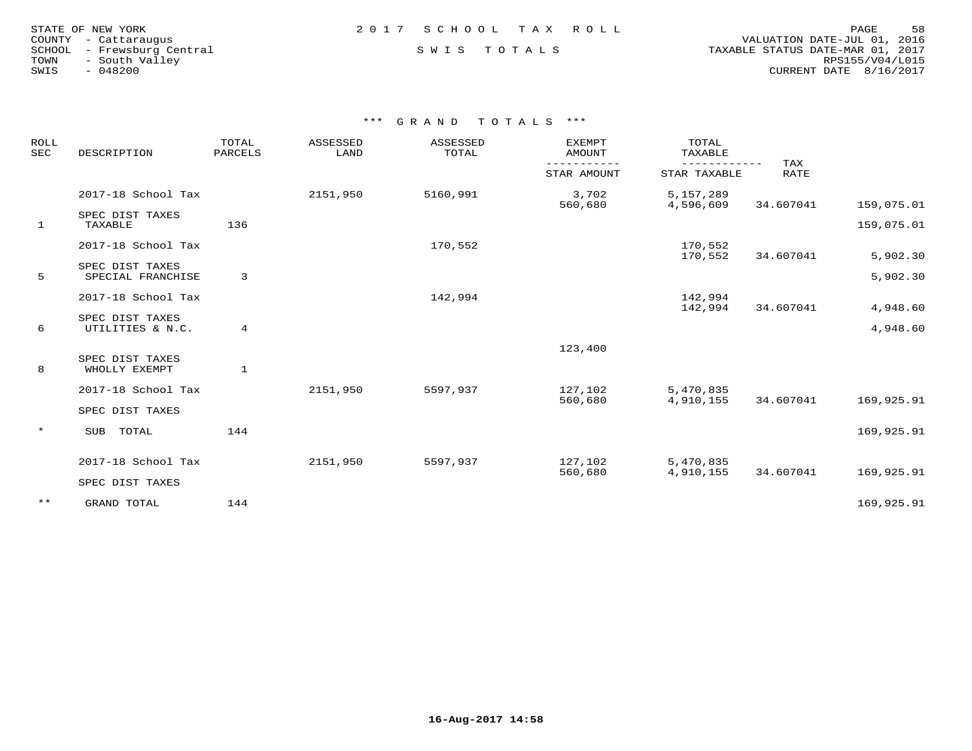|        | STATE OF NEW YORK    |  |
|--------|----------------------|--|
|        | COUNTY - Cattaraugus |  |
| SCHOOL | - Frewsburg Central  |  |
| TOWN   | - South Valley       |  |
| SWIS   | $-048200$            |  |

 COUNTY - Cattaraugus VALUATION DATE-JUL 01, 2016 SCHOOL - Frewsburg Central S W I S T O T A L S TAXABLE STATUS DATE-MAR 01, 2017 TOWN - South Valley RPS155/V04/L015SWIS - 048200 CURRENT DATE 8/16/2017

| <b>ROLL</b><br><b>SEC</b> | DESCRIPTION                          | TOTAL<br>PARCELS | ASSESSED<br>LAND | ASSESSED<br>TOTAL | <b>EXEMPT</b><br>AMOUNT | TOTAL<br>TAXABLE       |           |            |
|---------------------------|--------------------------------------|------------------|------------------|-------------------|-------------------------|------------------------|-----------|------------|
|                           |                                      |                  | STAR AMOUNT      | STAR TAXABLE      | TAX<br><b>RATE</b>      |                        |           |            |
|                           | 2017-18 School Tax                   |                  | 2151,950         | 5160,991          | 3,702<br>560,680        | 5,157,289<br>4,596,609 | 34.607041 | 159,075.01 |
| $\mathbf{1}$              | SPEC DIST TAXES<br>TAXABLE           | 136              |                  |                   |                         |                        |           | 159,075.01 |
|                           | 2017-18 School Tax                   |                  |                  | 170,552           |                         | 170,552<br>170,552     | 34.607041 | 5,902.30   |
| 5                         | SPEC DIST TAXES<br>SPECIAL FRANCHISE | 3                |                  |                   |                         |                        |           | 5,902.30   |
|                           | 2017-18 School Tax                   |                  |                  | 142,994           |                         | 142,994<br>142,994     | 34.607041 | 4,948.60   |
| 6                         | SPEC DIST TAXES<br>UTILITIES & N.C.  | $\overline{4}$   |                  |                   |                         |                        |           | 4,948.60   |
|                           |                                      |                  |                  |                   | 123,400                 |                        |           |            |
| 8                         | SPEC DIST TAXES<br>WHOLLY EXEMPT     | $\mathbf{1}$     |                  |                   |                         |                        |           |            |
|                           | 2017-18 School Tax                   |                  | 2151,950         | 5597,937          | 127,102<br>560,680      | 5,470,835<br>4,910,155 | 34.607041 | 169,925.91 |
|                           | SPEC DIST TAXES                      |                  |                  |                   |                         |                        |           |            |
| $\star$                   | SUB TOTAL                            | 144              |                  |                   |                         |                        |           | 169,925.91 |
|                           | 2017-18 School Tax                   |                  | 2151,950         | 5597,937          | 127,102<br>560,680      | 5,470,835<br>4,910,155 | 34.607041 | 169,925.91 |
|                           | SPEC DIST TAXES                      |                  |                  |                   |                         |                        |           |            |
| $***$                     | GRAND TOTAL                          | 144              |                  |                   |                         |                        |           | 169,925.91 |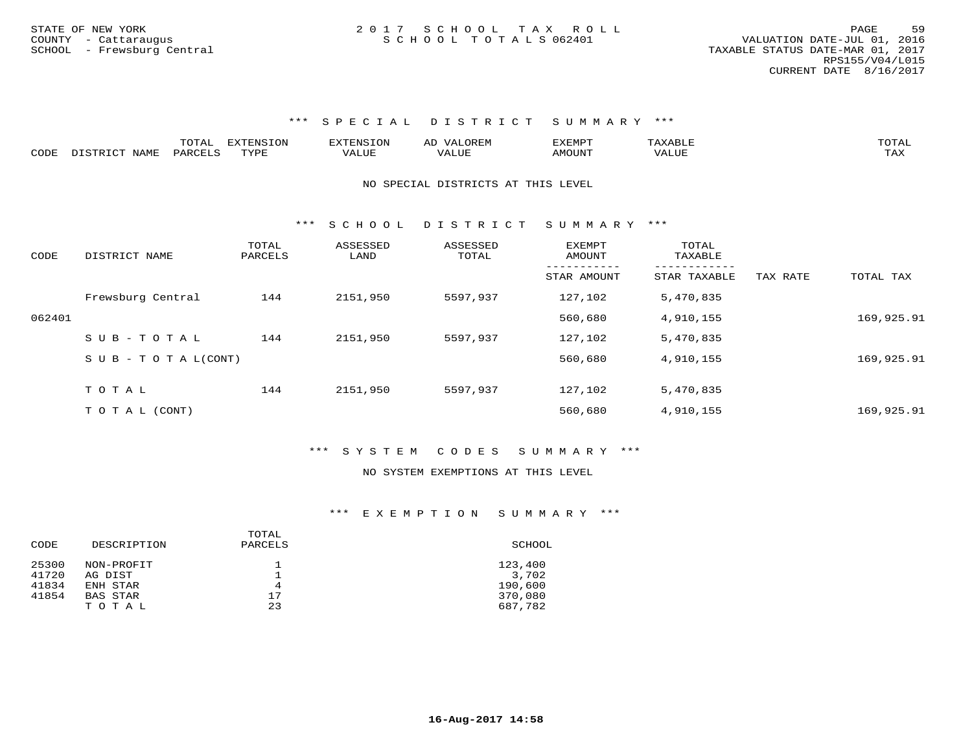|      |                    | $\blacksquare$<br>∸ ∪ ⊥ <del>∠</del> | $\blacksquare$<br>LON |       | $\rightarrow$ | "YEMPT             |       |                    |
|------|--------------------|--------------------------------------|-----------------------|-------|---------------|--------------------|-------|--------------------|
| CODE | NAMF<br>$T \cap T$ | PAR <sub>(</sub>                     | TVDI<br>شها به به     | 'ALUE |               | AMOUN <sup>T</sup> | VALUE | $m \times r$<br>∸⊷ |

NO SPECIAL DISTRICTS AT THIS LEVEL

\*\*\* S C H O O L D I S T R I C T S U M M A R Y \*\*\*

| CODE   | DISTRICT NAME                    | TOTAL<br>PARCELS | ASSESSED<br>LAND | ASSESSED<br>TOTAL | <b>EXEMPT</b><br>AMOUNT | TOTAL<br>TAXABLE |          |            |
|--------|----------------------------------|------------------|------------------|-------------------|-------------------------|------------------|----------|------------|
|        |                                  |                  |                  |                   | STAR AMOUNT             | STAR TAXABLE     | TAX RATE | TOTAL TAX  |
|        | Frewsburg Central                | 144              | 2151,950         | 5597,937          | 127,102                 | 5,470,835        |          |            |
| 062401 |                                  |                  |                  |                   | 560,680                 | 4,910,155        |          | 169,925.91 |
|        | SUB-TOTAL                        | 144              | 2151,950         | 5597,937          | 127,102                 | 5,470,835        |          |            |
|        | $S \cup B - T \cup T A L (CONT)$ |                  |                  |                   | 560,680                 | 4,910,155        |          | 169,925.91 |
|        |                                  |                  |                  |                   |                         |                  |          |            |
|        | TOTAL                            | 144              | 2151,950         | 5597,937          | 127,102                 | 5,470,835        |          |            |
|        | T O T A L (CONT)                 |                  |                  |                   | 560,680                 | 4,910,155        |          | 169,925.91 |

### \*\*\* S Y S T E M C O D E S S U M M A R Y \*\*\*

#### NO SYSTEM EXEMPTIONS AT THIS LEVEL

| CODE  | DESCRIPTION | TOTAL<br>PARCELS | SCHOOL  |
|-------|-------------|------------------|---------|
| 25300 | NON-PROFIT  |                  | 123,400 |
| 41720 | AG DIST     |                  | 3,702   |
| 41834 | ENH STAR    | 4                | 190,600 |
| 41854 | BAS STAR    | 17               | 370,080 |
|       | TOTAL       | 23               | 687,782 |
|       |             |                  |         |